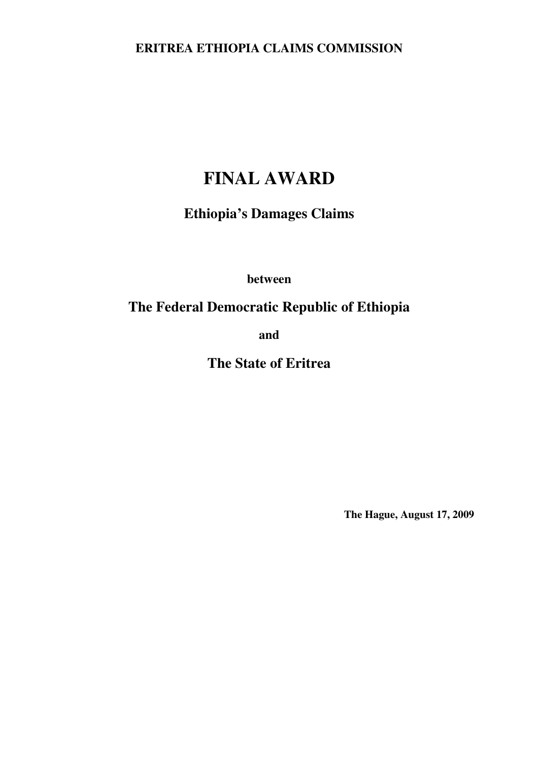# **ERITREA ETHIOPIA CLAIMS COMMISSION**

# **FINAL AWARD**

# **Ethiopia's Damages Claims**

**between**

**The Federal Democratic Republic of Ethiopia**

**and**

**The State of Eritrea**

**The Hague, August 17, 2009**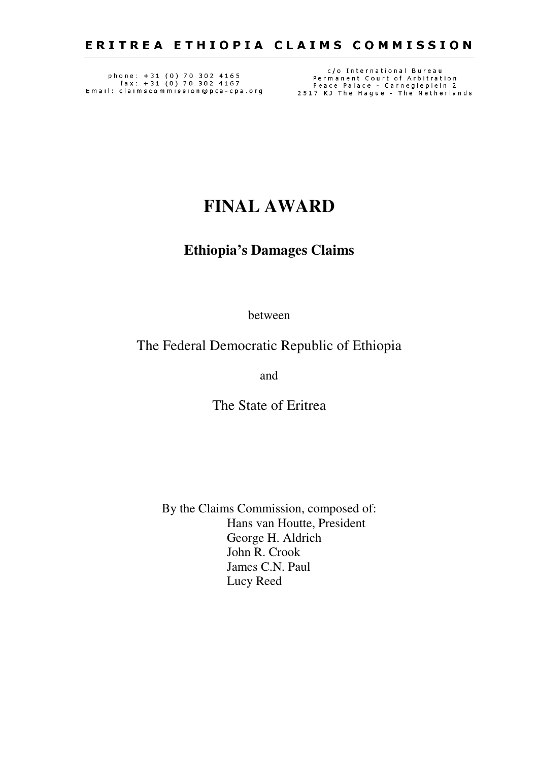phone: +31 (0) 70 302 4165<br>fax: +31 (0) 70 302 4167

c/o International Bureau phone: +31 (0) 70 302 4165<br>fax: +31 (0) 70 302 4167 Permanent Court of Arbitration<br>Email: claimscommission@pca-cpa.org 2517 KJ The Hague - The Netherlands

# **FINAL AWARD**

# **Ethiopia's Damages Claims**

between

# The Federal Democratic Republic of Ethiopia

and

The State of Eritrea

By the Claims Commission, composed of: Hans van Houtte, President George H. Aldrich John R. Crook James C.N. Paul Lucy Reed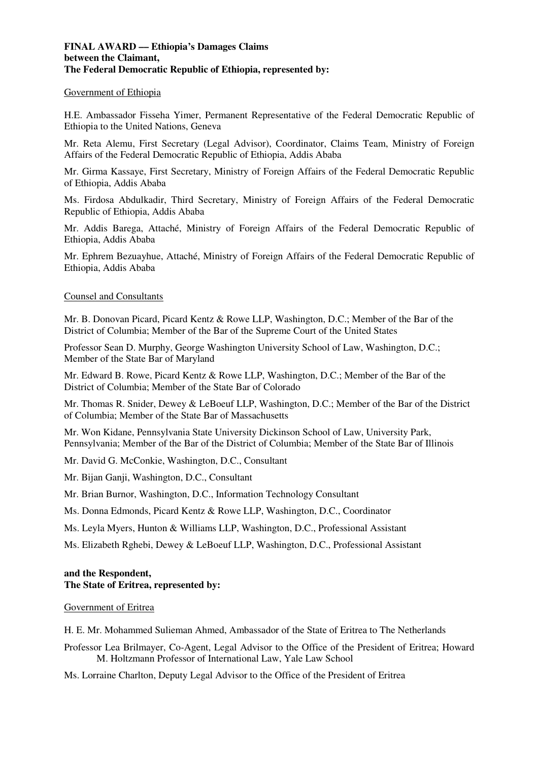#### **FINAL AWARD –– Ethiopia's Damages Claims between the Claimant, The Federal Democratic Republic of Ethiopia, represented by:**

#### Government of Ethiopia

H.E. Ambassador Fisseha Yimer, Permanent Representative of the Federal Democratic Republic of Ethiopia to the United Nations, Geneva

Mr. Reta Alemu, First Secretary (Legal Advisor), Coordinator, Claims Team, Ministry of Foreign Affairs of the Federal Democratic Republic of Ethiopia, Addis Ababa

Mr. Girma Kassaye, First Secretary, Ministry of Foreign Affairs of the Federal Democratic Republic of Ethiopia, Addis Ababa

Ms. Firdosa Abdulkadir, Third Secretary, Ministry of Foreign Affairs of the Federal Democratic Republic of Ethiopia, Addis Ababa

Mr. Addis Barega, Attaché, Ministry of Foreign Affairs of the Federal Democratic Republic of Ethiopia, Addis Ababa

Mr. Ephrem Bezuayhue, Attaché, Ministry of Foreign Affairs of the Federal Democratic Republic of Ethiopia, Addis Ababa

#### Counsel and Consultants

Mr. B. Donovan Picard, Picard Kentz & Rowe LLP, Washington, D.C.; Member of the Bar of the District of Columbia; Member of the Bar of the Supreme Court of the United States

Professor Sean D. Murphy, George Washington University School of Law, Washington, D.C.; Member of the State Bar of Maryland

Mr. Edward B. Rowe, Picard Kentz & Rowe LLP, Washington, D.C.; Member of the Bar of the District of Columbia; Member of the State Bar of Colorado

Mr. Thomas R. Snider, Dewey & LeBoeuf LLP, Washington, D.C.; Member of the Bar of the District of Columbia; Member of the State Bar of Massachusetts

Mr. Won Kidane, Pennsylvania State University Dickinson School of Law, University Park, Pennsylvania; Member of the Bar of the District of Columbia; Member of the State Bar of Illinois

Mr. David G. McConkie, Washington, D.C., Consultant

Mr. Bijan Ganji, Washington, D.C., Consultant

Mr. Brian Burnor, Washington, D.C., Information Technology Consultant

Ms. Donna Edmonds, Picard Kentz & Rowe LLP, Washington, D.C., Coordinator

Ms. Leyla Myers, Hunton & Williams LLP, Washington, D.C., Professional Assistant

Ms. Elizabeth Rghebi, Dewey & LeBoeuf LLP, Washington, D.C., Professional Assistant

#### **and the Respondent, The State of Eritrea, represented by:**

#### Government of Eritrea

H. E. Mr. Mohammed Sulieman Ahmed, Ambassador of the State of Eritrea to The Netherlands

Professor Lea Brilmayer, Co-Agent, Legal Advisor to the Office of the President of Eritrea; Howard M. Holtzmann Professor of International Law, Yale Law School

Ms. Lorraine Charlton, Deputy Legal Advisor to the Office of the President of Eritrea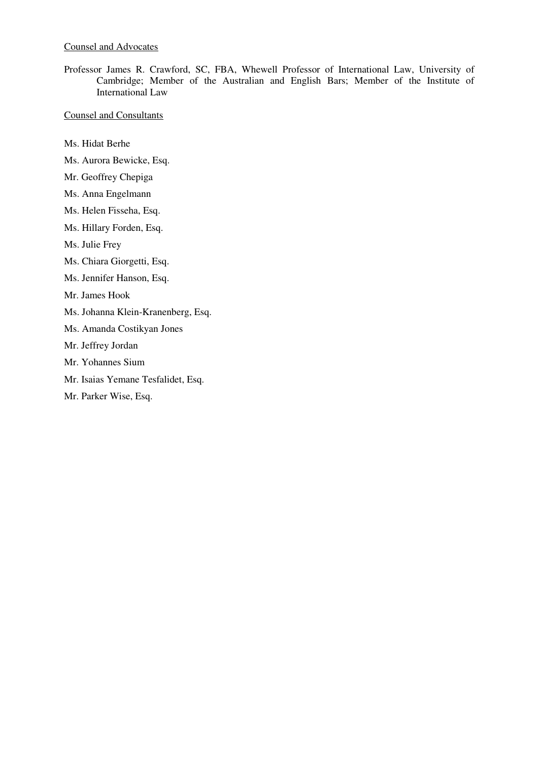#### Counsel and Advocates

Professor James R. Crawford, SC, FBA, Whewell Professor of International Law, University of Cambridge; Member of the Australian and English Bars; Member of the Institute of International Law

#### Counsel and Consultants

Ms. Hidat Berhe

- Ms. Aurora Bewicke, Esq.
- Mr. Geoffrey Chepiga
- Ms. Anna Engelmann
- Ms. Helen Fisseha, Esq.
- Ms. Hillary Forden, Esq.
- Ms. Julie Frey
- Ms. Chiara Giorgetti, Esq.
- Ms. Jennifer Hanson, Esq.
- Mr. James Hook
- Ms. Johanna Klein-Kranenberg, Esq.
- Ms. Amanda Costikyan Jones
- Mr. Jeffrey Jordan
- Mr. Yohannes Sium
- Mr. Isaias Yemane Tesfalidet, Esq.
- Mr. Parker Wise, Esq.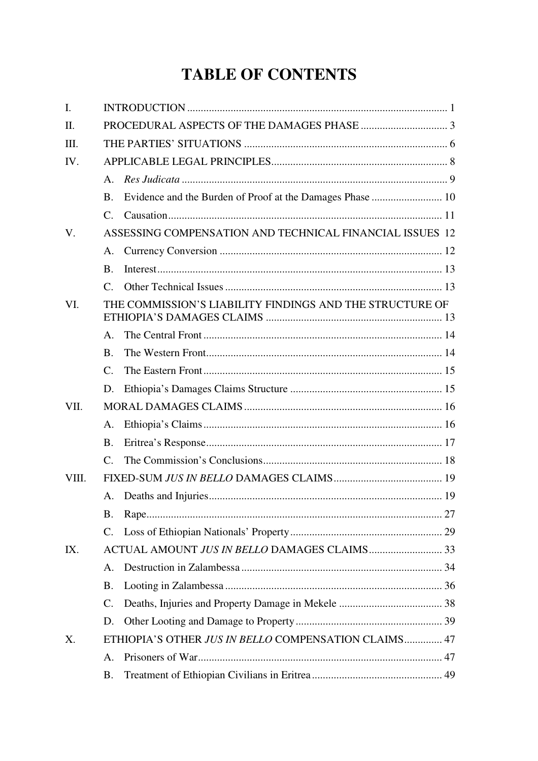# **TABLE OF CONTENTS**

| I.      |                 |                                                           |  |  |
|---------|-----------------|-----------------------------------------------------------|--|--|
| $\Pi$ . |                 |                                                           |  |  |
| III.    |                 |                                                           |  |  |
| IV.     |                 |                                                           |  |  |
|         | $A_{-}$         |                                                           |  |  |
|         | <b>B.</b>       | Evidence and the Burden of Proof at the Damages Phase  10 |  |  |
|         | $C_{\cdot}$     |                                                           |  |  |
| V.      |                 | ASSESSING COMPENSATION AND TECHNICAL FINANCIAL ISSUES 12  |  |  |
|         | A.              |                                                           |  |  |
|         | B.              |                                                           |  |  |
|         | $\mathcal{C}$ . |                                                           |  |  |
| VI.     |                 | THE COMMISSION'S LIABILITY FINDINGS AND THE STRUCTURE OF  |  |  |
|         | $\mathsf{A}$ .  |                                                           |  |  |
|         | <b>B.</b>       |                                                           |  |  |
|         | $C_{\cdot}$     |                                                           |  |  |
|         | D.              |                                                           |  |  |
| VII.    |                 |                                                           |  |  |
|         | A.              |                                                           |  |  |
|         | <b>B.</b>       |                                                           |  |  |
|         | $\mathcal{C}$ . |                                                           |  |  |
| VIII.   |                 |                                                           |  |  |
|         | A.              |                                                           |  |  |
|         | <b>B.</b>       |                                                           |  |  |
|         | $\mathbf{C}$ .  |                                                           |  |  |
| IX.     |                 |                                                           |  |  |
|         | A.              |                                                           |  |  |
|         | <b>B.</b>       |                                                           |  |  |
|         | $\mathbf{C}$ .  |                                                           |  |  |
|         | D.              |                                                           |  |  |
| X.      |                 | ETHIOPIA'S OTHER JUS IN BELLO COMPENSATION CLAIMS 47      |  |  |
|         | A.              |                                                           |  |  |
|         | <b>B.</b>       |                                                           |  |  |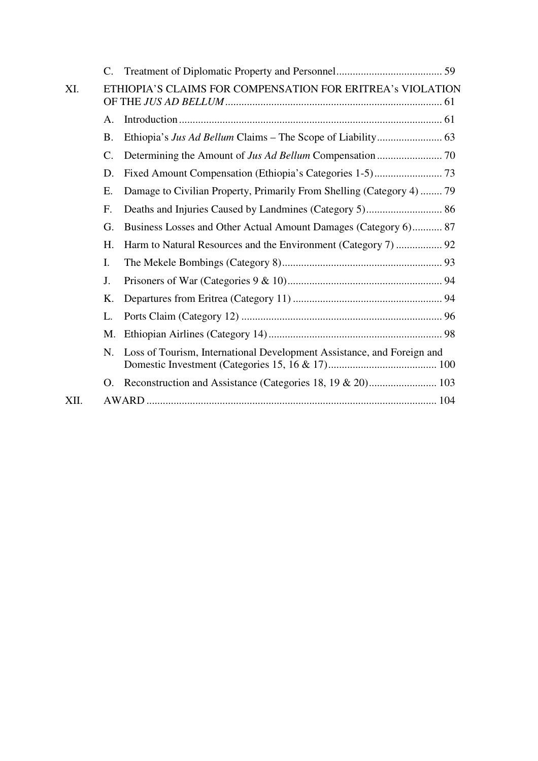|      | C. |                                                                        |  |
|------|----|------------------------------------------------------------------------|--|
| XI.  |    | ETHIOPIA'S CLAIMS FOR COMPENSATION FOR ERITREA's VIOLATION             |  |
|      | А. |                                                                        |  |
|      | Β. |                                                                        |  |
|      | C. |                                                                        |  |
|      | D. |                                                                        |  |
|      | Ε. | Damage to Civilian Property, Primarily From Shelling (Category 4)  79  |  |
|      | F. |                                                                        |  |
|      | G. | Business Losses and Other Actual Amount Damages (Category 6) 87        |  |
|      | Η. | Harm to Natural Resources and the Environment (Category 7)  92         |  |
|      | I. |                                                                        |  |
|      | J. |                                                                        |  |
|      | Κ. |                                                                        |  |
|      | L. |                                                                        |  |
|      | М. |                                                                        |  |
|      | N. | Loss of Tourism, International Development Assistance, and Foreign and |  |
|      | О. |                                                                        |  |
| XII. |    |                                                                        |  |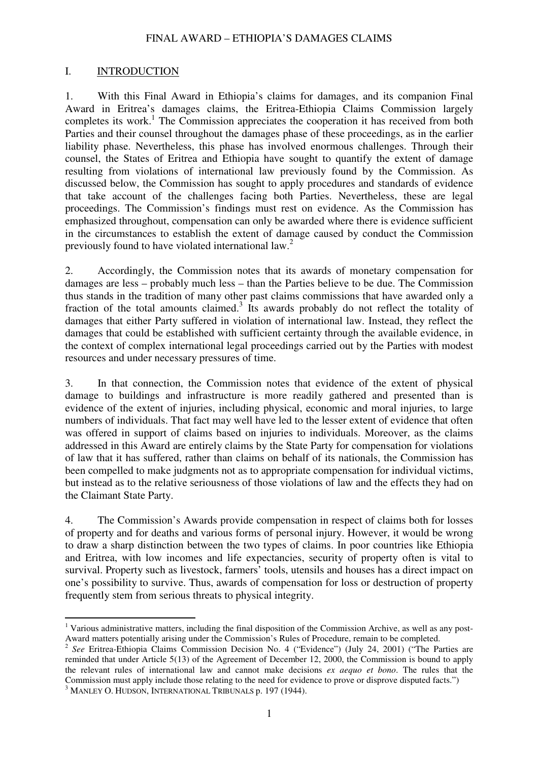#### I. INTRODUCTION

1. With this Final Award in Ethiopia's claims for damages, and its companion Final Award in Eritrea's damages claims, the Eritrea-Ethiopia Claims Commission largely completes its work. 1 The Commission appreciates the cooperation it has received from both Parties and their counsel throughout the damages phase of these proceedings, as in the earlier liability phase. Nevertheless, this phase has involved enormous challenges. Through their counsel, the States of Eritrea and Ethiopia have sought to quantify the extent of damage resulting from violations of international law previously found by the Commission. As discussed below, the Commission has sought to apply procedures and standards of evidence that take account of the challenges facing both Parties. Nevertheless, these are legal proceedings. The Commission's findings must rest on evidence. As the Commission has emphasized throughout, compensation can only be awarded where there is evidence sufficient in the circumstances to establish the extent of damage caused by conduct the Commission previously found to have violated international law.<sup>2</sup>

2. Accordingly, the Commission notes that its awards of monetary compensation for damages are less – probably much less – than the Parties believe to be due. The Commission thus stands in the tradition of many other past claims commissions that have awarded only a fraction of the total amounts claimed.<sup>3</sup> Its awards probably do not reflect the totality of damages that either Party suffered in violation of international law. Instead, they reflect the damages that could be established with sufficient certainty through the available evidence, in the context of complex international legal proceedings carried out by the Parties with modest resources and under necessary pressures of time.

3. In that connection, the Commission notes that evidence of the extent of physical damage to buildings and infrastructure is more readily gathered and presented than is evidence of the extent of injuries, including physical, economic and moral injuries, to large numbers of individuals. That fact may well have led to the lesser extent of evidence that often was offered in support of claims based on injuries to individuals. Moreover, as the claims addressed in this Award are entirely claims by the State Party for compensation for violations of law that it has suffered, rather than claims on behalf of its nationals, the Commission has been compelled to make judgments not as to appropriate compensation for individual victims, but instead as to the relative seriousness of those violations of law and the effects they had on the Claimant State Party.

4. The Commission's Awards provide compensation in respect of claims both for losses of property and for deaths and various forms of personal injury. However, it would be wrong to draw a sharp distinction between the two types of claims. In poor countries like Ethiopia and Eritrea, with low incomes and life expectancies, security of property often is vital to survival. Property such as livestock, farmers' tools, utensils and houses has a direct impact on one's possibility to survive. Thus, awards of compensation for loss or destruction of property frequently stem from serious threats to physical integrity.

<sup>&</sup>lt;sup>1</sup> Various administrative matters, including the final disposition of the Commission Archive, as well as any post-Award matters potentially arising under the Commission's Rules of Procedure, remain to be completed.

<sup>2</sup> *See* Eritrea-Ethiopia Claims Commission Decision No. 4 ("Evidence") (July 24, 2001) ("The Parties are reminded that under Article 5(13) of the Agreement of December 12, 2000, the Commission is bound to apply the relevant rules of international law and cannot make decisions *ex aequo et bono*. The rules that the Commission must apply include those relating to the need for evidence to prove or disprove disputed facts.") <sup>3</sup> MANLEY O. HUDSON, INTERNATIONAL TRIBUNALS p. 197 (1944).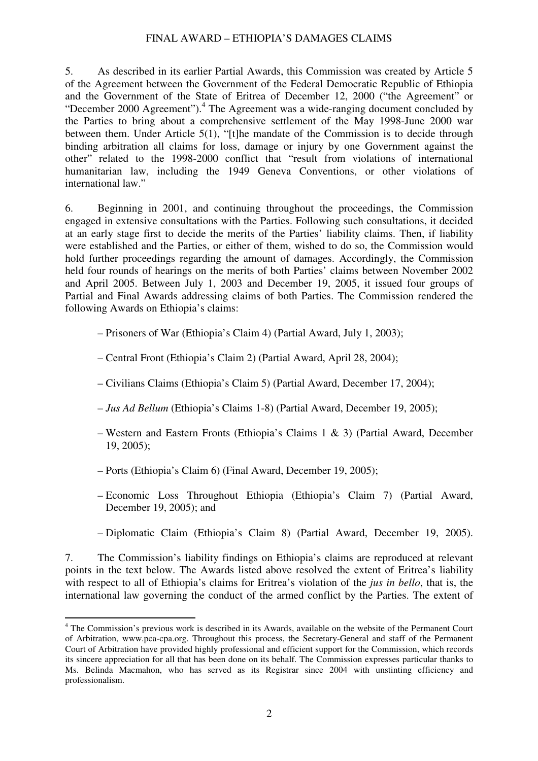5. As described in its earlier Partial Awards, this Commission was created by Article 5 of the Agreement between the Government of the Federal Democratic Republic of Ethiopia and the Government of the State of Eritrea of December 12, 2000 ("the Agreement" or "December 2000 Agreement"). 4 The Agreement was a wide-ranging document concluded by the Parties to bring about a comprehensive settlement of the May 1998-June 2000 war between them. Under Article 5(1), "[t]he mandate of the Commission is to decide through binding arbitration all claims for loss, damage or injury by one Government against the other" related to the 1998-2000 conflict that "result from violations of international humanitarian law, including the 1949 Geneva Conventions, or other violations of international law."

6. Beginning in 2001, and continuing throughout the proceedings, the Commission engaged in extensive consultations with the Parties. Following such consultations, it decided at an early stage first to decide the merits of the Parties' liability claims. Then, if liability were established and the Parties, or either of them, wished to do so, the Commission would hold further proceedings regarding the amount of damages. Accordingly, the Commission held four rounds of hearings on the merits of both Parties' claims between November 2002 and April 2005. Between July 1, 2003 and December 19, 2005, it issued four groups of Partial and Final Awards addressing claims of both Parties. The Commission rendered the following Awards on Ethiopia's claims:

– Prisoners of War (Ethiopia's Claim 4) (Partial Award, July 1, 2003);

- Central Front (Ethiopia's Claim 2) (Partial Award, April 28, 2004);
- Civilians Claims (Ethiopia's Claim 5) (Partial Award, December 17, 2004);
- *Jus Ad Bellum* (Ethiopia's Claims 1-8) (Partial Award, December 19, 2005);
- Western and Eastern Fronts (Ethiopia's Claims 1 & 3) (Partial Award, December 19, 2005);
- Ports (Ethiopia's Claim 6) (Final Award, December 19, 2005);
- Economic Loss Throughout Ethiopia (Ethiopia's Claim 7) (Partial Award, December 19, 2005); and
- Diplomatic Claim (Ethiopia's Claim 8) (Partial Award, December 19, 2005).

7. The Commission's liability findings on Ethiopia's claims are reproduced at relevant points in the text below. The Awards listed above resolved the extent of Eritrea's liability with respect to all of Ethiopia's claims for Eritrea's violation of the *jus in bello*, that is, the international law governing the conduct of the armed conflict by the Parties. The extent of

<sup>&</sup>lt;sup>4</sup> The Commission's previous work is described in its Awards, available on the website of the Permanent Court of Arbitration, www.pca-cpa.org. Throughout this process, the Secretary-General and staff of the Permanent Court of Arbitration have provided highly professional and efficient support for the Commission, which records its sincere appreciation for all that has been done on its behalf. The Commission expresses particular thanks to Ms. Belinda Macmahon, who has served as its Registrar since 2004 with unstinting efficiency and professionalism.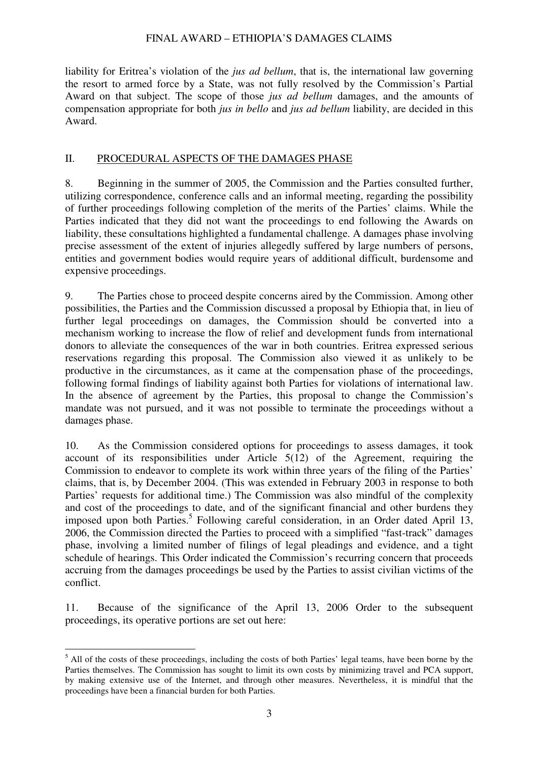liability for Eritrea's violation of the *jus ad bellum*, that is, the international law governing the resort to armed force by a State, was not fully resolved by the Commission's Partial Award on that subject. The scope of those *jus ad bellum* damages, and the amounts of compensation appropriate for both *jus in bello* and *jus ad bellum* liability, are decided in this Award.

# II. PROCEDURAL ASPECTS OF THE DAMAGES PHASE

8. Beginning in the summer of 2005, the Commission and the Parties consulted further, utilizing correspondence, conference calls and an informal meeting, regarding the possibility of further proceedings following completion of the merits of the Parties' claims. While the Parties indicated that they did not want the proceedings to end following the Awards on liability, these consultations highlighted a fundamental challenge. A damages phase involving precise assessment of the extent of injuries allegedly suffered by large numbers of persons, entities and government bodies would require years of additional difficult, burdensome and expensive proceedings.

9. The Parties chose to proceed despite concerns aired by the Commission. Among other possibilities, the Parties and the Commission discussed a proposal by Ethiopia that, in lieu of further legal proceedings on damages, the Commission should be converted into a mechanism working to increase the flow of relief and development funds from international donors to alleviate the consequences of the war in both countries. Eritrea expressed serious reservations regarding this proposal. The Commission also viewed it as unlikely to be productive in the circumstances, as it came at the compensation phase of the proceedings, following formal findings of liability against both Parties for violations of international law. In the absence of agreement by the Parties, this proposal to change the Commission's mandate was not pursued, and it was not possible to terminate the proceedings without a damages phase.

10. As the Commission considered options for proceedings to assess damages, it took account of its responsibilities under Article 5(12) of the Agreement, requiring the Commission to endeavor to complete its work within three years of the filing of the Parties' claims, that is, by December 2004. (This was extended in February 2003 in response to both Parties' requests for additional time.) The Commission was also mindful of the complexity and cost of the proceedings to date, and of the significant financial and other burdens they imposed upon both Parties. 5 Following careful consideration, in an Order dated April 13, 2006, the Commission directed the Parties to proceed with a simplified "fast-track" damages phase, involving a limited number of filings of legal pleadings and evidence, and a tight schedule of hearings. This Order indicated the Commission's recurring concern that proceeds accruing from the damages proceedings be used by the Parties to assist civilian victims of the conflict.

11. Because of the significance of the April 13, 2006 Order to the subsequent proceedings, its operative portions are set out here:

<sup>&</sup>lt;sup>5</sup> All of the costs of these proceedings, including the costs of both Parties' legal teams, have been borne by the Parties themselves. The Commission has sought to limit its own costs by minimizing travel and PCA support, by making extensive use of the Internet, and through other measures. Nevertheless, it is mindful that the proceedings have been a financial burden for both Parties.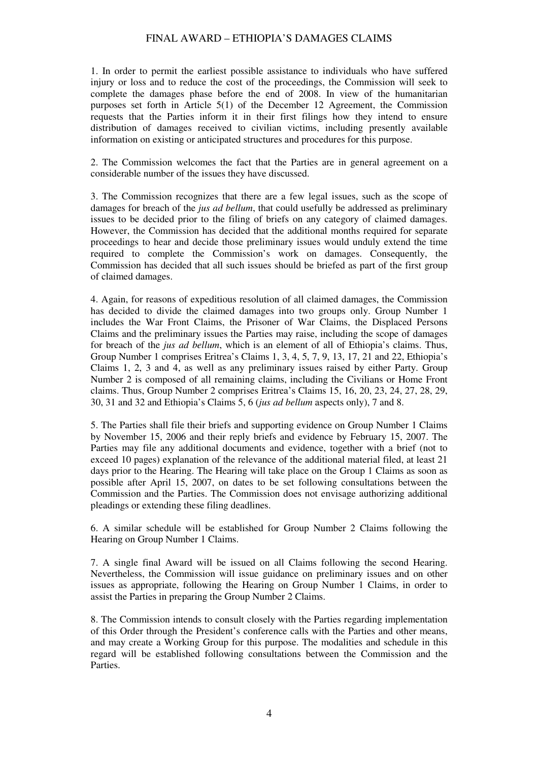1. In order to permit the earliest possible assistance to individuals who have suffered injury or loss and to reduce the cost of the proceedings, the Commission will seek to complete the damages phase before the end of 2008. In view of the humanitarian purposes set forth in Article 5(1) of the December 12 Agreement, the Commission requests that the Parties inform it in their first filings how they intend to ensure distribution of damages received to civilian victims, including presently available information on existing or anticipated structures and procedures for this purpose.

2. The Commission welcomes the fact that the Parties are in general agreement on a considerable number of the issues they have discussed.

3. The Commission recognizes that there are a few legal issues, such as the scope of damages for breach of the *jus ad bellum*, that could usefully be addressed as preliminary issues to be decided prior to the filing of briefs on any category of claimed damages. However, the Commission has decided that the additional months required for separate proceedings to hear and decide those preliminary issues would unduly extend the time required to complete the Commission's work on damages. Consequently, the Commission has decided that all such issues should be briefed as part of the first group of claimed damages.

4. Again, for reasons of expeditious resolution of all claimed damages, the Commission has decided to divide the claimed damages into two groups only. Group Number 1 includes the War Front Claims, the Prisoner of War Claims, the Displaced Persons Claims and the preliminary issues the Parties may raise, including the scope of damages for breach of the *jus ad bellum*, which is an element of all of Ethiopia's claims. Thus, Group Number 1 comprises Eritrea's Claims 1, 3, 4, 5, 7, 9, 13, 17, 21 and 22, Ethiopia's Claims 1, 2, 3 and 4, as well as any preliminary issues raised by either Party. Group Number 2 is composed of all remaining claims, including the Civilians or Home Front claims. Thus, Group Number 2 comprises Eritrea's Claims 15, 16, 20, 23, 24, 27, 28, 29, 30, 31 and 32 and Ethiopia's Claims 5, 6 (*jus ad bellum* aspects only), 7 and 8.

5. The Parties shall file their briefs and supporting evidence on Group Number 1 Claims by November 15, 2006 and their reply briefs and evidence by February 15, 2007. The Parties may file any additional documents and evidence, together with a brief (not to exceed 10 pages) explanation of the relevance of the additional material filed, at least 21 days prior to the Hearing. The Hearing will take place on the Group 1 Claims as soon as possible after April 15, 2007, on dates to be set following consultations between the Commission and the Parties. The Commission does not envisage authorizing additional pleadings or extending these filing deadlines.

6. A similar schedule will be established for Group Number 2 Claims following the Hearing on Group Number 1 Claims.

7. A single final Award will be issued on all Claims following the second Hearing. Nevertheless, the Commission will issue guidance on preliminary issues and on other issues as appropriate, following the Hearing on Group Number 1 Claims, in order to assist the Parties in preparing the Group Number 2 Claims.

8. The Commission intends to consult closely with the Parties regarding implementation of this Order through the President's conference calls with the Parties and other means, and may create a Working Group for this purpose. The modalities and schedule in this regard will be established following consultations between the Commission and the Parties.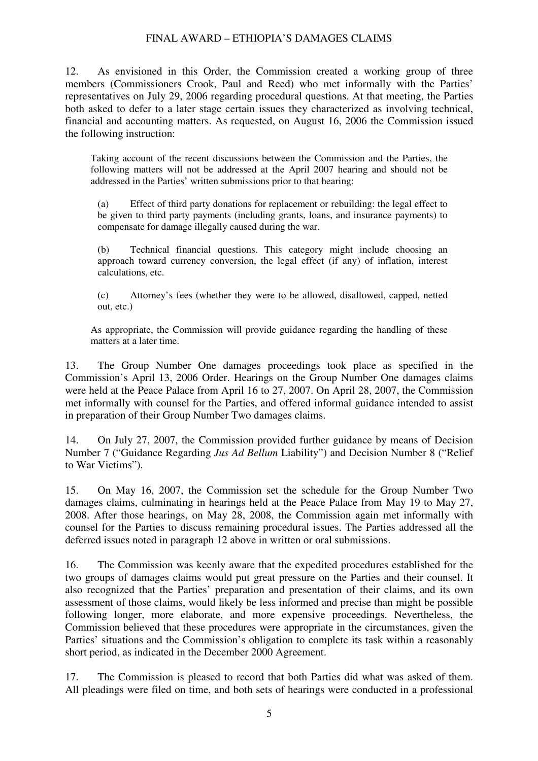12. As envisioned in this Order, the Commission created a working group of three members (Commissioners Crook, Paul and Reed) who met informally with the Parties' representatives on July 29, 2006 regarding procedural questions. At that meeting, the Parties both asked to defer to a later stage certain issues they characterized as involving technical, financial and accounting matters. As requested, on August 16, 2006 the Commission issued the following instruction:

Taking account of the recent discussions between the Commission and the Parties, the following matters will not be addressed at the April 2007 hearing and should not be addressed in the Parties' written submissions prior to that hearing:

(a) Effect of third party donations for replacement or rebuilding: the legal effect to be given to third party payments (including grants, loans, and insurance payments) to compensate for damage illegally caused during the war.

(b) Technical financial questions. This category might include choosing an approach toward currency conversion, the legal effect (if any) of inflation, interest calculations, etc.

(c) Attorney's fees (whether they were to be allowed, disallowed, capped, netted out, etc.)

As appropriate, the Commission will provide guidance regarding the handling of these matters at a later time.

13. The Group Number One damages proceedings took place as specified in the Commission's April 13, 2006 Order. Hearings on the Group Number One damages claims were held at the Peace Palace from April 16 to 27, 2007. On April 28, 2007, the Commission met informally with counsel for the Parties, and offered informal guidance intended to assist in preparation of their Group Number Two damages claims.

14. On July 27, 2007, the Commission provided further guidance by means of Decision Number 7 ("Guidance Regarding *Jus Ad Bellum* Liability") and Decision Number 8 ("Relief to War Victims").

15. On May 16, 2007, the Commission set the schedule for the Group Number Two damages claims, culminating in hearings held at the Peace Palace from May 19 to May 27, 2008. After those hearings, on May 28, 2008, the Commission again met informally with counsel for the Parties to discuss remaining procedural issues. The Parties addressed all the deferred issues noted in paragraph 12 above in written or oral submissions.

16. The Commission was keenly aware that the expedited procedures established for the two groups of damages claims would put great pressure on the Parties and their counsel. It also recognized that the Parties' preparation and presentation of their claims, and its own assessment of those claims, would likely be less informed and precise than might be possible following longer, more elaborate, and more expensive proceedings. Nevertheless, the Commission believed that these procedures were appropriate in the circumstances, given the Parties' situations and the Commission's obligation to complete its task within a reasonably short period, as indicated in the December 2000 Agreement.

17. The Commission is pleased to record that both Parties did what was asked of them. All pleadings were filed on time, and both sets of hearings were conducted in a professional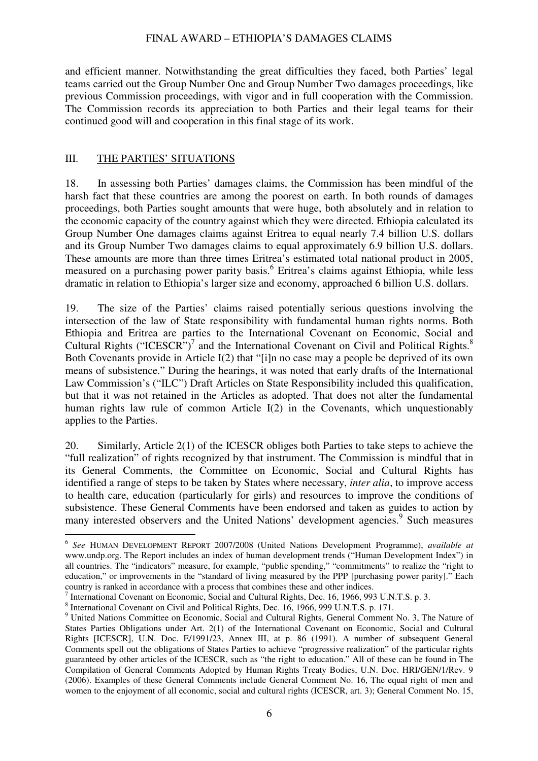and efficient manner. Notwithstanding the great difficulties they faced, both Parties' legal teams carried out the Group Number One and Group Number Two damages proceedings, like previous Commission proceedings, with vigor and in full cooperation with the Commission. The Commission records its appreciation to both Parties and their legal teams for their continued good will and cooperation in this final stage of its work.

# III. THE PARTIES' SITUATIONS

18. In assessing both Parties' damages claims, the Commission has been mindful of the harsh fact that these countries are among the poorest on earth. In both rounds of damages proceedings, both Parties sought amounts that were huge, both absolutely and in relation to the economic capacity of the country against which they were directed. Ethiopia calculated its Group Number One damages claims against Eritrea to equal nearly 7.4 billion U.S. dollars and its Group Number Two damages claims to equal approximately 6.9 billion U.S. dollars. These amounts are more than three times Eritrea's estimated total national product in 2005, measured on a purchasing power parity basis.<sup>6</sup> Eritrea's claims against Ethiopia, while less dramatic in relation to Ethiopia's larger size and economy, approached 6 billion U.S. dollars.

19. The size of the Parties' claims raised potentially serious questions involving the intersection of the law of State responsibility with fundamental human rights norms. Both Ethiopia and Eritrea are parties to the International Covenant on Economic, Social and Cultural Rights ("ICESCR")<sup>7</sup> and the International Covenant on Civil and Political Rights.<sup>8</sup> Both Covenants provide in Article I(2) that "[i]n no case may a people be deprived of its own means of subsistence." During the hearings, it was noted that early drafts of the International Law Commission's ("ILC") Draft Articles on State Responsibility included this qualification, but that it was not retained in the Articles as adopted. That does not alter the fundamental human rights law rule of common Article  $I(2)$  in the Covenants, which unquestionably applies to the Parties.

20. Similarly, Article 2(1) of the ICESCR obliges both Parties to take steps to achieve the "full realization" of rights recognized by that instrument. The Commission is mindful that in its General Comments, the Committee on Economic, Social and Cultural Rights has identified a range of steps to be taken by States where necessary, *inter alia*, to improve access to health care, education (particularly for girls) and resources to improve the conditions of subsistence. These General Comments have been endorsed and taken as guides to action by many interested observers and the United Nations' development agencies.<sup>9</sup> Such measures

<sup>6</sup> *See* HUMAN DEVELOPMENT REPORT 2007/2008 (United Nations Development Programme), *available at* www.undp.org. The Report includes an index of human development trends ("Human Development Index") in all countries. The "indicators" measure, for example, "public spending," "commitments" to realize the "right to education," or improvements in the "standard of living measured by the PPP [purchasing power parity]." Each country is ranked in accordance with a process that combines these and other indices.

<sup>7</sup> International Covenant on Economic, Social and Cultural Rights, Dec. 16, 1966, 993 U.N.T.S. p. 3.

<sup>&</sup>lt;sup>8</sup> International Covenant on Civil and Political Rights, Dec. 16, 1966, 999 U.N.T.S. p. 171.

<sup>&</sup>lt;sup>9</sup> United Nations Committee on Economic, Social and Cultural Rights, General Comment No. 3, The Nature of States Parties Obligations under Art. 2(1) of the International Covenant on Economic, Social and Cultural Rights [ICESCR], U.N. Doc. E/1991/23, Annex III, at p. 86 (1991). A number of subsequent General Comments spell out the obligations of States Parties to achieve "progressive realization" of the particular rights guaranteed by other articles of the ICESCR, such as "the right to education." All of these can be found in The Compilation of General Comments Adopted by Human Rights Treaty Bodies, U.N. Doc. HRI/GEN/1/Rev. 9 (2006). Examples of these General Comments include General Comment No. 16, The equal right of men and women to the enjoyment of all economic, social and cultural rights (ICESCR, art. 3); General Comment No. 15,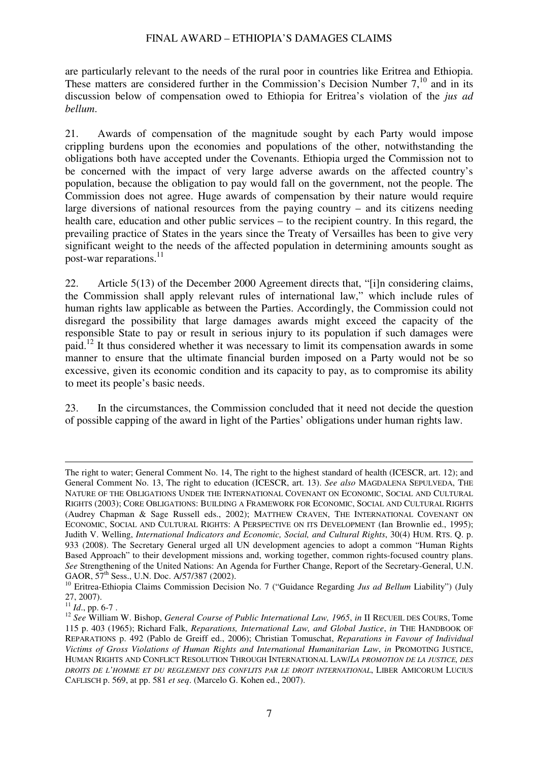are particularly relevant to the needs of the rural poor in countries like Eritrea and Ethiopia. These matters are considered further in the Commission's Decision Number  $7<sup>10</sup>$  and in its discussion below of compensation owed to Ethiopia for Eritrea's violation of the *jus ad bellum*.

21. Awards of compensation of the magnitude sought by each Party would impose crippling burdens upon the economies and populations of the other, notwithstanding the obligations both have accepted under the Covenants. Ethiopia urged the Commission not to be concerned with the impact of very large adverse awards on the affected country's population, because the obligation to pay would fall on the government, not the people. The Commission does not agree. Huge awards of compensation by their nature would require large diversions of national resources from the paying country – and its citizens needing health care, education and other public services – to the recipient country. In this regard, the prevailing practice of States in the years since the Treaty of Versailles has been to give very significant weight to the needs of the affected population in determining amounts sought as post-war reparations.<sup>11</sup>

22. Article 5(13) of the December 2000 Agreement directs that, "[i]n considering claims, the Commission shall apply relevant rules of international law," which include rules of human rights law applicable as between the Parties. Accordingly, the Commission could not disregard the possibility that large damages awards might exceed the capacity of the responsible State to pay or result in serious injury to its population if such damages were paid.<sup>12</sup> It thus considered whether it was necessary to limit its compensation awards in some manner to ensure that the ultimate financial burden imposed on a Party would not be so excessive, given its economic condition and its capacity to pay, as to compromise its ability to meet its people's basic needs.

23. In the circumstances, the Commission concluded that it need not decide the question of possible capping of the award in light of the Parties' obligations under human rights law.

The right to water; General Comment No. 14, The right to the highest standard of health (ICESCR, art. 12); and General Comment No. 13, The right to education (ICESCR, art. 13). *See also* MAGDALENA SEPULVEDA, THE NATURE OF THE OBLIGATIONS UNDER THE INTERNATIONAL COVENANT ON ECONOMIC, SOCIAL AND CULTURAL RIGHTS (2003); CORE OBLIGATIONS: BUILDING A FRAMEWORK FOR ECONOMIC, SOCIAL AND CULTURAL RIGHTS (Audrey Chapman & Sage Russell eds., 2002); MATTHEW CRAVEN, THE INTERNATIONAL COVENANT ON ECONOMIC, SOCIAL AND CULTURAL RIGHTS: A PERSPECTIVE ON ITS DEVELOPMENT (Ian Brownlie ed., 1995); Judith V. Welling, *International Indicators and Economic, Social, and Cultural Rights*, 30(4) HUM. RTS. Q. p. 933 (2008). The Secretary General urged all UN development agencies to adopt a common "Human Rights Based Approach" to their development missions and, working together, common rights-focused country plans. *See* Strengthening of the United Nations: An Agenda for Further Change, Report of the Secretary-General, U.N. GAOR, 57<sup>th</sup> Sess., U.N. Doc. A/57/387 (2002).

<sup>10</sup> Eritrea-Ethiopia Claims Commission Decision No. 7 ("Guidance Regarding *Jus ad Bellum* Liability") (July

<sup>27,</sup> 2007). 11 *Id*., pp. 6-7 .

<sup>12</sup> *See* William W. Bishop, *General Course of Public International Law, 1965*, *in* II RECUEIL DES COURS, Tome 115 p. 403 (1965); Richard Falk, *Reparations, International Law, and Global Justice*, *in* THE HANDBOOK OF REPARATIONS p. 492 (Pablo de Greiff ed., 2006); Christian Tomuschat, *Reparations in Favour of Individual Victims of Gross Violations of Human Rights and International Humanitarian Law*, *in* PROMOTING JUSTICE, HUMAN RIGHTS AND CONFLICT RESOLUTION THROUGH INTERNATIONAL LAW/*LA PROMOTION DE LA JUSTICE, DES DROITS DE L'HOMME ET DU REGLEMENT DES CONFLITS PAR LE DROIT INTERNATIONAL*, LIBER AMICORUM LUCIUS CAFLISCH p. 569, at pp. 581 *et seq*. (Marcelo G. Kohen ed., 2007).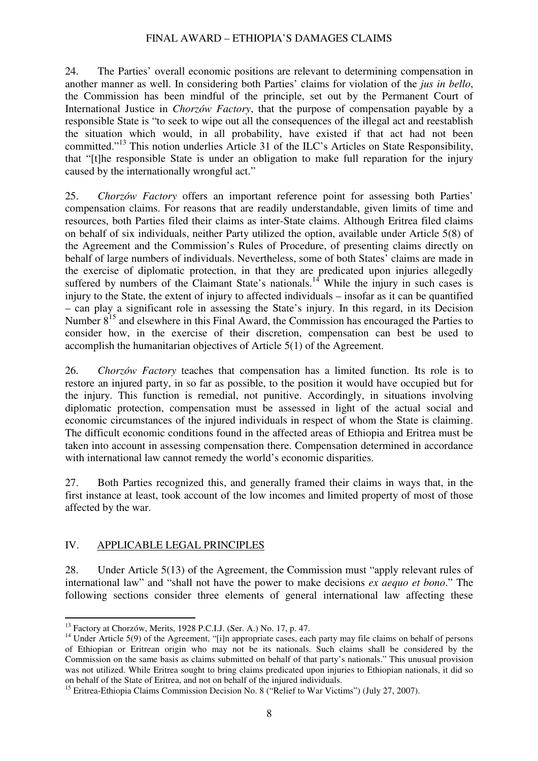24. The Parties' overall economic positions are relevant to determining compensation in another manner as well. In considering both Parties' claims for violation of the *jus in bello*, the Commission has been mindful of the principle, set out by the Permanent Court of International Justice in *Chorzów Factory*, that the purpose of compensation payable by a responsible State is "to seek to wipe out all the consequences of the illegal act and reestablish the situation which would, in all probability, have existed if that act had not been committed."<sup>13</sup> This notion underlies Article 31 of the ILC's Articles on State Responsibility, that "[t]he responsible State is under an obligation to make full reparation for the injury caused by the internationally wrongful act."

25. *Chorzów Factory* offers an important reference point for assessing both Parties' compensation claims. For reasons that are readily understandable, given limits of time and resources, both Parties filed their claims as inter-State claims. Although Eritrea filed claims on behalf of six individuals, neither Party utilized the option, available under Article 5(8) of the Agreement and the Commission's Rules of Procedure, of presenting claims directly on behalf of large numbers of individuals. Nevertheless, some of both States' claims are made in the exercise of diplomatic protection, in that they are predicated upon injuries allegedly suffered by numbers of the Claimant State's nationals.<sup>14</sup> While the injury in such cases is injury to the State, the extent of injury to affected individuals – insofar as it can be quantified – can play a significant role in assessing the State's injury. In this regard, in its Decision Number 8<sup>15</sup> and elsewhere in this Final Award, the Commission has encouraged the Parties to consider how, in the exercise of their discretion, compensation can best be used to accomplish the humanitarian objectives of Article 5(1) of the Agreement.

26. *Chorzów Factory* teaches that compensation has a limited function. Its role is to restore an injured party, in so far as possible, to the position it would have occupied but for the injury. This function is remedial, not punitive. Accordingly, in situations involving diplomatic protection, compensation must be assessed in light of the actual social and economic circumstances of the injured individuals in respect of whom the State is claiming. The difficult economic conditions found in the affected areas of Ethiopia and Eritrea must be taken into account in assessing compensation there. Compensation determined in accordance with international law cannot remedy the world's economic disparities.

27. Both Parties recognized this, and generally framed their claims in ways that, in the first instance at least, took account of the low incomes and limited property of most of those affected by the war.

# IV. APPLICABLE LEGAL PRINCIPLES

28. Under Article 5(13) of the Agreement, the Commission must "apply relevant rules of international law" and "shall not have the power to make decisions *ex aequo et bono*." The following sections consider three elements of general international law affecting these

<sup>&</sup>lt;sup>13</sup> Factory at Chorzów, Merits, 1928 P.C.I.J. (Ser. A.) No. 17, p. 47.

<sup>&</sup>lt;sup>14</sup> Under Article 5(9) of the Agreement, "[i]n appropriate cases, each party may file claims on behalf of persons of Ethiopian or Eritrean origin who may not be its nationals. Such claims shall be considered by the Commission on the same basis as claims submitted on behalf of that party's nationals." This unusual provision was not utilized. While Eritrea sought to bring claims predicated upon injuries to Ethiopian nationals, it did so on behalf of the State of Eritrea, and not on behalf of the injured individuals.

<sup>&</sup>lt;sup>15</sup> Eritrea-Ethiopia Claims Commission Decision No. 8 ("Relief to War Victims") (July 27, 2007).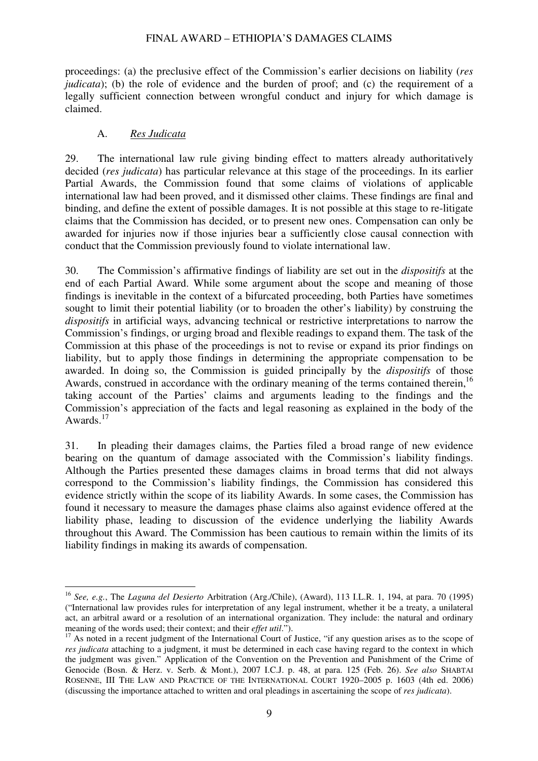proceedings: (a) the preclusive effect of the Commission's earlier decisions on liability (*res judicata*); (b) the role of evidence and the burden of proof; and (c) the requirement of a legally sufficient connection between wrongful conduct and injury for which damage is claimed.

# A. *Res Judicata*

29. The international law rule giving binding effect to matters already authoritatively decided (*res judicata*) has particular relevance at this stage of the proceedings. In its earlier Partial Awards, the Commission found that some claims of violations of applicable international law had been proved, and it dismissed other claims. These findings are final and binding, and define the extent of possible damages. It is not possible at this stage to re-litigate claims that the Commission has decided, or to present new ones. Compensation can only be awarded for injuries now if those injuries bear a sufficiently close causal connection with conduct that the Commission previously found to violate international law.

30. The Commission's affirmative findings of liability are set out in the *dispositifs* at the end of each Partial Award. While some argument about the scope and meaning of those findings is inevitable in the context of a bifurcated proceeding, both Parties have sometimes sought to limit their potential liability (or to broaden the other's liability) by construing the *dispositifs* in artificial ways, advancing technical or restrictive interpretations to narrow the Commission's findings, or urging broad and flexible readings to expand them. The task of the Commission at this phase of the proceedings is not to revise or expand its prior findings on liability, but to apply those findings in determining the appropriate compensation to be awarded. In doing so, the Commission is guided principally by the *dispositifs* of those Awards, construed in accordance with the ordinary meaning of the terms contained therein,<sup>16</sup> taking account of the Parties' claims and arguments leading to the findings and the Commission's appreciation of the facts and legal reasoning as explained in the body of the Awards.<sup>17</sup>

31. In pleading their damages claims, the Parties filed a broad range of new evidence bearing on the quantum of damage associated with the Commission's liability findings. Although the Parties presented these damages claims in broad terms that did not always correspond to the Commission's liability findings, the Commission has considered this evidence strictly within the scope of its liability Awards. In some cases, the Commission has found it necessary to measure the damages phase claims also against evidence offered at the liability phase, leading to discussion of the evidence underlying the liability Awards throughout this Award. The Commission has been cautious to remain within the limits of its liability findings in making its awards of compensation.

<sup>16</sup> *See, e.g.*, The *Laguna del Desierto* Arbitration (Arg./Chile), (Award), 113 I.L.R. 1, 194, at para. 70 (1995) ("International law provides rules for interpretation of any legal instrument, whether it be a treaty, a unilateral act, an arbitral award or a resolution of an international organization. They include: the natural and ordinary meaning of the words used; their context; and their *effet util*.").

 $17$  As noted in a recent judgment of the International Court of Justice, "if any question arises as to the scope of *res judicata* attaching to a judgment, it must be determined in each case having regard to the context in which the judgment was given." Application of the Convention on the Prevention and Punishment of the Crime of Genocide (Bosn. & Herz. v. Serb. & Mont.), 2007 I.C.J. p. 48, at para. 125 (Feb. 26). *See also* SHABTAI ROSENNE, III THE LAW AND PRACTICE OF THE INTERNATIONAL COURT 1920–2005 p. 1603 (4th ed. 2006) (discussing the importance attached to written and oral pleadings in ascertaining the scope of *res judicata*).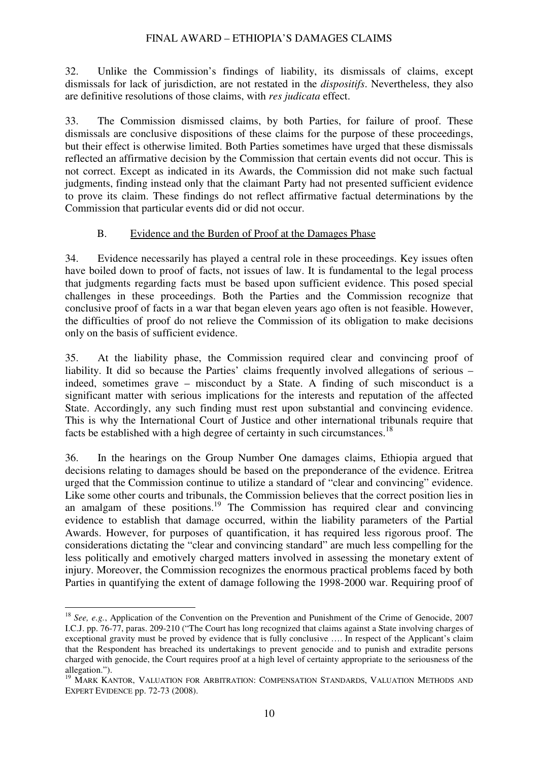32. Unlike the Commission's findings of liability, its dismissals of claims, except dismissals for lack of jurisdiction, are not restated in the *dispositifs*. Nevertheless, they also are definitive resolutions of those claims, with *res judicata* effect.

33. The Commission dismissed claims, by both Parties, for failure of proof. These dismissals are conclusive dispositions of these claims for the purpose of these proceedings, but their effect is otherwise limited. Both Parties sometimes have urged that these dismissals reflected an affirmative decision by the Commission that certain events did not occur. This is not correct. Except as indicated in its Awards, the Commission did not make such factual judgments, finding instead only that the claimant Party had not presented sufficient evidence to prove its claim. These findings do not reflect affirmative factual determinations by the Commission that particular events did or did not occur.

# B. Evidence and the Burden of Proof at the Damages Phase

34. Evidence necessarily has played a central role in these proceedings. Key issues often have boiled down to proof of facts, not issues of law. It is fundamental to the legal process that judgments regarding facts must be based upon sufficient evidence. This posed special challenges in these proceedings. Both the Parties and the Commission recognize that conclusive proof of facts in a war that began eleven years ago often is not feasible. However, the difficulties of proof do not relieve the Commission of its obligation to make decisions only on the basis of sufficient evidence.

35. At the liability phase, the Commission required clear and convincing proof of liability. It did so because the Parties' claims frequently involved allegations of serious – indeed, sometimes grave – misconduct by a State. A finding of such misconduct is a significant matter with serious implications for the interests and reputation of the affected State. Accordingly, any such finding must rest upon substantial and convincing evidence. This is why the International Court of Justice and other international tribunals require that facts be established with a high degree of certainty in such circumstances.<sup>18</sup>

36. In the hearings on the Group Number One damages claims, Ethiopia argued that decisions relating to damages should be based on the preponderance of the evidence. Eritrea urged that the Commission continue to utilize a standard of "clear and convincing" evidence. Like some other courts and tribunals, the Commission believes that the correct position lies in an amalgam of these positions.<sup>19</sup> The Commission has required clear and convincing evidence to establish that damage occurred, within the liability parameters of the Partial Awards. However, for purposes of quantification, it has required less rigorous proof. The considerations dictating the "clear and convincing standard" are much less compelling for the less politically and emotively charged matters involved in assessing the monetary extent of injury. Moreover, the Commission recognizes the enormous practical problems faced by both Parties in quantifying the extent of damage following the 1998-2000 war. Requiring proof of

<sup>&</sup>lt;sup>18</sup> See, e.g., Application of the Convention on the Prevention and Punishment of the Crime of Genocide, 2007 I.C.J. pp. 76-77, paras. 209-210 ("The Court has long recognized that claims against a State involving charges of exceptional gravity must be proved by evidence that is fully conclusive …. In respect of the Applicant's claim that the Respondent has breached its undertakings to prevent genocide and to punish and extradite persons charged with genocide, the Court requires proof at a high level of certainty appropriate to the seriousness of the allegation.").

<sup>&</sup>lt;sup>19</sup> MARK KANTOR. VALUATION FOR ARBITRATION: COMPENSATION STANDARDS, VALUATION METHODS AND EXPERT EVIDENCE pp. 72-73 (2008).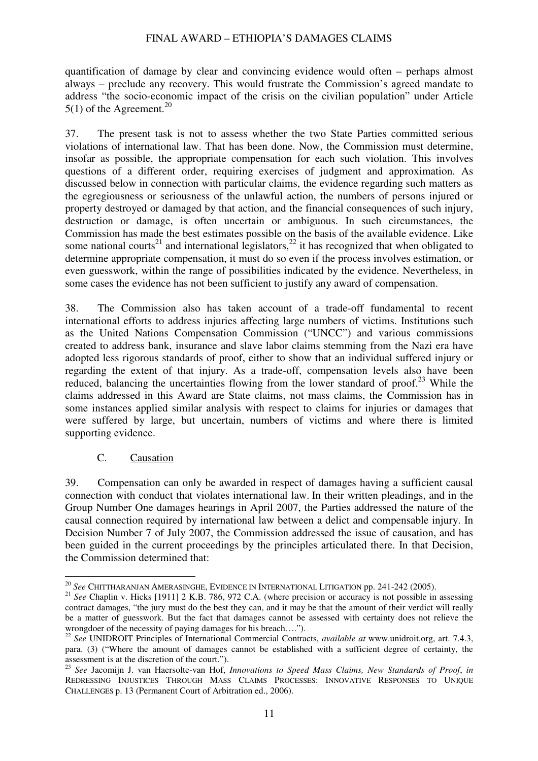quantification of damage by clear and convincing evidence would often – perhaps almost always – preclude any recovery. This would frustrate the Commission's agreed mandate to address "the socio-economic impact of the crisis on the civilian population" under Article 5(1) of the Agreement.<sup>20</sup>

37. The present task is not to assess whether the two State Parties committed serious violations of international law. That has been done. Now, the Commission must determine, insofar as possible, the appropriate compensation for each such violation. This involves questions of a different order, requiring exercises of judgment and approximation. As discussed below in connection with particular claims, the evidence regarding such matters as the egregiousness or seriousness of the unlawful action, the numbers of persons injured or property destroyed or damaged by that action, and the financial consequences of such injury, destruction or damage, is often uncertain or ambiguous. In such circumstances, the Commission has made the best estimates possible on the basis of the available evidence. Like some national courts<sup>21</sup> and international legislators,<sup>22</sup> it has recognized that when obligated to determine appropriate compensation, it must do so even if the process involves estimation, or even guesswork, within the range of possibilities indicated by the evidence. Nevertheless, in some cases the evidence has not been sufficient to justify any award of compensation.

38. The Commission also has taken account of a trade-off fundamental to recent international efforts to address injuries affecting large numbers of victims. Institutions such as the United Nations Compensation Commission ("UNCC") and various commissions created to address bank, insurance and slave labor claims stemming from the Nazi era have adopted less rigorous standards of proof, either to show that an individual suffered injury or regarding the extent of that injury. As a trade-off, compensation levels also have been reduced, balancing the uncertainties flowing from the lower standard of proof.<sup>23</sup> While the claims addressed in this Award are State claims, not mass claims, the Commission has in some instances applied similar analysis with respect to claims for injuries or damages that were suffered by large, but uncertain, numbers of victims and where there is limited supporting evidence.

# C. Causation

39. Compensation can only be awarded in respect of damages having a sufficient causal connection with conduct that violates international law. In their written pleadings, and in the Group Number One damages hearings in April 2007, the Parties addressed the nature of the causal connection required by international law between a delict and compensable injury. In Decision Number 7 of July 2007, the Commission addressed the issue of causation, and has been guided in the current proceedings by the principles articulated there. In that Decision, the Commission determined that:

<sup>20</sup> *See* CHITTHARANJAN AMERASINGHE, EVIDENCE IN INTERNATIONAL LITIGATION pp. 241-242 (2005).

<sup>&</sup>lt;sup>21</sup> See Chaplin v. Hicks [1911] 2 K.B. 786, 972 C.A. (where precision or accuracy is not possible in assessing contract damages, "the jury must do the best they can, and it may be that the amount of their verdict will really be a matter of guesswork. But the fact that damages cannot be assessed with certainty does not relieve the wrongdoer of the necessity of paying damages for his breach….").

<sup>22</sup> *See* UNIDROIT Principles of International Commercial Contracts, *available at* www.unidroit.org, art. 7.4.3, para. (3) ("Where the amount of damages cannot be established with a sufficient degree of certainty, the assessment is at the discretion of the court.").

<sup>23</sup> *See* Jacomijn J. van Haersolte-van Hof, *Innovations to Speed Mass Claims, New Standards of Proof*, *in* REDRESSING INJUSTICES THROUGH MASS CLAIMS PROCESSES: INNOVATIVE RESPONSES TO UNIQUE CHALLENGES p. 13 (Permanent Court of Arbitration ed., 2006).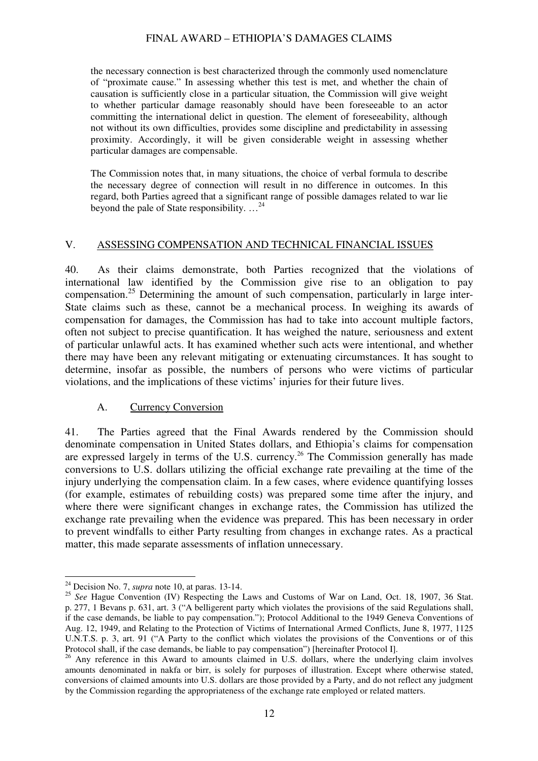the necessary connection is best characterized through the commonly used nomenclature of "proximate cause." In assessing whether this test is met, and whether the chain of causation is sufficiently close in a particular situation, the Commission will give weight to whether particular damage reasonably should have been foreseeable to an actor committing the international delict in question. The element of foreseeability, although not without its own difficulties, provides some discipline and predictability in assessing proximity. Accordingly, it will be given considerable weight in assessing whether particular damages are compensable.

The Commission notes that, in many situations, the choice of verbal formula to describe the necessary degree of connection will result in no difference in outcomes. In this regard, both Parties agreed that a significant range of possible damages related to war lie beyond the pale of State responsibility. …<sup>24</sup>

# V. ASSESSING COMPENSATION AND TECHNICAL FINANCIAL ISSUES

40. As their claims demonstrate, both Parties recognized that the violations of international law identified by the Commission give rise to an obligation to pay compensation. <sup>25</sup> Determining the amount of such compensation, particularly in large inter-State claims such as these, cannot be a mechanical process. In weighing its awards of compensation for damages, the Commission has had to take into account multiple factors, often not subject to precise quantification. It has weighed the nature, seriousness and extent of particular unlawful acts. It has examined whether such acts were intentional, and whether there may have been any relevant mitigating or extenuating circumstances. It has sought to determine, insofar as possible, the numbers of persons who were victims of particular violations, and the implications of these victims' injuries for their future lives.

#### A. Currency Conversion

41. The Parties agreed that the Final Awards rendered by the Commission should denominate compensation in United States dollars, and Ethiopia's claims for compensation are expressed largely in terms of the U.S. currency.<sup>26</sup> The Commission generally has made conversions to U.S. dollars utilizing the official exchange rate prevailing at the time of the injury underlying the compensation claim. In a few cases, where evidence quantifying losses (for example, estimates of rebuilding costs) was prepared some time after the injury, and where there were significant changes in exchange rates, the Commission has utilized the exchange rate prevailing when the evidence was prepared. This has been necessary in order to prevent windfalls to either Party resulting from changes in exchange rates. As a practical matter, this made separate assessments of inflation unnecessary.

<sup>24</sup> Decision No. 7, *supra* note 10, at paras. 13-14.

<sup>&</sup>lt;sup>25</sup> See Hague Convention (IV) Respecting the Laws and Customs of War on Land, Oct. 18, 1907, 36 Stat. p. 277, 1 Bevans p. 631, art. 3 ("A belligerent party which violates the provisions of the said Regulations shall, if the case demands, be liable to pay compensation."); Protocol Additional to the 1949 Geneva Conventions of Aug. 12, 1949, and Relating to the Protection of Victims of International Armed Conflicts, June 8, 1977, 1125 U.N.T.S. p. 3, art. 91 ("A Party to the conflict which violates the provisions of the Conventions or of this Protocol shall, if the case demands, be liable to pay compensation") [hereinafter Protocol I].

<sup>&</sup>lt;sup>26</sup> Any reference in this Award to amounts claimed in U.S. dollars, where the underlying claim involves amounts denominated in nakfa or birr, is solely for purposes of illustration. Except where otherwise stated, conversions of claimed amounts into U.S. dollars are those provided by a Party, and do not reflect any judgment by the Commission regarding the appropriateness of the exchange rate employed or related matters.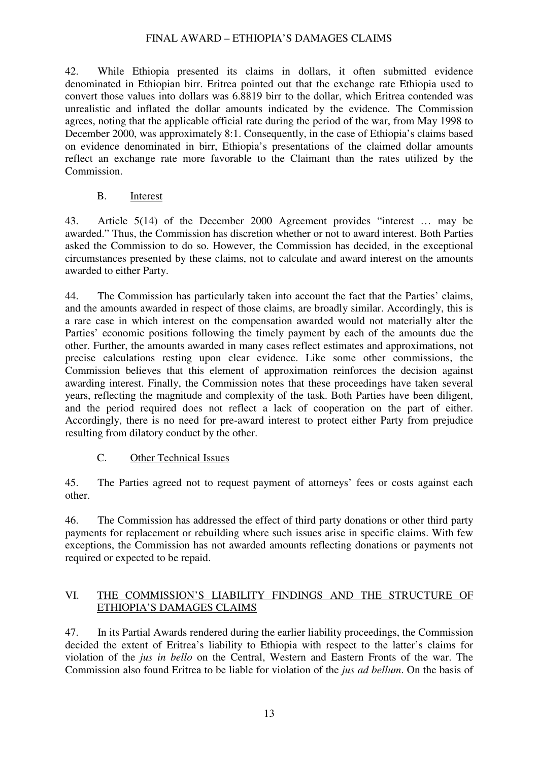42. While Ethiopia presented its claims in dollars, it often submitted evidence denominated in Ethiopian birr. Eritrea pointed out that the exchange rate Ethiopia used to convert those values into dollars was 6.8819 birr to the dollar, which Eritrea contended was unrealistic and inflated the dollar amounts indicated by the evidence. The Commission agrees, noting that the applicable official rate during the period of the war, from May 1998 to December 2000, was approximately 8:1. Consequently, in the case of Ethiopia's claims based on evidence denominated in birr, Ethiopia's presentations of the claimed dollar amounts reflect an exchange rate more favorable to the Claimant than the rates utilized by the Commission.

# B. Interest

43. Article 5(14) of the December 2000 Agreement provides "interest … may be awarded." Thus, the Commission has discretion whether or not to award interest. Both Parties asked the Commission to do so. However, the Commission has decided, in the exceptional circumstances presented by these claims, not to calculate and award interest on the amounts awarded to either Party.

44. The Commission has particularly taken into account the fact that the Parties' claims, and the amounts awarded in respect of those claims, are broadly similar. Accordingly, this is a rare case in which interest on the compensation awarded would not materially alter the Parties' economic positions following the timely payment by each of the amounts due the other. Further, the amounts awarded in many cases reflect estimates and approximations, not precise calculations resting upon clear evidence. Like some other commissions, the Commission believes that this element of approximation reinforces the decision against awarding interest. Finally, the Commission notes that these proceedings have taken several years, reflecting the magnitude and complexity of the task. Both Parties have been diligent, and the period required does not reflect a lack of cooperation on the part of either. Accordingly, there is no need for pre-award interest to protect either Party from prejudice resulting from dilatory conduct by the other.

# C. Other Technical Issues

45. The Parties agreed not to request payment of attorneys' fees or costs against each other.

46. The Commission has addressed the effect of third party donations or other third party payments for replacement or rebuilding where such issues arise in specific claims. With few exceptions, the Commission has not awarded amounts reflecting donations or payments not required or expected to be repaid.

# VI. THE COMMISSION'S LIABILITY FINDINGS AND THE STRUCTURE OF ETHIOPIA'S DAMAGES CLAIMS

47. In its Partial Awards rendered during the earlier liability proceedings, the Commission decided the extent of Eritrea's liability to Ethiopia with respect to the latter's claims for violation of the *jus in bello* on the Central, Western and Eastern Fronts of the war. The Commission also found Eritrea to be liable for violation of the *jus ad bellum*. On the basis of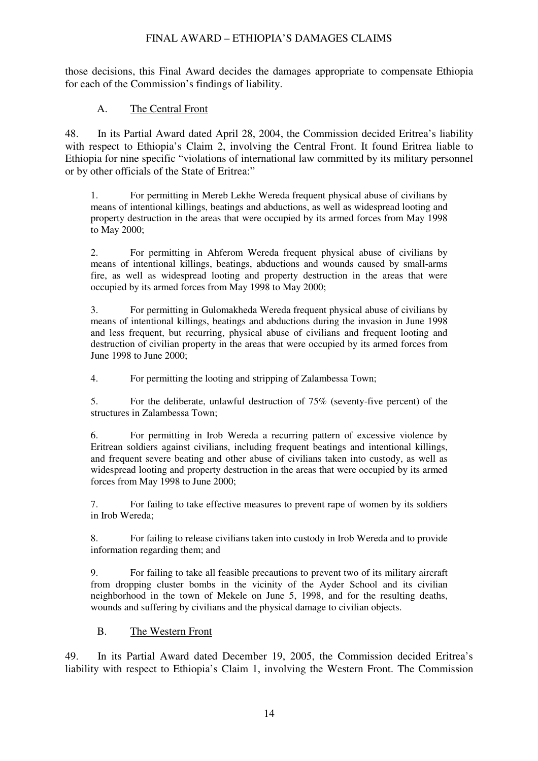those decisions, this Final Award decides the damages appropriate to compensate Ethiopia for each of the Commission's findings of liability.

# A. The Central Front

48. In its Partial Award dated April 28, 2004, the Commission decided Eritrea's liability with respect to Ethiopia's Claim 2, involving the Central Front. It found Eritrea liable to Ethiopia for nine specific "violations of international law committed by its military personnel or by other officials of the State of Eritrea:"

1. For permitting in Mereb Lekhe Wereda frequent physical abuse of civilians by means of intentional killings, beatings and abductions, as well as widespread looting and property destruction in the areas that were occupied by its armed forces from May 1998 to May 2000;

2. For permitting in Ahferom Wereda frequent physical abuse of civilians by means of intentional killings, beatings, abductions and wounds caused by small-arms fire, as well as widespread looting and property destruction in the areas that were occupied by its armed forces from May 1998 to May 2000;

3. For permitting in Gulomakheda Wereda frequent physical abuse of civilians by means of intentional killings, beatings and abductions during the invasion in June 1998 and less frequent, but recurring, physical abuse of civilians and frequent looting and destruction of civilian property in the areas that were occupied by its armed forces from June 1998 to June 2000;

4. For permitting the looting and stripping of Zalambessa Town;

5. For the deliberate, unlawful destruction of 75% (seventy-five percent) of the structures in Zalambessa Town;

6. For permitting in Irob Wereda a recurring pattern of excessive violence by Eritrean soldiers against civilians, including frequent beatings and intentional killings, and frequent severe beating and other abuse of civilians taken into custody, as well as widespread looting and property destruction in the areas that were occupied by its armed forces from May 1998 to June 2000;

7. For failing to take effective measures to prevent rape of women by its soldiers in Irob Wereda;

8. For failing to release civilians taken into custody in Irob Wereda and to provide information regarding them; and

9. For failing to take all feasible precautions to prevent two of its military aircraft from dropping cluster bombs in the vicinity of the Ayder School and its civilian neighborhood in the town of Mekele on June 5, 1998, and for the resulting deaths, wounds and suffering by civilians and the physical damage to civilian objects.

# B. The Western Front

49. In its Partial Award dated December 19, 2005, the Commission decided Eritrea's liability with respect to Ethiopia's Claim 1, involving the Western Front. The Commission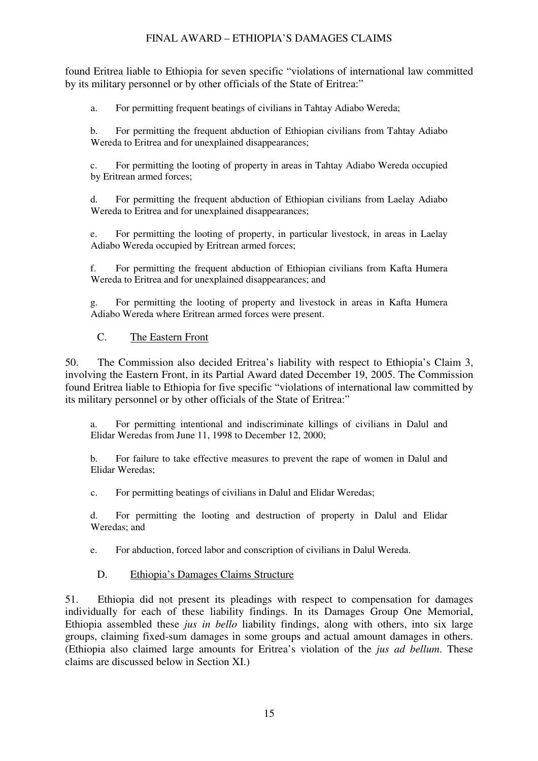found Eritrea liable to Ethiopia for seven specific "violations of international law committed by its military personnel or by other officials of the State of Eritrea:"

a. For permitting frequent beatings of civilians in Tahtay Adiabo Wereda;

b. For permitting the frequent abduction of Ethiopian civilians from Tahtay Adiabo Wereda to Eritrea and for unexplained disappearances;

c. For permitting the looting of property in areas in Tahtay Adiabo Wereda occupied by Eritrean armed forces;

d. For permitting the frequent abduction of Ethiopian civilians from Laelay Adiabo Wereda to Eritrea and for unexplained disappearances;

e. For permitting the looting of property, in particular livestock, in areas in Laelay Adiabo Wereda occupied by Eritrean armed forces;

f. For permitting the frequent abduction of Ethiopian civilians from Kafta Humera Wereda to Eritrea and for unexplained disappearances; and

g. For permitting the looting of property and livestock in areas in Kafta Humera Adiabo Wereda where Eritrean armed forces were present.

# C. The Eastern Front

50. The Commission also decided Eritrea's liability with respect to Ethiopia's Claim 3, involving the Eastern Front, in its Partial Award dated December 19, 2005. The Commission found Eritrea liable to Ethiopia for five specific "violations of international law committed by its military personnel or by other officials of the State of Eritrea:"

a. For permitting intentional and indiscriminate killings of civilians in Dalul and Elidar Weredas from June 11, 1998 to December 12, 2000;

b. For failure to take effective measures to prevent the rape of women in Dalul and Elidar Weredas;

c. For permitting beatings of civilians in Dalul and Elidar Weredas;

d. For permitting the looting and destruction of property in Dalul and Elidar Weredas; and

e. For abduction, forced labor and conscription of civilians in Dalul Wereda.

#### D. Ethiopia's Damages Claims Structure

51. Ethiopia did not present its pleadings with respect to compensation for damages individually for each of these liability findings. In its Damages Group One Memorial, Ethiopia assembled these *jus in bello* liability findings, along with others, into six large groups, claiming fixed-sum damages in some groups and actual amount damages in others. (Ethiopia also claimed large amounts for Eritrea's violation of the *jus ad bellum*. These claims are discussed below in Section XI.)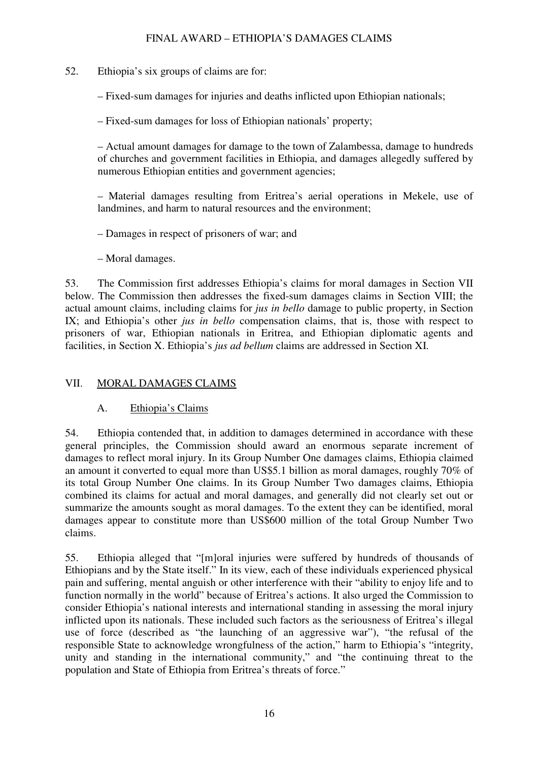52. Ethiopia's six groups of claims are for:

– Fixed-sum damages for injuries and deaths inflicted upon Ethiopian nationals;

– Fixed-sum damages for loss of Ethiopian nationals' property;

– Actual amount damages for damage to the town of Zalambessa, damage to hundreds of churches and government facilities in Ethiopia, and damages allegedly suffered by numerous Ethiopian entities and government agencies;

– Material damages resulting from Eritrea's aerial operations in Mekele, use of landmines, and harm to natural resources and the environment;

- Damages in respect of prisoners of war; and
- Moral damages.

53. The Commission first addresses Ethiopia's claims for moral damages in Section VII below. The Commission then addresses the fixed-sum damages claims in Section VIII; the actual amount claims, including claims for *jus in bello* damage to public property, in Section IX; and Ethiopia's other *jus in bello* compensation claims, that is, those with respect to prisoners of war, Ethiopian nationals in Eritrea, and Ethiopian diplomatic agents and facilities, in Section X. Ethiopia's *jus ad bellum* claims are addressed in Section XI.

# VII. MORAL DAMAGES CLAIMS

# A. Ethiopia's Claims

54. Ethiopia contended that, in addition to damages determined in accordance with these general principles, the Commission should award an enormous separate increment of damages to reflect moral injury. In its Group Number One damages claims, Ethiopia claimed an amount it converted to equal more than US\$5.1 billion as moral damages, roughly 70% of its total Group Number One claims. In its Group Number Two damages claims, Ethiopia combined its claims for actual and moral damages, and generally did not clearly set out or summarize the amounts sought as moral damages. To the extent they can be identified, moral damages appear to constitute more than US\$600 million of the total Group Number Two claims.

55. Ethiopia alleged that "[m]oral injuries were suffered by hundreds of thousands of Ethiopians and by the State itself." In its view, each of these individuals experienced physical pain and suffering, mental anguish or other interference with their "ability to enjoy life and to function normally in the world" because of Eritrea's actions. It also urged the Commission to consider Ethiopia's national interests and international standing in assessing the moral injury inflicted upon its nationals. These included such factors as the seriousness of Eritrea's illegal use of force (described as "the launching of an aggressive war"), "the refusal of the responsible State to acknowledge wrongfulness of the action," harm to Ethiopia's "integrity, unity and standing in the international community," and "the continuing threat to the population and State of Ethiopia from Eritrea's threats of force."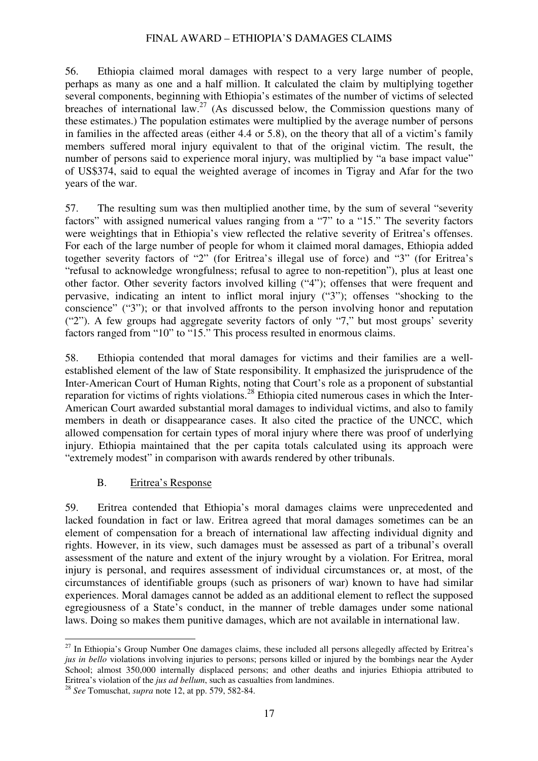56. Ethiopia claimed moral damages with respect to a very large number of people, perhaps as many as one and a half million. It calculated the claim by multiplying together several components, beginning with Ethiopia's estimates of the number of victims of selected breaches of international law.<sup>27</sup> (As discussed below, the Commission questions many of these estimates.) The population estimates were multiplied by the average number of persons in families in the affected areas (either 4.4 or 5.8), on the theory that all of a victim's family members suffered moral injury equivalent to that of the original victim. The result, the number of persons said to experience moral injury, was multiplied by "a base impact value" of US\$374, said to equal the weighted average of incomes in Tigray and Afar for the two years of the war.

57. The resulting sum was then multiplied another time, by the sum of several "severity factors" with assigned numerical values ranging from a "7" to a "15." The severity factors were weightings that in Ethiopia's view reflected the relative severity of Eritrea's offenses. For each of the large number of people for whom it claimed moral damages, Ethiopia added together severity factors of "2" (for Eritrea's illegal use of force) and "3" (for Eritrea's "refusal to acknowledge wrongfulness; refusal to agree to non-repetition"), plus at least one other factor. Other severity factors involved killing ("4"); offenses that were frequent and pervasive, indicating an intent to inflict moral injury ("3"); offenses "shocking to the conscience" ("3"); or that involved affronts to the person involving honor and reputation ("2"). A few groups had aggregate severity factors of only "7," but most groups' severity factors ranged from "10" to "15." This process resulted in enormous claims.

58. Ethiopia contended that moral damages for victims and their families are a wellestablished element of the law of State responsibility. It emphasized the jurisprudence of the Inter-American Court of Human Rights, noting that Court's role as a proponent of substantial reparation for victims of rights violations.<sup>28</sup> Ethiopia cited numerous cases in which the Inter-American Court awarded substantial moral damages to individual victims, and also to family members in death or disappearance cases. It also cited the practice of the UNCC, which allowed compensation for certain types of moral injury where there was proof of underlying injury. Ethiopia maintained that the per capita totals calculated using its approach were "extremely modest" in comparison with awards rendered by other tribunals.

# B. Eritrea's Response

59. Eritrea contended that Ethiopia's moral damages claims were unprecedented and lacked foundation in fact or law. Eritrea agreed that moral damages sometimes can be an element of compensation for a breach of international law affecting individual dignity and rights. However, in its view, such damages must be assessed as part of a tribunal's overall assessment of the nature and extent of the injury wrought by a violation. For Eritrea, moral injury is personal, and requires assessment of individual circumstances or, at most, of the circumstances of identifiable groups (such as prisoners of war) known to have had similar experiences. Moral damages cannot be added as an additional element to reflect the supposed egregiousness of a State's conduct, in the manner of treble damages under some national laws. Doing so makes them punitive damages, which are not available in international law.

<sup>&</sup>lt;sup>27</sup> In Ethiopia's Group Number One damages claims, these included all persons allegedly affected by Eritrea's *jus in bello* violations involving injuries to persons; persons killed or injured by the bombings near the Ayder School; almost 350,000 internally displaced persons; and other deaths and injuries Ethiopia attributed to Eritrea's violation of the *jus ad bellum*, such as casualties from landmines.

<sup>28</sup> *See* Tomuschat, *supra* note 12, at pp. 579, 582-84.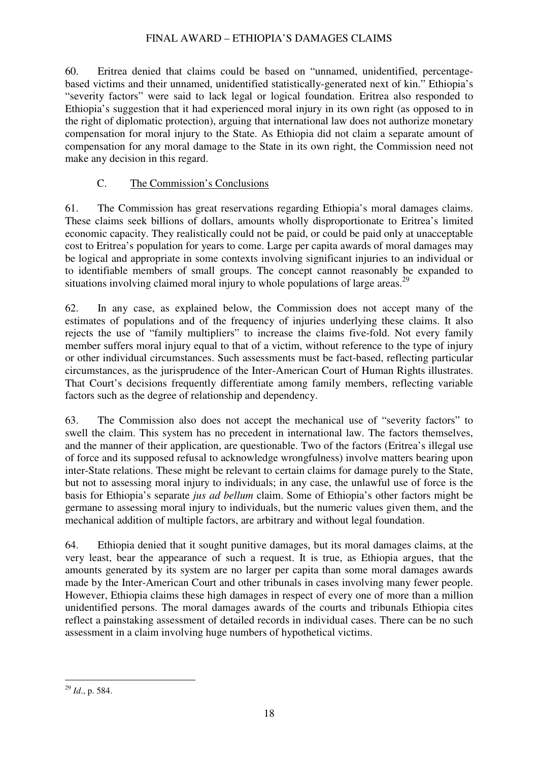60. Eritrea denied that claims could be based on "unnamed, unidentified, percentagebased victims and their unnamed, unidentified statistically-generated next of kin." Ethiopia's "severity factors" were said to lack legal or logical foundation. Eritrea also responded to Ethiopia's suggestion that it had experienced moral injury in its own right (as opposed to in the right of diplomatic protection), arguing that international law does not authorize monetary compensation for moral injury to the State. As Ethiopia did not claim a separate amount of compensation for any moral damage to the State in its own right, the Commission need not make any decision in this regard.

# C. The Commission's Conclusions

61. The Commission has great reservations regarding Ethiopia's moral damages claims. These claims seek billions of dollars, amounts wholly disproportionate to Eritrea's limited economic capacity. They realistically could not be paid, or could be paid only at unacceptable cost to Eritrea's population for years to come. Large per capita awards of moral damages may be logical and appropriate in some contexts involving significant injuries to an individual or to identifiable members of small groups. The concept cannot reasonably be expanded to situations involving claimed moral injury to whole populations of large areas.<sup>29</sup>

62. In any case, as explained below, the Commission does not accept many of the estimates of populations and of the frequency of injuries underlying these claims. It also rejects the use of "family multipliers" to increase the claims five-fold. Not every family member suffers moral injury equal to that of a victim, without reference to the type of injury or other individual circumstances. Such assessments must be fact-based, reflecting particular circumstances, as the jurisprudence of the Inter-American Court of Human Rights illustrates. That Court's decisions frequently differentiate among family members, reflecting variable factors such as the degree of relationship and dependency.

63. The Commission also does not accept the mechanical use of "severity factors" to swell the claim. This system has no precedent in international law. The factors themselves, and the manner of their application, are questionable. Two of the factors (Eritrea's illegal use of force and its supposed refusal to acknowledge wrongfulness) involve matters bearing upon inter-State relations. These might be relevant to certain claims for damage purely to the State, but not to assessing moral injury to individuals; in any case, the unlawful use of force is the basis for Ethiopia's separate *jus ad bellum* claim. Some of Ethiopia's other factors might be germane to assessing moral injury to individuals, but the numeric values given them, and the mechanical addition of multiple factors, are arbitrary and without legal foundation.

64. Ethiopia denied that it sought punitive damages, but its moral damages claims, at the very least, bear the appearance of such a request. It is true, as Ethiopia argues, that the amounts generated by its system are no larger per capita than some moral damages awards made by the Inter-American Court and other tribunals in cases involving many fewer people. However, Ethiopia claims these high damages in respect of every one of more than a million unidentified persons. The moral damages awards of the courts and tribunals Ethiopia cites reflect a painstaking assessment of detailed records in individual cases. There can be no such assessment in a claim involving huge numbers of hypothetical victims.

<sup>29</sup> *Id*., p. 584.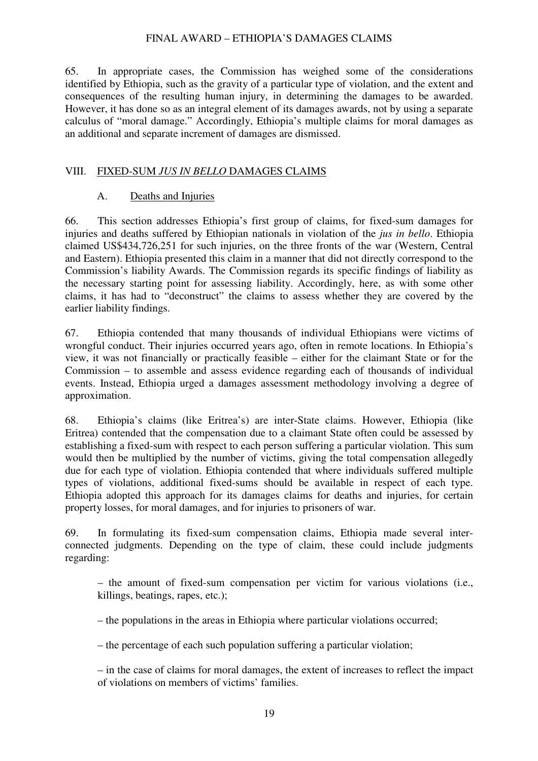65. In appropriate cases, the Commission has weighed some of the considerations identified by Ethiopia, such as the gravity of a particular type of violation, and the extent and consequences of the resulting human injury, in determining the damages to be awarded. However, it has done so as an integral element of its damages awards, not by using a separate calculus of "moral damage." Accordingly, Ethiopia's multiple claims for moral damages as an additional and separate increment of damages are dismissed.

# VIII. FIXED-SUM *JUS IN BELLO* DAMAGES CLAIMS

# A. Deaths and Injuries

66. This section addresses Ethiopia's first group of claims, for fixed-sum damages for injuries and deaths suffered by Ethiopian nationals in violation of the *jus in bello*. Ethiopia claimed US\$434,726,251 for such injuries, on the three fronts of the war (Western, Central and Eastern). Ethiopia presented this claim in a manner that did not directly correspond to the Commission's liability Awards. The Commission regards its specific findings of liability as the necessary starting point for assessing liability. Accordingly, here, as with some other claims, it has had to "deconstruct" the claims to assess whether they are covered by the earlier liability findings.

67. Ethiopia contended that many thousands of individual Ethiopians were victims of wrongful conduct. Their injuries occurred years ago, often in remote locations. In Ethiopia's view, it was not financially or practically feasible – either for the claimant State or for the Commission – to assemble and assess evidence regarding each of thousands of individual events. Instead, Ethiopia urged a damages assessment methodology involving a degree of approximation.

68. Ethiopia's claims (like Eritrea's) are inter-State claims. However, Ethiopia (like Eritrea) contended that the compensation due to a claimant State often could be assessed by establishing a fixed-sum with respect to each person suffering a particular violation. This sum would then be multiplied by the number of victims, giving the total compensation allegedly due for each type of violation. Ethiopia contended that where individuals suffered multiple types of violations, additional fixed-sums should be available in respect of each type. Ethiopia adopted this approach for its damages claims for deaths and injuries, for certain property losses, for moral damages, and for injuries to prisoners of war.

69. In formulating its fixed-sum compensation claims, Ethiopia made several interconnected judgments. Depending on the type of claim, these could include judgments regarding:

– the amount of fixed-sum compensation per victim for various violations (i.e., killings, beatings, rapes, etc.);

– the populations in the areas in Ethiopia where particular violations occurred;

– the percentage of each such population suffering a particular violation;

– in the case of claims for moral damages, the extent of increases to reflect the impact of violations on members of victims' families.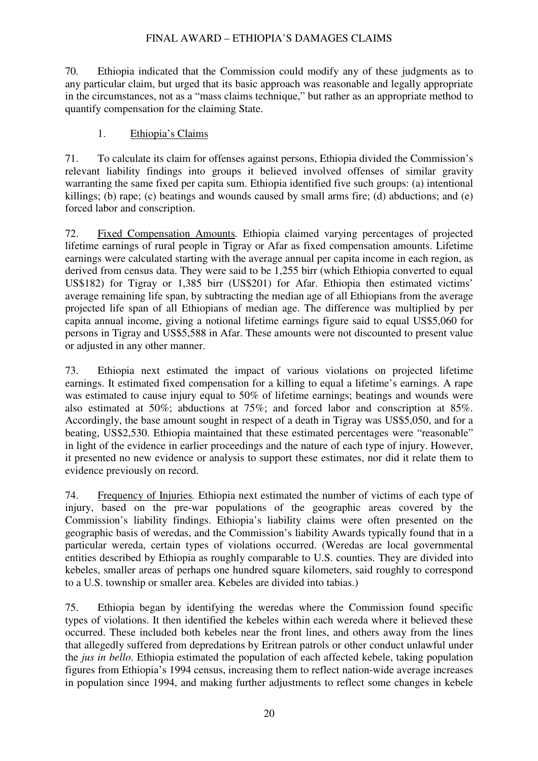70. Ethiopia indicated that the Commission could modify any of these judgments as to any particular claim, but urged that its basic approach was reasonable and legally appropriate in the circumstances, not as a "mass claims technique," but rather as an appropriate method to quantify compensation for the claiming State.

# 1. Ethiopia's Claims

71. To calculate its claim for offenses against persons, Ethiopia divided the Commission's relevant liability findings into groups it believed involved offenses of similar gravity warranting the same fixed per capita sum. Ethiopia identified five such groups: (a) intentional killings; (b) rape; (c) beatings and wounds caused by small arms fire; (d) abductions; and (e) forced labor and conscription.

72. Fixed Compensation Amounts*.* Ethiopia claimed varying percentages of projected lifetime earnings of rural people in Tigray or Afar as fixed compensation amounts. Lifetime earnings were calculated starting with the average annual per capita income in each region, as derived from census data. They were said to be 1,255 birr (which Ethiopia converted to equal US\$182) for Tigray or 1,385 birr (US\$201) for Afar. Ethiopia then estimated victims' average remaining life span, by subtracting the median age of all Ethiopians from the average projected life span of all Ethiopians of median age. The difference was multiplied by per capita annual income, giving a notional lifetime earnings figure said to equal US\$5,060 for persons in Tigray and US\$5,588 in Afar. These amounts were not discounted to present value or adjusted in any other manner.

73. Ethiopia next estimated the impact of various violations on projected lifetime earnings. It estimated fixed compensation for a killing to equal a lifetime's earnings. A rape was estimated to cause injury equal to 50% of lifetime earnings; beatings and wounds were also estimated at 50%; abductions at 75%; and forced labor and conscription at 85%. Accordingly, the base amount sought in respect of a death in Tigray was US\$5,050, and for a beating, US\$2,530. Ethiopia maintained that these estimated percentages were "reasonable" in light of the evidence in earlier proceedings and the nature of each type of injury. However, it presented no new evidence or analysis to support these estimates, nor did it relate them to evidence previously on record.

74. Frequency of Injuries*.* Ethiopia next estimated the number of victims of each type of injury, based on the pre-war populations of the geographic areas covered by the Commission's liability findings. Ethiopia's liability claims were often presented on the geographic basis of weredas, and the Commission's liability Awards typically found that in a particular wereda, certain types of violations occurred. (Weredas are local governmental entities described by Ethiopia as roughly comparable to U.S. counties. They are divided into kebeles, smaller areas of perhaps one hundred square kilometers, said roughly to correspond to a U.S. township or smaller area. Kebeles are divided into tabias.)

75. Ethiopia began by identifying the weredas where the Commission found specific types of violations. It then identified the kebeles within each wereda where it believed these occurred. These included both kebeles near the front lines, and others away from the lines that allegedly suffered from depredations by Eritrean patrols or other conduct unlawful under the *jus in bello*. Ethiopia estimated the population of each affected kebele, taking population figures from Ethiopia's 1994 census, increasing them to reflect nation-wide average increases in population since 1994, and making further adjustments to reflect some changes in kebele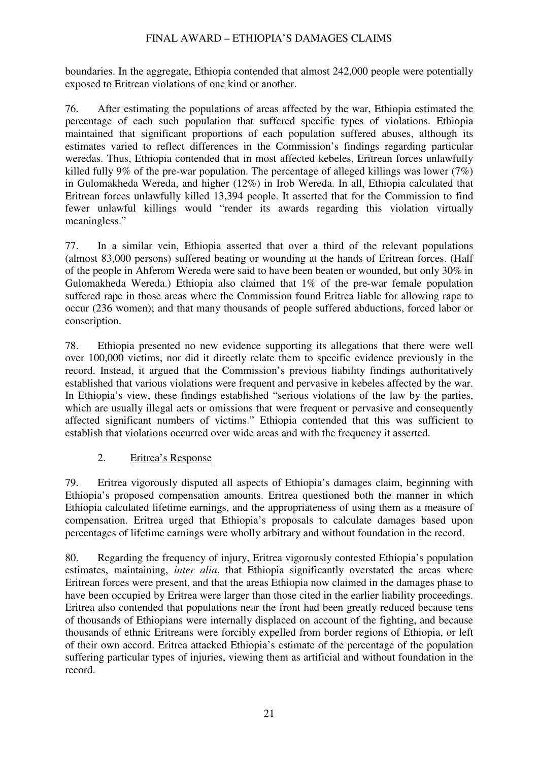boundaries. In the aggregate, Ethiopia contended that almost 242,000 people were potentially exposed to Eritrean violations of one kind or another.

76. After estimating the populations of areas affected by the war, Ethiopia estimated the percentage of each such population that suffered specific types of violations. Ethiopia maintained that significant proportions of each population suffered abuses, although its estimates varied to reflect differences in the Commission's findings regarding particular weredas. Thus, Ethiopia contended that in most affected kebeles, Eritrean forces unlawfully killed fully 9% of the pre-war population. The percentage of alleged killings was lower (7%) in Gulomakheda Wereda, and higher (12%) in Irob Wereda. In all, Ethiopia calculated that Eritrean forces unlawfully killed 13,394 people. It asserted that for the Commission to find fewer unlawful killings would "render its awards regarding this violation virtually meaningless."

77. In a similar vein, Ethiopia asserted that over a third of the relevant populations (almost 83,000 persons) suffered beating or wounding at the hands of Eritrean forces. (Half of the people in Ahferom Wereda were said to have been beaten or wounded, but only 30% in Gulomakheda Wereda.) Ethiopia also claimed that 1% of the pre-war female population suffered rape in those areas where the Commission found Eritrea liable for allowing rape to occur (236 women); and that many thousands of people suffered abductions, forced labor or conscription.

78. Ethiopia presented no new evidence supporting its allegations that there were well over 100,000 victims, nor did it directly relate them to specific evidence previously in the record. Instead, it argued that the Commission's previous liability findings authoritatively established that various violations were frequent and pervasive in kebeles affected by the war. In Ethiopia's view, these findings established "serious violations of the law by the parties, which are usually illegal acts or omissions that were frequent or pervasive and consequently affected significant numbers of victims." Ethiopia contended that this was sufficient to establish that violations occurred over wide areas and with the frequency it asserted.

# 2. Eritrea's Response

79. Eritrea vigorously disputed all aspects of Ethiopia's damages claim, beginning with Ethiopia's proposed compensation amounts. Eritrea questioned both the manner in which Ethiopia calculated lifetime earnings, and the appropriateness of using them as a measure of compensation. Eritrea urged that Ethiopia's proposals to calculate damages based upon percentages of lifetime earnings were wholly arbitrary and without foundation in the record.

80. Regarding the frequency of injury, Eritrea vigorously contested Ethiopia's population estimates, maintaining, *inter alia*, that Ethiopia significantly overstated the areas where Eritrean forces were present, and that the areas Ethiopia now claimed in the damages phase to have been occupied by Eritrea were larger than those cited in the earlier liability proceedings. Eritrea also contended that populations near the front had been greatly reduced because tens of thousands of Ethiopians were internally displaced on account of the fighting, and because thousands of ethnic Eritreans were forcibly expelled from border regions of Ethiopia, or left of their own accord. Eritrea attacked Ethiopia's estimate of the percentage of the population suffering particular types of injuries, viewing them as artificial and without foundation in the record.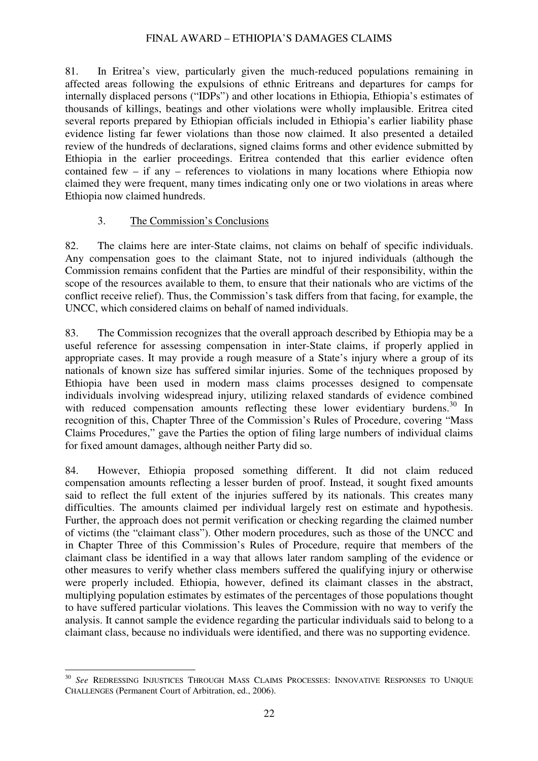81. In Eritrea's view, particularly given the much-reduced populations remaining in affected areas following the expulsions of ethnic Eritreans and departures for camps for internally displaced persons ("IDPs") and other locations in Ethiopia, Ethiopia's estimates of thousands of killings, beatings and other violations were wholly implausible. Eritrea cited several reports prepared by Ethiopian officials included in Ethiopia's earlier liability phase evidence listing far fewer violations than those now claimed. It also presented a detailed review of the hundreds of declarations, signed claims forms and other evidence submitted by Ethiopia in the earlier proceedings. Eritrea contended that this earlier evidence often contained few – if any – references to violations in many locations where Ethiopia now claimed they were frequent, many times indicating only one or two violations in areas where Ethiopia now claimed hundreds.

# 3. The Commission's Conclusions

82. The claims here are inter-State claims, not claims on behalf of specific individuals. Any compensation goes to the claimant State, not to injured individuals (although the Commission remains confident that the Parties are mindful of their responsibility, within the scope of the resources available to them, to ensure that their nationals who are victims of the conflict receive relief). Thus, the Commission's task differs from that facing, for example, the UNCC, which considered claims on behalf of named individuals.

83. The Commission recognizes that the overall approach described by Ethiopia may be a useful reference for assessing compensation in inter-State claims, if properly applied in appropriate cases. It may provide a rough measure of a State's injury where a group of its nationals of known size has suffered similar injuries. Some of the techniques proposed by Ethiopia have been used in modern mass claims processes designed to compensate individuals involving widespread injury, utilizing relaxed standards of evidence combined with reduced compensation amounts reflecting these lower evidentiary burdens.<sup>30</sup> In recognition of this, Chapter Three of the Commission's Rules of Procedure, covering "Mass Claims Procedures," gave the Parties the option of filing large numbers of individual claims for fixed amount damages, although neither Party did so.

84. However, Ethiopia proposed something different. It did not claim reduced compensation amounts reflecting a lesser burden of proof. Instead, it sought fixed amounts said to reflect the full extent of the injuries suffered by its nationals. This creates many difficulties. The amounts claimed per individual largely rest on estimate and hypothesis. Further, the approach does not permit verification or checking regarding the claimed number of victims (the "claimant class"). Other modern procedures, such as those of the UNCC and in Chapter Three of this Commission's Rules of Procedure, require that members of the claimant class be identified in a way that allows later random sampling of the evidence or other measures to verify whether class members suffered the qualifying injury or otherwise were properly included. Ethiopia, however, defined its claimant classes in the abstract, multiplying population estimates by estimates of the percentages of those populations thought to have suffered particular violations. This leaves the Commission with no way to verify the analysis. It cannot sample the evidence regarding the particular individuals said to belong to a claimant class, because no individuals were identified, and there was no supporting evidence.

<sup>&</sup>lt;sup>30</sup> See REDRESSING INJUSTICES THROUGH MASS CLAIMS PROCESSES: INNOVATIVE RESPONSES TO UNIQUE CHALLENGES (Permanent Court of Arbitration, ed., 2006).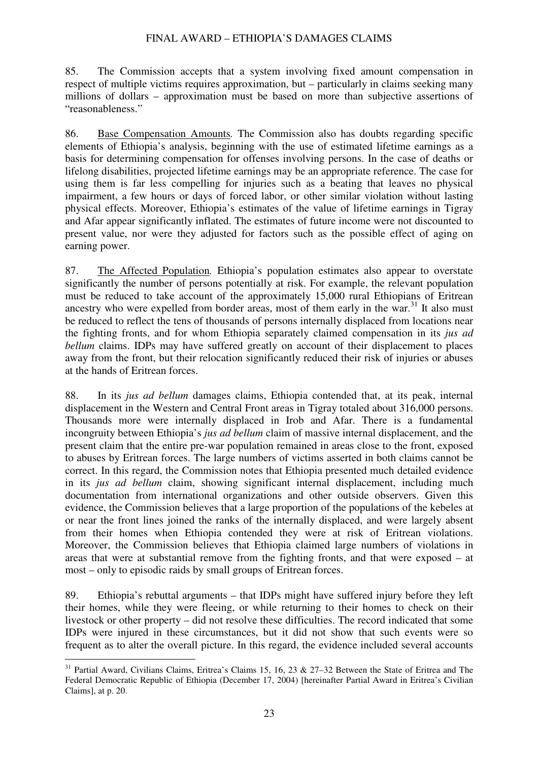85. The Commission accepts that a system involving fixed amount compensation in respect of multiple victims requires approximation, but – particularly in claims seeking many millions of dollars – approximation must be based on more than subjective assertions of "reasonableness."

86. Base Compensation Amounts*.* The Commission also has doubts regarding specific elements of Ethiopia's analysis, beginning with the use of estimated lifetime earnings as a basis for determining compensation for offenses involving persons. In the case of deaths or lifelong disabilities, projected lifetime earnings may be an appropriate reference. The case for using them is far less compelling for injuries such as a beating that leaves no physical impairment, a few hours or days of forced labor, or other similar violation without lasting physical effects. Moreover, Ethiopia's estimates of the value of lifetime earnings in Tigray and Afar appear significantly inflated. The estimates of future income were not discounted to present value, nor were they adjusted for factors such as the possible effect of aging on earning power.

87. The Affected Population*.* Ethiopia's population estimates also appear to overstate significantly the number of persons potentially at risk. For example, the relevant population must be reduced to take account of the approximately 15,000 rural Ethiopians of Eritrean ancestry who were expelled from border areas, most of them early in the war.<sup>31</sup> It also must be reduced to reflect the tens of thousands of persons internally displaced from locations near the fighting fronts, and for whom Ethiopia separately claimed compensation in its *jus ad bellum* claims. IDPs may have suffered greatly on account of their displacement to places away from the front, but their relocation significantly reduced their risk of injuries or abuses at the hands of Eritrean forces.

88. In its *jus ad bellum* damages claims, Ethiopia contended that, at its peak, internal displacement in the Western and Central Front areas in Tigray totaled about 316,000 persons. Thousands more were internally displaced in Irob and Afar. There is a fundamental incongruity between Ethiopia's *jus ad bellum* claim of massive internal displacement, and the present claim that the entire pre-war population remained in areas close to the front, exposed to abuses by Eritrean forces. The large numbers of victims asserted in both claims cannot be correct. In this regard, the Commission notes that Ethiopia presented much detailed evidence in its *jus ad bellum* claim, showing significant internal displacement, including much documentation from international organizations and other outside observers. Given this evidence, the Commission believes that a large proportion of the populations of the kebeles at or near the front lines joined the ranks of the internally displaced, and were largely absent from their homes when Ethiopia contended they were at risk of Eritrean violations. Moreover, the Commission believes that Ethiopia claimed large numbers of violations in areas that were at substantial remove from the fighting fronts, and that were exposed – at most – only to episodic raids by small groups of Eritrean forces.

89. Ethiopia's rebuttal arguments – that IDPs might have suffered injury before they left their homes, while they were fleeing, or while returning to their homes to check on their livestock or other property – did not resolve these difficulties. The record indicated that some IDPs were injured in these circumstances, but it did not show that such events were so frequent as to alter the overall picture. In this regard, the evidence included several accounts

<sup>&</sup>lt;sup>31</sup> Partial Award, Civilians Claims, Eritrea's Claims 15, 16, 23 & 27–32 Between the State of Eritrea and The Federal Democratic Republic of Ethiopia (December 17, 2004) [hereinafter Partial Award in Eritrea's Civilian Claims], at p. 20.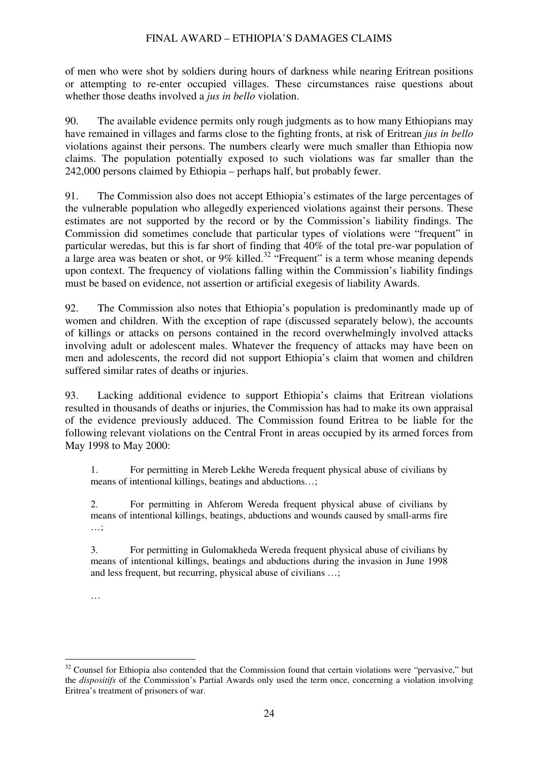of men who were shot by soldiers during hours of darkness while nearing Eritrean positions or attempting to re-enter occupied villages. These circumstances raise questions about whether those deaths involved a *jus in bello* violation.

90. The available evidence permits only rough judgments as to how many Ethiopians may have remained in villages and farms close to the fighting fronts, at risk of Eritrean *jus in bello* violations against their persons. The numbers clearly were much smaller than Ethiopia now claims. The population potentially exposed to such violations was far smaller than the 242,000 persons claimed by Ethiopia – perhaps half, but probably fewer.

91. The Commission also does not accept Ethiopia's estimates of the large percentages of the vulnerable population who allegedly experienced violations against their persons. These estimates are not supported by the record or by the Commission's liability findings. The Commission did sometimes conclude that particular types of violations were "frequent" in particular weredas, but this is far short of finding that 40% of the total pre-war population of a large area was beaten or shot, or  $9\%$  killed.<sup>32</sup> "Frequent" is a term whose meaning depends upon context. The frequency of violations falling within the Commission's liability findings must be based on evidence, not assertion or artificial exegesis of liability Awards.

92. The Commission also notes that Ethiopia's population is predominantly made up of women and children. With the exception of rape (discussed separately below), the accounts of killings or attacks on persons contained in the record overwhelmingly involved attacks involving adult or adolescent males. Whatever the frequency of attacks may have been on men and adolescents, the record did not support Ethiopia's claim that women and children suffered similar rates of deaths or injuries.

93. Lacking additional evidence to support Ethiopia's claims that Eritrean violations resulted in thousands of deaths or injuries, the Commission has had to make its own appraisal of the evidence previously adduced. The Commission found Eritrea to be liable for the following relevant violations on the Central Front in areas occupied by its armed forces from May 1998 to May 2000:

1. For permitting in Mereb Lekhe Wereda frequent physical abuse of civilians by means of intentional killings, beatings and abductions…;

2. For permitting in Ahferom Wereda frequent physical abuse of civilians by means of intentional killings, beatings, abductions and wounds caused by small-arms fire …;

3. For permitting in Gulomakheda Wereda frequent physical abuse of civilians by means of intentional killings, beatings and abductions during the invasion in June 1998 and less frequent, but recurring, physical abuse of civilians …;

…

 $32$  Counsel for Ethiopia also contended that the Commission found that certain violations were "pervasive," but the *dispositifs* of the Commission's Partial Awards only used the term once, concerning a violation involving Eritrea's treatment of prisoners of war.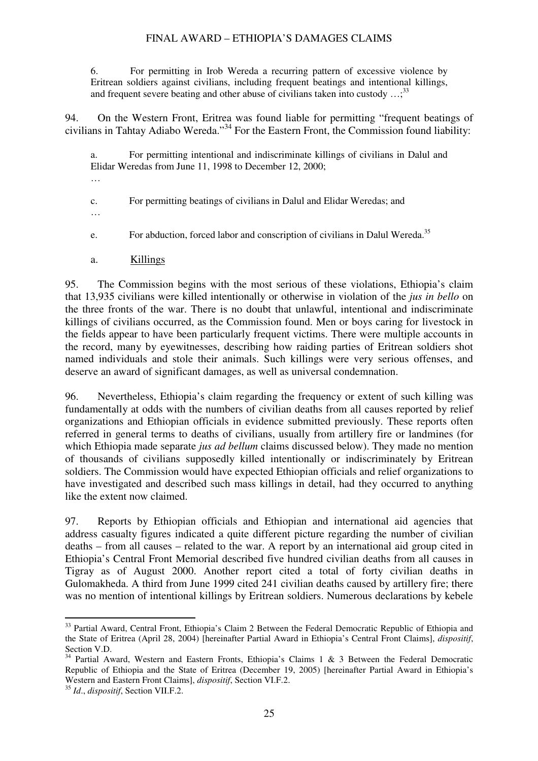6. For permitting in Irob Wereda a recurring pattern of excessive violence by Eritrean soldiers against civilians, including frequent beatings and intentional killings, and frequent severe beating and other abuse of civilians taken into custody  $\ldots$ ;<sup>33</sup>

94. On the Western Front, Eritrea was found liable for permitting "frequent beatings of civilians in Tahtay Adiabo Wereda." 34 For the Eastern Front, the Commission found liability:

a. For permitting intentional and indiscriminate killings of civilians in Dalul and Elidar Weredas from June 11, 1998 to December 12, 2000;

- …
- c. For permitting beatings of civilians in Dalul and Elidar Weredas; and
- …
- e. For abduction, forced labor and conscription of civilians in Dalul Wereda.<sup>35</sup>
- a. Killings

95. The Commission begins with the most serious of these violations, Ethiopia's claim that 13,935 civilians were killed intentionally or otherwise in violation of the *jus in bello* on the three fronts of the war. There is no doubt that unlawful, intentional and indiscriminate killings of civilians occurred, as the Commission found. Men or boys caring for livestock in the fields appear to have been particularly frequent victims. There were multiple accounts in the record, many by eyewitnesses, describing how raiding parties of Eritrean soldiers shot named individuals and stole their animals. Such killings were very serious offenses, and deserve an award of significant damages, as well as universal condemnation.

96. Nevertheless, Ethiopia's claim regarding the frequency or extent of such killing was fundamentally at odds with the numbers of civilian deaths from all causes reported by relief organizations and Ethiopian officials in evidence submitted previously. These reports often referred in general terms to deaths of civilians, usually from artillery fire or landmines (for which Ethiopia made separate *jus ad bellum* claims discussed below). They made no mention of thousands of civilians supposedly killed intentionally or indiscriminately by Eritrean soldiers. The Commission would have expected Ethiopian officials and relief organizations to have investigated and described such mass killings in detail, had they occurred to anything like the extent now claimed.

97. Reports by Ethiopian officials and Ethiopian and international aid agencies that address casualty figures indicated a quite different picture regarding the number of civilian deaths – from all causes – related to the war. A report by an international aid group cited in Ethiopia's Central Front Memorial described five hundred civilian deaths from all causes in Tigray as of August 2000. Another report cited a total of forty civilian deaths in Gulomakheda. A third from June 1999 cited 241 civilian deaths caused by artillery fire; there was no mention of intentional killings by Eritrean soldiers. Numerous declarations by kebele

<sup>&</sup>lt;sup>33</sup> Partial Award, Central Front, Ethiopia's Claim 2 Between the Federal Democratic Republic of Ethiopia and the State of Eritrea (April 28, 2004) [hereinafter Partial Award in Ethiopia's Central Front Claims], *dispositif*, Section V.D.

<sup>&</sup>lt;sup>34</sup> Partial Award, Western and Eastern Fronts, Ethiopia's Claims 1 & 3 Between the Federal Democratic Republic of Ethiopia and the State of Eritrea (December 19, 2005) [hereinafter Partial Award in Ethiopia's Western and Eastern Front Claims], *dispositif*, Section VI.F.2.

<sup>35</sup> *Id*., *dispositif*, Section VII.F.2.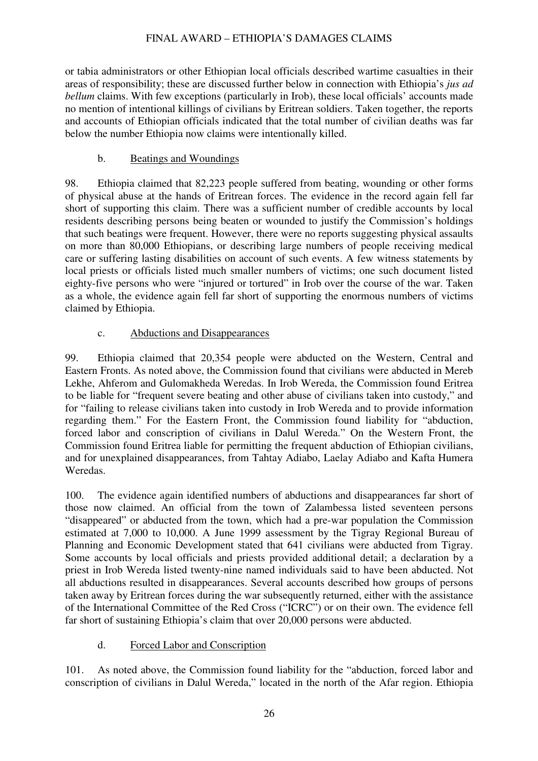or tabia administrators or other Ethiopian local officials described wartime casualties in their areas of responsibility; these are discussed further below in connection with Ethiopia's *jus ad bellum* claims. With few exceptions (particularly in Irob), these local officials' accounts made no mention of intentional killings of civilians by Eritrean soldiers. Taken together, the reports and accounts of Ethiopian officials indicated that the total number of civilian deaths was far below the number Ethiopia now claims were intentionally killed.

# b. Beatings and Woundings

98. Ethiopia claimed that 82,223 people suffered from beating, wounding or other forms of physical abuse at the hands of Eritrean forces. The evidence in the record again fell far short of supporting this claim. There was a sufficient number of credible accounts by local residents describing persons being beaten or wounded to justify the Commission's holdings that such beatings were frequent. However, there were no reports suggesting physical assaults on more than 80,000 Ethiopians, or describing large numbers of people receiving medical care or suffering lasting disabilities on account of such events. A few witness statements by local priests or officials listed much smaller numbers of victims; one such document listed eighty-five persons who were "injured or tortured" in Irob over the course of the war. Taken as a whole, the evidence again fell far short of supporting the enormous numbers of victims claimed by Ethiopia.

# c. Abductions and Disappearances

99. Ethiopia claimed that 20,354 people were abducted on the Western, Central and Eastern Fronts. As noted above, the Commission found that civilians were abducted in Mereb Lekhe, Ahferom and Gulomakheda Weredas. In Irob Wereda, the Commission found Eritrea to be liable for "frequent severe beating and other abuse of civilians taken into custody," and for "failing to release civilians taken into custody in Irob Wereda and to provide information regarding them." For the Eastern Front, the Commission found liability for "abduction, forced labor and conscription of civilians in Dalul Wereda." On the Western Front, the Commission found Eritrea liable for permitting the frequent abduction of Ethiopian civilians, and for unexplained disappearances, from Tahtay Adiabo, Laelay Adiabo and Kafta Humera Weredas.

100. The evidence again identified numbers of abductions and disappearances far short of those now claimed. An official from the town of Zalambessa listed seventeen persons "disappeared" or abducted from the town, which had a pre-war population the Commission estimated at 7,000 to 10,000. A June 1999 assessment by the Tigray Regional Bureau of Planning and Economic Development stated that 641 civilians were abducted from Tigray. Some accounts by local officials and priests provided additional detail; a declaration by a priest in Irob Wereda listed twenty-nine named individuals said to have been abducted. Not all abductions resulted in disappearances. Several accounts described how groups of persons taken away by Eritrean forces during the war subsequently returned, either with the assistance of the International Committee of the Red Cross ("ICRC") or on their own. The evidence fell far short of sustaining Ethiopia's claim that over 20,000 persons were abducted.

# d. Forced Labor and Conscription

101. As noted above, the Commission found liability for the "abduction, forced labor and conscription of civilians in Dalul Wereda," located in the north of the Afar region. Ethiopia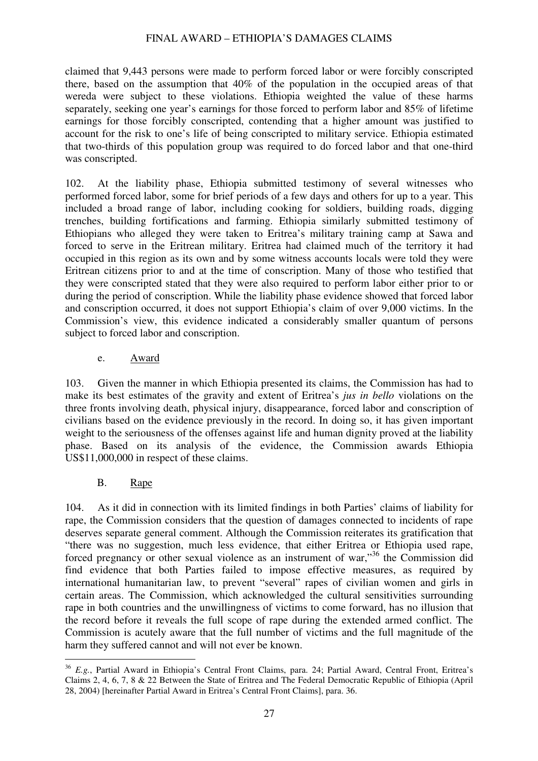claimed that 9,443 persons were made to perform forced labor or were forcibly conscripted there, based on the assumption that 40% of the population in the occupied areas of that wereda were subject to these violations. Ethiopia weighted the value of these harms separately, seeking one year's earnings for those forced to perform labor and 85% of lifetime earnings for those forcibly conscripted, contending that a higher amount was justified to account for the risk to one's life of being conscripted to military service. Ethiopia estimated that two-thirds of this population group was required to do forced labor and that one-third was conscripted.

102. At the liability phase, Ethiopia submitted testimony of several witnesses who performed forced labor, some for brief periods of a few days and others for up to a year. This included a broad range of labor, including cooking for soldiers, building roads, digging trenches, building fortifications and farming. Ethiopia similarly submitted testimony of Ethiopians who alleged they were taken to Eritrea's military training camp at Sawa and forced to serve in the Eritrean military. Eritrea had claimed much of the territory it had occupied in this region as its own and by some witness accounts locals were told they were Eritrean citizens prior to and at the time of conscription. Many of those who testified that they were conscripted stated that they were also required to perform labor either prior to or during the period of conscription. While the liability phase evidence showed that forced labor and conscription occurred, it does not support Ethiopia's claim of over 9,000 victims. In the Commission's view, this evidence indicated a considerably smaller quantum of persons subject to forced labor and conscription.

# e. Award

103. Given the manner in which Ethiopia presented its claims, the Commission has had to make its best estimates of the gravity and extent of Eritrea's *jus in bello* violations on the three fronts involving death, physical injury, disappearance, forced labor and conscription of civilians based on the evidence previously in the record. In doing so, it has given important weight to the seriousness of the offenses against life and human dignity proved at the liability phase. Based on its analysis of the evidence, the Commission awards Ethiopia US\$11,000,000 in respect of these claims.

# B. Rape

104. As it did in connection with its limited findings in both Parties' claims of liability for rape, the Commission considers that the question of damages connected to incidents of rape deserves separate general comment. Although the Commission reiterates its gratification that "there was no suggestion, much less evidence, that either Eritrea or Ethiopia used rape, forced pregnancy or other sexual violence as an instrument of war,"<sup>36</sup> the Commission did find evidence that both Parties failed to impose effective measures, as required by international humanitarian law, to prevent "several" rapes of civilian women and girls in certain areas. The Commission, which acknowledged the cultural sensitivities surrounding rape in both countries and the unwillingness of victims to come forward, has no illusion that the record before it reveals the full scope of rape during the extended armed conflict. The Commission is acutely aware that the full number of victims and the full magnitude of the harm they suffered cannot and will not ever be known.

<sup>36</sup> *E.g.*, Partial Award in Ethiopia's Central Front Claims, para. 24; Partial Award, Central Front, Eritrea's Claims 2, 4, 6, 7, 8 & 22 Between the State of Eritrea and The Federal Democratic Republic of Ethiopia (April 28, 2004) [hereinafter Partial Award in Eritrea's Central Front Claims], para. 36.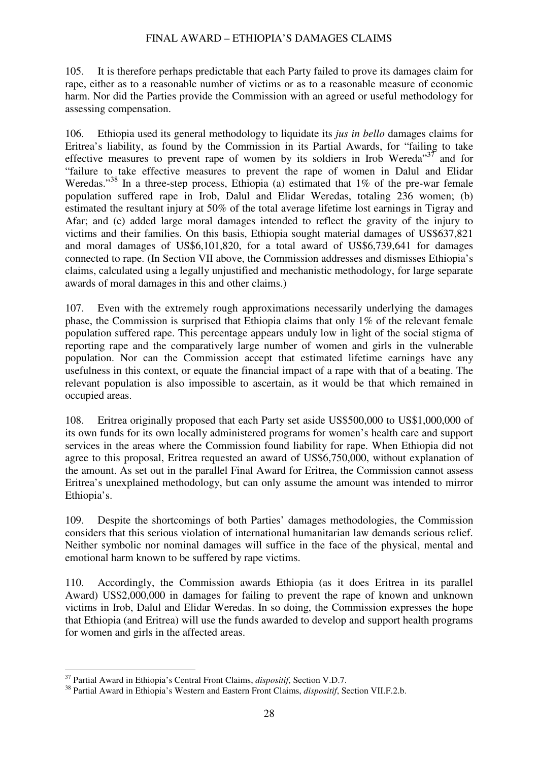105. It is therefore perhaps predictable that each Party failed to prove its damages claim for rape, either as to a reasonable number of victims or as to a reasonable measure of economic harm. Nor did the Parties provide the Commission with an agreed or useful methodology for assessing compensation.

106. Ethiopia used its general methodology to liquidate its *jus in bello* damages claims for Eritrea's liability, as found by the Commission in its Partial Awards, for "failing to take effective measures to prevent rape of women by its soldiers in Irob Wereda<sup>37</sup> and for "failure to take effective measures to prevent the rape of women in Dalul and Elidar Weredas."<sup>38</sup> In a three-step process, Ethiopia (a) estimated that 1% of the pre-war female population suffered rape in Irob, Dalul and Elidar Weredas, totaling 236 women; (b) estimated the resultant injury at 50% of the total average lifetime lost earnings in Tigray and Afar; and (c) added large moral damages intended to reflect the gravity of the injury to victims and their families. On this basis, Ethiopia sought material damages of US\$637,821 and moral damages of US\$6,101,820, for a total award of US\$6,739,641 for damages connected to rape. (In Section VII above, the Commission addresses and dismisses Ethiopia's claims, calculated using a legally unjustified and mechanistic methodology, for large separate awards of moral damages in this and other claims.)

107. Even with the extremely rough approximations necessarily underlying the damages phase, the Commission is surprised that Ethiopia claims that only 1% of the relevant female population suffered rape. This percentage appears unduly low in light of the social stigma of reporting rape and the comparatively large number of women and girls in the vulnerable population. Nor can the Commission accept that estimated lifetime earnings have any usefulness in this context, or equate the financial impact of a rape with that of a beating. The relevant population is also impossible to ascertain, as it would be that which remained in occupied areas.

108. Eritrea originally proposed that each Party set aside US\$500,000 to US\$1,000,000 of its own funds for its own locally administered programs for women's health care and support services in the areas where the Commission found liability for rape. When Ethiopia did not agree to this proposal, Eritrea requested an award of US\$6,750,000, without explanation of the amount. As set out in the parallel Final Award for Eritrea, the Commission cannot assess Eritrea's unexplained methodology, but can only assume the amount was intended to mirror Ethiopia's.

109. Despite the shortcomings of both Parties' damages methodologies, the Commission considers that this serious violation of international humanitarian law demands serious relief. Neither symbolic nor nominal damages will suffice in the face of the physical, mental and emotional harm known to be suffered by rape victims.

110. Accordingly, the Commission awards Ethiopia (as it does Eritrea in its parallel Award) US\$2,000,000 in damages for failing to prevent the rape of known and unknown victims in Irob, Dalul and Elidar Weredas. In so doing, the Commission expresses the hope that Ethiopia (and Eritrea) will use the funds awarded to develop and support health programs for women and girls in the affected areas.

<sup>37</sup> Partial Award in Ethiopia's Central Front Claims, *dispositif*, Section V.D.7.

<sup>38</sup> Partial Award in Ethiopia's Western and Eastern Front Claims, *dispositif*, Section VII.F.2.b.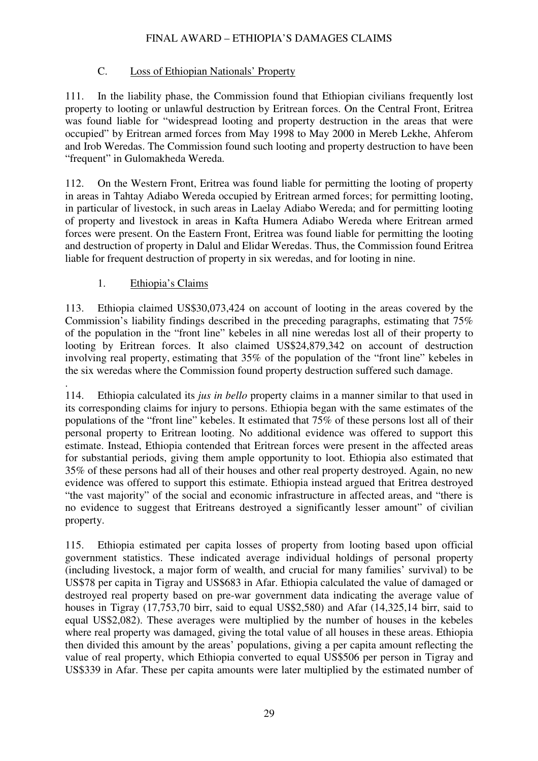# C. Loss of Ethiopian Nationals' Property

111. In the liability phase, the Commission found that Ethiopian civilians frequently lost property to looting or unlawful destruction by Eritrean forces. On the Central Front, Eritrea was found liable for "widespread looting and property destruction in the areas that were occupied" by Eritrean armed forces from May 1998 to May 2000 in Mereb Lekhe, Ahferom and Irob Weredas. The Commission found such looting and property destruction to have been "frequent" in Gulomakheda Wereda.

112. On the Western Front, Eritrea was found liable for permitting the looting of property in areas in Tahtay Adiabo Wereda occupied by Eritrean armed forces; for permitting looting, in particular of livestock, in such areas in Laelay Adiabo Wereda; and for permitting looting of property and livestock in areas in Kafta Humera Adiabo Wereda where Eritrean armed forces were present. On the Eastern Front, Eritrea was found liable for permitting the looting and destruction of property in Dalul and Elidar Weredas. Thus, the Commission found Eritrea liable for frequent destruction of property in six weredas, and for looting in nine.

# 1. Ethiopia's Claims

113. Ethiopia claimed US\$30,073,424 on account of looting in the areas covered by the Commission's liability findings described in the preceding paragraphs, estimating that 75% of the population in the "front line" kebeles in all nine weredas lost all of their property to looting by Eritrean forces. It also claimed US\$24,879,342 on account of destruction involving real property, estimating that 35% of the population of the "front line" kebeles in the six weredas where the Commission found property destruction suffered such damage.

. 114. Ethiopia calculated its *jus in bello* property claims in a manner similar to that used in its corresponding claims for injury to persons. Ethiopia began with the same estimates of the populations of the "front line" kebeles. It estimated that 75% of these persons lost all of their personal property to Eritrean looting. No additional evidence was offered to support this estimate. Instead, Ethiopia contended that Eritrean forces were present in the affected areas for substantial periods, giving them ample opportunity to loot. Ethiopia also estimated that 35% of these persons had all of their houses and other real property destroyed. Again, no new evidence was offered to support this estimate. Ethiopia instead argued that Eritrea destroyed "the vast majority" of the social and economic infrastructure in affected areas, and "there is no evidence to suggest that Eritreans destroyed a significantly lesser amount" of civilian property.

115. Ethiopia estimated per capita losses of property from looting based upon official government statistics. These indicated average individual holdings of personal property (including livestock, a major form of wealth, and crucial for many families' survival) to be US\$78 per capita in Tigray and US\$683 in Afar. Ethiopia calculated the value of damaged or destroyed real property based on pre-war government data indicating the average value of houses in Tigray (17,753,70 birr, said to equal US\$2,580) and Afar (14,325,14 birr, said to equal US\$2,082). These averages were multiplied by the number of houses in the kebeles where real property was damaged, giving the total value of all houses in these areas. Ethiopia then divided this amount by the areas' populations, giving a per capita amount reflecting the value of real property, which Ethiopia converted to equal US\$506 per person in Tigray and US\$339 in Afar. These per capita amounts were later multiplied by the estimated number of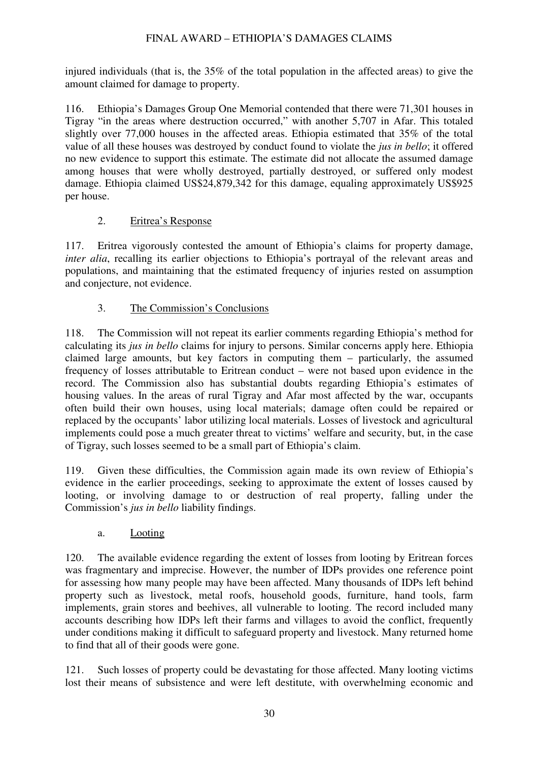injured individuals (that is, the 35% of the total population in the affected areas) to give the amount claimed for damage to property.

116. Ethiopia's Damages Group One Memorial contended that there were 71,301 houses in Tigray "in the areas where destruction occurred," with another 5,707 in Afar. This totaled slightly over 77,000 houses in the affected areas. Ethiopia estimated that 35% of the total value of all these houses was destroyed by conduct found to violate the *jus in bello*; it offered no new evidence to support this estimate. The estimate did not allocate the assumed damage among houses that were wholly destroyed, partially destroyed, or suffered only modest damage. Ethiopia claimed US\$24,879,342 for this damage, equaling approximately US\$925 per house.

# 2. Eritrea's Response

117. Eritrea vigorously contested the amount of Ethiopia's claims for property damage, *inter alia*, recalling its earlier objections to Ethiopia's portrayal of the relevant areas and populations, and maintaining that the estimated frequency of injuries rested on assumption and conjecture, not evidence.

# 3. The Commission's Conclusions

118. The Commission will not repeat its earlier comments regarding Ethiopia's method for calculating its *jus in bello* claims for injury to persons. Similar concerns apply here. Ethiopia claimed large amounts, but key factors in computing them – particularly, the assumed frequency of losses attributable to Eritrean conduct – were not based upon evidence in the record. The Commission also has substantial doubts regarding Ethiopia's estimates of housing values. In the areas of rural Tigray and Afar most affected by the war, occupants often build their own houses, using local materials; damage often could be repaired or replaced by the occupants' labor utilizing local materials. Losses of livestock and agricultural implements could pose a much greater threat to victims' welfare and security, but, in the case of Tigray, such losses seemed to be a small part of Ethiopia's claim.

119. Given these difficulties, the Commission again made its own review of Ethiopia's evidence in the earlier proceedings, seeking to approximate the extent of losses caused by looting, or involving damage to or destruction of real property, falling under the Commission's *jus in bello* liability findings.

# a. Looting

120. The available evidence regarding the extent of losses from looting by Eritrean forces was fragmentary and imprecise. However, the number of IDPs provides one reference point for assessing how many people may have been affected. Many thousands of IDPs left behind property such as livestock, metal roofs, household goods, furniture, hand tools, farm implements, grain stores and beehives, all vulnerable to looting. The record included many accounts describing how IDPs left their farms and villages to avoid the conflict, frequently under conditions making it difficult to safeguard property and livestock. Many returned home to find that all of their goods were gone.

121. Such losses of property could be devastating for those affected. Many looting victims lost their means of subsistence and were left destitute, with overwhelming economic and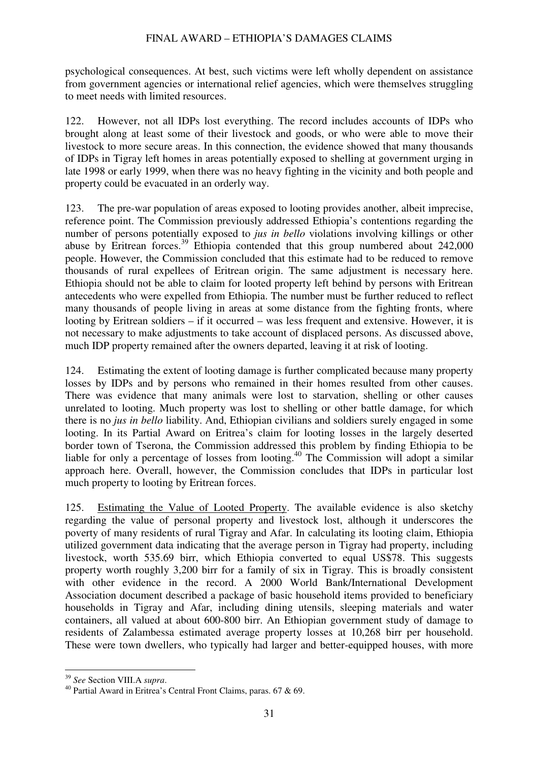psychological consequences. At best, such victims were left wholly dependent on assistance from government agencies or international relief agencies, which were themselves struggling to meet needs with limited resources.

122. However, not all IDPs lost everything. The record includes accounts of IDPs who brought along at least some of their livestock and goods, or who were able to move their livestock to more secure areas. In this connection, the evidence showed that many thousands of IDPs in Tigray left homes in areas potentially exposed to shelling at government urging in late 1998 or early 1999, when there was no heavy fighting in the vicinity and both people and property could be evacuated in an orderly way.

123. The pre-war population of areas exposed to looting provides another, albeit imprecise, reference point. The Commission previously addressed Ethiopia's contentions regarding the number of persons potentially exposed to *jus in bello* violations involving killings or other abuse by Eritrean forces.<sup>39</sup> Ethiopia contended that this group numbered about 242,000 people. However, the Commission concluded that this estimate had to be reduced to remove thousands of rural expellees of Eritrean origin. The same adjustment is necessary here. Ethiopia should not be able to claim for looted property left behind by persons with Eritrean antecedents who were expelled from Ethiopia. The number must be further reduced to reflect many thousands of people living in areas at some distance from the fighting fronts, where looting by Eritrean soldiers – if it occurred – was less frequent and extensive. However, it is not necessary to make adjustments to take account of displaced persons. As discussed above, much IDP property remained after the owners departed, leaving it at risk of looting.

124. Estimating the extent of looting damage is further complicated because many property losses by IDPs and by persons who remained in their homes resulted from other causes. There was evidence that many animals were lost to starvation, shelling or other causes unrelated to looting. Much property was lost to shelling or other battle damage, for which there is no *jus in bello* liability. And, Ethiopian civilians and soldiers surely engaged in some looting. In its Partial Award on Eritrea's claim for looting losses in the largely deserted border town of Tserona, the Commission addressed this problem by finding Ethiopia to be liable for only a percentage of losses from looting. 40 The Commission will adopt a similar approach here. Overall, however, the Commission concludes that IDPs in particular lost much property to looting by Eritrean forces.

125. Estimating the Value of Looted Property. The available evidence is also sketchy regarding the value of personal property and livestock lost, although it underscores the poverty of many residents of rural Tigray and Afar. In calculating its looting claim, Ethiopia utilized government data indicating that the average person in Tigray had property, including livestock, worth 535.69 birr, which Ethiopia converted to equal US\$78. This suggests property worth roughly 3,200 birr for a family of six in Tigray. This is broadly consistent with other evidence in the record. A 2000 World Bank/International Development Association document described a package of basic household items provided to beneficiary households in Tigray and Afar, including dining utensils, sleeping materials and water containers, all valued at about 600-800 birr. An Ethiopian government study of damage to residents of Zalambessa estimated average property losses at 10,268 birr per household. These were town dwellers, who typically had larger and better-equipped houses, with more

<sup>39</sup> *See* Section VIII.A *supra*.

<sup>&</sup>lt;sup>40</sup> Partial Award in Eritrea's Central Front Claims, paras. 67 & 69.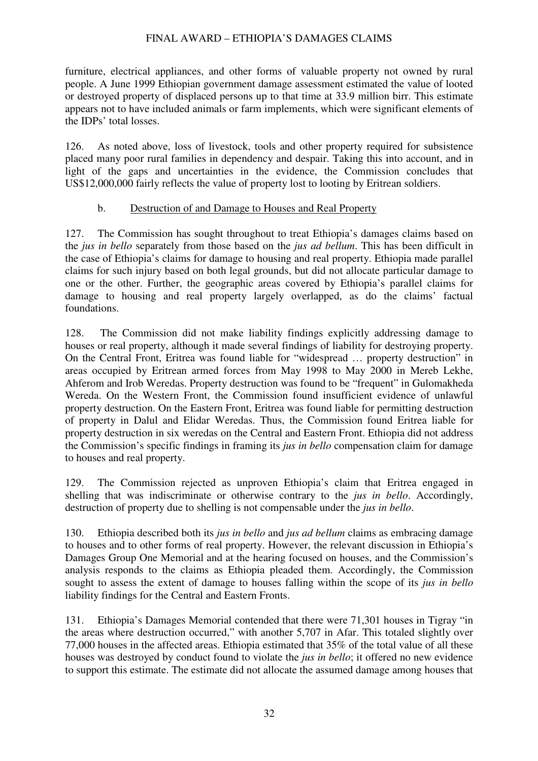furniture, electrical appliances, and other forms of valuable property not owned by rural people. A June 1999 Ethiopian government damage assessment estimated the value of looted or destroyed property of displaced persons up to that time at 33.9 million birr. This estimate appears not to have included animals or farm implements, which were significant elements of the IDPs' total losses.

126. As noted above, loss of livestock, tools and other property required for subsistence placed many poor rural families in dependency and despair. Taking this into account, and in light of the gaps and uncertainties in the evidence, the Commission concludes that US\$12,000,000 fairly reflects the value of property lost to looting by Eritrean soldiers.

## b. Destruction of and Damage to Houses and Real Property

127. The Commission has sought throughout to treat Ethiopia's damages claims based on the *jus in bello* separately from those based on the *jus ad bellum*. This has been difficult in the case of Ethiopia's claims for damage to housing and real property. Ethiopia made parallel claims for such injury based on both legal grounds, but did not allocate particular damage to one or the other. Further, the geographic areas covered by Ethiopia's parallel claims for damage to housing and real property largely overlapped, as do the claims' factual foundations.

128. The Commission did not make liability findings explicitly addressing damage to houses or real property, although it made several findings of liability for destroying property. On the Central Front, Eritrea was found liable for "widespread … property destruction" in areas occupied by Eritrean armed forces from May 1998 to May 2000 in Mereb Lekhe, Ahferom and Irob Weredas. Property destruction was found to be "frequent" in Gulomakheda Wereda. On the Western Front, the Commission found insufficient evidence of unlawful property destruction. On the Eastern Front, Eritrea was found liable for permitting destruction of property in Dalul and Elidar Weredas. Thus, the Commission found Eritrea liable for property destruction in six weredas on the Central and Eastern Front. Ethiopia did not address the Commission's specific findings in framing its *jus in bello* compensation claim for damage to houses and real property.

129. The Commission rejected as unproven Ethiopia's claim that Eritrea engaged in shelling that was indiscriminate or otherwise contrary to the *jus in bello*. Accordingly, destruction of property due to shelling is not compensable under the *jus in bello*.

130. Ethiopia described both its *jus in bello* and *jus ad bellum* claims as embracing damage to houses and to other forms of real property. However, the relevant discussion in Ethiopia's Damages Group One Memorial and at the hearing focused on houses, and the Commission's analysis responds to the claims as Ethiopia pleaded them. Accordingly, the Commission sought to assess the extent of damage to houses falling within the scope of its *jus in bello* liability findings for the Central and Eastern Fronts.

131. Ethiopia's Damages Memorial contended that there were 71,301 houses in Tigray "in the areas where destruction occurred," with another 5,707 in Afar. This totaled slightly over 77,000 houses in the affected areas. Ethiopia estimated that 35% of the total value of all these houses was destroyed by conduct found to violate the *jus in bello*; it offered no new evidence to support this estimate. The estimate did not allocate the assumed damage among houses that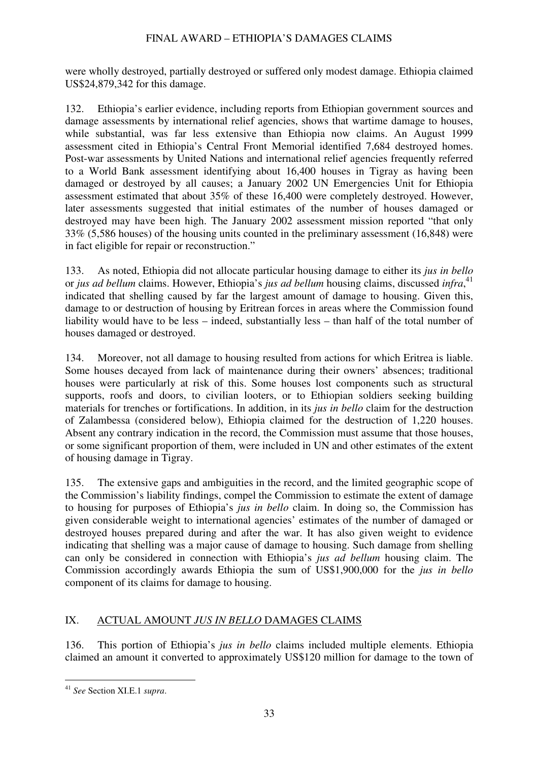were wholly destroyed, partially destroyed or suffered only modest damage. Ethiopia claimed US\$24,879,342 for this damage.

132. Ethiopia's earlier evidence, including reports from Ethiopian government sources and damage assessments by international relief agencies, shows that wartime damage to houses, while substantial, was far less extensive than Ethiopia now claims. An August 1999 assessment cited in Ethiopia's Central Front Memorial identified 7,684 destroyed homes. Post-war assessments by United Nations and international relief agencies frequently referred to a World Bank assessment identifying about 16,400 houses in Tigray as having been damaged or destroyed by all causes; a January 2002 UN Emergencies Unit for Ethiopia assessment estimated that about 35% of these 16,400 were completely destroyed. However, later assessments suggested that initial estimates of the number of houses damaged or destroyed may have been high. The January 2002 assessment mission reported "that only 33% (5,586 houses) of the housing units counted in the preliminary assessment (16,848) were in fact eligible for repair or reconstruction."

133. As noted, Ethiopia did not allocate particular housing damage to either its *jus in bello* or *jus ad bellum* claims. However, Ethiopia's *jus ad bellum* housing claims, discussed *infra*, 41 indicated that shelling caused by far the largest amount of damage to housing. Given this, damage to or destruction of housing by Eritrean forces in areas where the Commission found liability would have to be less – indeed, substantially less – than half of the total number of houses damaged or destroyed.

134. Moreover, not all damage to housing resulted from actions for which Eritrea is liable. Some houses decayed from lack of maintenance during their owners' absences; traditional houses were particularly at risk of this. Some houses lost components such as structural supports, roofs and doors, to civilian looters, or to Ethiopian soldiers seeking building materials for trenches or fortifications. In addition, in its *jus in bello* claim for the destruction of Zalambessa (considered below), Ethiopia claimed for the destruction of 1,220 houses. Absent any contrary indication in the record, the Commission must assume that those houses, or some significant proportion of them, were included in UN and other estimates of the extent of housing damage in Tigray.

135. The extensive gaps and ambiguities in the record, and the limited geographic scope of the Commission's liability findings, compel the Commission to estimate the extent of damage to housing for purposes of Ethiopia's *jus in bello* claim. In doing so, the Commission has given considerable weight to international agencies' estimates of the number of damaged or destroyed houses prepared during and after the war. It has also given weight to evidence indicating that shelling was a major cause of damage to housing. Such damage from shelling can only be considered in connection with Ethiopia's *jus ad bellum* housing claim. The Commission accordingly awards Ethiopia the sum of US\$1,900,000 for the *jus in bello* component of its claims for damage to housing.

# IX. ACTUAL AMOUNT *JUS IN BELLO* DAMAGES CLAIMS

136. This portion of Ethiopia's *jus in bello* claims included multiple elements. Ethiopia claimed an amount it converted to approximately US\$120 million for damage to the town of

<sup>41</sup> *See* Section XI.E.1 *supra*.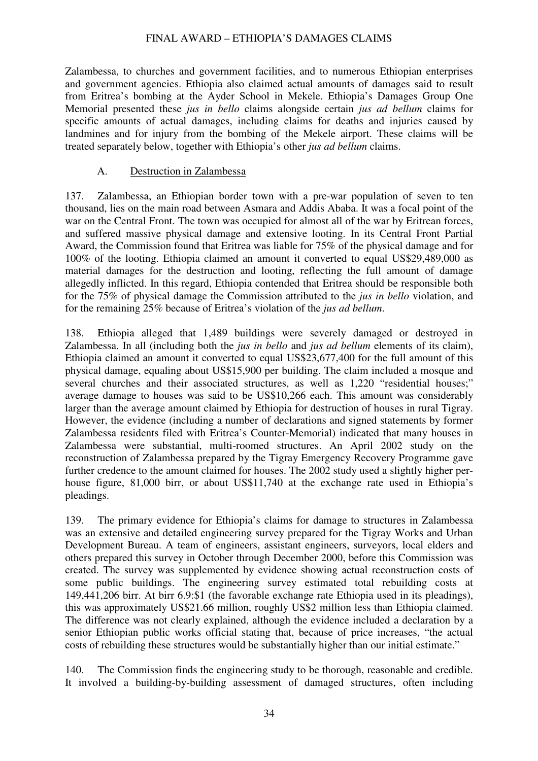Zalambessa, to churches and government facilities, and to numerous Ethiopian enterprises and government agencies. Ethiopia also claimed actual amounts of damages said to result from Eritrea's bombing at the Ayder School in Mekele. Ethiopia's Damages Group One Memorial presented these *jus in bello* claims alongside certain *jus ad bellum* claims for specific amounts of actual damages, including claims for deaths and injuries caused by landmines and for injury from the bombing of the Mekele airport. These claims will be treated separately below, together with Ethiopia's other *jus ad bellum* claims.

## A. Destruction in Zalambessa

137. Zalambessa, an Ethiopian border town with a pre-war population of seven to ten thousand, lies on the main road between Asmara and Addis Ababa. It was a focal point of the war on the Central Front. The town was occupied for almost all of the war by Eritrean forces, and suffered massive physical damage and extensive looting. In its Central Front Partial Award, the Commission found that Eritrea was liable for 75% of the physical damage and for 100% of the looting. Ethiopia claimed an amount it converted to equal US\$29,489,000 as material damages for the destruction and looting, reflecting the full amount of damage allegedly inflicted. In this regard, Ethiopia contended that Eritrea should be responsible both for the 75% of physical damage the Commission attributed to the *jus in bello* violation, and for the remaining 25% because of Eritrea's violation of the *jus ad bellum*.

138. Ethiopia alleged that 1,489 buildings were severely damaged or destroyed in Zalambessa. In all (including both the *jus in bello* and *jus ad bellum* elements of its claim), Ethiopia claimed an amount it converted to equal US\$23,677,400 for the full amount of this physical damage, equaling about US\$15,900 per building. The claim included a mosque and several churches and their associated structures, as well as 1,220 "residential houses;" average damage to houses was said to be US\$10,266 each. This amount was considerably larger than the average amount claimed by Ethiopia for destruction of houses in rural Tigray. However, the evidence (including a number of declarations and signed statements by former Zalambessa residents filed with Eritrea's Counter-Memorial) indicated that many houses in Zalambessa were substantial, multi-roomed structures. An April 2002 study on the reconstruction of Zalambessa prepared by the Tigray Emergency Recovery Programme gave further credence to the amount claimed for houses. The 2002 study used a slightly higher perhouse figure, 81,000 birr, or about US\$11,740 at the exchange rate used in Ethiopia's pleadings.

139. The primary evidence for Ethiopia's claims for damage to structures in Zalambessa was an extensive and detailed engineering survey prepared for the Tigray Works and Urban Development Bureau. A team of engineers, assistant engineers, surveyors, local elders and others prepared this survey in October through December 2000, before this Commission was created. The survey was supplemented by evidence showing actual reconstruction costs of some public buildings. The engineering survey estimated total rebuilding costs at 149,441,206 birr. At birr 6.9:\$1 (the favorable exchange rate Ethiopia used in its pleadings), this was approximately US\$21.66 million, roughly US\$2 million less than Ethiopia claimed. The difference was not clearly explained, although the evidence included a declaration by a senior Ethiopian public works official stating that, because of price increases, "the actual costs of rebuilding these structures would be substantially higher than our initial estimate."

140. The Commission finds the engineering study to be thorough, reasonable and credible. It involved a building-by-building assessment of damaged structures, often including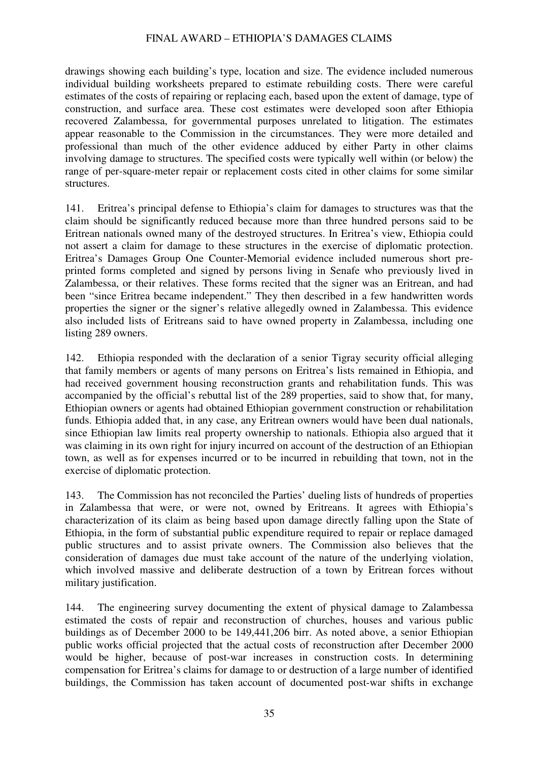drawings showing each building's type, location and size. The evidence included numerous individual building worksheets prepared to estimate rebuilding costs. There were careful estimates of the costs of repairing or replacing each, based upon the extent of damage, type of construction, and surface area. These cost estimates were developed soon after Ethiopia recovered Zalambessa, for governmental purposes unrelated to litigation. The estimates appear reasonable to the Commission in the circumstances. They were more detailed and professional than much of the other evidence adduced by either Party in other claims involving damage to structures. The specified costs were typically well within (or below) the range of per-square-meter repair or replacement costs cited in other claims for some similar structures.

141. Eritrea's principal defense to Ethiopia's claim for damages to structures was that the claim should be significantly reduced because more than three hundred persons said to be Eritrean nationals owned many of the destroyed structures. In Eritrea's view, Ethiopia could not assert a claim for damage to these structures in the exercise of diplomatic protection. Eritrea's Damages Group One Counter-Memorial evidence included numerous short preprinted forms completed and signed by persons living in Senafe who previously lived in Zalambessa, or their relatives. These forms recited that the signer was an Eritrean, and had been "since Eritrea became independent." They then described in a few handwritten words properties the signer or the signer's relative allegedly owned in Zalambessa. This evidence also included lists of Eritreans said to have owned property in Zalambessa, including one listing 289 owners.

142. Ethiopia responded with the declaration of a senior Tigray security official alleging that family members or agents of many persons on Eritrea's lists remained in Ethiopia, and had received government housing reconstruction grants and rehabilitation funds. This was accompanied by the official's rebuttal list of the 289 properties, said to show that, for many, Ethiopian owners or agents had obtained Ethiopian government construction or rehabilitation funds. Ethiopia added that, in any case, any Eritrean owners would have been dual nationals, since Ethiopian law limits real property ownership to nationals. Ethiopia also argued that it was claiming in its own right for injury incurred on account of the destruction of an Ethiopian town, as well as for expenses incurred or to be incurred in rebuilding that town, not in the exercise of diplomatic protection.

143. The Commission has not reconciled the Parties' dueling lists of hundreds of properties in Zalambessa that were, or were not, owned by Eritreans. It agrees with Ethiopia's characterization of its claim as being based upon damage directly falling upon the State of Ethiopia, in the form of substantial public expenditure required to repair or replace damaged public structures and to assist private owners. The Commission also believes that the consideration of damages due must take account of the nature of the underlying violation, which involved massive and deliberate destruction of a town by Eritrean forces without military justification.

144. The engineering survey documenting the extent of physical damage to Zalambessa estimated the costs of repair and reconstruction of churches, houses and various public buildings as of December 2000 to be 149,441,206 birr. As noted above, a senior Ethiopian public works official projected that the actual costs of reconstruction after December 2000 would be higher, because of post-war increases in construction costs. In determining compensation for Eritrea's claims for damage to or destruction of a large number of identified buildings, the Commission has taken account of documented post-war shifts in exchange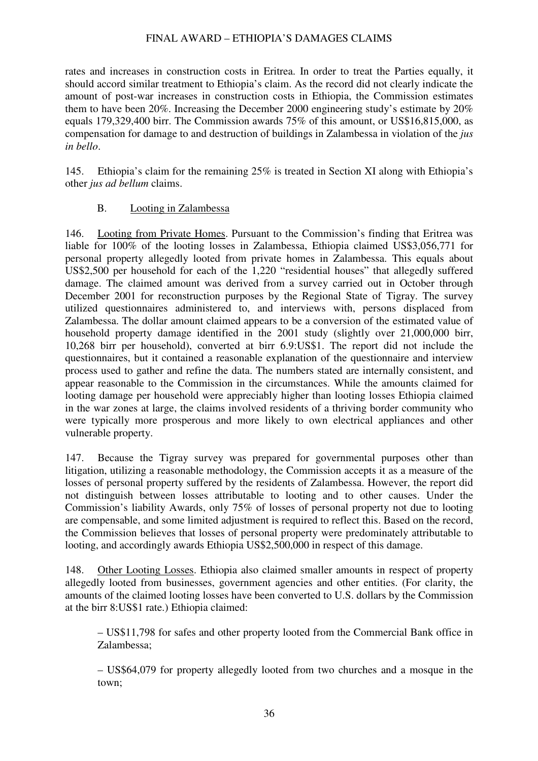rates and increases in construction costs in Eritrea. In order to treat the Parties equally, it should accord similar treatment to Ethiopia's claim. As the record did not clearly indicate the amount of post-war increases in construction costs in Ethiopia, the Commission estimates them to have been 20%. Increasing the December 2000 engineering study's estimate by 20% equals 179,329,400 birr. The Commission awards 75% of this amount, or US\$16,815,000, as compensation for damage to and destruction of buildings in Zalambessa in violation of the *jus in bello*.

145. Ethiopia's claim for the remaining 25% is treated in Section XI along with Ethiopia's other *jus ad bellum* claims.

## B. Looting in Zalambessa

146. Looting from Private Homes. Pursuant to the Commission's finding that Eritrea was liable for 100% of the looting losses in Zalambessa, Ethiopia claimed US\$3,056,771 for personal property allegedly looted from private homes in Zalambessa. This equals about US\$2,500 per household for each of the 1,220 "residential houses" that allegedly suffered damage. The claimed amount was derived from a survey carried out in October through December 2001 for reconstruction purposes by the Regional State of Tigray. The survey utilized questionnaires administered to, and interviews with, persons displaced from Zalambessa. The dollar amount claimed appears to be a conversion of the estimated value of household property damage identified in the 2001 study (slightly over 21,000,000 birr, 10,268 birr per household), converted at birr 6.9:US\$1. The report did not include the questionnaires, but it contained a reasonable explanation of the questionnaire and interview process used to gather and refine the data. The numbers stated are internally consistent, and appear reasonable to the Commission in the circumstances. While the amounts claimed for looting damage per household were appreciably higher than looting losses Ethiopia claimed in the war zones at large, the claims involved residents of a thriving border community who were typically more prosperous and more likely to own electrical appliances and other vulnerable property.

147. Because the Tigray survey was prepared for governmental purposes other than litigation, utilizing a reasonable methodology, the Commission accepts it as a measure of the losses of personal property suffered by the residents of Zalambessa. However, the report did not distinguish between losses attributable to looting and to other causes. Under the Commission's liability Awards, only 75% of losses of personal property not due to looting are compensable, and some limited adjustment is required to reflect this. Based on the record, the Commission believes that losses of personal property were predominately attributable to looting, and accordingly awards Ethiopia US\$2,500,000 in respect of this damage.

148. Other Looting Losses. Ethiopia also claimed smaller amounts in respect of property allegedly looted from businesses, government agencies and other entities. (For clarity, the amounts of the claimed looting losses have been converted to U.S. dollars by the Commission at the birr 8:US\$1 rate.) Ethiopia claimed:

– US\$11,798 for safes and other property looted from the Commercial Bank office in Zalambessa;

– US\$64,079 for property allegedly looted from two churches and a mosque in the town;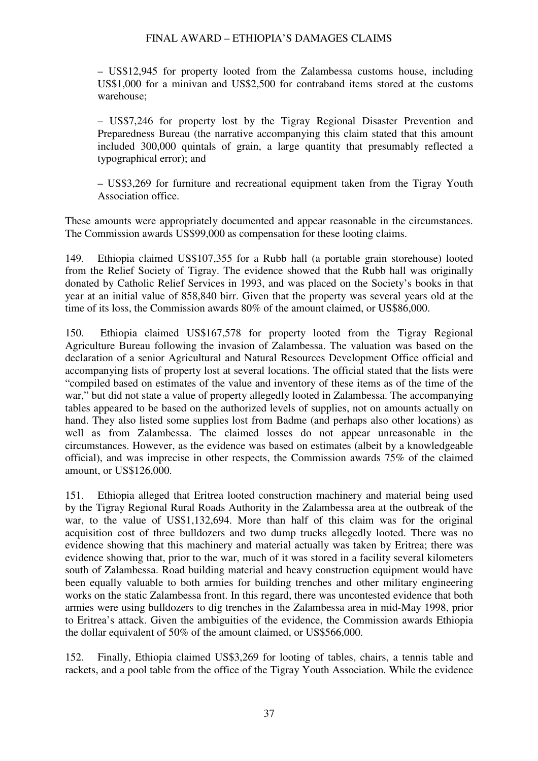– US\$12,945 for property looted from the Zalambessa customs house, including US\$1,000 for a minivan and US\$2,500 for contraband items stored at the customs warehouse;

– US\$7,246 for property lost by the Tigray Regional Disaster Prevention and Preparedness Bureau (the narrative accompanying this claim stated that this amount included 300,000 quintals of grain, a large quantity that presumably reflected a typographical error); and

– US\$3,269 for furniture and recreational equipment taken from the Tigray Youth Association office.

These amounts were appropriately documented and appear reasonable in the circumstances. The Commission awards US\$99,000 as compensation for these looting claims.

149. Ethiopia claimed US\$107,355 for a Rubb hall (a portable grain storehouse) looted from the Relief Society of Tigray. The evidence showed that the Rubb hall was originally donated by Catholic Relief Services in 1993, and was placed on the Society's books in that year at an initial value of 858,840 birr. Given that the property was several years old at the time of its loss, the Commission awards 80% of the amount claimed, or US\$86,000.

150. Ethiopia claimed US\$167,578 for property looted from the Tigray Regional Agriculture Bureau following the invasion of Zalambessa. The valuation was based on the declaration of a senior Agricultural and Natural Resources Development Office official and accompanying lists of property lost at several locations. The official stated that the lists were "compiled based on estimates of the value and inventory of these items as of the time of the war," but did not state a value of property allegedly looted in Zalambessa. The accompanying tables appeared to be based on the authorized levels of supplies, not on amounts actually on hand. They also listed some supplies lost from Badme (and perhaps also other locations) as well as from Zalambessa. The claimed losses do not appear unreasonable in the circumstances. However, as the evidence was based on estimates (albeit by a knowledgeable official), and was imprecise in other respects, the Commission awards 75% of the claimed amount, or US\$126,000.

151. Ethiopia alleged that Eritrea looted construction machinery and material being used by the Tigray Regional Rural Roads Authority in the Zalambessa area at the outbreak of the war, to the value of US\$1,132,694. More than half of this claim was for the original acquisition cost of three bulldozers and two dump trucks allegedly looted. There was no evidence showing that this machinery and material actually was taken by Eritrea; there was evidence showing that, prior to the war, much of it was stored in a facility several kilometers south of Zalambessa. Road building material and heavy construction equipment would have been equally valuable to both armies for building trenches and other military engineering works on the static Zalambessa front. In this regard, there was uncontested evidence that both armies were using bulldozers to dig trenches in the Zalambessa area in mid-May 1998, prior to Eritrea's attack. Given the ambiguities of the evidence, the Commission awards Ethiopia the dollar equivalent of 50% of the amount claimed, or US\$566,000.

152. Finally, Ethiopia claimed US\$3,269 for looting of tables, chairs, a tennis table and rackets, and a pool table from the office of the Tigray Youth Association. While the evidence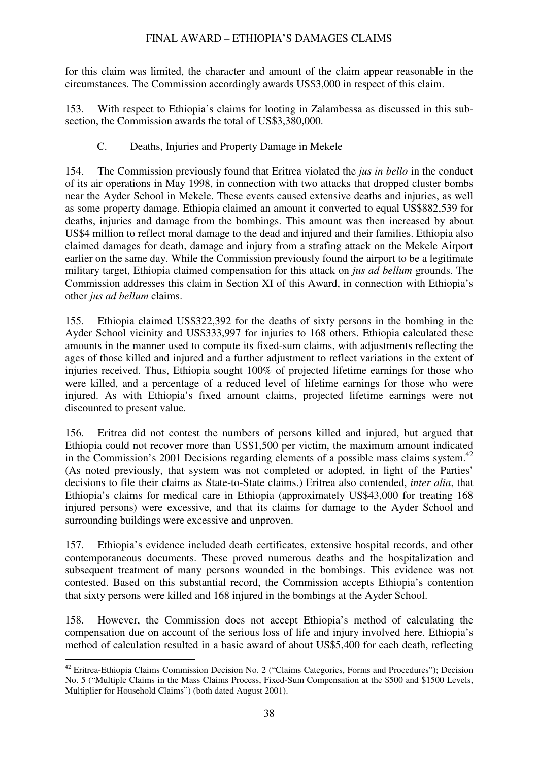for this claim was limited, the character and amount of the claim appear reasonable in the circumstances. The Commission accordingly awards US\$3,000 in respect of this claim.

153. With respect to Ethiopia's claims for looting in Zalambessa as discussed in this subsection, the Commission awards the total of US\$3,380,000.

## C. Deaths, Injuries and Property Damage in Mekele

154. The Commission previously found that Eritrea violated the *jus in bello* in the conduct of its air operations in May 1998, in connection with two attacks that dropped cluster bombs near the Ayder School in Mekele. These events caused extensive deaths and injuries, as well as some property damage. Ethiopia claimed an amount it converted to equal US\$882,539 for deaths, injuries and damage from the bombings. This amount was then increased by about US\$4 million to reflect moral damage to the dead and injured and their families. Ethiopia also claimed damages for death, damage and injury from a strafing attack on the Mekele Airport earlier on the same day. While the Commission previously found the airport to be a legitimate military target, Ethiopia claimed compensation for this attack on *jus ad bellum* grounds. The Commission addresses this claim in Section XI of this Award, in connection with Ethiopia's other *jus ad bellum* claims.

155. Ethiopia claimed US\$322,392 for the deaths of sixty persons in the bombing in the Ayder School vicinity and US\$333,997 for injuries to 168 others. Ethiopia calculated these amounts in the manner used to compute its fixed-sum claims, with adjustments reflecting the ages of those killed and injured and a further adjustment to reflect variations in the extent of injuries received. Thus, Ethiopia sought 100% of projected lifetime earnings for those who were killed, and a percentage of a reduced level of lifetime earnings for those who were injured. As with Ethiopia's fixed amount claims, projected lifetime earnings were not discounted to present value.

156. Eritrea did not contest the numbers of persons killed and injured, but argued that Ethiopia could not recover more than US\$1,500 per victim, the maximum amount indicated in the Commission's 2001 Decisions regarding elements of a possible mass claims system.<sup>42</sup> (As noted previously, that system was not completed or adopted, in light of the Parties' decisions to file their claims as State-to-State claims.) Eritrea also contended, *inter alia*, that Ethiopia's claims for medical care in Ethiopia (approximately US\$43,000 for treating 168 injured persons) were excessive, and that its claims for damage to the Ayder School and surrounding buildings were excessive and unproven.

157. Ethiopia's evidence included death certificates, extensive hospital records, and other contemporaneous documents. These proved numerous deaths and the hospitalization and subsequent treatment of many persons wounded in the bombings. This evidence was not contested. Based on this substantial record, the Commission accepts Ethiopia's contention that sixty persons were killed and 168 injured in the bombings at the Ayder School.

158. However, the Commission does not accept Ethiopia's method of calculating the compensation due on account of the serious loss of life and injury involved here. Ethiopia's method of calculation resulted in a basic award of about US\$5,400 for each death, reflecting

<sup>42</sup> Eritrea-Ethiopia Claims Commission Decision No. 2 ("Claims Categories, Forms and Procedures"); Decision No. 5 ("Multiple Claims in the Mass Claims Process, Fixed-Sum Compensation at the \$500 and \$1500 Levels, Multiplier for Household Claims") (both dated August 2001).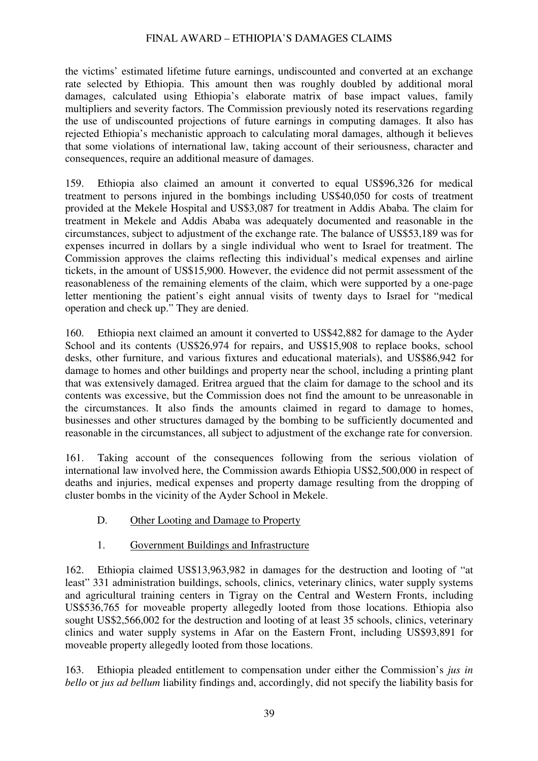the victims' estimated lifetime future earnings, undiscounted and converted at an exchange rate selected by Ethiopia. This amount then was roughly doubled by additional moral damages, calculated using Ethiopia's elaborate matrix of base impact values, family multipliers and severity factors. The Commission previously noted its reservations regarding the use of undiscounted projections of future earnings in computing damages. It also has rejected Ethiopia's mechanistic approach to calculating moral damages, although it believes that some violations of international law, taking account of their seriousness, character and consequences, require an additional measure of damages.

159. Ethiopia also claimed an amount it converted to equal US\$96,326 for medical treatment to persons injured in the bombings including US\$40,050 for costs of treatment provided at the Mekele Hospital and US\$3,087 for treatment in Addis Ababa. The claim for treatment in Mekele and Addis Ababa was adequately documented and reasonable in the circumstances, subject to adjustment of the exchange rate. The balance of US\$53,189 was for expenses incurred in dollars by a single individual who went to Israel for treatment. The Commission approves the claims reflecting this individual's medical expenses and airline tickets, in the amount of US\$15,900. However, the evidence did not permit assessment of the reasonableness of the remaining elements of the claim, which were supported by a one-page letter mentioning the patient's eight annual visits of twenty days to Israel for "medical operation and check up." They are denied.

160. Ethiopia next claimed an amount it converted to US\$42,882 for damage to the Ayder School and its contents (US\$26,974 for repairs, and US\$15,908 to replace books, school desks, other furniture, and various fixtures and educational materials), and US\$86,942 for damage to homes and other buildings and property near the school, including a printing plant that was extensively damaged. Eritrea argued that the claim for damage to the school and its contents was excessive, but the Commission does not find the amount to be unreasonable in the circumstances. It also finds the amounts claimed in regard to damage to homes, businesses and other structures damaged by the bombing to be sufficiently documented and reasonable in the circumstances, all subject to adjustment of the exchange rate for conversion.

161. Taking account of the consequences following from the serious violation of international law involved here, the Commission awards Ethiopia US\$2,500,000 in respect of deaths and injuries, medical expenses and property damage resulting from the dropping of cluster bombs in the vicinity of the Ayder School in Mekele.

D. Other Looting and Damage to Property

## 1. Government Buildings and Infrastructure

162. Ethiopia claimed US\$13,963,982 in damages for the destruction and looting of "at least" 331 administration buildings, schools, clinics, veterinary clinics, water supply systems and agricultural training centers in Tigray on the Central and Western Fronts, including US\$536,765 for moveable property allegedly looted from those locations. Ethiopia also sought US\$2,566,002 for the destruction and looting of at least 35 schools, clinics, veterinary clinics and water supply systems in Afar on the Eastern Front, including US\$93,891 for moveable property allegedly looted from those locations.

163. Ethiopia pleaded entitlement to compensation under either the Commission's *jus in bello* or *jus ad bellum* liability findings and, accordingly, did not specify the liability basis for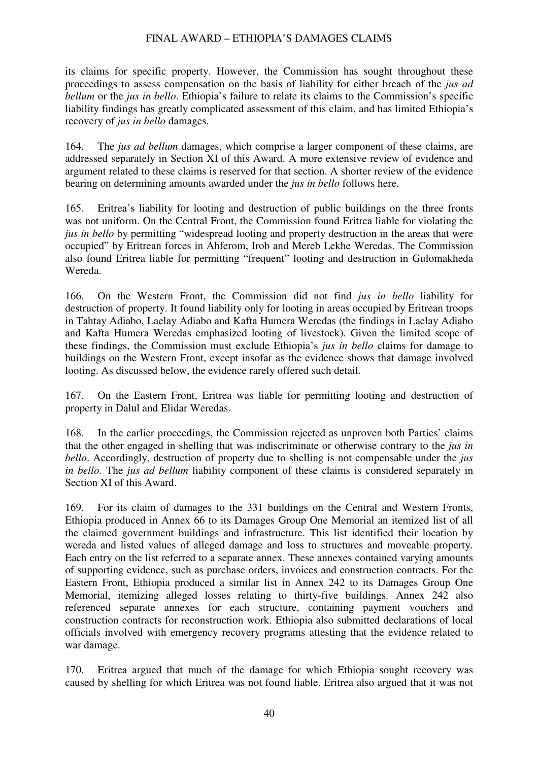its claims for specific property. However, the Commission has sought throughout these proceedings to assess compensation on the basis of liability for either breach of the *jus ad bellum* or the *jus in bello*. Ethiopia's failure to relate its claims to the Commission's specific liability findings has greatly complicated assessment of this claim, and has limited Ethiopia's recovery of *jus in bello* damages.

164. The *jus ad bellum* damages, which comprise a larger component of these claims, are addressed separately in Section XI of this Award. A more extensive review of evidence and argument related to these claims is reserved for that section. A shorter review of the evidence bearing on determining amounts awarded under the *jus in bello* follows here.

165. Eritrea's liability for looting and destruction of public buildings on the three fronts was not uniform. On the Central Front, the Commission found Eritrea liable for violating the *jus in bello* by permitting "widespread looting and property destruction in the areas that were occupied" by Eritrean forces in Ahferom, Irob and Mereb Lekhe Weredas. The Commission also found Eritrea liable for permitting "frequent" looting and destruction in Gulomakheda Wereda.

166. On the Western Front, the Commission did not find *jus in bello* liability for destruction of property. It found liability only for looting in areas occupied by Eritrean troops in Tahtay Adiabo, Laelay Adiabo and Kafta Humera Weredas (the findings in Laelay Adiabo and Kafta Humera Weredas emphasized looting of livestock). Given the limited scope of these findings, the Commission must exclude Ethiopia's *jus in bello* claims for damage to buildings on the Western Front, except insofar as the evidence shows that damage involved looting. As discussed below, the evidence rarely offered such detail.

167. On the Eastern Front, Eritrea was liable for permitting looting and destruction of property in Dalul and Elidar Weredas.

168. In the earlier proceedings, the Commission rejected as unproven both Parties' claims that the other engaged in shelling that was indiscriminate or otherwise contrary to the *jus in bello*. Accordingly, destruction of property due to shelling is not compensable under the *jus in bello*. The *jus ad bellum* liability component of these claims is considered separately in Section XI of this Award.

169. For its claim of damages to the 331 buildings on the Central and Western Fronts, Ethiopia produced in Annex 66 to its Damages Group One Memorial an itemized list of all the claimed government buildings and infrastructure. This list identified their location by wereda and listed values of alleged damage and loss to structures and moveable property. Each entry on the list referred to a separate annex. These annexes contained varying amounts of supporting evidence, such as purchase orders, invoices and construction contracts. For the Eastern Front, Ethiopia produced a similar list in Annex 242 to its Damages Group One Memorial, itemizing alleged losses relating to thirty-five buildings. Annex 242 also referenced separate annexes for each structure, containing payment vouchers and construction contracts for reconstruction work. Ethiopia also submitted declarations of local officials involved with emergency recovery programs attesting that the evidence related to war damage.

170. Eritrea argued that much of the damage for which Ethiopia sought recovery was caused by shelling for which Eritrea was not found liable. Eritrea also argued that it was not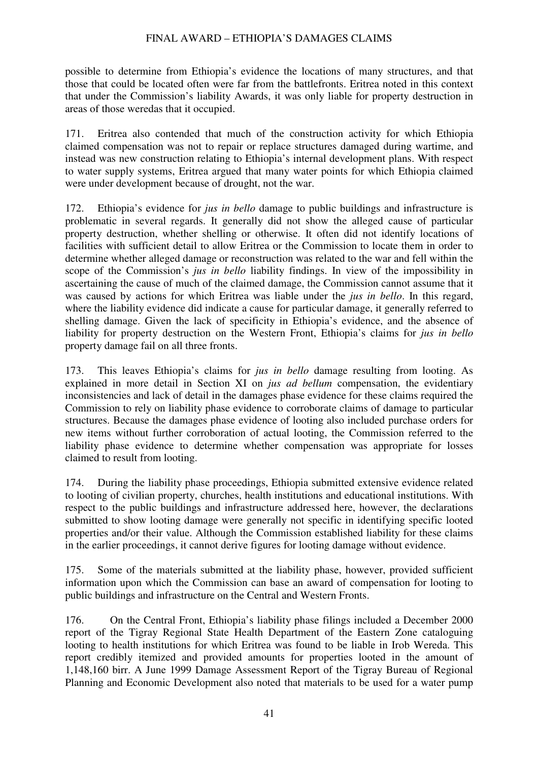possible to determine from Ethiopia's evidence the locations of many structures, and that those that could be located often were far from the battlefronts. Eritrea noted in this context that under the Commission's liability Awards, it was only liable for property destruction in areas of those weredas that it occupied.

171. Eritrea also contended that much of the construction activity for which Ethiopia claimed compensation was not to repair or replace structures damaged during wartime, and instead was new construction relating to Ethiopia's internal development plans. With respect to water supply systems, Eritrea argued that many water points for which Ethiopia claimed were under development because of drought, not the war.

172. Ethiopia's evidence for *jus in bello* damage to public buildings and infrastructure is problematic in several regards. It generally did not show the alleged cause of particular property destruction, whether shelling or otherwise. It often did not identify locations of facilities with sufficient detail to allow Eritrea or the Commission to locate them in order to determine whether alleged damage or reconstruction was related to the war and fell within the scope of the Commission's *jus in bello* liability findings. In view of the impossibility in ascertaining the cause of much of the claimed damage, the Commission cannot assume that it was caused by actions for which Eritrea was liable under the *jus in bello*. In this regard, where the liability evidence did indicate a cause for particular damage, it generally referred to shelling damage. Given the lack of specificity in Ethiopia's evidence, and the absence of liability for property destruction on the Western Front, Ethiopia's claims for *jus in bello* property damage fail on all three fronts.

173. This leaves Ethiopia's claims for *jus in bello* damage resulting from looting. As explained in more detail in Section XI on *jus ad bellum* compensation, the evidentiary inconsistencies and lack of detail in the damages phase evidence for these claims required the Commission to rely on liability phase evidence to corroborate claims of damage to particular structures. Because the damages phase evidence of looting also included purchase orders for new items without further corroboration of actual looting, the Commission referred to the liability phase evidence to determine whether compensation was appropriate for losses claimed to result from looting.

174. During the liability phase proceedings, Ethiopia submitted extensive evidence related to looting of civilian property, churches, health institutions and educational institutions. With respect to the public buildings and infrastructure addressed here, however, the declarations submitted to show looting damage were generally not specific in identifying specific looted properties and/or their value. Although the Commission established liability for these claims in the earlier proceedings, it cannot derive figures for looting damage without evidence.

175. Some of the materials submitted at the liability phase, however, provided sufficient information upon which the Commission can base an award of compensation for looting to public buildings and infrastructure on the Central and Western Fronts.

176. On the Central Front, Ethiopia's liability phase filings included a December 2000 report of the Tigray Regional State Health Department of the Eastern Zone cataloguing looting to health institutions for which Eritrea was found to be liable in Irob Wereda. This report credibly itemized and provided amounts for properties looted in the amount of 1,148,160 birr. A June 1999 Damage Assessment Report of the Tigray Bureau of Regional Planning and Economic Development also noted that materials to be used for a water pump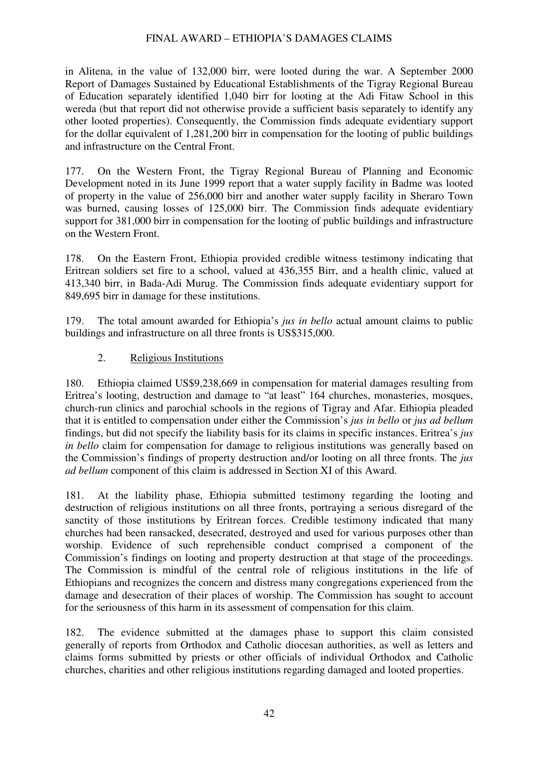in Alitena, in the value of 132,000 birr, were looted during the war. A September 2000 Report of Damages Sustained by Educational Establishments of the Tigray Regional Bureau of Education separately identified 1,040 birr for looting at the Adi Fitaw School in this wereda (but that report did not otherwise provide a sufficient basis separately to identify any other looted properties). Consequently, the Commission finds adequate evidentiary support for the dollar equivalent of 1,281,200 birr in compensation for the looting of public buildings and infrastructure on the Central Front.

177. On the Western Front, the Tigray Regional Bureau of Planning and Economic Development noted in its June 1999 report that a water supply facility in Badme was looted of property in the value of 256,000 birr and another water supply facility in Sheraro Town was burned, causing losses of 125,000 birr. The Commission finds adequate evidentiary support for 381,000 birr in compensation for the looting of public buildings and infrastructure on the Western Front.

178. On the Eastern Front, Ethiopia provided credible witness testimony indicating that Eritrean soldiers set fire to a school, valued at 436,355 Birr, and a health clinic, valued at 413,340 birr, in Bada-Adi Murug. The Commission finds adequate evidentiary support for 849,695 birr in damage for these institutions.

179. The total amount awarded for Ethiopia's *jus in bello* actual amount claims to public buildings and infrastructure on all three fronts is US\$315,000.

## 2. Religious Institutions

180. Ethiopia claimed US\$9,238,669 in compensation for material damages resulting from Eritrea's looting, destruction and damage to "at least" 164 churches, monasteries, mosques, church-run clinics and parochial schools in the regions of Tigray and Afar. Ethiopia pleaded that it is entitled to compensation under either the Commission's *jus in bello* or *jus ad bellum* findings, but did not specify the liability basis for its claims in specific instances. Eritrea's *jus in bello* claim for compensation for damage to religious institutions was generally based on the Commission's findings of property destruction and/or looting on all three fronts. The *jus ad bellum* component of this claim is addressed in Section XI of this Award.

181. At the liability phase, Ethiopia submitted testimony regarding the looting and destruction of religious institutions on all three fronts, portraying a serious disregard of the sanctity of those institutions by Eritrean forces. Credible testimony indicated that many churches had been ransacked, desecrated, destroyed and used for various purposes other than worship. Evidence of such reprehensible conduct comprised a component of the Commission's findings on looting and property destruction at that stage of the proceedings. The Commission is mindful of the central role of religious institutions in the life of Ethiopians and recognizes the concern and distress many congregations experienced from the damage and desecration of their places of worship. The Commission has sought to account for the seriousness of this harm in its assessment of compensation for this claim.

182. The evidence submitted at the damages phase to support this claim consisted generally of reports from Orthodox and Catholic diocesan authorities, as well as letters and claims forms submitted by priests or other officials of individual Orthodox and Catholic churches, charities and other religious institutions regarding damaged and looted properties.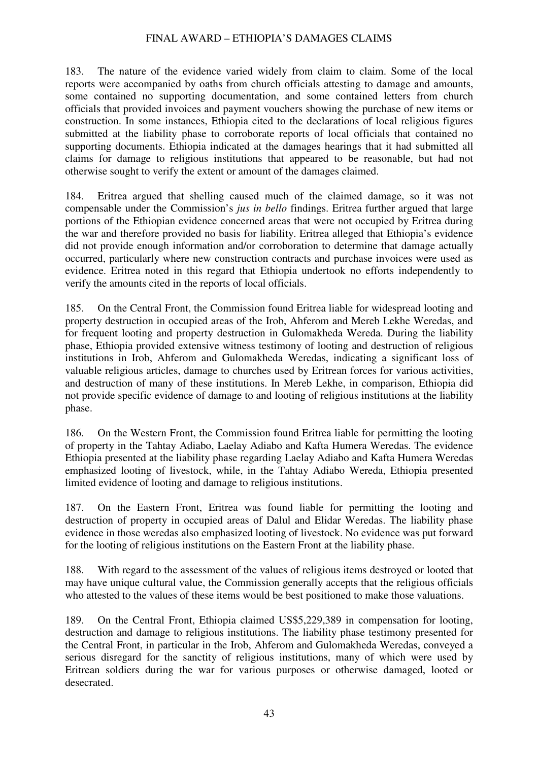183. The nature of the evidence varied widely from claim to claim. Some of the local reports were accompanied by oaths from church officials attesting to damage and amounts, some contained no supporting documentation, and some contained letters from church officials that provided invoices and payment vouchers showing the purchase of new items or construction. In some instances, Ethiopia cited to the declarations of local religious figures submitted at the liability phase to corroborate reports of local officials that contained no supporting documents. Ethiopia indicated at the damages hearings that it had submitted all claims for damage to religious institutions that appeared to be reasonable, but had not otherwise sought to verify the extent or amount of the damages claimed.

184. Eritrea argued that shelling caused much of the claimed damage, so it was not compensable under the Commission's *jus in bello* findings. Eritrea further argued that large portions of the Ethiopian evidence concerned areas that were not occupied by Eritrea during the war and therefore provided no basis for liability. Eritrea alleged that Ethiopia's evidence did not provide enough information and/or corroboration to determine that damage actually occurred, particularly where new construction contracts and purchase invoices were used as evidence. Eritrea noted in this regard that Ethiopia undertook no efforts independently to verify the amounts cited in the reports of local officials.

185. On the Central Front, the Commission found Eritrea liable for widespread looting and property destruction in occupied areas of the Irob, Ahferom and Mereb Lekhe Weredas, and for frequent looting and property destruction in Gulomakheda Wereda. During the liability phase, Ethiopia provided extensive witness testimony of looting and destruction of religious institutions in Irob, Ahferom and Gulomakheda Weredas, indicating a significant loss of valuable religious articles, damage to churches used by Eritrean forces for various activities, and destruction of many of these institutions. In Mereb Lekhe, in comparison, Ethiopia did not provide specific evidence of damage to and looting of religious institutions at the liability phase.

186. On the Western Front, the Commission found Eritrea liable for permitting the looting of property in the Tahtay Adiabo, Laelay Adiabo and Kafta Humera Weredas. The evidence Ethiopia presented at the liability phase regarding Laelay Adiabo and Kafta Humera Weredas emphasized looting of livestock, while, in the Tahtay Adiabo Wereda, Ethiopia presented limited evidence of looting and damage to religious institutions.

187. On the Eastern Front, Eritrea was found liable for permitting the looting and destruction of property in occupied areas of Dalul and Elidar Weredas. The liability phase evidence in those weredas also emphasized looting of livestock. No evidence was put forward for the looting of religious institutions on the Eastern Front at the liability phase.

188. With regard to the assessment of the values of religious items destroyed or looted that may have unique cultural value, the Commission generally accepts that the religious officials who attested to the values of these items would be best positioned to make those valuations.

189. On the Central Front, Ethiopia claimed US\$5,229,389 in compensation for looting, destruction and damage to religious institutions. The liability phase testimony presented for the Central Front, in particular in the Irob, Ahferom and Gulomakheda Weredas, conveyed a serious disregard for the sanctity of religious institutions, many of which were used by Eritrean soldiers during the war for various purposes or otherwise damaged, looted or desecrated.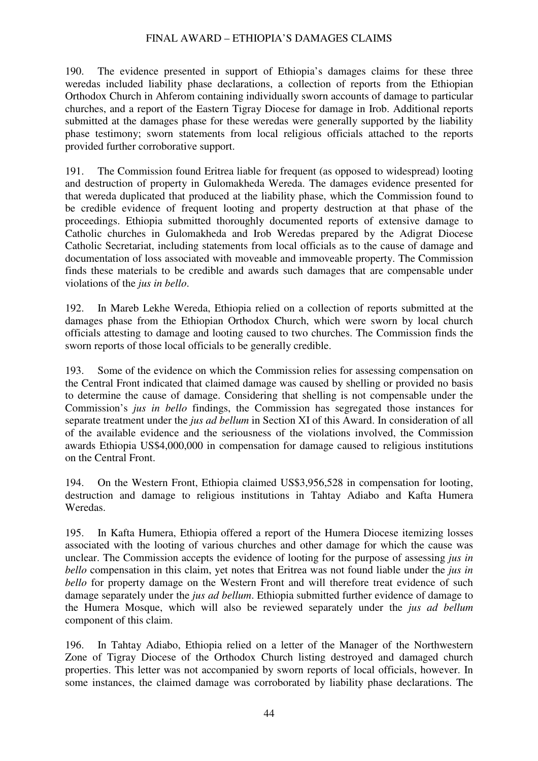190. The evidence presented in support of Ethiopia's damages claims for these three weredas included liability phase declarations, a collection of reports from the Ethiopian Orthodox Church in Ahferom containing individually sworn accounts of damage to particular churches, and a report of the Eastern Tigray Diocese for damage in Irob. Additional reports submitted at the damages phase for these weredas were generally supported by the liability phase testimony; sworn statements from local religious officials attached to the reports provided further corroborative support.

191. The Commission found Eritrea liable for frequent (as opposed to widespread) looting and destruction of property in Gulomakheda Wereda. The damages evidence presented for that wereda duplicated that produced at the liability phase, which the Commission found to be credible evidence of frequent looting and property destruction at that phase of the proceedings. Ethiopia submitted thoroughly documented reports of extensive damage to Catholic churches in Gulomakheda and Irob Weredas prepared by the Adigrat Diocese Catholic Secretariat, including statements from local officials as to the cause of damage and documentation of loss associated with moveable and immoveable property. The Commission finds these materials to be credible and awards such damages that are compensable under violations of the *jus in bello*.

192. In Mareb Lekhe Wereda, Ethiopia relied on a collection of reports submitted at the damages phase from the Ethiopian Orthodox Church, which were sworn by local church officials attesting to damage and looting caused to two churches. The Commission finds the sworn reports of those local officials to be generally credible.

193. Some of the evidence on which the Commission relies for assessing compensation on the Central Front indicated that claimed damage was caused by shelling or provided no basis to determine the cause of damage. Considering that shelling is not compensable under the Commission's *jus in bello* findings, the Commission has segregated those instances for separate treatment under the *jus ad bellum* in Section XI of this Award. In consideration of all of the available evidence and the seriousness of the violations involved, the Commission awards Ethiopia US\$4,000,000 in compensation for damage caused to religious institutions on the Central Front.

194. On the Western Front, Ethiopia claimed US\$3,956,528 in compensation for looting, destruction and damage to religious institutions in Tahtay Adiabo and Kafta Humera Weredas.

195. In Kafta Humera, Ethiopia offered a report of the Humera Diocese itemizing losses associated with the looting of various churches and other damage for which the cause was unclear. The Commission accepts the evidence of looting for the purpose of assessing *jus in bello* compensation in this claim, yet notes that Eritrea was not found liable under the *jus in bello* for property damage on the Western Front and will therefore treat evidence of such damage separately under the *jus ad bellum*. Ethiopia submitted further evidence of damage to the Humera Mosque, which will also be reviewed separately under the *jus ad bellum* component of this claim.

196. In Tahtay Adiabo, Ethiopia relied on a letter of the Manager of the Northwestern Zone of Tigray Diocese of the Orthodox Church listing destroyed and damaged church properties. This letter was not accompanied by sworn reports of local officials, however. In some instances, the claimed damage was corroborated by liability phase declarations. The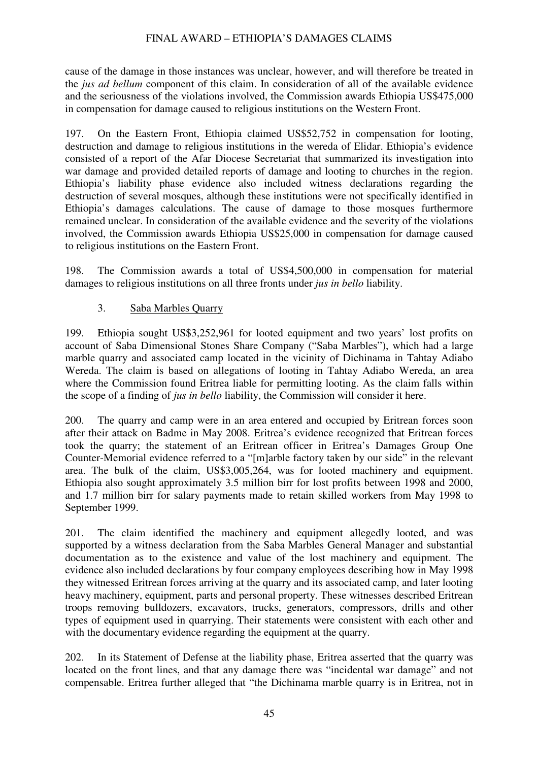cause of the damage in those instances was unclear, however, and will therefore be treated in the *jus ad bellum* component of this claim. In consideration of all of the available evidence and the seriousness of the violations involved, the Commission awards Ethiopia US\$475,000 in compensation for damage caused to religious institutions on the Western Front.

197. On the Eastern Front, Ethiopia claimed US\$52,752 in compensation for looting, destruction and damage to religious institutions in the wereda of Elidar. Ethiopia's evidence consisted of a report of the Afar Diocese Secretariat that summarized its investigation into war damage and provided detailed reports of damage and looting to churches in the region. Ethiopia's liability phase evidence also included witness declarations regarding the destruction of several mosques, although these institutions were not specifically identified in Ethiopia's damages calculations. The cause of damage to those mosques furthermore remained unclear. In consideration of the available evidence and the severity of the violations involved, the Commission awards Ethiopia US\$25,000 in compensation for damage caused to religious institutions on the Eastern Front.

198. The Commission awards a total of US\$4,500,000 in compensation for material damages to religious institutions on all three fronts under *jus in bello* liability.

## 3. Saba Marbles Quarry

199. Ethiopia sought US\$3,252,961 for looted equipment and two years' lost profits on account of Saba Dimensional Stones Share Company ("Saba Marbles"), which had a large marble quarry and associated camp located in the vicinity of Dichinama in Tahtay Adiabo Wereda. The claim is based on allegations of looting in Tahtay Adiabo Wereda, an area where the Commission found Eritrea liable for permitting looting. As the claim falls within the scope of a finding of *jus in bello* liability, the Commission will consider it here.

200. The quarry and camp were in an area entered and occupied by Eritrean forces soon after their attack on Badme in May 2008. Eritrea's evidence recognized that Eritrean forces took the quarry; the statement of an Eritrean officer in Eritrea's Damages Group One Counter-Memorial evidence referred to a "[m]arble factory taken by our side" in the relevant area. The bulk of the claim, US\$3,005,264, was for looted machinery and equipment. Ethiopia also sought approximately 3.5 million birr for lost profits between 1998 and 2000, and 1.7 million birr for salary payments made to retain skilled workers from May 1998 to September 1999.

201. The claim identified the machinery and equipment allegedly looted, and was supported by a witness declaration from the Saba Marbles General Manager and substantial documentation as to the existence and value of the lost machinery and equipment. The evidence also included declarations by four company employees describing how in May 1998 they witnessed Eritrean forces arriving at the quarry and its associated camp, and later looting heavy machinery, equipment, parts and personal property. These witnesses described Eritrean troops removing bulldozers, excavators, trucks, generators, compressors, drills and other types of equipment used in quarrying. Their statements were consistent with each other and with the documentary evidence regarding the equipment at the quarry.

202. In its Statement of Defense at the liability phase, Eritrea asserted that the quarry was located on the front lines, and that any damage there was "incidental war damage" and not compensable. Eritrea further alleged that "the Dichinama marble quarry is in Eritrea, not in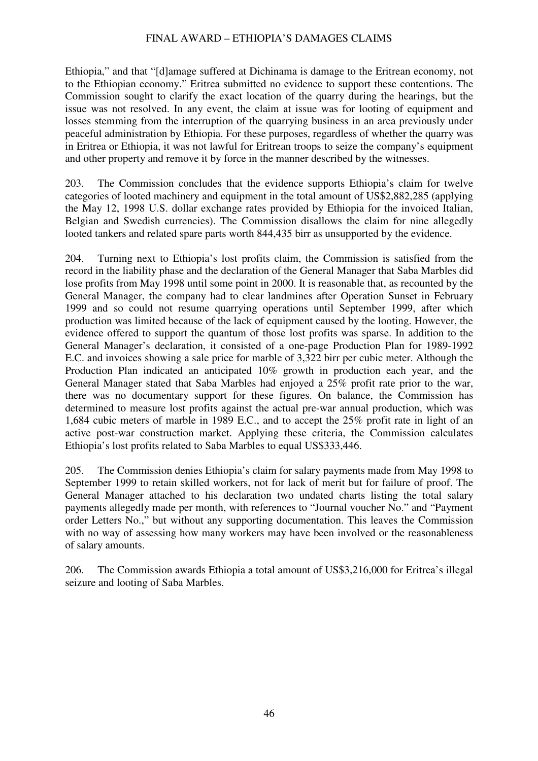Ethiopia," and that "[d]amage suffered at Dichinama is damage to the Eritrean economy, not to the Ethiopian economy." Eritrea submitted no evidence to support these contentions. The Commission sought to clarify the exact location of the quarry during the hearings, but the issue was not resolved. In any event, the claim at issue was for looting of equipment and losses stemming from the interruption of the quarrying business in an area previously under peaceful administration by Ethiopia. For these purposes, regardless of whether the quarry was in Eritrea or Ethiopia, it was not lawful for Eritrean troops to seize the company's equipment and other property and remove it by force in the manner described by the witnesses.

203. The Commission concludes that the evidence supports Ethiopia's claim for twelve categories of looted machinery and equipment in the total amount of US\$2,882,285 (applying the May 12, 1998 U.S. dollar exchange rates provided by Ethiopia for the invoiced Italian, Belgian and Swedish currencies). The Commission disallows the claim for nine allegedly looted tankers and related spare parts worth 844,435 birr as unsupported by the evidence.

204. Turning next to Ethiopia's lost profits claim, the Commission is satisfied from the record in the liability phase and the declaration of the General Manager that Saba Marbles did lose profits from May 1998 until some point in 2000. It is reasonable that, as recounted by the General Manager, the company had to clear landmines after Operation Sunset in February 1999 and so could not resume quarrying operations until September 1999, after which production was limited because of the lack of equipment caused by the looting. However, the evidence offered to support the quantum of those lost profits was sparse. In addition to the General Manager's declaration, it consisted of a one-page Production Plan for 1989-1992 E.C. and invoices showing a sale price for marble of 3,322 birr per cubic meter. Although the Production Plan indicated an anticipated 10% growth in production each year, and the General Manager stated that Saba Marbles had enjoyed a 25% profit rate prior to the war, there was no documentary support for these figures. On balance, the Commission has determined to measure lost profits against the actual pre-war annual production, which was 1,684 cubic meters of marble in 1989 E.C., and to accept the 25% profit rate in light of an active post-war construction market. Applying these criteria, the Commission calculates Ethiopia's lost profits related to Saba Marbles to equal US\$333,446.

205. The Commission denies Ethiopia's claim for salary payments made from May 1998 to September 1999 to retain skilled workers, not for lack of merit but for failure of proof. The General Manager attached to his declaration two undated charts listing the total salary payments allegedly made per month, with references to "Journal voucher No." and "Payment order Letters No.," but without any supporting documentation. This leaves the Commission with no way of assessing how many workers may have been involved or the reasonableness of salary amounts.

206. The Commission awards Ethiopia a total amount of US\$3,216,000 for Eritrea's illegal seizure and looting of Saba Marbles.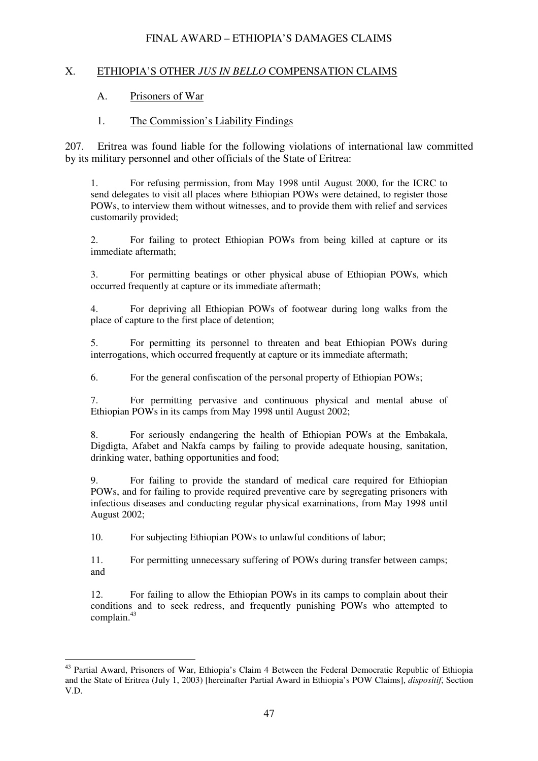#### X. ETHIOPIA'S OTHER *JUS IN BELLO* COMPENSATION CLAIMS

#### A. Prisoners of War

#### 1. The Commission's Liability Findings

207. Eritrea was found liable for the following violations of international law committed by its military personnel and other officials of the State of Eritrea:

1. For refusing permission, from May 1998 until August 2000, for the ICRC to send delegates to visit all places where Ethiopian POWs were detained, to register those POWs, to interview them without witnesses, and to provide them with relief and services customarily provided;

2. For failing to protect Ethiopian POWs from being killed at capture or its immediate aftermath;

3. For permitting beatings or other physical abuse of Ethiopian POWs, which occurred frequently at capture or its immediate aftermath;

4. For depriving all Ethiopian POWs of footwear during long walks from the place of capture to the first place of detention;

5. For permitting its personnel to threaten and beat Ethiopian POWs during interrogations, which occurred frequently at capture or its immediate aftermath;

6. For the general confiscation of the personal property of Ethiopian POWs;

7. For permitting pervasive and continuous physical and mental abuse of Ethiopian POWs in its camps from May 1998 until August 2002;

8. For seriously endangering the health of Ethiopian POWs at the Embakala, Digdigta, Afabet and Nakfa camps by failing to provide adequate housing, sanitation, drinking water, bathing opportunities and food;

9. For failing to provide the standard of medical care required for Ethiopian POWs, and for failing to provide required preventive care by segregating prisoners with infectious diseases and conducting regular physical examinations, from May 1998 until August 2002;

10. For subjecting Ethiopian POWs to unlawful conditions of labor;

11. For permitting unnecessary suffering of POWs during transfer between camps; and

12. For failing to allow the Ethiopian POWs in its camps to complain about their conditions and to seek redress, and frequently punishing POWs who attempted to complain. 43

<sup>&</sup>lt;sup>43</sup> Partial Award, Prisoners of War, Ethiopia's Claim 4 Between the Federal Democratic Republic of Ethiopia and the State of Eritrea (July 1, 2003) [hereinafter Partial Award in Ethiopia's POW Claims], *dispositif*, Section V.D.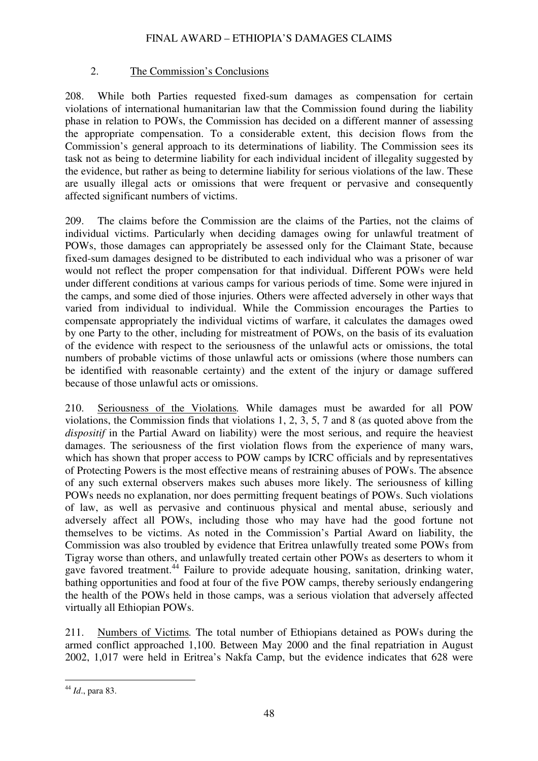#### 2. The Commission's Conclusions

208. While both Parties requested fixed-sum damages as compensation for certain violations of international humanitarian law that the Commission found during the liability phase in relation to POWs, the Commission has decided on a different manner of assessing the appropriate compensation. To a considerable extent, this decision flows from the Commission's general approach to its determinations of liability. The Commission sees its task not as being to determine liability for each individual incident of illegality suggested by the evidence, but rather as being to determine liability for serious violations of the law. These are usually illegal acts or omissions that were frequent or pervasive and consequently affected significant numbers of victims.

209. The claims before the Commission are the claims of the Parties, not the claims of individual victims. Particularly when deciding damages owing for unlawful treatment of POWs, those damages can appropriately be assessed only for the Claimant State, because fixed-sum damages designed to be distributed to each individual who was a prisoner of war would not reflect the proper compensation for that individual. Different POWs were held under different conditions at various camps for various periods of time. Some were injured in the camps, and some died of those injuries. Others were affected adversely in other ways that varied from individual to individual. While the Commission encourages the Parties to compensate appropriately the individual victims of warfare, it calculates the damages owed by one Party to the other, including for mistreatment of POWs, on the basis of its evaluation of the evidence with respect to the seriousness of the unlawful acts or omissions, the total numbers of probable victims of those unlawful acts or omissions (where those numbers can be identified with reasonable certainty) and the extent of the injury or damage suffered because of those unlawful acts or omissions.

210. Seriousness of the Violations*.* While damages must be awarded for all POW violations, the Commission finds that violations 1, 2, 3, 5, 7 and 8 (as quoted above from the *dispositif* in the Partial Award on liability) were the most serious, and require the heaviest damages. The seriousness of the first violation flows from the experience of many wars, which has shown that proper access to POW camps by ICRC officials and by representatives of Protecting Powers is the most effective means of restraining abuses of POWs. The absence of any such external observers makes such abuses more likely. The seriousness of killing POWs needs no explanation, nor does permitting frequent beatings of POWs. Such violations of law, as well as pervasive and continuous physical and mental abuse, seriously and adversely affect all POWs, including those who may have had the good fortune not themselves to be victims. As noted in the Commission's Partial Award on liability, the Commission was also troubled by evidence that Eritrea unlawfully treated some POWs from Tigray worse than others, and unlawfully treated certain other POWs as deserters to whom it gave favored treatment.<sup>44</sup> Failure to provide adequate housing, sanitation, drinking water, bathing opportunities and food at four of the five POW camps, thereby seriously endangering the health of the POWs held in those camps, was a serious violation that adversely affected virtually all Ethiopian POWs.

211. Numbers of Victims*.* The total number of Ethiopians detained as POWs during the armed conflict approached 1,100. Between May 2000 and the final repatriation in August 2002, 1,017 were held in Eritrea's Nakfa Camp, but the evidence indicates that 628 were

<sup>44</sup> *Id*., para 83.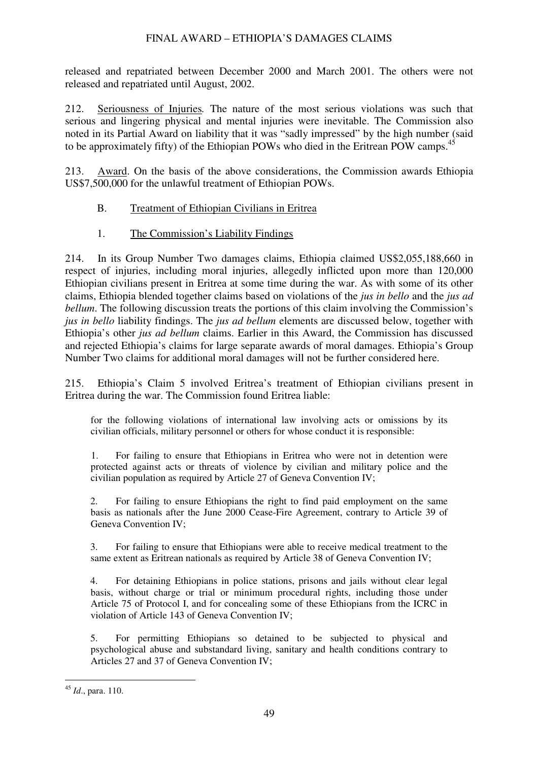released and repatriated between December 2000 and March 2001. The others were not released and repatriated until August, 2002.

212. Seriousness of Injuries*.* The nature of the most serious violations was such that serious and lingering physical and mental injuries were inevitable. The Commission also noted in its Partial Award on liability that it was "sadly impressed" by the high number (said to be approximately fifty) of the Ethiopian POWs who died in the Eritrean POW camps.<sup>45</sup>

213. Award. On the basis of the above considerations, the Commission awards Ethiopia US\$7,500,000 for the unlawful treatment of Ethiopian POWs.

## B. Treatment of Ethiopian Civilians in Eritrea

## 1. The Commission's Liability Findings

214. In its Group Number Two damages claims, Ethiopia claimed US\$2,055,188,660 in respect of injuries, including moral injuries, allegedly inflicted upon more than 120,000 Ethiopian civilians present in Eritrea at some time during the war. As with some of its other claims, Ethiopia blended together claims based on violations of the *jus in bello* and the *jus ad bellum*. The following discussion treats the portions of this claim involving the Commission's *jus in bello* liability findings. The *jus ad bellum* elements are discussed below, together with Ethiopia's other *jus ad bellum* claims. Earlier in this Award, the Commission has discussed and rejected Ethiopia's claims for large separate awards of moral damages. Ethiopia's Group Number Two claims for additional moral damages will not be further considered here.

215. Ethiopia's Claim 5 involved Eritrea's treatment of Ethiopian civilians present in Eritrea during the war. The Commission found Eritrea liable:

for the following violations of international law involving acts or omissions by its civilian officials, military personnel or others for whose conduct it is responsible:

1. For failing to ensure that Ethiopians in Eritrea who were not in detention were protected against acts or threats of violence by civilian and military police and the civilian population as required by Article 27 of Geneva Convention IV;

2. For failing to ensure Ethiopians the right to find paid employment on the same basis as nationals after the June 2000 Cease-Fire Agreement, contrary to Article 39 of Geneva Convention IV;

3. For failing to ensure that Ethiopians were able to receive medical treatment to the same extent as Eritrean nationals as required by Article 38 of Geneva Convention IV;

4. For detaining Ethiopians in police stations, prisons and jails without clear legal basis, without charge or trial or minimum procedural rights, including those under Article 75 of Protocol I, and for concealing some of these Ethiopians from the ICRC in violation of Article 143 of Geneva Convention IV;

5. For permitting Ethiopians so detained to be subjected to physical and psychological abuse and substandard living, sanitary and health conditions contrary to Articles 27 and 37 of Geneva Convention IV;

<sup>45</sup> *Id*., para. 110.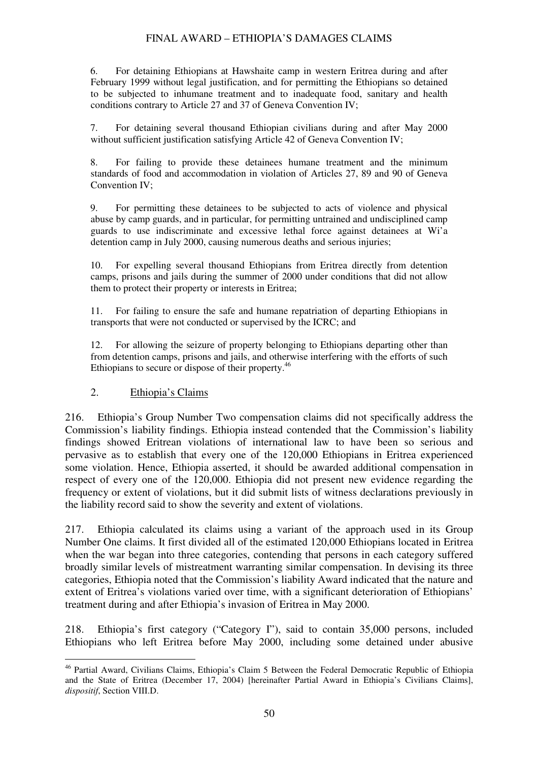6. For detaining Ethiopians at Hawshaite camp in western Eritrea during and after February 1999 without legal justification, and for permitting the Ethiopians so detained to be subjected to inhumane treatment and to inadequate food, sanitary and health conditions contrary to Article 27 and 37 of Geneva Convention IV;

7. For detaining several thousand Ethiopian civilians during and after May 2000 without sufficient justification satisfying Article 42 of Geneva Convention IV;

8. For failing to provide these detainees humane treatment and the minimum standards of food and accommodation in violation of Articles 27, 89 and 90 of Geneva Convention IV;

9. For permitting these detainees to be subjected to acts of violence and physical abuse by camp guards, and in particular, for permitting untrained and undisciplined camp guards to use indiscriminate and excessive lethal force against detainees at Wi'a detention camp in July 2000, causing numerous deaths and serious injuries;

10. For expelling several thousand Ethiopians from Eritrea directly from detention camps, prisons and jails during the summer of 2000 under conditions that did not allow them to protect their property or interests in Eritrea;

11. For failing to ensure the safe and humane repatriation of departing Ethiopians in transports that were not conducted or supervised by the ICRC; and

12. For allowing the seizure of property belonging to Ethiopians departing other than from detention camps, prisons and jails, and otherwise interfering with the efforts of such Ethiopians to secure or dispose of their property.<sup>46</sup>

#### 2. Ethiopia's Claims

216. Ethiopia's Group Number Two compensation claims did not specifically address the Commission's liability findings. Ethiopia instead contended that the Commission's liability findings showed Eritrean violations of international law to have been so serious and pervasive as to establish that every one of the 120,000 Ethiopians in Eritrea experienced some violation. Hence, Ethiopia asserted, it should be awarded additional compensation in respect of every one of the 120,000. Ethiopia did not present new evidence regarding the frequency or extent of violations, but it did submit lists of witness declarations previously in the liability record said to show the severity and extent of violations.

217. Ethiopia calculated its claims using a variant of the approach used in its Group Number One claims. It first divided all of the estimated 120,000 Ethiopians located in Eritrea when the war began into three categories, contending that persons in each category suffered broadly similar levels of mistreatment warranting similar compensation. In devising its three categories, Ethiopia noted that the Commission's liability Award indicated that the nature and extent of Eritrea's violations varied over time, with a significant deterioration of Ethiopians' treatment during and after Ethiopia's invasion of Eritrea in May 2000.

218. Ethiopia's first category ("Category I"), said to contain 35,000 persons, included Ethiopians who left Eritrea before May 2000, including some detained under abusive

<sup>&</sup>lt;sup>46</sup> Partial Award, Civilians Claims, Ethiopia's Claim 5 Between the Federal Democratic Republic of Ethiopia and the State of Eritrea (December 17, 2004) [hereinafter Partial Award in Ethiopia's Civilians Claims], *dispositif*, Section VIII.D.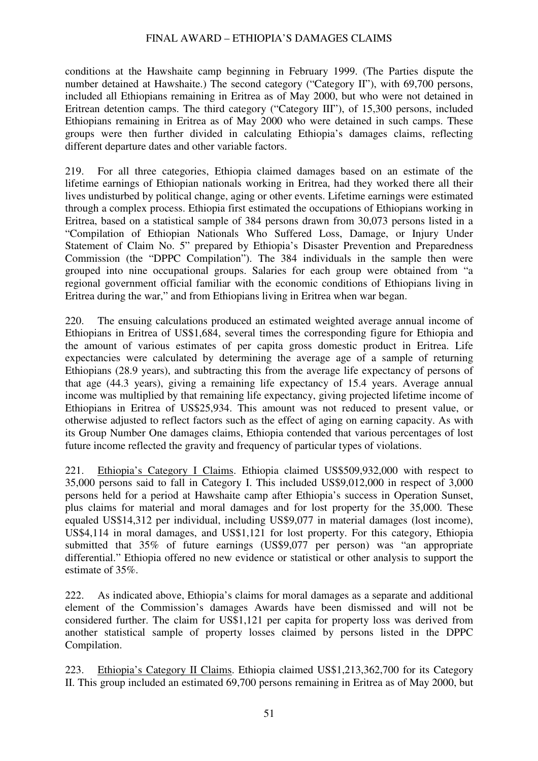conditions at the Hawshaite camp beginning in February 1999. (The Parties dispute the number detained at Hawshaite.) The second category ("Category II"), with 69,700 persons, included all Ethiopians remaining in Eritrea as of May 2000, but who were not detained in Eritrean detention camps. The third category ("Category III"), of 15,300 persons, included Ethiopians remaining in Eritrea as of May 2000 who were detained in such camps. These groups were then further divided in calculating Ethiopia's damages claims, reflecting different departure dates and other variable factors.

219. For all three categories, Ethiopia claimed damages based on an estimate of the lifetime earnings of Ethiopian nationals working in Eritrea, had they worked there all their lives undisturbed by political change, aging or other events. Lifetime earnings were estimated through a complex process. Ethiopia first estimated the occupations of Ethiopians working in Eritrea, based on a statistical sample of 384 persons drawn from 30,073 persons listed in a "Compilation of Ethiopian Nationals Who Suffered Loss, Damage, or Injury Under Statement of Claim No. 5" prepared by Ethiopia's Disaster Prevention and Preparedness Commission (the "DPPC Compilation"). The 384 individuals in the sample then were grouped into nine occupational groups. Salaries for each group were obtained from "a regional government official familiar with the economic conditions of Ethiopians living in Eritrea during the war," and from Ethiopians living in Eritrea when war began.

220. The ensuing calculations produced an estimated weighted average annual income of Ethiopians in Eritrea of US\$1,684, several times the corresponding figure for Ethiopia and the amount of various estimates of per capita gross domestic product in Eritrea. Life expectancies were calculated by determining the average age of a sample of returning Ethiopians (28.9 years), and subtracting this from the average life expectancy of persons of that age (44.3 years), giving a remaining life expectancy of 15.4 years. Average annual income was multiplied by that remaining life expectancy, giving projected lifetime income of Ethiopians in Eritrea of US\$25,934. This amount was not reduced to present value, or otherwise adjusted to reflect factors such as the effect of aging on earning capacity. As with its Group Number One damages claims, Ethiopia contended that various percentages of lost future income reflected the gravity and frequency of particular types of violations.

221. Ethiopia's Category I Claims. Ethiopia claimed US\$509,932,000 with respect to 35,000 persons said to fall in Category I. This included US\$9,012,000 in respect of 3,000 persons held for a period at Hawshaite camp after Ethiopia's success in Operation Sunset, plus claims for material and moral damages and for lost property for the 35,000. These equaled US\$14,312 per individual, including US\$9,077 in material damages (lost income), US\$4,114 in moral damages, and US\$1,121 for lost property. For this category, Ethiopia submitted that 35% of future earnings (US\$9,077 per person) was "an appropriate differential." Ethiopia offered no new evidence or statistical or other analysis to support the estimate of 35%.

222. As indicated above, Ethiopia's claims for moral damages as a separate and additional element of the Commission's damages Awards have been dismissed and will not be considered further. The claim for US\$1,121 per capita for property loss was derived from another statistical sample of property losses claimed by persons listed in the DPPC Compilation.

223. Ethiopia's Category II Claims. Ethiopia claimed US\$1,213,362,700 for its Category II. This group included an estimated 69,700 persons remaining in Eritrea as of May 2000, but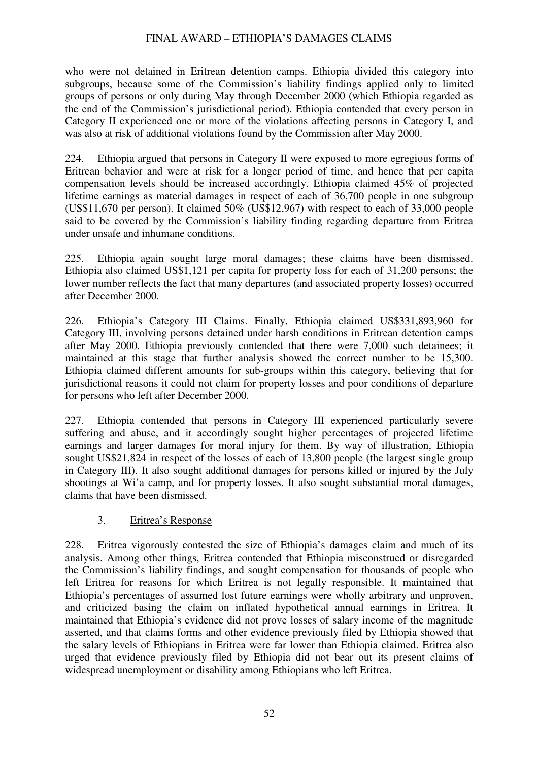who were not detained in Eritrean detention camps. Ethiopia divided this category into subgroups, because some of the Commission's liability findings applied only to limited groups of persons or only during May through December 2000 (which Ethiopia regarded as the end of the Commission's jurisdictional period). Ethiopia contended that every person in Category II experienced one or more of the violations affecting persons in Category I, and was also at risk of additional violations found by the Commission after May 2000.

224. Ethiopia argued that persons in Category II were exposed to more egregious forms of Eritrean behavior and were at risk for a longer period of time, and hence that per capita compensation levels should be increased accordingly. Ethiopia claimed 45% of projected lifetime earnings as material damages in respect of each of 36,700 people in one subgroup (US\$11,670 per person). It claimed 50% (US\$12,967) with respect to each of 33,000 people said to be covered by the Commission's liability finding regarding departure from Eritrea under unsafe and inhumane conditions.

225. Ethiopia again sought large moral damages; these claims have been dismissed. Ethiopia also claimed US\$1,121 per capita for property loss for each of 31,200 persons; the lower number reflects the fact that many departures (and associated property losses) occurred after December 2000.

226. Ethiopia's Category III Claims. Finally, Ethiopia claimed US\$331,893,960 for Category III, involving persons detained under harsh conditions in Eritrean detention camps after May 2000. Ethiopia previously contended that there were 7,000 such detainees; it maintained at this stage that further analysis showed the correct number to be 15,300. Ethiopia claimed different amounts for sub-groups within this category, believing that for jurisdictional reasons it could not claim for property losses and poor conditions of departure for persons who left after December 2000.

227. Ethiopia contended that persons in Category III experienced particularly severe suffering and abuse, and it accordingly sought higher percentages of projected lifetime earnings and larger damages for moral injury for them. By way of illustration, Ethiopia sought US\$21,824 in respect of the losses of each of 13,800 people (the largest single group in Category III). It also sought additional damages for persons killed or injured by the July shootings at Wi'a camp, and for property losses. It also sought substantial moral damages, claims that have been dismissed.

# 3. Eritrea's Response

228. Eritrea vigorously contested the size of Ethiopia's damages claim and much of its analysis. Among other things, Eritrea contended that Ethiopia misconstrued or disregarded the Commission's liability findings, and sought compensation for thousands of people who left Eritrea for reasons for which Eritrea is not legally responsible. It maintained that Ethiopia's percentages of assumed lost future earnings were wholly arbitrary and unproven, and criticized basing the claim on inflated hypothetical annual earnings in Eritrea. It maintained that Ethiopia's evidence did not prove losses of salary income of the magnitude asserted, and that claims forms and other evidence previously filed by Ethiopia showed that the salary levels of Ethiopians in Eritrea were far lower than Ethiopia claimed. Eritrea also urged that evidence previously filed by Ethiopia did not bear out its present claims of widespread unemployment or disability among Ethiopians who left Eritrea.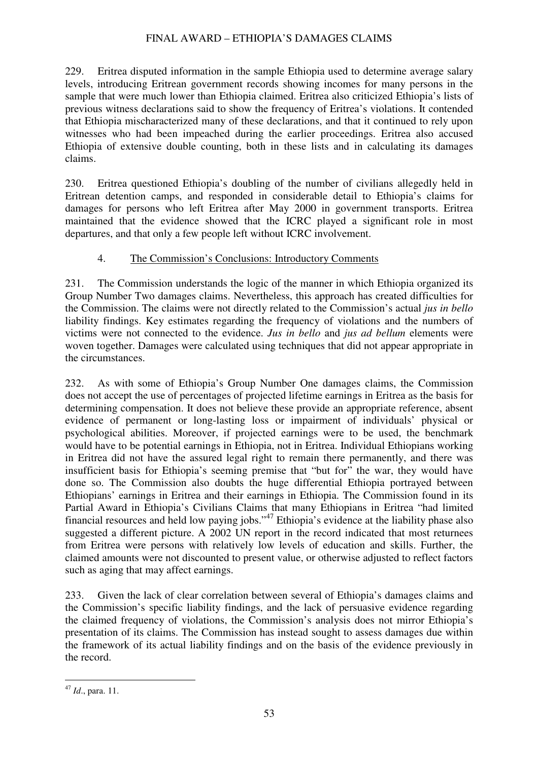229. Eritrea disputed information in the sample Ethiopia used to determine average salary levels, introducing Eritrean government records showing incomes for many persons in the sample that were much lower than Ethiopia claimed. Eritrea also criticized Ethiopia's lists of previous witness declarations said to show the frequency of Eritrea's violations. It contended that Ethiopia mischaracterized many of these declarations, and that it continued to rely upon witnesses who had been impeached during the earlier proceedings. Eritrea also accused Ethiopia of extensive double counting, both in these lists and in calculating its damages claims.

230. Eritrea questioned Ethiopia's doubling of the number of civilians allegedly held in Eritrean detention camps, and responded in considerable detail to Ethiopia's claims for damages for persons who left Eritrea after May 2000 in government transports. Eritrea maintained that the evidence showed that the ICRC played a significant role in most departures, and that only a few people left without ICRC involvement.

## 4. The Commission's Conclusions: Introductory Comments

231. The Commission understands the logic of the manner in which Ethiopia organized its Group Number Two damages claims. Nevertheless, this approach has created difficulties for the Commission. The claims were not directly related to the Commission's actual *jus in bello* liability findings. Key estimates regarding the frequency of violations and the numbers of victims were not connected to the evidence. *Jus in bello* and *jus ad bellum* elements were woven together. Damages were calculated using techniques that did not appear appropriate in the circumstances.

232. As with some of Ethiopia's Group Number One damages claims, the Commission does not accept the use of percentages of projected lifetime earnings in Eritrea as the basis for determining compensation. It does not believe these provide an appropriate reference, absent evidence of permanent or long-lasting loss or impairment of individuals' physical or psychological abilities. Moreover, if projected earnings were to be used, the benchmark would have to be potential earnings in Ethiopia, not in Eritrea. Individual Ethiopians working in Eritrea did not have the assured legal right to remain there permanently, and there was insufficient basis for Ethiopia's seeming premise that "but for" the war, they would have done so. The Commission also doubts the huge differential Ethiopia portrayed between Ethiopians' earnings in Eritrea and their earnings in Ethiopia. The Commission found in its Partial Award in Ethiopia's Civilians Claims that many Ethiopians in Eritrea "had limited financial resources and held low paying jobs."<sup>47</sup> Ethiopia's evidence at the liability phase also suggested a different picture. A 2002 UN report in the record indicated that most returnees from Eritrea were persons with relatively low levels of education and skills. Further, the claimed amounts were not discounted to present value, or otherwise adjusted to reflect factors such as aging that may affect earnings.

233. Given the lack of clear correlation between several of Ethiopia's damages claims and the Commission's specific liability findings, and the lack of persuasive evidence regarding the claimed frequency of violations, the Commission's analysis does not mirror Ethiopia's presentation of its claims. The Commission has instead sought to assess damages due within the framework of its actual liability findings and on the basis of the evidence previously in the record.

<sup>47</sup> *Id*., para. 11.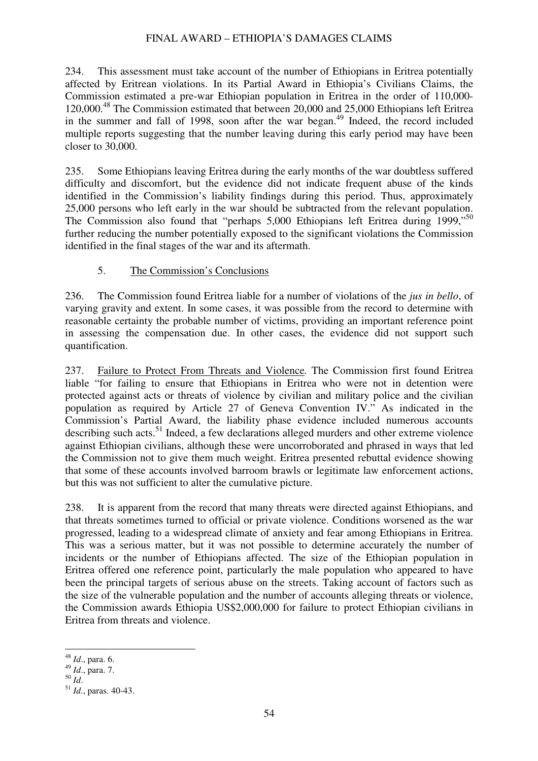234. This assessment must take account of the number of Ethiopians in Eritrea potentially affected by Eritrean violations. In its Partial Award in Ethiopia's Civilians Claims, the Commission estimated a pre-war Ethiopian population in Eritrea in the order of 110,000- 120,000. 48 The Commission estimated that between 20,000 and 25,000 Ethiopians left Eritrea in the summer and fall of 1998, soon after the war began.<sup>49</sup> Indeed, the record included multiple reports suggesting that the number leaving during this early period may have been closer to 30,000.

235. Some Ethiopians leaving Eritrea during the early months of the war doubtless suffered difficulty and discomfort, but the evidence did not indicate frequent abuse of the kinds identified in the Commission's liability findings during this period. Thus, approximately 25,000 persons who left early in the war should be subtracted from the relevant population. The Commission also found that "perhaps 5,000 Ethiopians left Eritrea during 1999,"<sup>50</sup> further reducing the number potentially exposed to the significant violations the Commission identified in the final stages of the war and its aftermath.

## 5. The Commission's Conclusions

236. The Commission found Eritrea liable for a number of violations of the *jus in bello*, of varying gravity and extent. In some cases, it was possible from the record to determine with reasonable certainty the probable number of victims, providing an important reference point in assessing the compensation due. In other cases, the evidence did not support such quantification.

237. Failure to Protect From Threats and Violence*.* The Commission first found Eritrea liable "for failing to ensure that Ethiopians in Eritrea who were not in detention were protected against acts or threats of violence by civilian and military police and the civilian population as required by Article 27 of Geneva Convention IV." As indicated in the Commission's Partial Award, the liability phase evidence included numerous accounts describing such acts.<sup>51</sup> Indeed, a few declarations alleged murders and other extreme violence against Ethiopian civilians, although these were uncorroborated and phrased in ways that led the Commission not to give them much weight. Eritrea presented rebuttal evidence showing that some of these accounts involved barroom brawls or legitimate law enforcement actions, but this was not sufficient to alter the cumulative picture.

238. It is apparent from the record that many threats were directed against Ethiopians, and that threats sometimes turned to official or private violence. Conditions worsened as the war progressed, leading to a widespread climate of anxiety and fear among Ethiopians in Eritrea. This was a serious matter, but it was not possible to determine accurately the number of incidents or the number of Ethiopians affected. The size of the Ethiopian population in Eritrea offered one reference point, particularly the male population who appeared to have been the principal targets of serious abuse on the streets. Taking account of factors such as the size of the vulnerable population and the number of accounts alleging threats or violence, the Commission awards Ethiopia US\$2,000,000 for failure to protect Ethiopian civilians in Eritrea from threats and violence.

<sup>48</sup> *Id*., para. 6.

<sup>49</sup> *Id*., para. 7.

<sup>50</sup> *Id*.

<sup>51</sup> *Id*., paras. 40-43.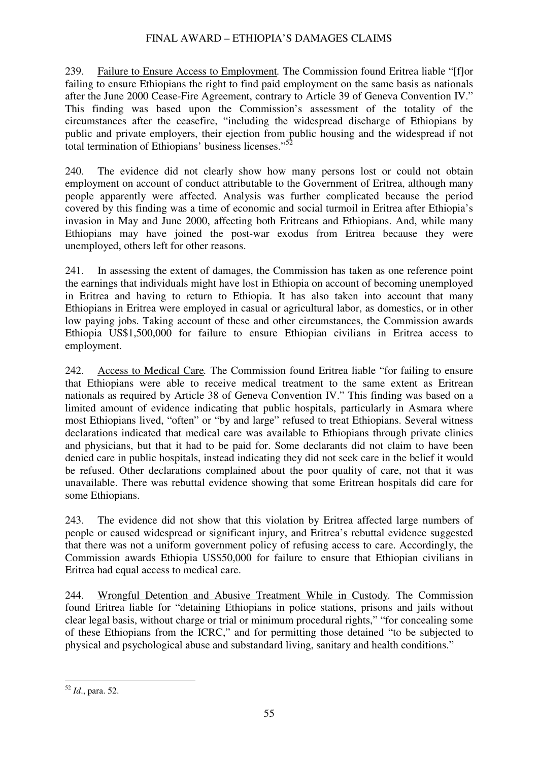239. Failure to Ensure Access to Employment*.* The Commission found Eritrea liable "[f]or failing to ensure Ethiopians the right to find paid employment on the same basis as nationals after the June 2000 Cease-Fire Agreement, contrary to Article 39 of Geneva Convention IV." This finding was based upon the Commission's assessment of the totality of the circumstances after the ceasefire, "including the widespread discharge of Ethiopians by public and private employers, their ejection from public housing and the widespread if not total termination of Ethiopians' business licenses." 52

240. The evidence did not clearly show how many persons lost or could not obtain employment on account of conduct attributable to the Government of Eritrea, although many people apparently were affected. Analysis was further complicated because the period covered by this finding was a time of economic and social turmoil in Eritrea after Ethiopia's invasion in May and June 2000, affecting both Eritreans and Ethiopians. And, while many Ethiopians may have joined the post-war exodus from Eritrea because they were unemployed, others left for other reasons.

241. In assessing the extent of damages, the Commission has taken as one reference point the earnings that individuals might have lost in Ethiopia on account of becoming unemployed in Eritrea and having to return to Ethiopia. It has also taken into account that many Ethiopians in Eritrea were employed in casual or agricultural labor, as domestics, or in other low paying jobs. Taking account of these and other circumstances, the Commission awards Ethiopia US\$1,500,000 for failure to ensure Ethiopian civilians in Eritrea access to employment.

242. Access to Medical Care*.* The Commission found Eritrea liable "for failing to ensure that Ethiopians were able to receive medical treatment to the same extent as Eritrean nationals as required by Article 38 of Geneva Convention IV." This finding was based on a limited amount of evidence indicating that public hospitals, particularly in Asmara where most Ethiopians lived, "often" or "by and large" refused to treat Ethiopians. Several witness declarations indicated that medical care was available to Ethiopians through private clinics and physicians, but that it had to be paid for. Some declarants did not claim to have been denied care in public hospitals, instead indicating they did not seek care in the belief it would be refused. Other declarations complained about the poor quality of care, not that it was unavailable. There was rebuttal evidence showing that some Eritrean hospitals did care for some Ethiopians.

243. The evidence did not show that this violation by Eritrea affected large numbers of people or caused widespread or significant injury, and Eritrea's rebuttal evidence suggested that there was not a uniform government policy of refusing access to care. Accordingly, the Commission awards Ethiopia US\$50,000 for failure to ensure that Ethiopian civilians in Eritrea had equal access to medical care.

244. Wrongful Detention and Abusive Treatment While in Custody*.* The Commission found Eritrea liable for "detaining Ethiopians in police stations, prisons and jails without clear legal basis, without charge or trial or minimum procedural rights," "for concealing some of these Ethiopians from the ICRC," and for permitting those detained "to be subjected to physical and psychological abuse and substandard living, sanitary and health conditions."

<sup>52</sup> *Id*., para. 52.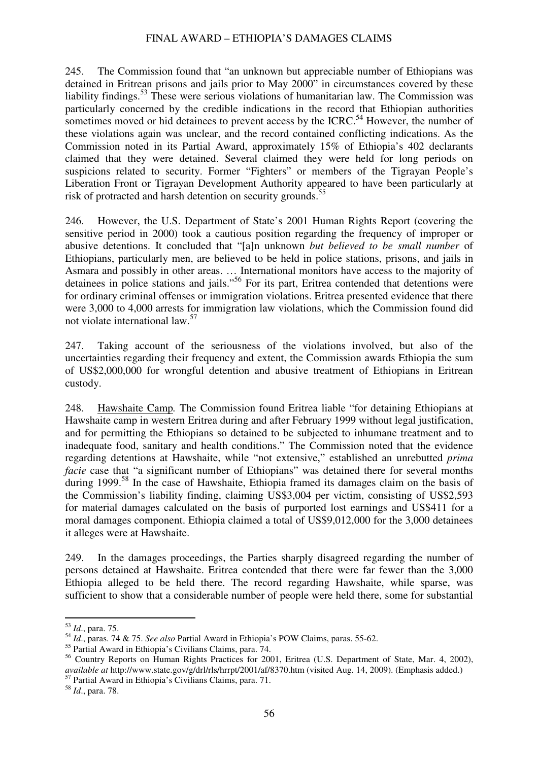245. The Commission found that "an unknown but appreciable number of Ethiopians was detained in Eritrean prisons and jails prior to May 2000" in circumstances covered by these liability findings.<sup>53</sup> These were serious violations of humanitarian law. The Commission was particularly concerned by the credible indications in the record that Ethiopian authorities sometimes moved or hid detainees to prevent access by the ICRC.<sup>54</sup> However, the number of these violations again was unclear, and the record contained conflicting indications. As the Commission noted in its Partial Award, approximately 15% of Ethiopia's 402 declarants claimed that they were detained. Several claimed they were held for long periods on suspicions related to security. Former "Fighters" or members of the Tigrayan People's Liberation Front or Tigrayan Development Authority appeared to have been particularly at risk of protracted and harsh detention on security grounds.<sup>55</sup>

246. However, the U.S. Department of State's 2001 Human Rights Report (covering the sensitive period in 2000) took a cautious position regarding the frequency of improper or abusive detentions. It concluded that "[a]n unknown *but believed to be small number* of Ethiopians, particularly men, are believed to be held in police stations, prisons, and jails in Asmara and possibly in other areas. … International monitors have access to the majority of detainees in police stations and jails."<sup>56</sup> For its part, Eritrea contended that detentions were for ordinary criminal offenses or immigration violations. Eritrea presented evidence that there were 3,000 to 4,000 arrests for immigration law violations, which the Commission found did not violate international law. 57

247. Taking account of the seriousness of the violations involved, but also of the uncertainties regarding their frequency and extent, the Commission awards Ethiopia the sum of US\$2,000,000 for wrongful detention and abusive treatment of Ethiopians in Eritrean custody.

248. Hawshaite Camp*.* The Commission found Eritrea liable "for detaining Ethiopians at Hawshaite camp in western Eritrea during and after February 1999 without legal justification, and for permitting the Ethiopians so detained to be subjected to inhumane treatment and to inadequate food, sanitary and health conditions." The Commission noted that the evidence regarding detentions at Hawshaite, while "not extensive," established an unrebutted *prima facie* case that "a significant number of Ethiopians" was detained there for several months during 1999.<sup>58</sup> In the case of Hawshaite, Ethiopia framed its damages claim on the basis of the Commission's liability finding, claiming US\$3,004 per victim, consisting of US\$2,593 for material damages calculated on the basis of purported lost earnings and US\$411 for a moral damages component. Ethiopia claimed a total of US\$9,012,000 for the 3,000 detainees it alleges were at Hawshaite.

249. In the damages proceedings, the Parties sharply disagreed regarding the number of persons detained at Hawshaite. Eritrea contended that there were far fewer than the 3,000 Ethiopia alleged to be held there. The record regarding Hawshaite, while sparse, was sufficient to show that a considerable number of people were held there, some for substantial

<sup>53</sup> *Id*., para. 75.

<sup>54</sup> *Id*., paras. 74 & 75. *See also* Partial Award in Ethiopia's POW Claims, paras. 55-62.

<sup>55</sup> Partial Award in Ethiopia's Civilians Claims, para. 74.

<sup>&</sup>lt;sup>56</sup> Country Reports on Human Rights Practices for 2001, Eritrea (U.S. Department of State, Mar. 4, 2002), *available at* http://www.state.gov/g/drl/rls/hrrpt/2001/af/8370.htm (visited Aug. 14, 2009). (Emphasis added.) 57 Partial Award in Ethiopia's Civilians Claims, para. 71.

<sup>58</sup> *Id*., para. 78.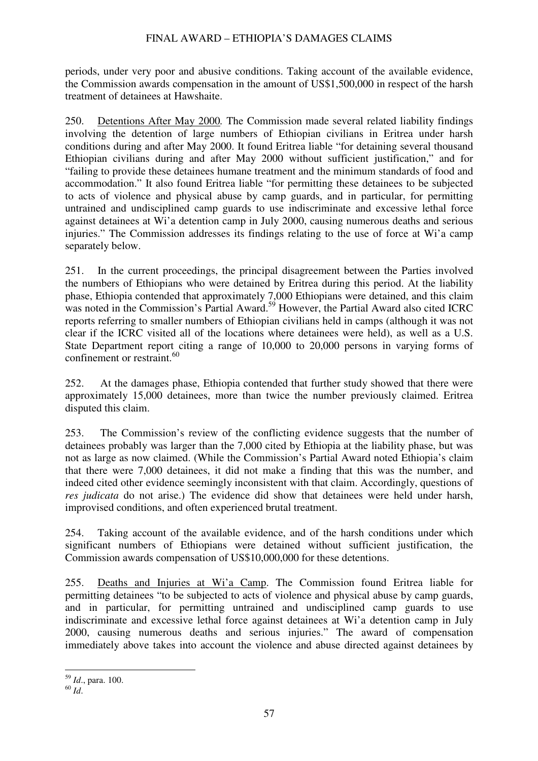periods, under very poor and abusive conditions. Taking account of the available evidence, the Commission awards compensation in the amount of US\$1,500,000 in respect of the harsh treatment of detainees at Hawshaite.

250. Detentions After May 2000*.* The Commission made several related liability findings involving the detention of large numbers of Ethiopian civilians in Eritrea under harsh conditions during and after May 2000. It found Eritrea liable "for detaining several thousand Ethiopian civilians during and after May 2000 without sufficient justification," and for "failing to provide these detainees humane treatment and the minimum standards of food and accommodation." It also found Eritrea liable "for permitting these detainees to be subjected to acts of violence and physical abuse by camp guards, and in particular, for permitting untrained and undisciplined camp guards to use indiscriminate and excessive lethal force against detainees at Wi'a detention camp in July 2000, causing numerous deaths and serious injuries." The Commission addresses its findings relating to the use of force at Wi'a camp separately below.

251. In the current proceedings, the principal disagreement between the Parties involved the numbers of Ethiopians who were detained by Eritrea during this period. At the liability phase, Ethiopia contended that approximately 7,000 Ethiopians were detained, and this claim was noted in the Commission's Partial Award. <sup>59</sup> However, the Partial Award also cited ICRC reports referring to smaller numbers of Ethiopian civilians held in camps (although it was not clear if the ICRC visited all of the locations where detainees were held), as well as a U.S. State Department report citing a range of 10,000 to 20,000 persons in varying forms of confinement or restraint. 60

252. At the damages phase, Ethiopia contended that further study showed that there were approximately 15,000 detainees, more than twice the number previously claimed. Eritrea disputed this claim.

253. The Commission's review of the conflicting evidence suggests that the number of detainees probably was larger than the 7,000 cited by Ethiopia at the liability phase, but was not as large as now claimed. (While the Commission's Partial Award noted Ethiopia's claim that there were 7,000 detainees, it did not make a finding that this was the number, and indeed cited other evidence seemingly inconsistent with that claim. Accordingly, questions of *res judicata* do not arise.) The evidence did show that detainees were held under harsh, improvised conditions, and often experienced brutal treatment.

254. Taking account of the available evidence, and of the harsh conditions under which significant numbers of Ethiopians were detained without sufficient justification, the Commission awards compensation of US\$10,000,000 for these detentions.

255. Deaths and Injuries at Wi'a Camp. The Commission found Eritrea liable for permitting detainees "to be subjected to acts of violence and physical abuse by camp guards, and in particular, for permitting untrained and undisciplined camp guards to use indiscriminate and excessive lethal force against detainees at Wi'a detention camp in July 2000, causing numerous deaths and serious injuries." The award of compensation immediately above takes into account the violence and abuse directed against detainees by

<sup>59</sup> *Id*., para. 100.

<sup>60</sup> *Id*.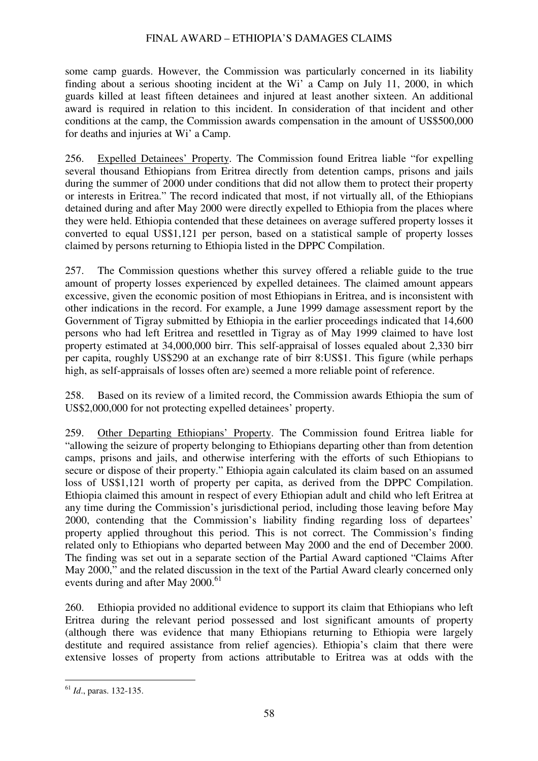some camp guards. However, the Commission was particularly concerned in its liability finding about a serious shooting incident at the Wi' a Camp on July 11, 2000, in which guards killed at least fifteen detainees and injured at least another sixteen. An additional award is required in relation to this incident. In consideration of that incident and other conditions at the camp, the Commission awards compensation in the amount of US\$500,000 for deaths and injuries at Wi' a Camp.

256. Expelled Detainees' Property. The Commission found Eritrea liable "for expelling several thousand Ethiopians from Eritrea directly from detention camps, prisons and jails during the summer of 2000 under conditions that did not allow them to protect their property or interests in Eritrea." The record indicated that most, if not virtually all, of the Ethiopians detained during and after May 2000 were directly expelled to Ethiopia from the places where they were held. Ethiopia contended that these detainees on average suffered property losses it converted to equal US\$1,121 per person, based on a statistical sample of property losses claimed by persons returning to Ethiopia listed in the DPPC Compilation.

257. The Commission questions whether this survey offered a reliable guide to the true amount of property losses experienced by expelled detainees. The claimed amount appears excessive, given the economic position of most Ethiopians in Eritrea, and is inconsistent with other indications in the record. For example, a June 1999 damage assessment report by the Government of Tigray submitted by Ethiopia in the earlier proceedings indicated that 14,600 persons who had left Eritrea and resettled in Tigray as of May 1999 claimed to have lost property estimated at 34,000,000 birr. This self-appraisal of losses equaled about 2,330 birr per capita, roughly US\$290 at an exchange rate of birr 8:US\$1. This figure (while perhaps high, as self-appraisals of losses often are) seemed a more reliable point of reference.

258. Based on its review of a limited record, the Commission awards Ethiopia the sum of US\$2,000,000 for not protecting expelled detainees' property.

259. Other Departing Ethiopians' Property. The Commission found Eritrea liable for "allowing the seizure of property belonging to Ethiopians departing other than from detention camps, prisons and jails, and otherwise interfering with the efforts of such Ethiopians to secure or dispose of their property." Ethiopia again calculated its claim based on an assumed loss of US\$1,121 worth of property per capita, as derived from the DPPC Compilation. Ethiopia claimed this amount in respect of every Ethiopian adult and child who left Eritrea at any time during the Commission's jurisdictional period, including those leaving before May 2000, contending that the Commission's liability finding regarding loss of departees' property applied throughout this period. This is not correct. The Commission's finding related only to Ethiopians who departed between May 2000 and the end of December 2000. The finding was set out in a separate section of the Partial Award captioned "Claims After May 2000," and the related discussion in the text of the Partial Award clearly concerned only events during and after May 2000.<sup>61</sup>

260. Ethiopia provided no additional evidence to support its claim that Ethiopians who left Eritrea during the relevant period possessed and lost significant amounts of property (although there was evidence that many Ethiopians returning to Ethiopia were largely destitute and required assistance from relief agencies). Ethiopia's claim that there were extensive losses of property from actions attributable to Eritrea was at odds with the

<sup>61</sup> *Id*., paras. 132-135.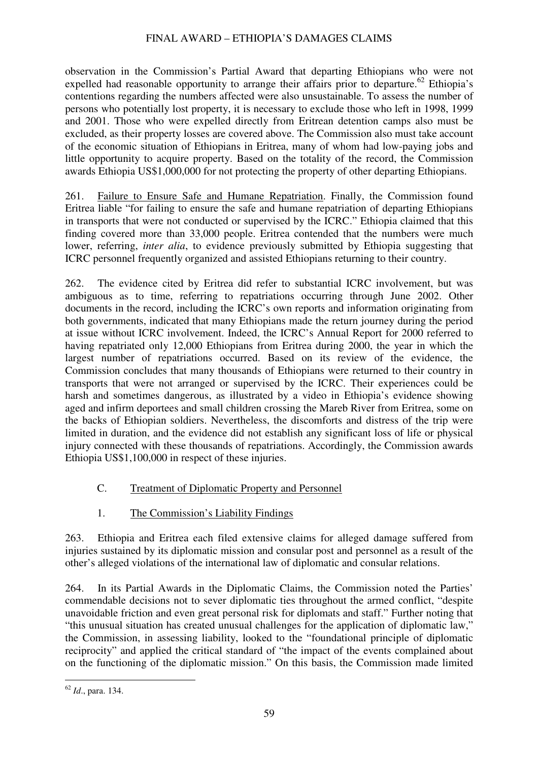observation in the Commission's Partial Award that departing Ethiopians who were not expelled had reasonable opportunity to arrange their affairs prior to departure.<sup>62</sup> Ethiopia's contentions regarding the numbers affected were also unsustainable. To assess the number of persons who potentially lost property, it is necessary to exclude those who left in 1998, 1999 and 2001. Those who were expelled directly from Eritrean detention camps also must be excluded, as their property losses are covered above. The Commission also must take account of the economic situation of Ethiopians in Eritrea, many of whom had low-paying jobs and little opportunity to acquire property. Based on the totality of the record, the Commission awards Ethiopia US\$1,000,000 for not protecting the property of other departing Ethiopians.

261. Failure to Ensure Safe and Humane Repatriation. Finally, the Commission found Eritrea liable "for failing to ensure the safe and humane repatriation of departing Ethiopians in transports that were not conducted or supervised by the ICRC." Ethiopia claimed that this finding covered more than 33,000 people. Eritrea contended that the numbers were much lower, referring, *inter alia*, to evidence previously submitted by Ethiopia suggesting that ICRC personnel frequently organized and assisted Ethiopians returning to their country.

262. The evidence cited by Eritrea did refer to substantial ICRC involvement, but was ambiguous as to time, referring to repatriations occurring through June 2002. Other documents in the record, including the ICRC's own reports and information originating from both governments, indicated that many Ethiopians made the return journey during the period at issue without ICRC involvement. Indeed, the ICRC's Annual Report for 2000 referred to having repatriated only 12,000 Ethiopians from Eritrea during 2000, the year in which the largest number of repatriations occurred. Based on its review of the evidence, the Commission concludes that many thousands of Ethiopians were returned to their country in transports that were not arranged or supervised by the ICRC. Their experiences could be harsh and sometimes dangerous, as illustrated by a video in Ethiopia's evidence showing aged and infirm deportees and small children crossing the Mareb River from Eritrea, some on the backs of Ethiopian soldiers. Nevertheless, the discomforts and distress of the trip were limited in duration, and the evidence did not establish any significant loss of life or physical injury connected with these thousands of repatriations. Accordingly, the Commission awards Ethiopia US\$1,100,000 in respect of these injuries.

# C. Treatment of Diplomatic Property and Personnel

# 1. The Commission's Liability Findings

263. Ethiopia and Eritrea each filed extensive claims for alleged damage suffered from injuries sustained by its diplomatic mission and consular post and personnel as a result of the other's alleged violations of the international law of diplomatic and consular relations.

264. In its Partial Awards in the Diplomatic Claims, the Commission noted the Parties' commendable decisions not to sever diplomatic ties throughout the armed conflict, "despite unavoidable friction and even great personal risk for diplomats and staff." Further noting that "this unusual situation has created unusual challenges for the application of diplomatic law," the Commission, in assessing liability, looked to the "foundational principle of diplomatic reciprocity" and applied the critical standard of "the impact of the events complained about on the functioning of the diplomatic mission." On this basis, the Commission made limited

<sup>62</sup> *Id*., para. 134.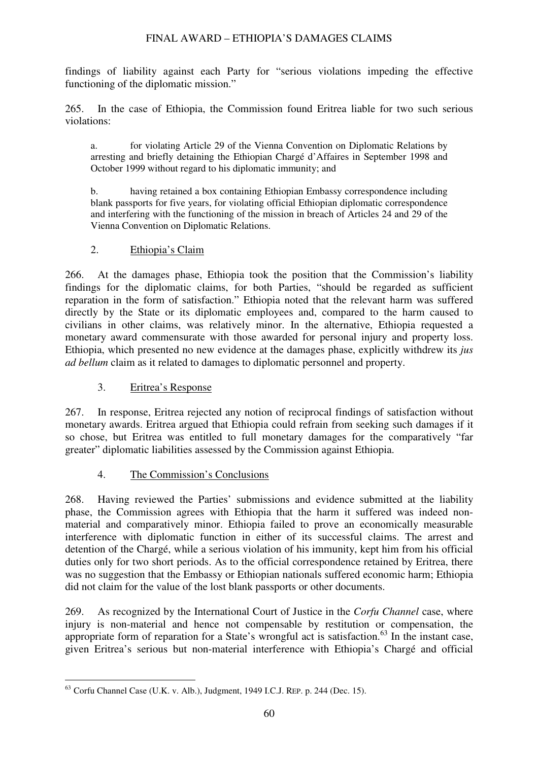findings of liability against each Party for "serious violations impeding the effective functioning of the diplomatic mission."

265. In the case of Ethiopia, the Commission found Eritrea liable for two such serious violations:

a. for violating Article 29 of the Vienna Convention on Diplomatic Relations by arresting and briefly detaining the Ethiopian Chargé d'Affaires in September 1998 and October 1999 without regard to his diplomatic immunity; and

b. having retained a box containing Ethiopian Embassy correspondence including blank passports for five years, for violating official Ethiopian diplomatic correspondence and interfering with the functioning of the mission in breach of Articles 24 and 29 of the Vienna Convention on Diplomatic Relations.

## 2. Ethiopia's Claim

266. At the damages phase, Ethiopia took the position that the Commission's liability findings for the diplomatic claims, for both Parties, "should be regarded as sufficient reparation in the form of satisfaction." Ethiopia noted that the relevant harm was suffered directly by the State or its diplomatic employees and, compared to the harm caused to civilians in other claims, was relatively minor. In the alternative, Ethiopia requested a monetary award commensurate with those awarded for personal injury and property loss. Ethiopia, which presented no new evidence at the damages phase, explicitly withdrew its *jus ad bellum* claim as it related to damages to diplomatic personnel and property.

## 3. Eritrea's Response

267. In response, Eritrea rejected any notion of reciprocal findings of satisfaction without monetary awards. Eritrea argued that Ethiopia could refrain from seeking such damages if it so chose, but Eritrea was entitled to full monetary damages for the comparatively "far greater" diplomatic liabilities assessed by the Commission against Ethiopia.

## 4. The Commission's Conclusions

268. Having reviewed the Parties' submissions and evidence submitted at the liability phase, the Commission agrees with Ethiopia that the harm it suffered was indeed nonmaterial and comparatively minor. Ethiopia failed to prove an economically measurable interference with diplomatic function in either of its successful claims. The arrest and detention of the Chargé, while a serious violation of his immunity, kept him from his official duties only for two short periods. As to the official correspondence retained by Eritrea, there was no suggestion that the Embassy or Ethiopian nationals suffered economic harm; Ethiopia did not claim for the value of the lost blank passports or other documents.

269. As recognized by the International Court of Justice in the *Corfu Channel* case, where injury is non-material and hence not compensable by restitution or compensation, the appropriate form of reparation for a State's wrongful act is satisfaction.<sup>63</sup> In the instant case, given Eritrea's serious but non-material interference with Ethiopia's Chargé and official

 $63$  Corfu Channel Case (U.K. v. Alb.), Judgment, 1949 I.C.J. REP. p. 244 (Dec. 15).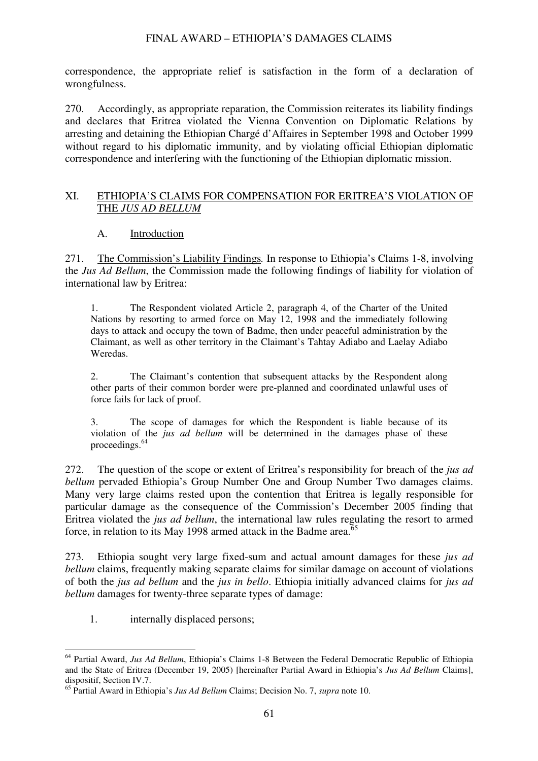correspondence, the appropriate relief is satisfaction in the form of a declaration of wrongfulness.

270. Accordingly, as appropriate reparation, the Commission reiterates its liability findings and declares that Eritrea violated the Vienna Convention on Diplomatic Relations by arresting and detaining the Ethiopian Chargé d'Affaires in September 1998 and October 1999 without regard to his diplomatic immunity, and by violating official Ethiopian diplomatic correspondence and interfering with the functioning of the Ethiopian diplomatic mission.

## XI. ETHIOPIA'S CLAIMS FOR COMPENSATION FOR ERITREA'S VIOLATION OF THE *JUS AD BELLUM*

#### A. Introduction

271. The Commission's Liability Findings*.* In response to Ethiopia's Claims 1-8, involving the *Jus Ad Bellum*, the Commission made the following findings of liability for violation of international law by Eritrea:

1. The Respondent violated Article 2, paragraph 4, of the Charter of the United Nations by resorting to armed force on May 12, 1998 and the immediately following days to attack and occupy the town of Badme, then under peaceful administration by the Claimant, as well as other territory in the Claimant's Tahtay Adiabo and Laelay Adiabo Weredas.

2. The Claimant's contention that subsequent attacks by the Respondent along other parts of their common border were pre-planned and coordinated unlawful uses of force fails for lack of proof.

3. The scope of damages for which the Respondent is liable because of its violation of the *jus ad bellum* will be determined in the damages phase of these proceedings. 64

272. The question of the scope or extent of Eritrea's responsibility for breach of the *jus ad bellum* pervaded Ethiopia's Group Number One and Group Number Two damages claims. Many very large claims rested upon the contention that Eritrea is legally responsible for particular damage as the consequence of the Commission's December 2005 finding that Eritrea violated the *jus ad bellum*, the international law rules regulating the resort to armed force, in relation to its May 1998 armed attack in the Badme area.<sup>65</sup>

273. Ethiopia sought very large fixed-sum and actual amount damages for these *jus ad bellum* claims, frequently making separate claims for similar damage on account of violations of both the *jus ad bellum* and the *jus in bello*. Ethiopia initially advanced claims for *jus ad bellum* damages for twenty-three separate types of damage:

1. internally displaced persons;

<sup>64</sup> Partial Award, *Jus Ad Bellum*, Ethiopia's Claims 1-8 Between the Federal Democratic Republic of Ethiopia and the State of Eritrea (December 19, 2005) [hereinafter Partial Award in Ethiopia's *Jus Ad Bellum* Claims], dispositif, Section IV.7.

<sup>65</sup> Partial Award in Ethiopia's *Jus Ad Bellum* Claims; Decision No. 7, *supra* note 10.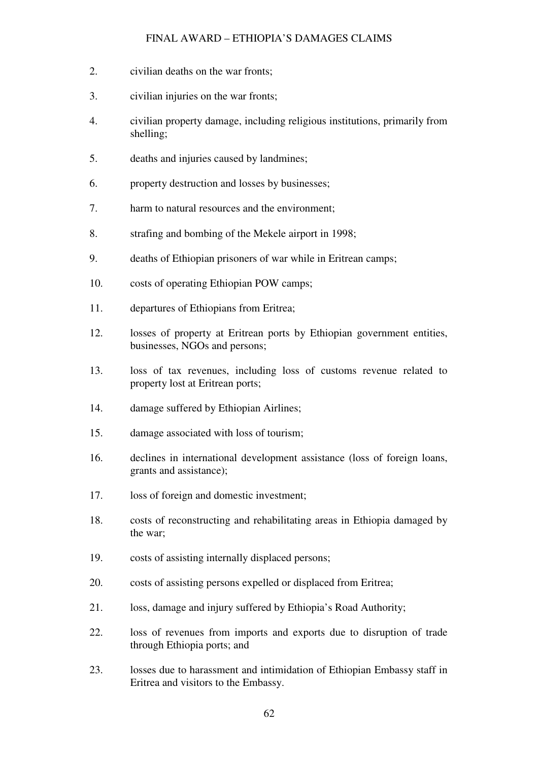- 2. civilian deaths on the war fronts;
- 3. civilian injuries on the war fronts;
- 4. civilian property damage, including religious institutions, primarily from shelling;
- 5. deaths and injuries caused by landmines;
- 6. property destruction and losses by businesses;
- 7. harm to natural resources and the environment;
- 8. strafing and bombing of the Mekele airport in 1998;
- 9. deaths of Ethiopian prisoners of war while in Eritrean camps;
- 10. costs of operating Ethiopian POW camps;
- 11. departures of Ethiopians from Eritrea;
- 12. losses of property at Eritrean ports by Ethiopian government entities, businesses, NGOs and persons;
- 13. loss of tax revenues, including loss of customs revenue related to property lost at Eritrean ports;
- 14. damage suffered by Ethiopian Airlines;
- 15. damage associated with loss of tourism;
- 16. declines in international development assistance (loss of foreign loans, grants and assistance);
- 17. loss of foreign and domestic investment;
- 18. costs of reconstructing and rehabilitating areas in Ethiopia damaged by the war;
- 19. costs of assisting internally displaced persons;
- 20. costs of assisting persons expelled or displaced from Eritrea;
- 21. loss, damage and injury suffered by Ethiopia's Road Authority;
- 22. loss of revenues from imports and exports due to disruption of trade through Ethiopia ports; and
- 23. losses due to harassment and intimidation of Ethiopian Embassy staff in Eritrea and visitors to the Embassy.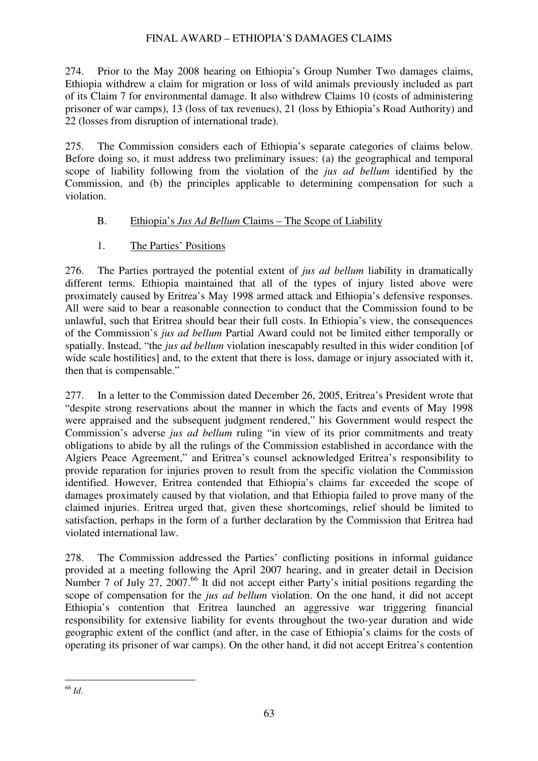274. Prior to the May 2008 hearing on Ethiopia's Group Number Two damages claims, Ethiopia withdrew a claim for migration or loss of wild animals previously included as part of its Claim 7 for environmental damage. It also withdrew Claims 10 (costs of administering prisoner of war camps), 13 (loss of tax revenues), 21 (loss by Ethiopia's Road Authority) and 22 (losses from disruption of international trade).

275. The Commission considers each of Ethiopia's separate categories of claims below. Before doing so, it must address two preliminary issues: (a) the geographical and temporal scope of liability following from the violation of the *jus ad bellum* identified by the Commission, and (b) the principles applicable to determining compensation for such a violation.

# B. Ethiopia's *Jus Ad Bellum* Claims – The Scope of Liability

# 1. The Parties' Positions

276. The Parties portrayed the potential extent of *jus ad bellum* liability in dramatically different terms. Ethiopia maintained that all of the types of injury listed above were proximately caused by Eritrea's May 1998 armed attack and Ethiopia's defensive responses. All were said to bear a reasonable connection to conduct that the Commission found to be unlawful, such that Eritrea should bear their full costs. In Ethiopia's view, the consequences of the Commission's *jus ad bellum* Partial Award could not be limited either temporally or spatially. Instead, "the *jus ad bellum* violation inescapably resulted in this wider condition [of wide scale hostilities] and, to the extent that there is loss, damage or injury associated with it, then that is compensable."

277. In a letter to the Commission dated December 26, 2005, Eritrea's President wrote that "despite strong reservations about the manner in which the facts and events of May 1998 were appraised and the subsequent judgment rendered," his Government would respect the Commission's adverse *jus ad bellum* ruling "in view of its prior commitments and treaty obligations to abide by all the rulings of the Commission established in accordance with the Algiers Peace Agreement," and Eritrea's counsel acknowledged Eritrea's responsibility to provide reparation for injuries proven to result from the specific violation the Commission identified. However, Eritrea contended that Ethiopia's claims far exceeded the scope of damages proximately caused by that violation, and that Ethiopia failed to prove many of the claimed injuries. Eritrea urged that, given these shortcomings, relief should be limited to satisfaction, perhaps in the form of a further declaration by the Commission that Eritrea had violated international law.

278. The Commission addressed the Parties' conflicting positions in informal guidance provided at a meeting following the April 2007 hearing, and in greater detail in Decision Number 7 of July 27, 2007.<sup>66</sup> It did not accept either Party's initial positions regarding the scope of compensation for the *jus ad bellum* violation. On the one hand, it did not accept Ethiopia's contention that Eritrea launched an aggressive war triggering financial responsibility for extensive liability for events throughout the two-year duration and wide geographic extent of the conflict (and after, in the case of Ethiopia's claims for the costs of operating its prisoner of war camps). On the other hand, it did not accept Eritrea's contention

<sup>66</sup> *Id*.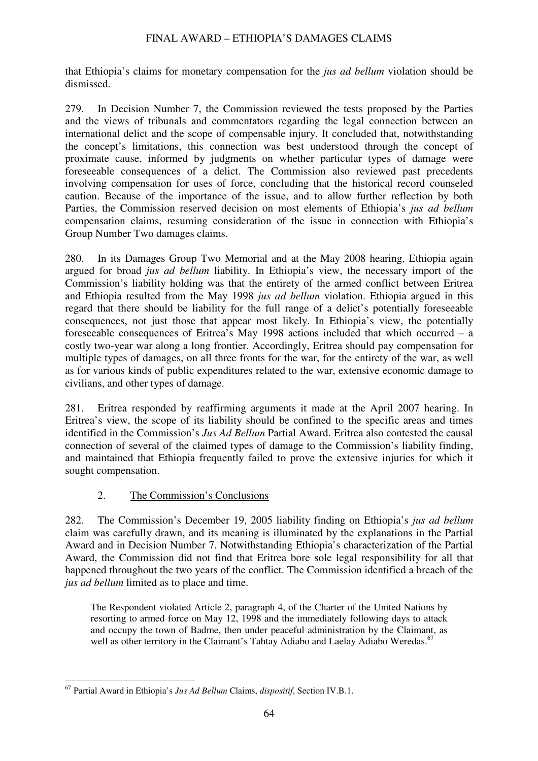that Ethiopia's claims for monetary compensation for the *jus ad bellum* violation should be dismissed.

279. In Decision Number 7, the Commission reviewed the tests proposed by the Parties and the views of tribunals and commentators regarding the legal connection between an international delict and the scope of compensable injury. It concluded that, notwithstanding the concept's limitations, this connection was best understood through the concept of proximate cause, informed by judgments on whether particular types of damage were foreseeable consequences of a delict. The Commission also reviewed past precedents involving compensation for uses of force, concluding that the historical record counseled caution. Because of the importance of the issue, and to allow further reflection by both Parties, the Commission reserved decision on most elements of Ethiopia's *jus ad bellum* compensation claims, resuming consideration of the issue in connection with Ethiopia's Group Number Two damages claims.

280. In its Damages Group Two Memorial and at the May 2008 hearing, Ethiopia again argued for broad *jus ad bellum* liability. In Ethiopia's view, the necessary import of the Commission's liability holding was that the entirety of the armed conflict between Eritrea and Ethiopia resulted from the May 1998 *jus ad bellum* violation. Ethiopia argued in this regard that there should be liability for the full range of a delict's potentially foreseeable consequences, not just those that appear most likely. In Ethiopia's view, the potentially foreseeable consequences of Eritrea's May 1998 actions included that which occurred – a costly two-year war along a long frontier. Accordingly, Eritrea should pay compensation for multiple types of damages, on all three fronts for the war, for the entirety of the war, as well as for various kinds of public expenditures related to the war, extensive economic damage to civilians, and other types of damage.

281. Eritrea responded by reaffirming arguments it made at the April 2007 hearing. In Eritrea's view, the scope of its liability should be confined to the specific areas and times identified in the Commission's *Jus Ad Bellum* Partial Award. Eritrea also contested the causal connection of several of the claimed types of damage to the Commission's liability finding, and maintained that Ethiopia frequently failed to prove the extensive injuries for which it sought compensation.

## 2. The Commission's Conclusions

282. The Commission's December 19, 2005 liability finding on Ethiopia's *jus ad bellum* claim was carefully drawn, and its meaning is illuminated by the explanations in the Partial Award and in Decision Number 7. Notwithstanding Ethiopia's characterization of the Partial Award, the Commission did not find that Eritrea bore sole legal responsibility for all that happened throughout the two years of the conflict. The Commission identified a breach of the *jus ad bellum* limited as to place and time.

The Respondent violated Article 2, paragraph 4, of the Charter of the United Nations by resorting to armed force on May 12, 1998 and the immediately following days to attack and occupy the town of Badme, then under peaceful administration by the Claimant, as well as other territory in the Claimant's Tahtay Adiabo and Laelay Adiabo Weredas.<sup>67</sup>

<sup>67</sup> Partial Award in Ethiopia's *Jus Ad Bellum* Claims, *dispositif*, Section IV.B.1.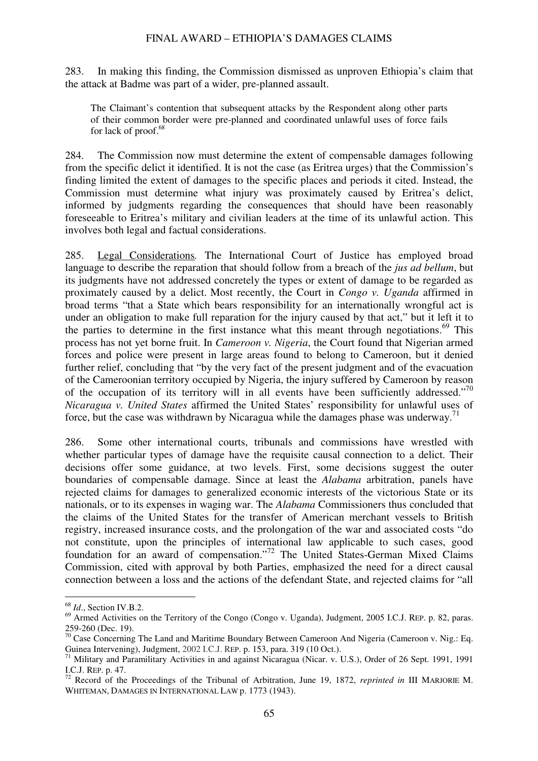283. In making this finding, the Commission dismissed as unproven Ethiopia's claim that the attack at Badme was part of a wider, pre-planned assault.

The Claimant's contention that subsequent attacks by the Respondent along other parts of their common border were pre-planned and coordinated unlawful uses of force fails for lack of proof.<sup>68</sup>

284. The Commission now must determine the extent of compensable damages following from the specific delict it identified. It is not the case (as Eritrea urges) that the Commission's finding limited the extent of damages to the specific places and periods it cited. Instead, the Commission must determine what injury was proximately caused by Eritrea's delict, informed by judgments regarding the consequences that should have been reasonably foreseeable to Eritrea's military and civilian leaders at the time of its unlawful action. This involves both legal and factual considerations.

285. Legal Considerations*.* The International Court of Justice has employed broad language to describe the reparation that should follow from a breach of the *jus ad bellum*, but its judgments have not addressed concretely the types or extent of damage to be regarded as proximately caused by a delict. Most recently, the Court in *Congo v. Uganda* affirmed in broad terms "that a State which bears responsibility for an internationally wrongful act is under an obligation to make full reparation for the injury caused by that act," but it left it to the parties to determine in the first instance what this meant through negotiations. 69 This process has not yet borne fruit. In *Cameroon v. Nigeria*, the Court found that Nigerian armed forces and police were present in large areas found to belong to Cameroon, but it denied further relief, concluding that "by the very fact of the present judgment and of the evacuation of the Cameroonian territory occupied by Nigeria, the injury suffered by Cameroon by reason of the occupation of its territory will in all events have been sufficiently addressed."<sup>70</sup> *Nicaragua v. United States* affirmed the United States' responsibility for unlawful uses of force, but the case was withdrawn by Nicaragua while the damages phase was underway.<sup>71</sup>

286. Some other international courts, tribunals and commissions have wrestled with whether particular types of damage have the requisite causal connection to a delict. Their decisions offer some guidance, at two levels. First, some decisions suggest the outer boundaries of compensable damage. Since at least the *Alabama* arbitration, panels have rejected claims for damages to generalized economic interests of the victorious State or its nationals, or to its expenses in waging war. The *Alabama* Commissioners thus concluded that the claims of the United States for the transfer of American merchant vessels to British registry, increased insurance costs, and the prolongation of the war and associated costs "do not constitute, upon the principles of international law applicable to such cases, good foundation for an award of compensation."<sup>72</sup> The United States-German Mixed Claims Commission, cited with approval by both Parties, emphasized the need for a direct causal connection between a loss and the actions of the defendant State, and rejected claims for "all

<sup>68</sup> *Id*., Section IV.B.2.

<sup>&</sup>lt;sup>69</sup> Armed Activities on the Territory of the Congo (Congo v. Uganda), Judgment, 2005 I.C.J. REP. p. 82, paras. 259-260 (Dec. 19).

 $^{70}$  Case Concerning The Land and Maritime Boundary Between Cameroon And Nigeria (Cameroon v. Nig.: Eq. Guinea Intervening), Judgment, 2002 I.C.J. REP. p. 153, para. 319 (10 Oct.).

<sup>&</sup>lt;sup>71</sup> Military and Paramilitary Activities in and against Nicaragua (Nicar. v. U.S.), Order of 26 Sept. 1991, 1991 I.C.J. REP. p. 47.

<sup>72</sup> Record of the Proceedings of the Tribunal of Arbitration, June 19, 1872, *reprinted in* III MARJORIE M. WHITEMAN, DAMAGES IN INTERNATIONAL LAW p. 1773 (1943).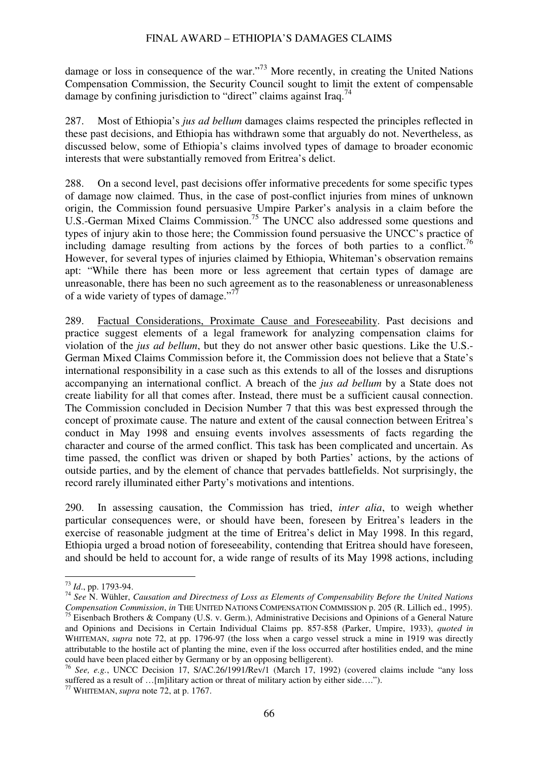damage or loss in consequence of the war."<sup>73</sup> More recently, in creating the United Nations Compensation Commission, the Security Council sought to limit the extent of compensable damage by confining jurisdiction to "direct" claims against Iraq.<sup>74</sup>

287. Most of Ethiopia's *jus ad bellum* damages claims respected the principles reflected in these past decisions, and Ethiopia has withdrawn some that arguably do not. Nevertheless, as discussed below, some of Ethiopia's claims involved types of damage to broader economic interests that were substantially removed from Eritrea's delict.

288. On a second level, past decisions offer informative precedents for some specific types of damage now claimed. Thus, in the case of post-conflict injuries from mines of unknown origin, the Commission found persuasive Umpire Parker's analysis in a claim before the U.S.-German Mixed Claims Commission.<sup>75</sup> The UNCC also addressed some questions and types of injury akin to those here; the Commission found persuasive the UNCC's practice of including damage resulting from actions by the forces of both parties to a conflict.<sup>76</sup> However, for several types of injuries claimed by Ethiopia, Whiteman's observation remains apt: "While there has been more or less agreement that certain types of damage are unreasonable, there has been no such agreement as to the reasonableness or unreasonableness of a wide variety of types of damage."<sup>77</sup>

289. Factual Considerations, Proximate Cause and Foreseeability. Past decisions and practice suggest elements of a legal framework for analyzing compensation claims for violation of the *jus ad bellum*, but they do not answer other basic questions. Like the U.S.- German Mixed Claims Commission before it, the Commission does not believe that a State's international responsibility in a case such as this extends to all of the losses and disruptions accompanying an international conflict. A breach of the *jus ad bellum* by a State does not create liability for all that comes after. Instead, there must be a sufficient causal connection. The Commission concluded in Decision Number 7 that this was best expressed through the concept of proximate cause. The nature and extent of the causal connection between Eritrea's conduct in May 1998 and ensuing events involves assessments of facts regarding the character and course of the armed conflict. This task has been complicated and uncertain. As time passed, the conflict was driven or shaped by both Parties' actions, by the actions of outside parties, and by the element of chance that pervades battlefields. Not surprisingly, the record rarely illuminated either Party's motivations and intentions.

290. In assessing causation, the Commission has tried, *inter alia*, to weigh whether particular consequences were, or should have been, foreseen by Eritrea's leaders in the exercise of reasonable judgment at the time of Eritrea's delict in May 1998. In this regard, Ethiopia urged a broad notion of foreseeability, contending that Eritrea should have foreseen, and should be held to account for, a wide range of results of its May 1998 actions, including

<sup>73</sup> *Id*., pp. 1793-94.

<sup>74</sup> *See* N. Wühler, *Causation and Directness of Loss as Elements of Compensability Before the United Nations Compensation Commission*, *in* THE UNITED NATIONS COMPENSATION COMMISSION p. 205 (R. Lillich ed., 1995).

<sup>&</sup>lt;sup>75</sup> Eisenbach Brothers & Company (U.S. v. Germ.), Administrative Decisions and Opinions of a General Nature and Opinions and Decisions in Certain Individual Claims pp. 857-858 (Parker, Umpire, 1933), *quoted in* WHITEMAN, *supra* note 72, at pp. 1796-97 (the loss when a cargo vessel struck a mine in 1919 was directly attributable to the hostile act of planting the mine, even if the loss occurred after hostilities ended, and the mine could have been placed either by Germany or by an opposing belligerent).

<sup>76</sup> *See, e.g.*, UNCC Decision 17, S/AC.26/1991/Rev/1 (March 17, 1992) (covered claims include "any loss suffered as a result of …[m]ilitary action or threat of military action by either side….").

<sup>77</sup> WHITEMAN, *supra* note 72, at p. 1767.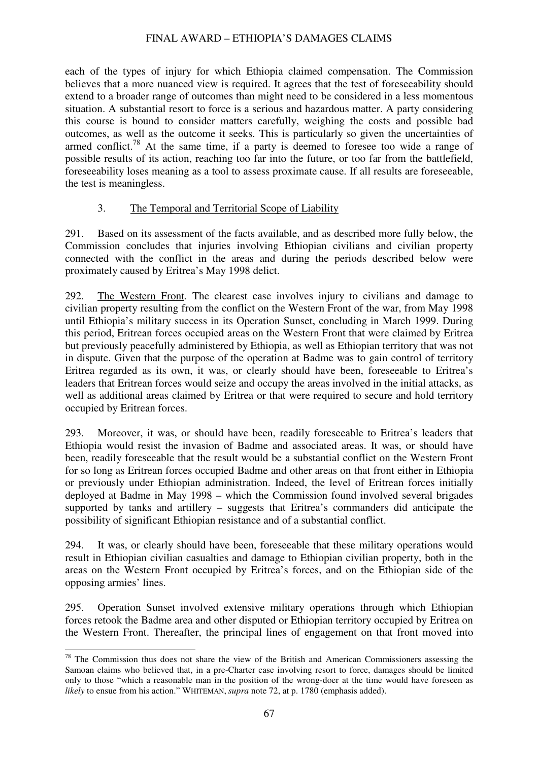each of the types of injury for which Ethiopia claimed compensation. The Commission believes that a more nuanced view is required. It agrees that the test of foreseeability should extend to a broader range of outcomes than might need to be considered in a less momentous situation. A substantial resort to force is a serious and hazardous matter. A party considering this course is bound to consider matters carefully, weighing the costs and possible bad outcomes, as well as the outcome it seeks. This is particularly so given the uncertainties of armed conflict.<sup>78</sup> At the same time, if a party is deemed to foresee too wide a range of possible results of its action, reaching too far into the future, or too far from the battlefield, foreseeability loses meaning as a tool to assess proximate cause. If all results are foreseeable, the test is meaningless.

# 3. The Temporal and Territorial Scope of Liability

291. Based on its assessment of the facts available, and as described more fully below, the Commission concludes that injuries involving Ethiopian civilians and civilian property connected with the conflict in the areas and during the periods described below were proximately caused by Eritrea's May 1998 delict.

292. The Western Front*.* The clearest case involves injury to civilians and damage to civilian property resulting from the conflict on the Western Front of the war, from May 1998 until Ethiopia's military success in its Operation Sunset, concluding in March 1999. During this period, Eritrean forces occupied areas on the Western Front that were claimed by Eritrea but previously peacefully administered by Ethiopia, as well as Ethiopian territory that was not in dispute. Given that the purpose of the operation at Badme was to gain control of territory Eritrea regarded as its own, it was, or clearly should have been, foreseeable to Eritrea's leaders that Eritrean forces would seize and occupy the areas involved in the initial attacks, as well as additional areas claimed by Eritrea or that were required to secure and hold territory occupied by Eritrean forces.

293. Moreover, it was, or should have been, readily foreseeable to Eritrea's leaders that Ethiopia would resist the invasion of Badme and associated areas. It was, or should have been, readily foreseeable that the result would be a substantial conflict on the Western Front for so long as Eritrean forces occupied Badme and other areas on that front either in Ethiopia or previously under Ethiopian administration. Indeed, the level of Eritrean forces initially deployed at Badme in May 1998 – which the Commission found involved several brigades supported by tanks and artillery – suggests that Eritrea's commanders did anticipate the possibility of significant Ethiopian resistance and of a substantial conflict.

294. It was, or clearly should have been, foreseeable that these military operations would result in Ethiopian civilian casualties and damage to Ethiopian civilian property, both in the areas on the Western Front occupied by Eritrea's forces, and on the Ethiopian side of the opposing armies' lines.

295. Operation Sunset involved extensive military operations through which Ethiopian forces retook the Badme area and other disputed or Ethiopian territory occupied by Eritrea on the Western Front. Thereafter, the principal lines of engagement on that front moved into

<sup>&</sup>lt;sup>78</sup> The Commission thus does not share the view of the British and American Commissioners assessing the Samoan claims who believed that, in a pre-Charter case involving resort to force, damages should be limited only to those "which a reasonable man in the position of the wrong-doer at the time would have foreseen as *likely* to ensue from his action." WHITEMAN, *supra* note 72, at p. 1780 (emphasis added).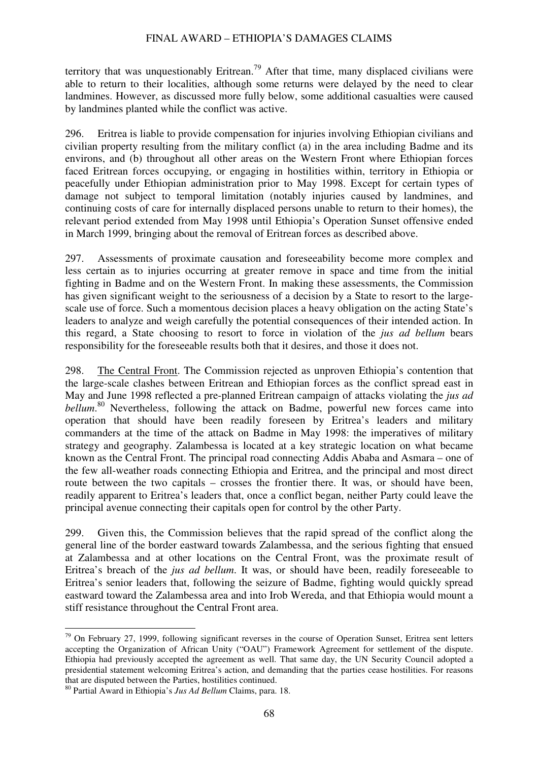territory that was unquestionably Eritrean.<sup>79</sup> After that time, many displaced civilians were able to return to their localities, although some returns were delayed by the need to clear landmines. However, as discussed more fully below, some additional casualties were caused by landmines planted while the conflict was active.

296. Eritrea is liable to provide compensation for injuries involving Ethiopian civilians and civilian property resulting from the military conflict (a) in the area including Badme and its environs, and (b) throughout all other areas on the Western Front where Ethiopian forces faced Eritrean forces occupying, or engaging in hostilities within, territory in Ethiopia or peacefully under Ethiopian administration prior to May 1998. Except for certain types of damage not subject to temporal limitation (notably injuries caused by landmines, and continuing costs of care for internally displaced persons unable to return to their homes), the relevant period extended from May 1998 until Ethiopia's Operation Sunset offensive ended in March 1999, bringing about the removal of Eritrean forces as described above.

297. Assessments of proximate causation and foreseeability become more complex and less certain as to injuries occurring at greater remove in space and time from the initial fighting in Badme and on the Western Front. In making these assessments, the Commission has given significant weight to the seriousness of a decision by a State to resort to the largescale use of force. Such a momentous decision places a heavy obligation on the acting State's leaders to analyze and weigh carefully the potential consequences of their intended action. In this regard, a State choosing to resort to force in violation of the *jus ad bellum* bears responsibility for the foreseeable results both that it desires, and those it does not.

298. The Central Front. The Commission rejected as unproven Ethiopia's contention that the large-scale clashes between Eritrean and Ethiopian forces as the conflict spread east in May and June 1998 reflected a pre-planned Eritrean campaign of attacks violating the *jus ad* bellum.<sup>80</sup> Nevertheless, following the attack on Badme, powerful new forces came into operation that should have been readily foreseen by Eritrea's leaders and military commanders at the time of the attack on Badme in May 1998: the imperatives of military strategy and geography. Zalambessa is located at a key strategic location on what became known as the Central Front. The principal road connecting Addis Ababa and Asmara – one of the few all-weather roads connecting Ethiopia and Eritrea, and the principal and most direct route between the two capitals – crosses the frontier there. It was, or should have been, readily apparent to Eritrea's leaders that, once a conflict began, neither Party could leave the principal avenue connecting their capitals open for control by the other Party.

299. Given this, the Commission believes that the rapid spread of the conflict along the general line of the border eastward towards Zalambessa, and the serious fighting that ensued at Zalambessa and at other locations on the Central Front, was the proximate result of Eritrea's breach of the *jus ad bellum*. It was, or should have been, readily foreseeable to Eritrea's senior leaders that, following the seizure of Badme, fighting would quickly spread eastward toward the Zalambessa area and into Irob Wereda, and that Ethiopia would mount a stiff resistance throughout the Central Front area.

<sup>&</sup>lt;sup>79</sup> On February 27, 1999, following significant reverses in the course of Operation Sunset, Eritrea sent letters accepting the Organization of African Unity ("OAU") Framework Agreement for settlement of the dispute. Ethiopia had previously accepted the agreement as well. That same day, the UN Security Council adopted a presidential statement welcoming Eritrea's action, and demanding that the parties cease hostilities. For reasons that are disputed between the Parties, hostilities continued.

<sup>80</sup> Partial Award in Ethiopia's *Jus Ad Bellum* Claims, para. 18.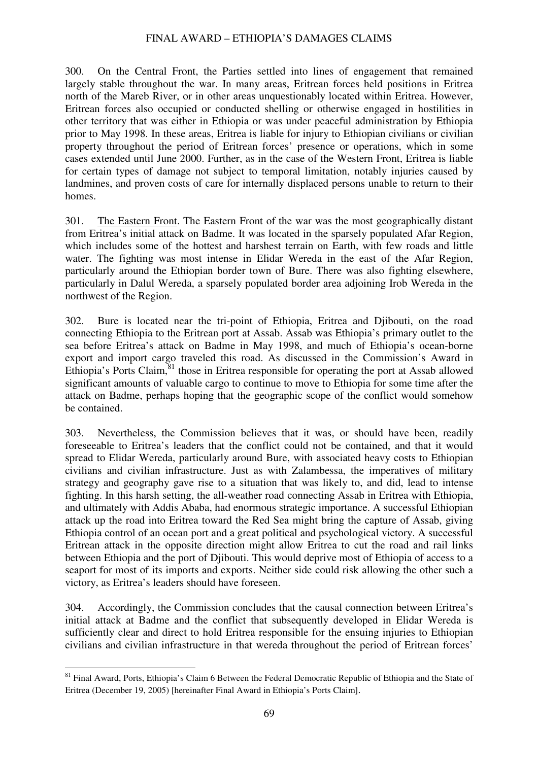300. On the Central Front, the Parties settled into lines of engagement that remained largely stable throughout the war. In many areas, Eritrean forces held positions in Eritrea north of the Mareb River, or in other areas unquestionably located within Eritrea. However, Eritrean forces also occupied or conducted shelling or otherwise engaged in hostilities in other territory that was either in Ethiopia or was under peaceful administration by Ethiopia prior to May 1998. In these areas, Eritrea is liable for injury to Ethiopian civilians or civilian property throughout the period of Eritrean forces' presence or operations, which in some cases extended until June 2000. Further, as in the case of the Western Front, Eritrea is liable for certain types of damage not subject to temporal limitation, notably injuries caused by landmines, and proven costs of care for internally displaced persons unable to return to their homes.

301. The Eastern Front. The Eastern Front of the war was the most geographically distant from Eritrea's initial attack on Badme. It was located in the sparsely populated Afar Region, which includes some of the hottest and harshest terrain on Earth, with few roads and little water. The fighting was most intense in Elidar Wereda in the east of the Afar Region, particularly around the Ethiopian border town of Bure. There was also fighting elsewhere, particularly in Dalul Wereda, a sparsely populated border area adjoining Irob Wereda in the northwest of the Region.

302. Bure is located near the tri-point of Ethiopia, Eritrea and Djibouti, on the road connecting Ethiopia to the Eritrean port at Assab. Assab was Ethiopia's primary outlet to the sea before Eritrea's attack on Badme in May 1998, and much of Ethiopia's ocean-borne export and import cargo traveled this road. As discussed in the Commission's Award in Ethiopia's Ports Claim, <sup>81</sup> those in Eritrea responsible for operating the port at Assab allowed significant amounts of valuable cargo to continue to move to Ethiopia for some time after the attack on Badme, perhaps hoping that the geographic scope of the conflict would somehow be contained.

303. Nevertheless, the Commission believes that it was, or should have been, readily foreseeable to Eritrea's leaders that the conflict could not be contained, and that it would spread to Elidar Wereda, particularly around Bure, with associated heavy costs to Ethiopian civilians and civilian infrastructure. Just as with Zalambessa, the imperatives of military strategy and geography gave rise to a situation that was likely to, and did, lead to intense fighting. In this harsh setting, the all-weather road connecting Assab in Eritrea with Ethiopia, and ultimately with Addis Ababa, had enormous strategic importance. A successful Ethiopian attack up the road into Eritrea toward the Red Sea might bring the capture of Assab, giving Ethiopia control of an ocean port and a great political and psychological victory. A successful Eritrean attack in the opposite direction might allow Eritrea to cut the road and rail links between Ethiopia and the port of Djibouti. This would deprive most of Ethiopia of access to a seaport for most of its imports and exports. Neither side could risk allowing the other such a victory, as Eritrea's leaders should have foreseen.

304. Accordingly, the Commission concludes that the causal connection between Eritrea's initial attack at Badme and the conflict that subsequently developed in Elidar Wereda is sufficiently clear and direct to hold Eritrea responsible for the ensuing injuries to Ethiopian civilians and civilian infrastructure in that wereda throughout the period of Eritrean forces'

<sup>&</sup>lt;sup>81</sup> Final Award, Ports, Ethiopia's Claim 6 Between the Federal Democratic Republic of Ethiopia and the State of Eritrea (December 19, 2005) [hereinafter Final Award in Ethiopia's Ports Claim].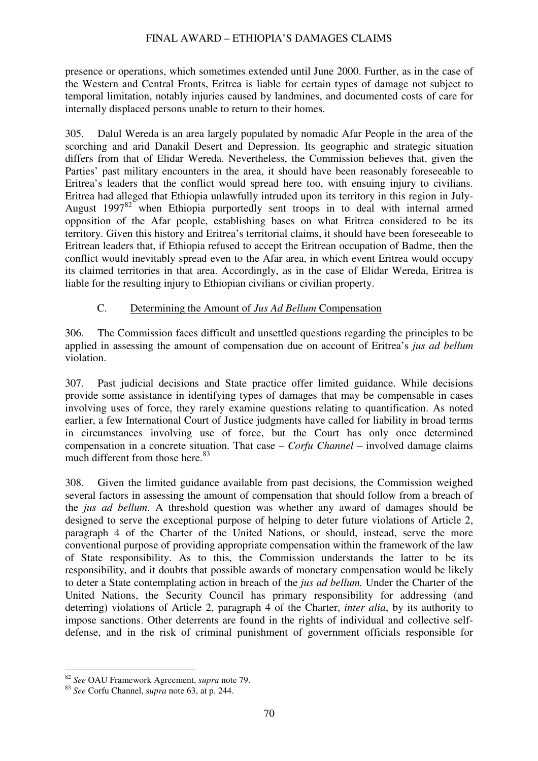presence or operations, which sometimes extended until June 2000. Further, as in the case of the Western and Central Fronts, Eritrea is liable for certain types of damage not subject to temporal limitation, notably injuries caused by landmines, and documented costs of care for internally displaced persons unable to return to their homes.

305. Dalul Wereda is an area largely populated by nomadic Afar People in the area of the scorching and arid Danakil Desert and Depression. Its geographic and strategic situation differs from that of Elidar Wereda. Nevertheless, the Commission believes that, given the Parties' past military encounters in the area, it should have been reasonably foreseeable to Eritrea's leaders that the conflict would spread here too, with ensuing injury to civilians. Eritrea had alleged that Ethiopia unlawfully intruded upon its territory in this region in July-August 1997<sup>82</sup> when Ethiopia purportedly sent troops in to deal with internal armed opposition of the Afar people, establishing bases on what Eritrea considered to be its territory. Given this history and Eritrea's territorial claims, it should have been foreseeable to Eritrean leaders that, if Ethiopia refused to accept the Eritrean occupation of Badme, then the conflict would inevitably spread even to the Afar area, in which event Eritrea would occupy its claimed territories in that area. Accordingly, as in the case of Elidar Wereda, Eritrea is liable for the resulting injury to Ethiopian civilians or civilian property.

# C. Determining the Amount of *Jus Ad Bellum* Compensation

306. The Commission faces difficult and unsettled questions regarding the principles to be applied in assessing the amount of compensation due on account of Eritrea's *jus ad bellum* violation.

307. Past judicial decisions and State practice offer limited guidance. While decisions provide some assistance in identifying types of damages that may be compensable in cases involving uses of force, they rarely examine questions relating to quantification. As noted earlier, a few International Court of Justice judgments have called for liability in broad terms in circumstances involving use of force, but the Court has only once determined compensation in a concrete situation. That case – *Corfu Channel* – involved damage claims much different from those here.<sup>83</sup>

308. Given the limited guidance available from past decisions, the Commission weighed several factors in assessing the amount of compensation that should follow from a breach of the *jus ad bellum*. A threshold question was whether any award of damages should be designed to serve the exceptional purpose of helping to deter future violations of Article 2, paragraph 4 of the Charter of the United Nations, or should, instead, serve the more conventional purpose of providing appropriate compensation within the framework of the law of State responsibility. As to this, the Commission understands the latter to be its responsibility, and it doubts that possible awards of monetary compensation would be likely to deter a State contemplating action in breach of the *jus ad bellum.* Under the Charter of the United Nations, the Security Council has primary responsibility for addressing (and deterring) violations of Article 2, paragraph 4 of the Charter, *inter alia*, by its authority to impose sanctions. Other deterrents are found in the rights of individual and collective selfdefense, and in the risk of criminal punishment of government officials responsible for

<sup>82</sup> *See* OAU Framework Agreement, *supra* note 79.

<sup>83</sup> *See* Corfu Channel, s*upra* note 63, at p. 244.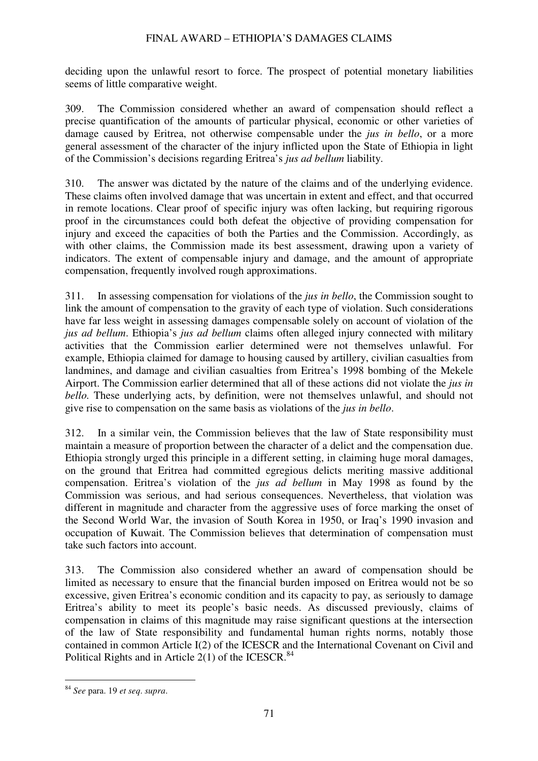deciding upon the unlawful resort to force. The prospect of potential monetary liabilities seems of little comparative weight.

309. The Commission considered whether an award of compensation should reflect a precise quantification of the amounts of particular physical, economic or other varieties of damage caused by Eritrea, not otherwise compensable under the *jus in bello*, or a more general assessment of the character of the injury inflicted upon the State of Ethiopia in light of the Commission's decisions regarding Eritrea's *jus ad bellum* liability.

310. The answer was dictated by the nature of the claims and of the underlying evidence. These claims often involved damage that was uncertain in extent and effect, and that occurred in remote locations. Clear proof of specific injury was often lacking, but requiring rigorous proof in the circumstances could both defeat the objective of providing compensation for injury and exceed the capacities of both the Parties and the Commission. Accordingly, as with other claims, the Commission made its best assessment, drawing upon a variety of indicators. The extent of compensable injury and damage, and the amount of appropriate compensation, frequently involved rough approximations.

311. In assessing compensation for violations of the *jus in bello*, the Commission sought to link the amount of compensation to the gravity of each type of violation. Such considerations have far less weight in assessing damages compensable solely on account of violation of the *jus ad bellum*. Ethiopia's *jus ad bellum* claims often alleged injury connected with military activities that the Commission earlier determined were not themselves unlawful. For example, Ethiopia claimed for damage to housing caused by artillery, civilian casualties from landmines, and damage and civilian casualties from Eritrea's 1998 bombing of the Mekele Airport. The Commission earlier determined that all of these actions did not violate the *jus in bello*. These underlying acts, by definition, were not themselves unlawful, and should not give rise to compensation on the same basis as violations of the *jus in bello*.

312. In a similar vein, the Commission believes that the law of State responsibility must maintain a measure of proportion between the character of a delict and the compensation due. Ethiopia strongly urged this principle in a different setting, in claiming huge moral damages, on the ground that Eritrea had committed egregious delicts meriting massive additional compensation. Eritrea's violation of the *jus ad bellum* in May 1998 as found by the Commission was serious, and had serious consequences. Nevertheless, that violation was different in magnitude and character from the aggressive uses of force marking the onset of the Second World War, the invasion of South Korea in 1950, or Iraq's 1990 invasion and occupation of Kuwait. The Commission believes that determination of compensation must take such factors into account.

313. The Commission also considered whether an award of compensation should be limited as necessary to ensure that the financial burden imposed on Eritrea would not be so excessive, given Eritrea's economic condition and its capacity to pay, as seriously to damage Eritrea's ability to meet its people's basic needs. As discussed previously, claims of compensation in claims of this magnitude may raise significant questions at the intersection of the law of State responsibility and fundamental human rights norms, notably those contained in common Article I(2) of the ICESCR and the International Covenant on Civil and Political Rights and in Article  $2(1)$  of the ICESCR.<sup>84</sup>

<sup>84</sup> *See* para. 19 *et seq*. *supra*.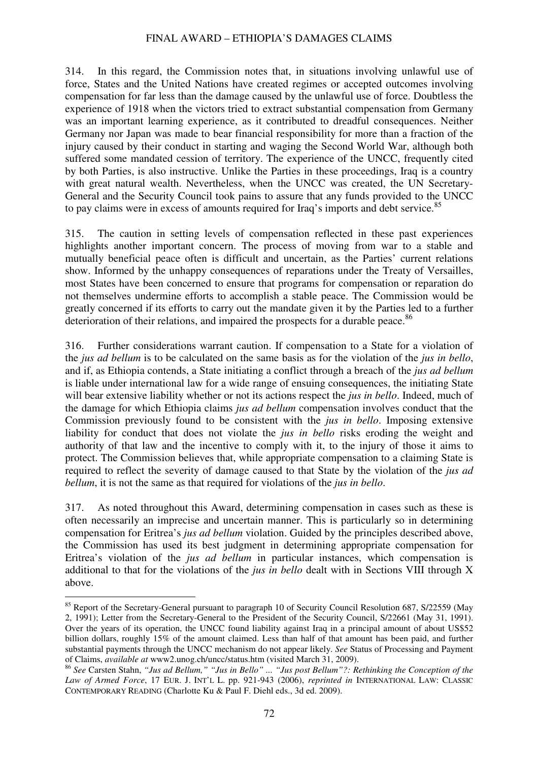314. In this regard, the Commission notes that, in situations involving unlawful use of force, States and the United Nations have created regimes or accepted outcomes involving compensation for far less than the damage caused by the unlawful use of force. Doubtless the experience of 1918 when the victors tried to extract substantial compensation from Germany was an important learning experience, as it contributed to dreadful consequences. Neither Germany nor Japan was made to bear financial responsibility for more than a fraction of the injury caused by their conduct in starting and waging the Second World War, although both suffered some mandated cession of territory. The experience of the UNCC, frequently cited by both Parties, is also instructive. Unlike the Parties in these proceedings, Iraq is a country with great natural wealth. Nevertheless, when the UNCC was created, the UN Secretary-General and the Security Council took pains to assure that any funds provided to the UNCC to pay claims were in excess of amounts required for Iraq's imports and debt service.<sup>85</sup>

315. The caution in setting levels of compensation reflected in these past experiences highlights another important concern. The process of moving from war to a stable and mutually beneficial peace often is difficult and uncertain, as the Parties' current relations show. Informed by the unhappy consequences of reparations under the Treaty of Versailles, most States have been concerned to ensure that programs for compensation or reparation do not themselves undermine efforts to accomplish a stable peace. The Commission would be greatly concerned if its efforts to carry out the mandate given it by the Parties led to a further deterioration of their relations, and impaired the prospects for a durable peace.<sup>86</sup>

316. Further considerations warrant caution. If compensation to a State for a violation of the *jus ad bellum* is to be calculated on the same basis as for the violation of the *jus in bello*, and if, as Ethiopia contends, a State initiating a conflict through a breach of the *jus ad bellum* is liable under international law for a wide range of ensuing consequences, the initiating State will bear extensive liability whether or not its actions respect the *jus in bello*. Indeed, much of the damage for which Ethiopia claims *jus ad bellum* compensation involves conduct that the Commission previously found to be consistent with the *jus in bello*. Imposing extensive liability for conduct that does not violate the *jus in bello* risks eroding the weight and authority of that law and the incentive to comply with it, to the injury of those it aims to protect. The Commission believes that, while appropriate compensation to a claiming State is required to reflect the severity of damage caused to that State by the violation of the *jus ad bellum*, it is not the same as that required for violations of the *jus in bello*.

317. As noted throughout this Award, determining compensation in cases such as these is often necessarily an imprecise and uncertain manner. This is particularly so in determining compensation for Eritrea's *jus ad bellum* violation. Guided by the principles described above, the Commission has used its best judgment in determining appropriate compensation for Eritrea's violation of the *jus ad bellum* in particular instances, which compensation is additional to that for the violations of the *jus in bello* dealt with in Sections VIII through X above.

<sup>&</sup>lt;sup>85</sup> Report of the Secretary-General pursuant to paragraph 10 of Security Council Resolution 687, S/22559 (May 2, 1991); Letter from the Secretary-General to the President of the Security Council, S/22661 (May 31, 1991). Over the years of its operation, the UNCC found liability against Iraq in a principal amount of about US\$52 billion dollars, roughly 15% of the amount claimed. Less than half of that amount has been paid, and further substantial payments through the UNCC mechanism do not appear likely. *See* Status of Processing and Payment of Claims, *available at* www2.unog.ch/uncc/status.htm (visited March 31, 2009).

<sup>86</sup> *See* Carsten Stahn, *"Jus ad Bellum," "Jus in Bello" ... "Jus post Bellum"?: Rethinking the Conception of the Law of Armed Force*, 17 EUR. J. INT'L L. pp. 921-943 (2006), *reprinted in* INTERNATIONAL LAW: CLASSIC CONTEMPORARY READING (Charlotte Ku & Paul F. Diehl eds., 3d ed. 2009).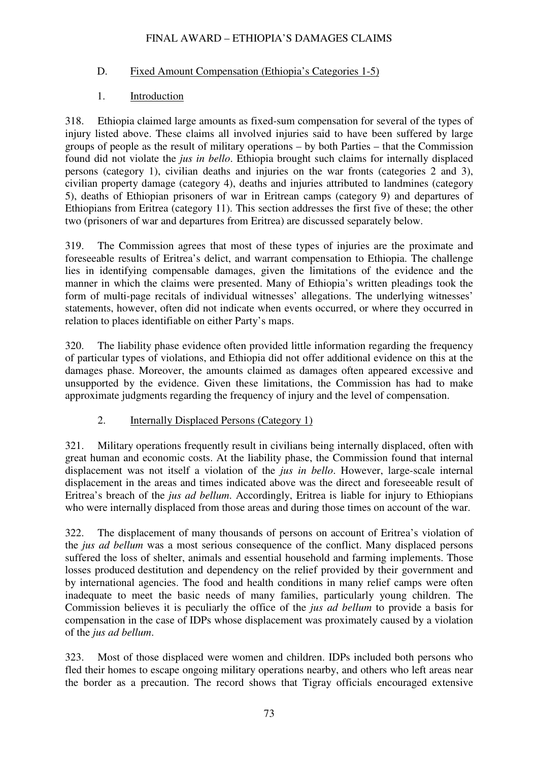# D. Fixed Amount Compensation (Ethiopia's Categories 1-5)

# 1. Introduction

318. Ethiopia claimed large amounts as fixed-sum compensation for several of the types of injury listed above. These claims all involved injuries said to have been suffered by large groups of people as the result of military operations – by both Parties – that the Commission found did not violate the *jus in bello*. Ethiopia brought such claims for internally displaced persons (category 1), civilian deaths and injuries on the war fronts (categories 2 and 3), civilian property damage (category 4), deaths and injuries attributed to landmines (category 5), deaths of Ethiopian prisoners of war in Eritrean camps (category 9) and departures of Ethiopians from Eritrea (category 11). This section addresses the first five of these; the other two (prisoners of war and departures from Eritrea) are discussed separately below.

319. The Commission agrees that most of these types of injuries are the proximate and foreseeable results of Eritrea's delict, and warrant compensation to Ethiopia. The challenge lies in identifying compensable damages, given the limitations of the evidence and the manner in which the claims were presented. Many of Ethiopia's written pleadings took the form of multi-page recitals of individual witnesses' allegations. The underlying witnesses' statements, however, often did not indicate when events occurred, or where they occurred in relation to places identifiable on either Party's maps.

320. The liability phase evidence often provided little information regarding the frequency of particular types of violations, and Ethiopia did not offer additional evidence on this at the damages phase. Moreover, the amounts claimed as damages often appeared excessive and unsupported by the evidence. Given these limitations, the Commission has had to make approximate judgments regarding the frequency of injury and the level of compensation.

# 2. Internally Displaced Persons (Category 1)

321. Military operations frequently result in civilians being internally displaced, often with great human and economic costs. At the liability phase, the Commission found that internal displacement was not itself a violation of the *jus in bello*. However, large-scale internal displacement in the areas and times indicated above was the direct and foreseeable result of Eritrea's breach of the *jus ad bellum*. Accordingly, Eritrea is liable for injury to Ethiopians who were internally displaced from those areas and during those times on account of the war.

322. The displacement of many thousands of persons on account of Eritrea's violation of the *jus ad bellum* was a most serious consequence of the conflict. Many displaced persons suffered the loss of shelter, animals and essential household and farming implements. Those losses produced destitution and dependency on the relief provided by their government and by international agencies. The food and health conditions in many relief camps were often inadequate to meet the basic needs of many families, particularly young children. The Commission believes it is peculiarly the office of the *jus ad bellum* to provide a basis for compensation in the case of IDPs whose displacement was proximately caused by a violation of the *jus ad bellum*.

323. Most of those displaced were women and children. IDPs included both persons who fled their homes to escape ongoing military operations nearby, and others who left areas near the border as a precaution. The record shows that Tigray officials encouraged extensive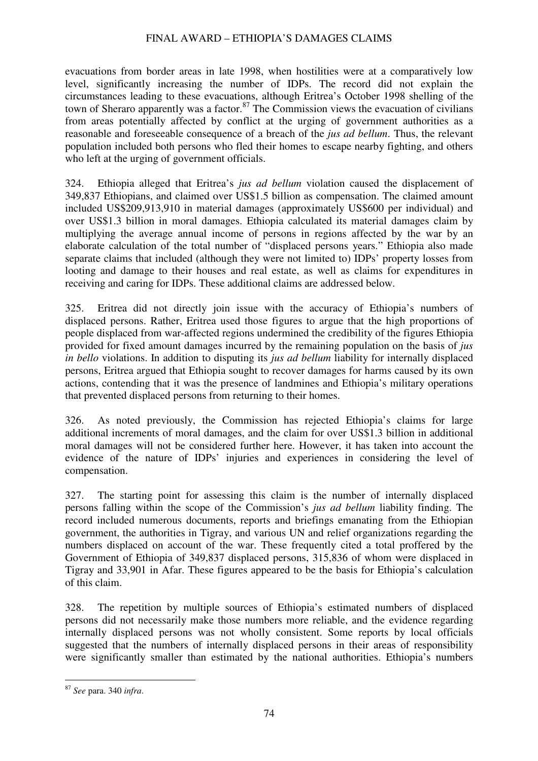evacuations from border areas in late 1998, when hostilities were at a comparatively low level, significantly increasing the number of IDPs. The record did not explain the circumstances leading to these evacuations, although Eritrea's October 1998 shelling of the town of Sheraro apparently was a factor.<sup>87</sup> The Commission views the evacuation of civilians from areas potentially affected by conflict at the urging of government authorities as a reasonable and foreseeable consequence of a breach of the *jus ad bellum*. Thus, the relevant population included both persons who fled their homes to escape nearby fighting, and others who left at the urging of government officials.

324. Ethiopia alleged that Eritrea's *jus ad bellum* violation caused the displacement of 349,837 Ethiopians, and claimed over US\$1.5 billion as compensation. The claimed amount included US\$209,913,910 in material damages (approximately US\$600 per individual) and over US\$1.3 billion in moral damages. Ethiopia calculated its material damages claim by multiplying the average annual income of persons in regions affected by the war by an elaborate calculation of the total number of "displaced persons years." Ethiopia also made separate claims that included (although they were not limited to) IDPs' property losses from looting and damage to their houses and real estate, as well as claims for expenditures in receiving and caring for IDPs. These additional claims are addressed below.

325. Eritrea did not directly join issue with the accuracy of Ethiopia's numbers of displaced persons. Rather, Eritrea used those figures to argue that the high proportions of people displaced from war-affected regions undermined the credibility of the figures Ethiopia provided for fixed amount damages incurred by the remaining population on the basis of *jus in bello* violations. In addition to disputing its *jus ad bellum* liability for internally displaced persons, Eritrea argued that Ethiopia sought to recover damages for harms caused by its own actions, contending that it was the presence of landmines and Ethiopia's military operations that prevented displaced persons from returning to their homes.

326. As noted previously, the Commission has rejected Ethiopia's claims for large additional increments of moral damages, and the claim for over US\$1.3 billion in additional moral damages will not be considered further here. However, it has taken into account the evidence of the nature of IDPs' injuries and experiences in considering the level of compensation.

327. The starting point for assessing this claim is the number of internally displaced persons falling within the scope of the Commission's *jus ad bellum* liability finding. The record included numerous documents, reports and briefings emanating from the Ethiopian government, the authorities in Tigray, and various UN and relief organizations regarding the numbers displaced on account of the war. These frequently cited a total proffered by the Government of Ethiopia of 349,837 displaced persons, 315,836 of whom were displaced in Tigray and 33,901 in Afar. These figures appeared to be the basis for Ethiopia's calculation of this claim.

328. The repetition by multiple sources of Ethiopia's estimated numbers of displaced persons did not necessarily make those numbers more reliable, and the evidence regarding internally displaced persons was not wholly consistent. Some reports by local officials suggested that the numbers of internally displaced persons in their areas of responsibility were significantly smaller than estimated by the national authorities. Ethiopia's numbers

<sup>87</sup> *See* para. 340 *infra*.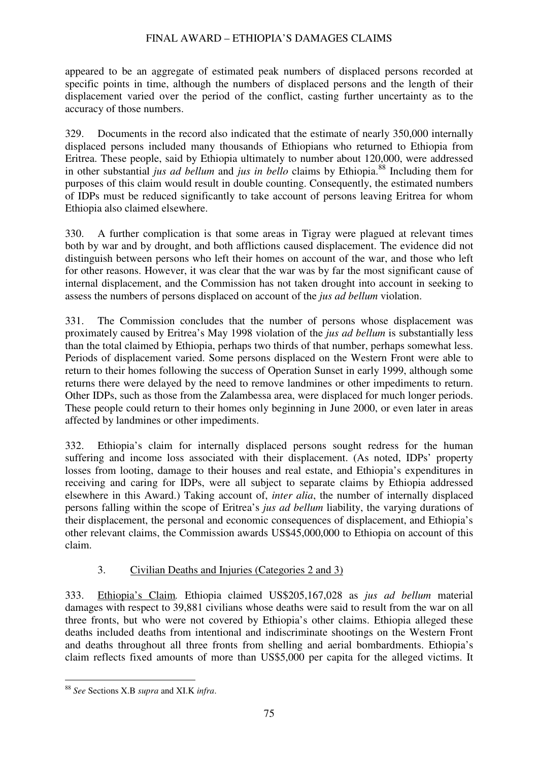appeared to be an aggregate of estimated peak numbers of displaced persons recorded at specific points in time, although the numbers of displaced persons and the length of their displacement varied over the period of the conflict, casting further uncertainty as to the accuracy of those numbers.

329. Documents in the record also indicated that the estimate of nearly 350,000 internally displaced persons included many thousands of Ethiopians who returned to Ethiopia from Eritrea. These people, said by Ethiopia ultimately to number about 120,000, were addressed in other substantial *jus ad bellum* and *jus in bello* claims by Ethiopia. 88 Including them for purposes of this claim would result in double counting. Consequently, the estimated numbers of IDPs must be reduced significantly to take account of persons leaving Eritrea for whom Ethiopia also claimed elsewhere.

330. A further complication is that some areas in Tigray were plagued at relevant times both by war and by drought, and both afflictions caused displacement. The evidence did not distinguish between persons who left their homes on account of the war, and those who left for other reasons. However, it was clear that the war was by far the most significant cause of internal displacement, and the Commission has not taken drought into account in seeking to assess the numbers of persons displaced on account of the *jus ad bellum* violation.

331. The Commission concludes that the number of persons whose displacement was proximately caused by Eritrea's May 1998 violation of the *jus ad bellum* is substantially less than the total claimed by Ethiopia, perhaps two thirds of that number, perhaps somewhat less. Periods of displacement varied. Some persons displaced on the Western Front were able to return to their homes following the success of Operation Sunset in early 1999, although some returns there were delayed by the need to remove landmines or other impediments to return. Other IDPs, such as those from the Zalambessa area, were displaced for much longer periods. These people could return to their homes only beginning in June 2000, or even later in areas affected by landmines or other impediments.

332. Ethiopia's claim for internally displaced persons sought redress for the human suffering and income loss associated with their displacement. (As noted, IDPs' property losses from looting, damage to their houses and real estate, and Ethiopia's expenditures in receiving and caring for IDPs, were all subject to separate claims by Ethiopia addressed elsewhere in this Award.) Taking account of, *inter alia*, the number of internally displaced persons falling within the scope of Eritrea's *jus ad bellum* liability, the varying durations of their displacement, the personal and economic consequences of displacement, and Ethiopia's other relevant claims, the Commission awards US\$45,000,000 to Ethiopia on account of this claim.

# 3. Civilian Deaths and Injuries (Categories 2 and 3)

333. Ethiopia's Claim*.* Ethiopia claimed US\$205,167,028 as *jus ad bellum* material damages with respect to 39,881 civilians whose deaths were said to result from the war on all three fronts, but who were not covered by Ethiopia's other claims. Ethiopia alleged these deaths included deaths from intentional and indiscriminate shootings on the Western Front and deaths throughout all three fronts from shelling and aerial bombardments. Ethiopia's claim reflects fixed amounts of more than US\$5,000 per capita for the alleged victims. It

<sup>88</sup> *See* Sections X.B *supra* and XI.K *infra*.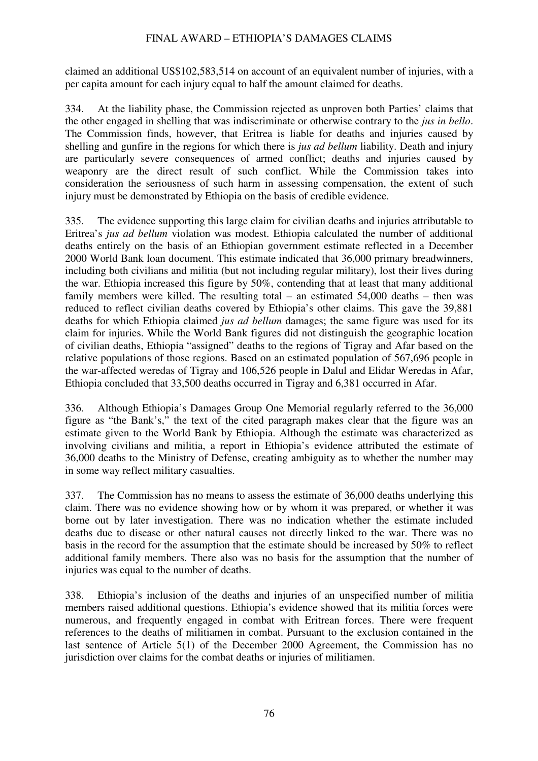claimed an additional US\$102,583,514 on account of an equivalent number of injuries, with a per capita amount for each injury equal to half the amount claimed for deaths.

334. At the liability phase, the Commission rejected as unproven both Parties' claims that the other engaged in shelling that was indiscriminate or otherwise contrary to the *jus in bello*. The Commission finds, however, that Eritrea is liable for deaths and injuries caused by shelling and gunfire in the regions for which there is *jus ad bellum* liability. Death and injury are particularly severe consequences of armed conflict; deaths and injuries caused by weaponry are the direct result of such conflict. While the Commission takes into consideration the seriousness of such harm in assessing compensation, the extent of such injury must be demonstrated by Ethiopia on the basis of credible evidence.

335. The evidence supporting this large claim for civilian deaths and injuries attributable to Eritrea's *jus ad bellum* violation was modest. Ethiopia calculated the number of additional deaths entirely on the basis of an Ethiopian government estimate reflected in a December 2000 World Bank loan document. This estimate indicated that 36,000 primary breadwinners, including both civilians and militia (but not including regular military), lost their lives during the war. Ethiopia increased this figure by 50%, contending that at least that many additional family members were killed. The resulting total – an estimated 54,000 deaths – then was reduced to reflect civilian deaths covered by Ethiopia's other claims. This gave the 39,881 deaths for which Ethiopia claimed *jus ad bellum* damages; the same figure was used for its claim for injuries. While the World Bank figures did not distinguish the geographic location of civilian deaths, Ethiopia "assigned" deaths to the regions of Tigray and Afar based on the relative populations of those regions. Based on an estimated population of 567,696 people in the war-affected weredas of Tigray and 106,526 people in Dalul and Elidar Weredas in Afar, Ethiopia concluded that 33,500 deaths occurred in Tigray and 6,381 occurred in Afar.

336. Although Ethiopia's Damages Group One Memorial regularly referred to the 36,000 figure as "the Bank's," the text of the cited paragraph makes clear that the figure was an estimate given to the World Bank by Ethiopia. Although the estimate was characterized as involving civilians and militia, a report in Ethiopia's evidence attributed the estimate of 36,000 deaths to the Ministry of Defense, creating ambiguity as to whether the number may in some way reflect military casualties.

337. The Commission has no means to assess the estimate of 36,000 deaths underlying this claim. There was no evidence showing how or by whom it was prepared, or whether it was borne out by later investigation. There was no indication whether the estimate included deaths due to disease or other natural causes not directly linked to the war. There was no basis in the record for the assumption that the estimate should be increased by 50% to reflect additional family members. There also was no basis for the assumption that the number of injuries was equal to the number of deaths.

338. Ethiopia's inclusion of the deaths and injuries of an unspecified number of militia members raised additional questions. Ethiopia's evidence showed that its militia forces were numerous, and frequently engaged in combat with Eritrean forces. There were frequent references to the deaths of militiamen in combat. Pursuant to the exclusion contained in the last sentence of Article 5(1) of the December 2000 Agreement, the Commission has no jurisdiction over claims for the combat deaths or injuries of militiamen.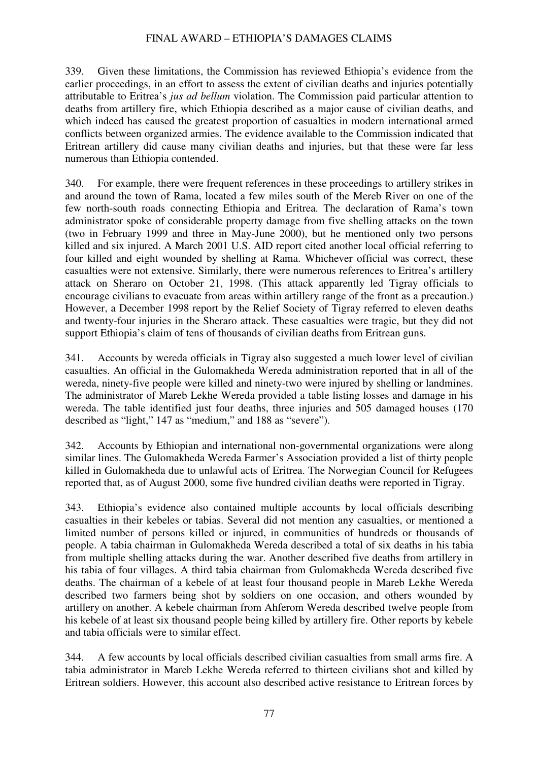339. Given these limitations, the Commission has reviewed Ethiopia's evidence from the earlier proceedings, in an effort to assess the extent of civilian deaths and injuries potentially attributable to Eritrea's *jus ad bellum* violation. The Commission paid particular attention to deaths from artillery fire, which Ethiopia described as a major cause of civilian deaths, and which indeed has caused the greatest proportion of casualties in modern international armed conflicts between organized armies. The evidence available to the Commission indicated that Eritrean artillery did cause many civilian deaths and injuries, but that these were far less numerous than Ethiopia contended.

340. For example, there were frequent references in these proceedings to artillery strikes in and around the town of Rama, located a few miles south of the Mereb River on one of the few north-south roads connecting Ethiopia and Eritrea. The declaration of Rama's town administrator spoke of considerable property damage from five shelling attacks on the town (two in February 1999 and three in May-June 2000), but he mentioned only two persons killed and six injured. A March 2001 U.S. AID report cited another local official referring to four killed and eight wounded by shelling at Rama. Whichever official was correct, these casualties were not extensive. Similarly, there were numerous references to Eritrea's artillery attack on Sheraro on October 21, 1998. (This attack apparently led Tigray officials to encourage civilians to evacuate from areas within artillery range of the front as a precaution.) However, a December 1998 report by the Relief Society of Tigray referred to eleven deaths and twenty-four injuries in the Sheraro attack. These casualties were tragic, but they did not support Ethiopia's claim of tens of thousands of civilian deaths from Eritrean guns.

341. Accounts by wereda officials in Tigray also suggested a much lower level of civilian casualties. An official in the Gulomakheda Wereda administration reported that in all of the wereda, ninety-five people were killed and ninety-two were injured by shelling or landmines. The administrator of Mareb Lekhe Wereda provided a table listing losses and damage in his wereda. The table identified just four deaths, three injuries and 505 damaged houses (170 described as "light," 147 as "medium," and 188 as "severe").

342. Accounts by Ethiopian and international non-governmental organizations were along similar lines. The Gulomakheda Wereda Farmer's Association provided a list of thirty people killed in Gulomakheda due to unlawful acts of Eritrea. The Norwegian Council for Refugees reported that, as of August 2000, some five hundred civilian deaths were reported in Tigray.

343. Ethiopia's evidence also contained multiple accounts by local officials describing casualties in their kebeles or tabias. Several did not mention any casualties, or mentioned a limited number of persons killed or injured, in communities of hundreds or thousands of people. A tabia chairman in Gulomakheda Wereda described a total of six deaths in his tabia from multiple shelling attacks during the war. Another described five deaths from artillery in his tabia of four villages. A third tabia chairman from Gulomakheda Wereda described five deaths. The chairman of a kebele of at least four thousand people in Mareb Lekhe Wereda described two farmers being shot by soldiers on one occasion, and others wounded by artillery on another. A kebele chairman from Ahferom Wereda described twelve people from his kebele of at least six thousand people being killed by artillery fire. Other reports by kebele and tabia officials were to similar effect.

344. A few accounts by local officials described civilian casualties from small arms fire. A tabia administrator in Mareb Lekhe Wereda referred to thirteen civilians shot and killed by Eritrean soldiers. However, this account also described active resistance to Eritrean forces by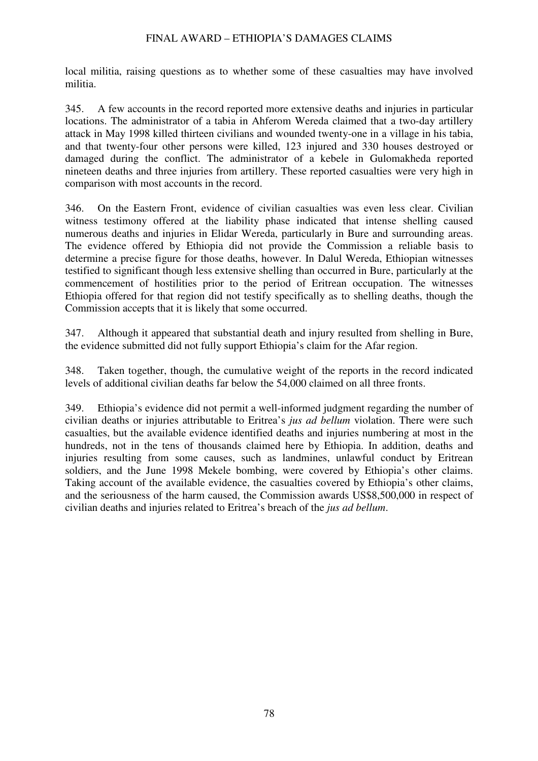local militia, raising questions as to whether some of these casualties may have involved militia.

345. A few accounts in the record reported more extensive deaths and injuries in particular locations. The administrator of a tabia in Ahferom Wereda claimed that a two-day artillery attack in May 1998 killed thirteen civilians and wounded twenty-one in a village in his tabia, and that twenty-four other persons were killed, 123 injured and 330 houses destroyed or damaged during the conflict. The administrator of a kebele in Gulomakheda reported nineteen deaths and three injuries from artillery. These reported casualties were very high in comparison with most accounts in the record.

346. On the Eastern Front, evidence of civilian casualties was even less clear. Civilian witness testimony offered at the liability phase indicated that intense shelling caused numerous deaths and injuries in Elidar Wereda, particularly in Bure and surrounding areas. The evidence offered by Ethiopia did not provide the Commission a reliable basis to determine a precise figure for those deaths, however. In Dalul Wereda, Ethiopian witnesses testified to significant though less extensive shelling than occurred in Bure, particularly at the commencement of hostilities prior to the period of Eritrean occupation. The witnesses Ethiopia offered for that region did not testify specifically as to shelling deaths, though the Commission accepts that it is likely that some occurred.

347. Although it appeared that substantial death and injury resulted from shelling in Bure, the evidence submitted did not fully support Ethiopia's claim for the Afar region.

348. Taken together, though, the cumulative weight of the reports in the record indicated levels of additional civilian deaths far below the 54,000 claimed on all three fronts.

349. Ethiopia's evidence did not permit a well-informed judgment regarding the number of civilian deaths or injuries attributable to Eritrea's *jus ad bellum* violation. There were such casualties, but the available evidence identified deaths and injuries numbering at most in the hundreds, not in the tens of thousands claimed here by Ethiopia. In addition, deaths and injuries resulting from some causes, such as landmines, unlawful conduct by Eritrean soldiers, and the June 1998 Mekele bombing, were covered by Ethiopia's other claims. Taking account of the available evidence, the casualties covered by Ethiopia's other claims, and the seriousness of the harm caused, the Commission awards US\$8,500,000 in respect of civilian deaths and injuries related to Eritrea's breach of the *jus ad bellum*.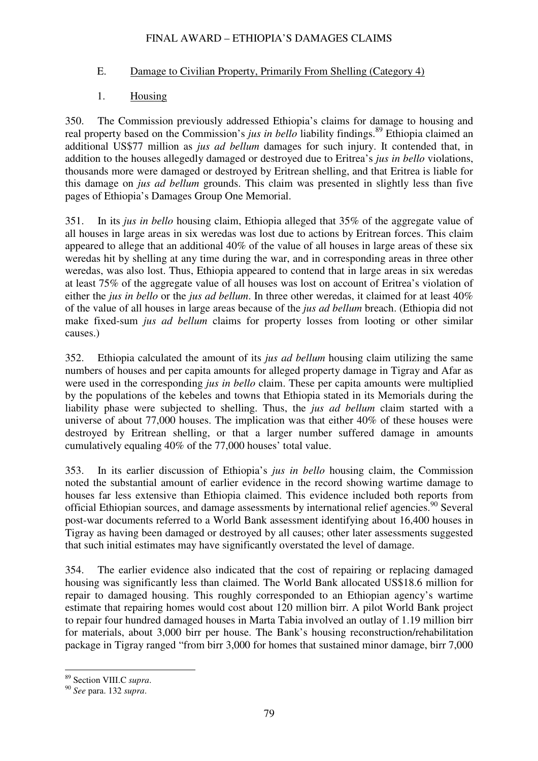## E. Damage to Civilian Property, Primarily From Shelling (Category 4)

# 1. Housing

350. The Commission previously addressed Ethiopia's claims for damage to housing and real property based on the Commission's *jus in bello* liability findings. 89 Ethiopia claimed an additional US\$77 million as *jus ad bellum* damages for such injury. It contended that, in addition to the houses allegedly damaged or destroyed due to Eritrea's *jus in bello* violations, thousands more were damaged or destroyed by Eritrean shelling, and that Eritrea is liable for this damage on *jus ad bellum* grounds. This claim was presented in slightly less than five pages of Ethiopia's Damages Group One Memorial.

351. In its *jus in bello* housing claim, Ethiopia alleged that 35% of the aggregate value of all houses in large areas in six weredas was lost due to actions by Eritrean forces. This claim appeared to allege that an additional 40% of the value of all houses in large areas of these six weredas hit by shelling at any time during the war, and in corresponding areas in three other weredas, was also lost. Thus, Ethiopia appeared to contend that in large areas in six weredas at least 75% of the aggregate value of all houses was lost on account of Eritrea's violation of either the *jus in bello* or the *jus ad bellum*. In three other weredas, it claimed for at least 40% of the value of all houses in large areas because of the *jus ad bellum* breach. (Ethiopia did not make fixed-sum *jus ad bellum* claims for property losses from looting or other similar causes.)

352. Ethiopia calculated the amount of its *jus ad bellum* housing claim utilizing the same numbers of houses and per capita amounts for alleged property damage in Tigray and Afar as were used in the corresponding *jus in bello* claim. These per capita amounts were multiplied by the populations of the kebeles and towns that Ethiopia stated in its Memorials during the liability phase were subjected to shelling. Thus, the *jus ad bellum* claim started with a universe of about 77,000 houses. The implication was that either 40% of these houses were destroyed by Eritrean shelling, or that a larger number suffered damage in amounts cumulatively equaling 40% of the 77,000 houses' total value.

353. In its earlier discussion of Ethiopia's *jus in bello* housing claim, the Commission noted the substantial amount of earlier evidence in the record showing wartime damage to houses far less extensive than Ethiopia claimed. This evidence included both reports from official Ethiopian sources, and damage assessments by international relief agencies.<sup>90</sup> Several post-war documents referred to a World Bank assessment identifying about 16,400 houses in Tigray as having been damaged or destroyed by all causes; other later assessments suggested that such initial estimates may have significantly overstated the level of damage.

354. The earlier evidence also indicated that the cost of repairing or replacing damaged housing was significantly less than claimed. The World Bank allocated US\$18.6 million for repair to damaged housing. This roughly corresponded to an Ethiopian agency's wartime estimate that repairing homes would cost about 120 million birr. A pilot World Bank project to repair four hundred damaged houses in Marta Tabia involved an outlay of 1.19 million birr for materials, about 3,000 birr per house. The Bank's housing reconstruction/rehabilitation package in Tigray ranged "from birr 3,000 for homes that sustained minor damage, birr 7,000

<sup>89</sup> Section VIII.C *supra*.

<sup>90</sup> *See* para. 132 *supra*.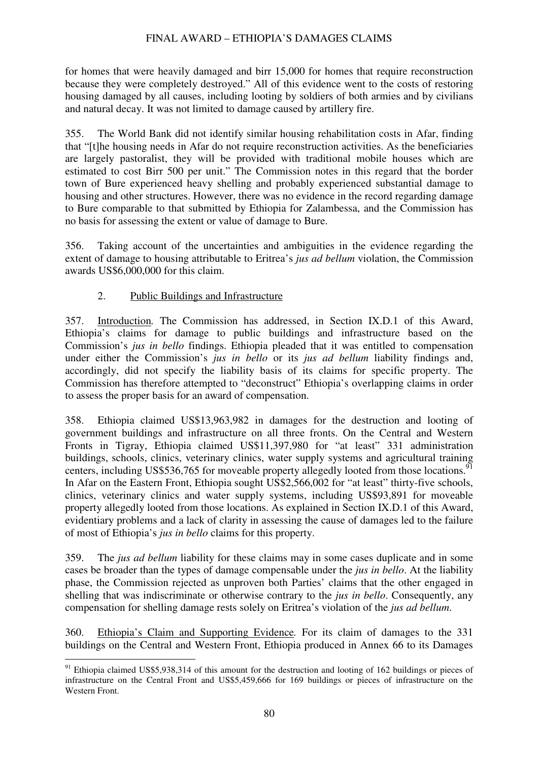for homes that were heavily damaged and birr 15,000 for homes that require reconstruction because they were completely destroyed." All of this evidence went to the costs of restoring housing damaged by all causes, including looting by soldiers of both armies and by civilians and natural decay. It was not limited to damage caused by artillery fire.

355. The World Bank did not identify similar housing rehabilitation costs in Afar, finding that "[t]he housing needs in Afar do not require reconstruction activities. As the beneficiaries are largely pastoralist, they will be provided with traditional mobile houses which are estimated to cost Birr 500 per unit." The Commission notes in this regard that the border town of Bure experienced heavy shelling and probably experienced substantial damage to housing and other structures. However, there was no evidence in the record regarding damage to Bure comparable to that submitted by Ethiopia for Zalambessa, and the Commission has no basis for assessing the extent or value of damage to Bure.

356. Taking account of the uncertainties and ambiguities in the evidence regarding the extent of damage to housing attributable to Eritrea's *jus ad bellum* violation, the Commission awards US\$6,000,000 for this claim.

# 2. Public Buildings and Infrastructure

357. Introduction*.* The Commission has addressed, in Section IX.D.1 of this Award, Ethiopia's claims for damage to public buildings and infrastructure based on the Commission's *jus in bello* findings. Ethiopia pleaded that it was entitled to compensation under either the Commission's *jus in bello* or its *jus ad bellum* liability findings and, accordingly, did not specify the liability basis of its claims for specific property. The Commission has therefore attempted to "deconstruct" Ethiopia's overlapping claims in order to assess the proper basis for an award of compensation.

358. Ethiopia claimed US\$13,963,982 in damages for the destruction and looting of government buildings and infrastructure on all three fronts. On the Central and Western Fronts in Tigray, Ethiopia claimed US\$11,397,980 for "at least" 331 administration buildings, schools, clinics, veterinary clinics, water supply systems and agricultural training centers, including US\$536,765 for moveable property allegedly looted from those locations.<sup>91</sup> In Afar on the Eastern Front, Ethiopia sought US\$2,566,002 for "at least" thirty-five schools, clinics, veterinary clinics and water supply systems, including US\$93,891 for moveable property allegedly looted from those locations. As explained in Section IX.D.1 of this Award, evidentiary problems and a lack of clarity in assessing the cause of damages led to the failure of most of Ethiopia's *jus in bello* claims for this property.

359. The *jus ad bellum* liability for these claims may in some cases duplicate and in some cases be broader than the types of damage compensable under the *jus in bello*. At the liability phase, the Commission rejected as unproven both Parties' claims that the other engaged in shelling that was indiscriminate or otherwise contrary to the *jus in bello*. Consequently, any compensation for shelling damage rests solely on Eritrea's violation of the *jus ad bellum*.

360. Ethiopia's Claim and Supporting Evidence*.* For its claim of damages to the 331 buildings on the Central and Western Front, Ethiopia produced in Annex 66 to its Damages

 $91$  Ethiopia claimed US\$5,938,314 of this amount for the destruction and looting of 162 buildings or pieces of infrastructure on the Central Front and US\$5,459,666 for 169 buildings or pieces of infrastructure on the Western Front.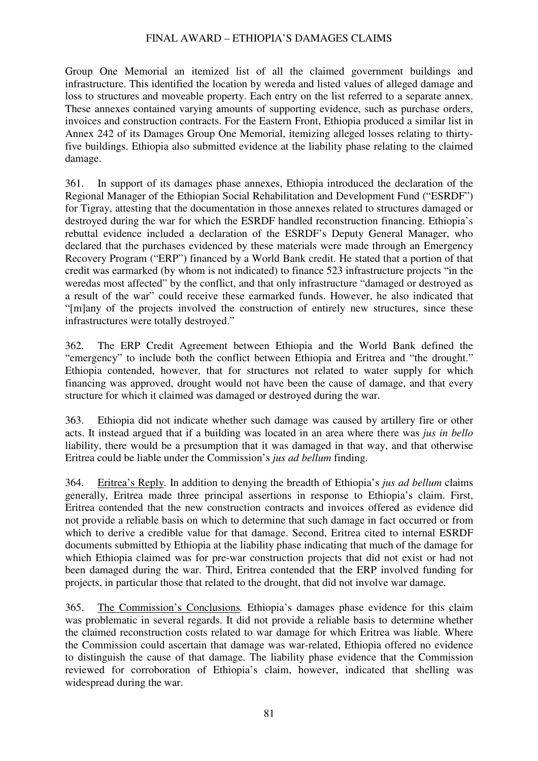Group One Memorial an itemized list of all the claimed government buildings and infrastructure. This identified the location by wereda and listed values of alleged damage and loss to structures and moveable property. Each entry on the list referred to a separate annex. These annexes contained varying amounts of supporting evidence, such as purchase orders, invoices and construction contracts. For the Eastern Front, Ethiopia produced a similar list in Annex 242 of its Damages Group One Memorial, itemizing alleged losses relating to thirtyfive buildings. Ethiopia also submitted evidence at the liability phase relating to the claimed damage.

361. In support of its damages phase annexes, Ethiopia introduced the declaration of the Regional Manager of the Ethiopian Social Rehabilitation and Development Fund ("ESRDF") for Tigray, attesting that the documentation in those annexes related to structures damaged or destroyed during the war for which the ESRDF handled reconstruction financing. Ethiopia's rebuttal evidence included a declaration of the ESRDF's Deputy General Manager, who declared that the purchases evidenced by these materials were made through an Emergency Recovery Program ("ERP") financed by a World Bank credit. He stated that a portion of that credit was earmarked (by whom is not indicated) to finance 523 infrastructure projects "in the weredas most affected" by the conflict, and that only infrastructure "damaged or destroyed as a result of the war" could receive these earmarked funds. However, he also indicated that "[m]any of the projects involved the construction of entirely new structures, since these infrastructures were totally destroyed."

362. The ERP Credit Agreement between Ethiopia and the World Bank defined the "emergency" to include both the conflict between Ethiopia and Eritrea and "the drought." Ethiopia contended, however, that for structures not related to water supply for which financing was approved, drought would not have been the cause of damage, and that every structure for which it claimed was damaged or destroyed during the war.

363. Ethiopia did not indicate whether such damage was caused by artillery fire or other acts. It instead argued that if a building was located in an area where there was *jus in bello* liability, there would be a presumption that it was damaged in that way, and that otherwise Eritrea could be liable under the Commission's *jus ad bellum* finding.

364. Eritrea's Reply*.* In addition to denying the breadth of Ethiopia's *jus ad bellum* claims generally, Eritrea made three principal assertions in response to Ethiopia's claim. First, Eritrea contended that the new construction contracts and invoices offered as evidence did not provide a reliable basis on which to determine that such damage in fact occurred or from which to derive a credible value for that damage. Second, Eritrea cited to internal ESRDF documents submitted by Ethiopia at the liability phase indicating that much of the damage for which Ethiopia claimed was for pre-war construction projects that did not exist or had not been damaged during the war. Third, Eritrea contended that the ERP involved funding for projects, in particular those that related to the drought, that did not involve war damage.

365. The Commission's Conclusions*.* Ethiopia's damages phase evidence for this claim was problematic in several regards. It did not provide a reliable basis to determine whether the claimed reconstruction costs related to war damage for which Eritrea was liable. Where the Commission could ascertain that damage was war-related, Ethiopia offered no evidence to distinguish the cause of that damage. The liability phase evidence that the Commission reviewed for corroboration of Ethiopia's claim, however, indicated that shelling was widespread during the war.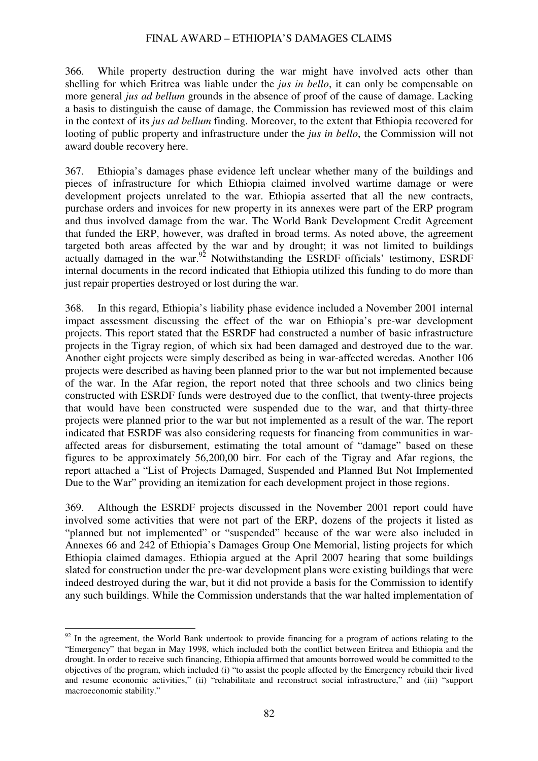366. While property destruction during the war might have involved acts other than shelling for which Eritrea was liable under the *jus in bello*, it can only be compensable on more general *jus ad bellum* grounds in the absence of proof of the cause of damage. Lacking a basis to distinguish the cause of damage, the Commission has reviewed most of this claim in the context of its *jus ad bellum* finding. Moreover, to the extent that Ethiopia recovered for looting of public property and infrastructure under the *jus in bello*, the Commission will not award double recovery here.

367. Ethiopia's damages phase evidence left unclear whether many of the buildings and pieces of infrastructure for which Ethiopia claimed involved wartime damage or were development projects unrelated to the war. Ethiopia asserted that all the new contracts, purchase orders and invoices for new property in its annexes were part of the ERP program and thus involved damage from the war. The World Bank Development Credit Agreement that funded the ERP, however, was drafted in broad terms. As noted above, the agreement targeted both areas affected by the war and by drought; it was not limited to buildings actually damaged in the war.<sup>92</sup> Notwithstanding the ESRDF officials' testimony, ESRDF internal documents in the record indicated that Ethiopia utilized this funding to do more than just repair properties destroyed or lost during the war.

368. In this regard, Ethiopia's liability phase evidence included a November 2001 internal impact assessment discussing the effect of the war on Ethiopia's pre-war development projects. This report stated that the ESRDF had constructed a number of basic infrastructure projects in the Tigray region, of which six had been damaged and destroyed due to the war. Another eight projects were simply described as being in war-affected weredas. Another 106 projects were described as having been planned prior to the war but not implemented because of the war. In the Afar region, the report noted that three schools and two clinics being constructed with ESRDF funds were destroyed due to the conflict, that twenty-three projects that would have been constructed were suspended due to the war, and that thirty-three projects were planned prior to the war but not implemented as a result of the war. The report indicated that ESRDF was also considering requests for financing from communities in waraffected areas for disbursement, estimating the total amount of "damage" based on these figures to be approximately 56,200,00 birr. For each of the Tigray and Afar regions, the report attached a "List of Projects Damaged, Suspended and Planned But Not Implemented Due to the War" providing an itemization for each development project in those regions.

369. Although the ESRDF projects discussed in the November 2001 report could have involved some activities that were not part of the ERP, dozens of the projects it listed as "planned but not implemented" or "suspended" because of the war were also included in Annexes 66 and 242 of Ethiopia's Damages Group One Memorial, listing projects for which Ethiopia claimed damages. Ethiopia argued at the April 2007 hearing that some buildings slated for construction under the pre-war development plans were existing buildings that were indeed destroyed during the war, but it did not provide a basis for the Commission to identify any such buildings. While the Commission understands that the war halted implementation of

 $92$  In the agreement, the World Bank undertook to provide financing for a program of actions relating to the "Emergency" that began in May 1998, which included both the conflict between Eritrea and Ethiopia and the drought. In order to receive such financing, Ethiopia affirmed that amounts borrowed would be committed to the objectives of the program, which included (i) "to assist the people affected by the Emergency rebuild their lived and resume economic activities," (ii) "rehabilitate and reconstruct social infrastructure," and (iii) "support macroeconomic stability."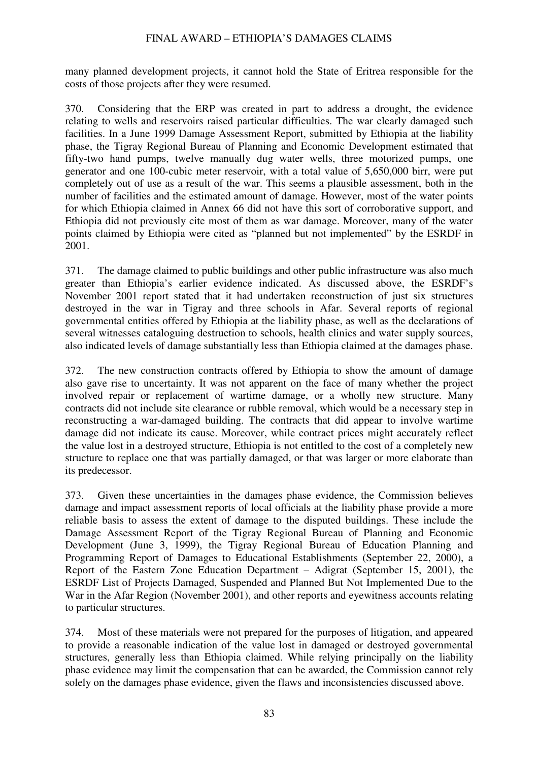many planned development projects, it cannot hold the State of Eritrea responsible for the costs of those projects after they were resumed.

370. Considering that the ERP was created in part to address a drought, the evidence relating to wells and reservoirs raised particular difficulties. The war clearly damaged such facilities. In a June 1999 Damage Assessment Report, submitted by Ethiopia at the liability phase, the Tigray Regional Bureau of Planning and Economic Development estimated that fifty-two hand pumps, twelve manually dug water wells, three motorized pumps, one generator and one 100-cubic meter reservoir, with a total value of 5,650,000 birr, were put completely out of use as a result of the war. This seems a plausible assessment, both in the number of facilities and the estimated amount of damage. However, most of the water points for which Ethiopia claimed in Annex 66 did not have this sort of corroborative support, and Ethiopia did not previously cite most of them as war damage. Moreover, many of the water points claimed by Ethiopia were cited as "planned but not implemented" by the ESRDF in 2001.

371. The damage claimed to public buildings and other public infrastructure was also much greater than Ethiopia's earlier evidence indicated. As discussed above, the ESRDF's November 2001 report stated that it had undertaken reconstruction of just six structures destroyed in the war in Tigray and three schools in Afar. Several reports of regional governmental entities offered by Ethiopia at the liability phase, as well as the declarations of several witnesses cataloguing destruction to schools, health clinics and water supply sources, also indicated levels of damage substantially less than Ethiopia claimed at the damages phase.

372. The new construction contracts offered by Ethiopia to show the amount of damage also gave rise to uncertainty. It was not apparent on the face of many whether the project involved repair or replacement of wartime damage, or a wholly new structure. Many contracts did not include site clearance or rubble removal, which would be a necessary step in reconstructing a war-damaged building. The contracts that did appear to involve wartime damage did not indicate its cause. Moreover, while contract prices might accurately reflect the value lost in a destroyed structure, Ethiopia is not entitled to the cost of a completely new structure to replace one that was partially damaged, or that was larger or more elaborate than its predecessor.

373. Given these uncertainties in the damages phase evidence, the Commission believes damage and impact assessment reports of local officials at the liability phase provide a more reliable basis to assess the extent of damage to the disputed buildings. These include the Damage Assessment Report of the Tigray Regional Bureau of Planning and Economic Development (June 3, 1999), the Tigray Regional Bureau of Education Planning and Programming Report of Damages to Educational Establishments (September 22, 2000), a Report of the Eastern Zone Education Department – Adigrat (September 15, 2001), the ESRDF List of Projects Damaged, Suspended and Planned But Not Implemented Due to the War in the Afar Region (November 2001), and other reports and eyewitness accounts relating to particular structures.

374. Most of these materials were not prepared for the purposes of litigation, and appeared to provide a reasonable indication of the value lost in damaged or destroyed governmental structures, generally less than Ethiopia claimed. While relying principally on the liability phase evidence may limit the compensation that can be awarded, the Commission cannot rely solely on the damages phase evidence, given the flaws and inconsistencies discussed above.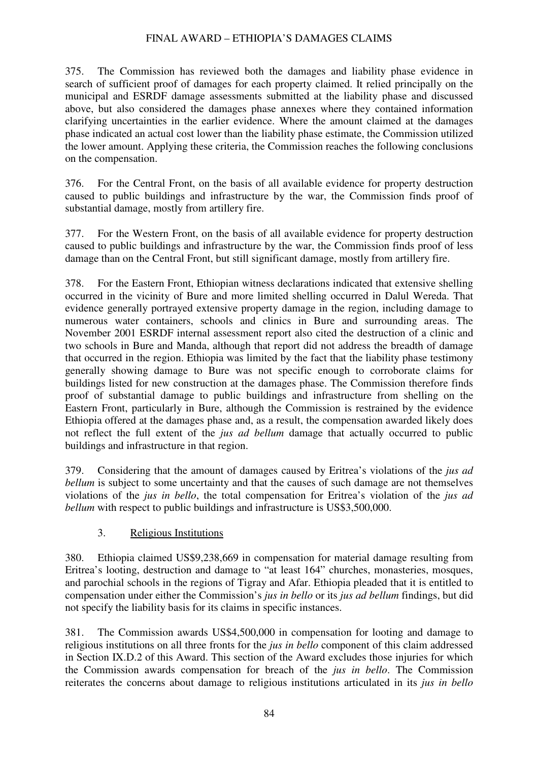375. The Commission has reviewed both the damages and liability phase evidence in search of sufficient proof of damages for each property claimed. It relied principally on the municipal and ESRDF damage assessments submitted at the liability phase and discussed above, but also considered the damages phase annexes where they contained information clarifying uncertainties in the earlier evidence. Where the amount claimed at the damages phase indicated an actual cost lower than the liability phase estimate, the Commission utilized the lower amount. Applying these criteria, the Commission reaches the following conclusions on the compensation.

376. For the Central Front, on the basis of all available evidence for property destruction caused to public buildings and infrastructure by the war, the Commission finds proof of substantial damage, mostly from artillery fire.

377. For the Western Front, on the basis of all available evidence for property destruction caused to public buildings and infrastructure by the war, the Commission finds proof of less damage than on the Central Front, but still significant damage, mostly from artillery fire.

378. For the Eastern Front, Ethiopian witness declarations indicated that extensive shelling occurred in the vicinity of Bure and more limited shelling occurred in Dalul Wereda. That evidence generally portrayed extensive property damage in the region, including damage to numerous water containers, schools and clinics in Bure and surrounding areas. The November 2001 ESRDF internal assessment report also cited the destruction of a clinic and two schools in Bure and Manda, although that report did not address the breadth of damage that occurred in the region. Ethiopia was limited by the fact that the liability phase testimony generally showing damage to Bure was not specific enough to corroborate claims for buildings listed for new construction at the damages phase. The Commission therefore finds proof of substantial damage to public buildings and infrastructure from shelling on the Eastern Front, particularly in Bure, although the Commission is restrained by the evidence Ethiopia offered at the damages phase and, as a result, the compensation awarded likely does not reflect the full extent of the *jus ad bellum* damage that actually occurred to public buildings and infrastructure in that region.

379. Considering that the amount of damages caused by Eritrea's violations of the *jus ad bellum* is subject to some uncertainty and that the causes of such damage are not themselves violations of the *jus in bello*, the total compensation for Eritrea's violation of the *jus ad bellum* with respect to public buildings and infrastructure is US\$3,500,000.

# 3. Religious Institutions

380. Ethiopia claimed US\$9,238,669 in compensation for material damage resulting from Eritrea's looting, destruction and damage to "at least 164" churches, monasteries, mosques, and parochial schools in the regions of Tigray and Afar. Ethiopia pleaded that it is entitled to compensation under either the Commission's *jus in bello* or its *jus ad bellum* findings, but did not specify the liability basis for its claims in specific instances.

381. The Commission awards US\$4,500,000 in compensation for looting and damage to religious institutions on all three fronts for the *jus in bello* component of this claim addressed in Section IX.D.2 of this Award. This section of the Award excludes those injuries for which the Commission awards compensation for breach of the *jus in bello*. The Commission reiterates the concerns about damage to religious institutions articulated in its *jus in bello*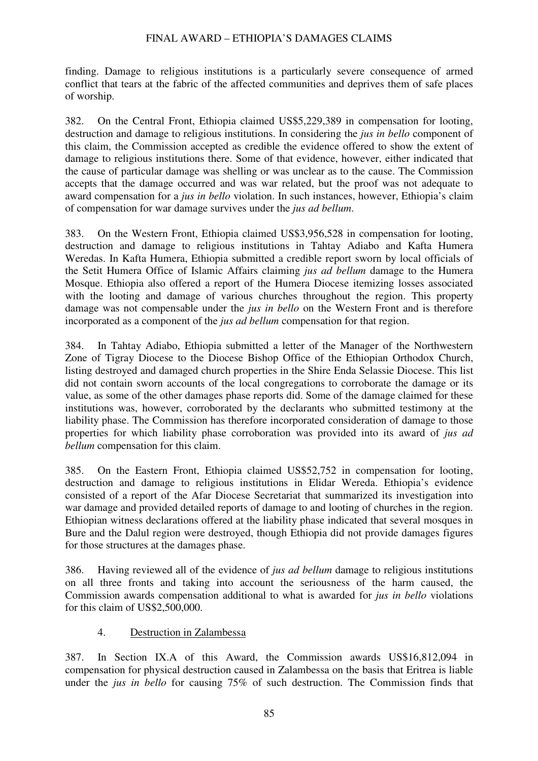finding. Damage to religious institutions is a particularly severe consequence of armed conflict that tears at the fabric of the affected communities and deprives them of safe places of worship.

382. On the Central Front, Ethiopia claimed US\$5,229,389 in compensation for looting, destruction and damage to religious institutions. In considering the *jus in bello* component of this claim, the Commission accepted as credible the evidence offered to show the extent of damage to religious institutions there. Some of that evidence, however, either indicated that the cause of particular damage was shelling or was unclear as to the cause. The Commission accepts that the damage occurred and was war related, but the proof was not adequate to award compensation for a *jus in bello* violation. In such instances, however, Ethiopia's claim of compensation for war damage survives under the *jus ad bellum*.

383. On the Western Front, Ethiopia claimed US\$3,956,528 in compensation for looting, destruction and damage to religious institutions in Tahtay Adiabo and Kafta Humera Weredas. In Kafta Humera, Ethiopia submitted a credible report sworn by local officials of the Setit Humera Office of Islamic Affairs claiming *jus ad bellum* damage to the Humera Mosque. Ethiopia also offered a report of the Humera Diocese itemizing losses associated with the looting and damage of various churches throughout the region. This property damage was not compensable under the *jus in bello* on the Western Front and is therefore incorporated as a component of the *jus ad bellum* compensation for that region.

384. In Tahtay Adiabo, Ethiopia submitted a letter of the Manager of the Northwestern Zone of Tigray Diocese to the Diocese Bishop Office of the Ethiopian Orthodox Church, listing destroyed and damaged church properties in the Shire Enda Selassie Diocese. This list did not contain sworn accounts of the local congregations to corroborate the damage or its value, as some of the other damages phase reports did. Some of the damage claimed for these institutions was, however, corroborated by the declarants who submitted testimony at the liability phase. The Commission has therefore incorporated consideration of damage to those properties for which liability phase corroboration was provided into its award of *jus ad bellum* compensation for this claim.

385. On the Eastern Front, Ethiopia claimed US\$52,752 in compensation for looting, destruction and damage to religious institutions in Elidar Wereda. Ethiopia's evidence consisted of a report of the Afar Diocese Secretariat that summarized its investigation into war damage and provided detailed reports of damage to and looting of churches in the region. Ethiopian witness declarations offered at the liability phase indicated that several mosques in Bure and the Dalul region were destroyed, though Ethiopia did not provide damages figures for those structures at the damages phase.

386. Having reviewed all of the evidence of *jus ad bellum* damage to religious institutions on all three fronts and taking into account the seriousness of the harm caused, the Commission awards compensation additional to what is awarded for *jus in bello* violations for this claim of US\$2,500,000.

# 4. Destruction in Zalambessa

387. In Section IX.A of this Award, the Commission awards US\$16,812,094 in compensation for physical destruction caused in Zalambessa on the basis that Eritrea is liable under the *jus in bello* for causing 75% of such destruction. The Commission finds that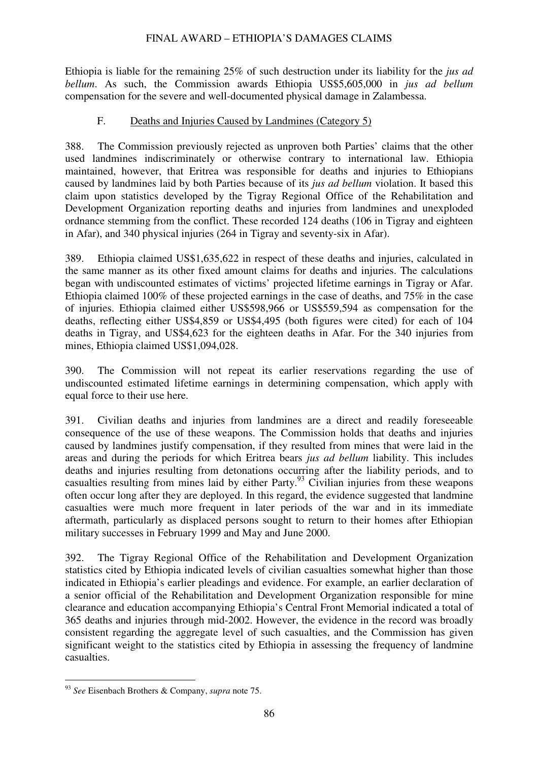Ethiopia is liable for the remaining 25% of such destruction under its liability for the *jus ad bellum*. As such, the Commission awards Ethiopia US\$5,605,000 in *jus ad bellum* compensation for the severe and well-documented physical damage in Zalambessa.

# F. Deaths and Injuries Caused by Landmines (Category 5)

388. The Commission previously rejected as unproven both Parties' claims that the other used landmines indiscriminately or otherwise contrary to international law. Ethiopia maintained, however, that Eritrea was responsible for deaths and injuries to Ethiopians caused by landmines laid by both Parties because of its *jus ad bellum* violation. It based this claim upon statistics developed by the Tigray Regional Office of the Rehabilitation and Development Organization reporting deaths and injuries from landmines and unexploded ordnance stemming from the conflict. These recorded 124 deaths (106 in Tigray and eighteen in Afar), and 340 physical injuries (264 in Tigray and seventy-six in Afar).

389. Ethiopia claimed US\$1,635,622 in respect of these deaths and injuries, calculated in the same manner as its other fixed amount claims for deaths and injuries. The calculations began with undiscounted estimates of victims' projected lifetime earnings in Tigray or Afar. Ethiopia claimed 100% of these projected earnings in the case of deaths, and 75% in the case of injuries. Ethiopia claimed either US\$598,966 or US\$559,594 as compensation for the deaths, reflecting either US\$4,859 or US\$4,495 (both figures were cited) for each of 104 deaths in Tigray, and US\$4,623 for the eighteen deaths in Afar. For the 340 injuries from mines, Ethiopia claimed US\$1,094,028.

390. The Commission will not repeat its earlier reservations regarding the use of undiscounted estimated lifetime earnings in determining compensation, which apply with equal force to their use here.

391. Civilian deaths and injuries from landmines are a direct and readily foreseeable consequence of the use of these weapons. The Commission holds that deaths and injuries caused by landmines justify compensation, if they resulted from mines that were laid in the areas and during the periods for which Eritrea bears *jus ad bellum* liability. This includes deaths and injuries resulting from detonations occurring after the liability periods, and to casualties resulting from mines laid by either Party.<sup>93</sup> Civilian injuries from these weapons often occur long after they are deployed. In this regard, the evidence suggested that landmine casualties were much more frequent in later periods of the war and in its immediate aftermath, particularly as displaced persons sought to return to their homes after Ethiopian military successes in February 1999 and May and June 2000.

392. The Tigray Regional Office of the Rehabilitation and Development Organization statistics cited by Ethiopia indicated levels of civilian casualties somewhat higher than those indicated in Ethiopia's earlier pleadings and evidence. For example, an earlier declaration of a senior official of the Rehabilitation and Development Organization responsible for mine clearance and education accompanying Ethiopia's Central Front Memorial indicated a total of 365 deaths and injuries through mid-2002. However, the evidence in the record was broadly consistent regarding the aggregate level of such casualties, and the Commission has given significant weight to the statistics cited by Ethiopia in assessing the frequency of landmine casualties.

<sup>93</sup> *See* Eisenbach Brothers & Company, *supra* note 75.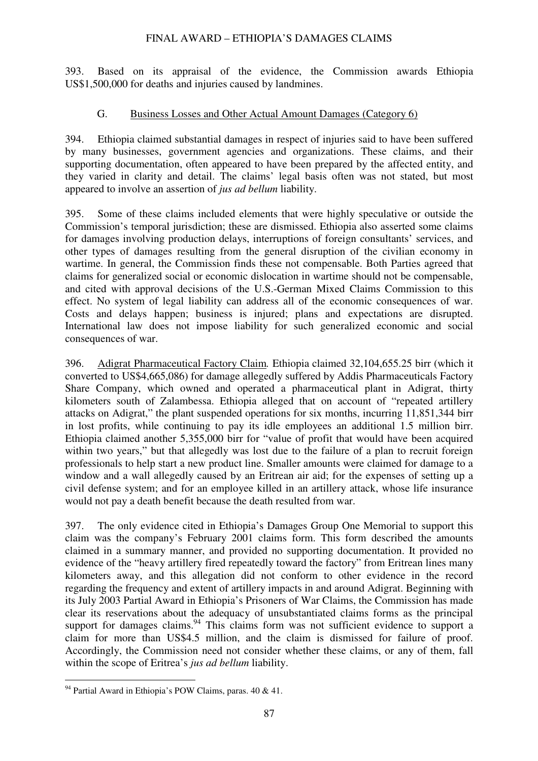393. Based on its appraisal of the evidence, the Commission awards Ethiopia US\$1,500,000 for deaths and injuries caused by landmines.

# G. Business Losses and Other Actual Amount Damages (Category 6)

394. Ethiopia claimed substantial damages in respect of injuries said to have been suffered by many businesses, government agencies and organizations. These claims, and their supporting documentation, often appeared to have been prepared by the affected entity, and they varied in clarity and detail. The claims' legal basis often was not stated, but most appeared to involve an assertion of *jus ad bellum* liability.

395. Some of these claims included elements that were highly speculative or outside the Commission's temporal jurisdiction; these are dismissed. Ethiopia also asserted some claims for damages involving production delays, interruptions of foreign consultants' services, and other types of damages resulting from the general disruption of the civilian economy in wartime. In general, the Commission finds these not compensable. Both Parties agreed that claims for generalized social or economic dislocation in wartime should not be compensable, and cited with approval decisions of the U.S.-German Mixed Claims Commission to this effect. No system of legal liability can address all of the economic consequences of war. Costs and delays happen; business is injured; plans and expectations are disrupted. International law does not impose liability for such generalized economic and social consequences of war.

396. Adigrat Pharmaceutical Factory Claim*.* Ethiopia claimed 32,104,655.25 birr (which it converted to US\$4,665,086) for damage allegedly suffered by Addis Pharmaceuticals Factory Share Company, which owned and operated a pharmaceutical plant in Adigrat, thirty kilometers south of Zalambessa. Ethiopia alleged that on account of "repeated artillery attacks on Adigrat," the plant suspended operations for six months, incurring 11,851,344 birr in lost profits, while continuing to pay its idle employees an additional 1.5 million birr. Ethiopia claimed another 5,355,000 birr for "value of profit that would have been acquired within two years," but that allegedly was lost due to the failure of a plan to recruit foreign professionals to help start a new product line. Smaller amounts were claimed for damage to a window and a wall allegedly caused by an Eritrean air aid; for the expenses of setting up a civil defense system; and for an employee killed in an artillery attack, whose life insurance would not pay a death benefit because the death resulted from war.

397. The only evidence cited in Ethiopia's Damages Group One Memorial to support this claim was the company's February 2001 claims form. This form described the amounts claimed in a summary manner, and provided no supporting documentation. It provided no evidence of the "heavy artillery fired repeatedly toward the factory" from Eritrean lines many kilometers away, and this allegation did not conform to other evidence in the record regarding the frequency and extent of artillery impacts in and around Adigrat. Beginning with its July 2003 Partial Award in Ethiopia's Prisoners of War Claims, the Commission has made clear its reservations about the adequacy of unsubstantiated claims forms as the principal support for damages claims.<sup>94</sup> This claims form was not sufficient evidence to support a claim for more than US\$4.5 million, and the claim is dismissed for failure of proof. Accordingly, the Commission need not consider whether these claims, or any of them, fall within the scope of Eritrea's *jus ad bellum* liability.

<sup>&</sup>lt;sup>94</sup> Partial Award in Ethiopia's POW Claims, paras. 40 & 41.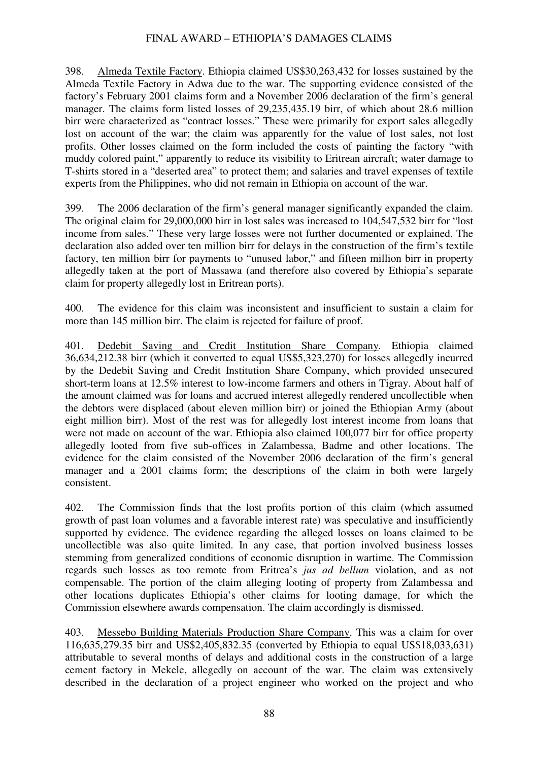398. Almeda Textile Factory. Ethiopia claimed US\$30,263,432 for losses sustained by the Almeda Textile Factory in Adwa due to the war. The supporting evidence consisted of the factory's February 2001 claims form and a November 2006 declaration of the firm's general manager. The claims form listed losses of 29,235,435.19 birr, of which about 28.6 million birr were characterized as "contract losses." These were primarily for export sales allegedly lost on account of the war; the claim was apparently for the value of lost sales, not lost profits. Other losses claimed on the form included the costs of painting the factory "with muddy colored paint," apparently to reduce its visibility to Eritrean aircraft; water damage to T-shirts stored in a "deserted area" to protect them; and salaries and travel expenses of textile experts from the Philippines, who did not remain in Ethiopia on account of the war.

399. The 2006 declaration of the firm's general manager significantly expanded the claim. The original claim for 29,000,000 birr in lost sales was increased to 104,547,532 birr for "lost income from sales." These very large losses were not further documented or explained. The declaration also added over ten million birr for delays in the construction of the firm's textile factory, ten million birr for payments to "unused labor," and fifteen million birr in property allegedly taken at the port of Massawa (and therefore also covered by Ethiopia's separate claim for property allegedly lost in Eritrean ports).

400. The evidence for this claim was inconsistent and insufficient to sustain a claim for more than 145 million birr. The claim is rejected for failure of proof.

401. Dedebit Saving and Credit Institution Share Company*.* Ethiopia claimed 36,634,212.38 birr (which it converted to equal US\$5,323,270) for losses allegedly incurred by the Dedebit Saving and Credit Institution Share Company, which provided unsecured short-term loans at 12.5% interest to low-income farmers and others in Tigray. About half of the amount claimed was for loans and accrued interest allegedly rendered uncollectible when the debtors were displaced (about eleven million birr) or joined the Ethiopian Army (about eight million birr). Most of the rest was for allegedly lost interest income from loans that were not made on account of the war. Ethiopia also claimed 100,077 birr for office property allegedly looted from five sub-offices in Zalambessa, Badme and other locations. The evidence for the claim consisted of the November 2006 declaration of the firm's general manager and a 2001 claims form; the descriptions of the claim in both were largely consistent.

402. The Commission finds that the lost profits portion of this claim (which assumed growth of past loan volumes and a favorable interest rate) was speculative and insufficiently supported by evidence. The evidence regarding the alleged losses on loans claimed to be uncollectible was also quite limited. In any case, that portion involved business losses stemming from generalized conditions of economic disruption in wartime. The Commission regards such losses as too remote from Eritrea's *jus ad bellum* violation, and as not compensable. The portion of the claim alleging looting of property from Zalambessa and other locations duplicates Ethiopia's other claims for looting damage, for which the Commission elsewhere awards compensation. The claim accordingly is dismissed.

403. Messebo Building Materials Production Share Company. This was a claim for over 116,635,279.35 birr and US\$2,405,832.35 (converted by Ethiopia to equal US\$18,033,631) attributable to several months of delays and additional costs in the construction of a large cement factory in Mekele, allegedly on account of the war. The claim was extensively described in the declaration of a project engineer who worked on the project and who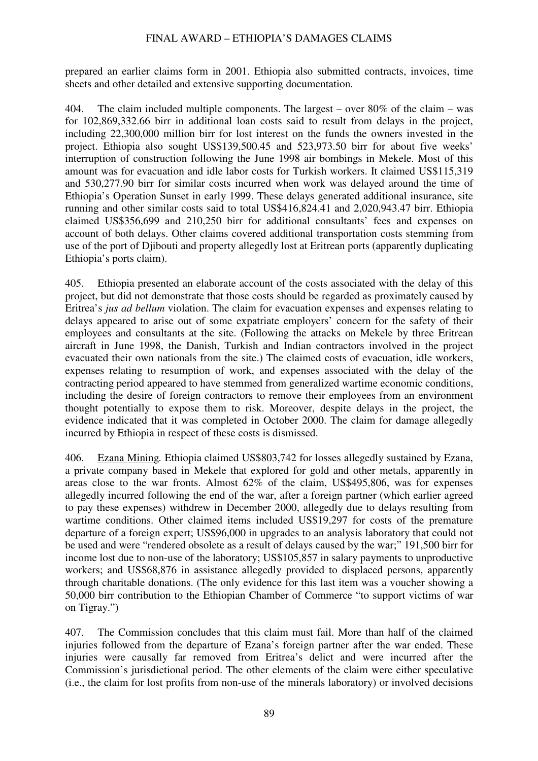prepared an earlier claims form in 2001. Ethiopia also submitted contracts, invoices, time sheets and other detailed and extensive supporting documentation.

404. The claim included multiple components. The largest – over 80% of the claim – was for 102,869,332.66 birr in additional loan costs said to result from delays in the project, including 22,300,000 million birr for lost interest on the funds the owners invested in the project. Ethiopia also sought US\$139,500.45 and 523,973.50 birr for about five weeks' interruption of construction following the June 1998 air bombings in Mekele. Most of this amount was for evacuation and idle labor costs for Turkish workers. It claimed US\$115,319 and 530,277.90 birr for similar costs incurred when work was delayed around the time of Ethiopia's Operation Sunset in early 1999. These delays generated additional insurance, site running and other similar costs said to total US\$416,824.41 and 2,020,943.47 birr. Ethiopia claimed US\$356,699 and 210,250 birr for additional consultants' fees and expenses on account of both delays. Other claims covered additional transportation costs stemming from use of the port of Djibouti and property allegedly lost at Eritrean ports (apparently duplicating Ethiopia's ports claim).

405. Ethiopia presented an elaborate account of the costs associated with the delay of this project, but did not demonstrate that those costs should be regarded as proximately caused by Eritrea's *jus ad bellum* violation. The claim for evacuation expenses and expenses relating to delays appeared to arise out of some expatriate employers' concern for the safety of their employees and consultants at the site. (Following the attacks on Mekele by three Eritrean aircraft in June 1998, the Danish, Turkish and Indian contractors involved in the project evacuated their own nationals from the site.) The claimed costs of evacuation, idle workers, expenses relating to resumption of work, and expenses associated with the delay of the contracting period appeared to have stemmed from generalized wartime economic conditions, including the desire of foreign contractors to remove their employees from an environment thought potentially to expose them to risk. Moreover, despite delays in the project, the evidence indicated that it was completed in October 2000. The claim for damage allegedly incurred by Ethiopia in respect of these costs is dismissed.

406. Ezana Mining*.* Ethiopia claimed US\$803,742 for losses allegedly sustained by Ezana, a private company based in Mekele that explored for gold and other metals, apparently in areas close to the war fronts. Almost 62% of the claim, US\$495,806, was for expenses allegedly incurred following the end of the war, after a foreign partner (which earlier agreed to pay these expenses) withdrew in December 2000, allegedly due to delays resulting from wartime conditions. Other claimed items included US\$19,297 for costs of the premature departure of a foreign expert; US\$96,000 in upgrades to an analysis laboratory that could not be used and were "rendered obsolete as a result of delays caused by the war;" 191,500 birr for income lost due to non-use of the laboratory; US\$105,857 in salary payments to unproductive workers; and US\$68,876 in assistance allegedly provided to displaced persons, apparently through charitable donations. (The only evidence for this last item was a voucher showing a 50,000 birr contribution to the Ethiopian Chamber of Commerce "to support victims of war on Tigray.")

407. The Commission concludes that this claim must fail. More than half of the claimed injuries followed from the departure of Ezana's foreign partner after the war ended. These injuries were causally far removed from Eritrea's delict and were incurred after the Commission's jurisdictional period. The other elements of the claim were either speculative (i.e., the claim for lost profits from non-use of the minerals laboratory) or involved decisions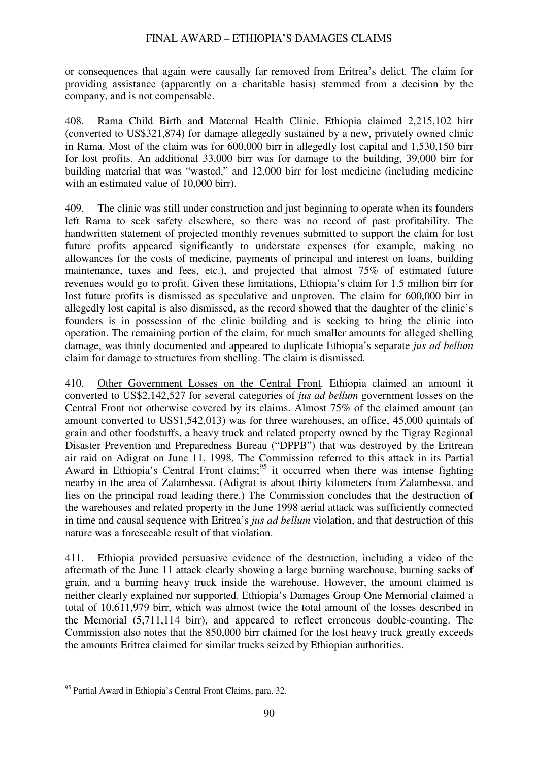or consequences that again were causally far removed from Eritrea's delict. The claim for providing assistance (apparently on a charitable basis) stemmed from a decision by the company, and is not compensable.

408. Rama Child Birth and Maternal Health Clinic. Ethiopia claimed 2,215,102 birr (converted to US\$321,874) for damage allegedly sustained by a new, privately owned clinic in Rama. Most of the claim was for 600,000 birr in allegedly lost capital and 1,530,150 birr for lost profits. An additional 33,000 birr was for damage to the building, 39,000 birr for building material that was "wasted," and 12,000 birr for lost medicine (including medicine with an estimated value of 10,000 birr).

409. The clinic was still under construction and just beginning to operate when its founders left Rama to seek safety elsewhere, so there was no record of past profitability. The handwritten statement of projected monthly revenues submitted to support the claim for lost future profits appeared significantly to understate expenses (for example, making no allowances for the costs of medicine, payments of principal and interest on loans, building maintenance, taxes and fees, etc.), and projected that almost 75% of estimated future revenues would go to profit. Given these limitations, Ethiopia's claim for 1.5 million birr for lost future profits is dismissed as speculative and unproven. The claim for 600,000 birr in allegedly lost capital is also dismissed, as the record showed that the daughter of the clinic's founders is in possession of the clinic building and is seeking to bring the clinic into operation. The remaining portion of the claim, for much smaller amounts for alleged shelling damage, was thinly documented and appeared to duplicate Ethiopia's separate *jus ad bellum* claim for damage to structures from shelling. The claim is dismissed.

410. Other Government Losses on the Central Front*.* Ethiopia claimed an amount it converted to US\$2,142,527 for several categories of *jus ad bellum* government losses on the Central Front not otherwise covered by its claims. Almost 75% of the claimed amount (an amount converted to US\$1,542,013) was for three warehouses, an office, 45,000 quintals of grain and other foodstuffs, a heavy truck and related property owned by the Tigray Regional Disaster Prevention and Preparedness Bureau ("DPPB") that was destroyed by the Eritrean air raid on Adigrat on June 11, 1998. The Commission referred to this attack in its Partial Award in Ethiopia's Central Front claims;<sup>95</sup> it occurred when there was intense fighting nearby in the area of Zalambessa. (Adigrat is about thirty kilometers from Zalambessa, and lies on the principal road leading there.) The Commission concludes that the destruction of the warehouses and related property in the June 1998 aerial attack was sufficiently connected in time and causal sequence with Eritrea's *jus ad bellum* violation, and that destruction of this nature was a foreseeable result of that violation.

411. Ethiopia provided persuasive evidence of the destruction, including a video of the aftermath of the June 11 attack clearly showing a large burning warehouse, burning sacks of grain, and a burning heavy truck inside the warehouse. However, the amount claimed is neither clearly explained nor supported. Ethiopia's Damages Group One Memorial claimed a total of 10,611,979 birr, which was almost twice the total amount of the losses described in the Memorial (5,711,114 birr), and appeared to reflect erroneous double-counting. The Commission also notes that the 850,000 birr claimed for the lost heavy truck greatly exceeds the amounts Eritrea claimed for similar trucks seized by Ethiopian authorities.

<sup>&</sup>lt;sup>95</sup> Partial Award in Ethiopia's Central Front Claims, para. 32.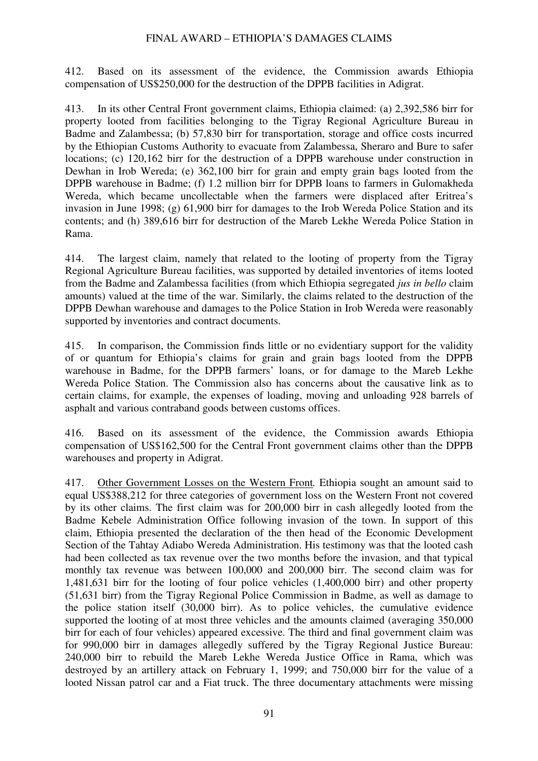412. Based on its assessment of the evidence, the Commission awards Ethiopia compensation of US\$250,000 for the destruction of the DPPB facilities in Adigrat.

413. In its other Central Front government claims, Ethiopia claimed: (a) 2,392,586 birr for property looted from facilities belonging to the Tigray Regional Agriculture Bureau in Badme and Zalambessa; (b) 57,830 birr for transportation, storage and office costs incurred by the Ethiopian Customs Authority to evacuate from Zalambessa, Sheraro and Bure to safer locations; (c) 120,162 birr for the destruction of a DPPB warehouse under construction in Dewhan in Irob Wereda; (e) 362,100 birr for grain and empty grain bags looted from the DPPB warehouse in Badme; (f) 1.2 million birr for DPPB loans to farmers in Gulomakheda Wereda, which became uncollectable when the farmers were displaced after Eritrea's invasion in June 1998; (g) 61,900 birr for damages to the Irob Wereda Police Station and its contents; and (h) 389,616 birr for destruction of the Mareb Lekhe Wereda Police Station in Rama.

414. The largest claim, namely that related to the looting of property from the Tigray Regional Agriculture Bureau facilities, was supported by detailed inventories of items looted from the Badme and Zalambessa facilities (from which Ethiopia segregated *jus in bello* claim amounts) valued at the time of the war. Similarly, the claims related to the destruction of the DPPB Dewhan warehouse and damages to the Police Station in Irob Wereda were reasonably supported by inventories and contract documents.

415. In comparison, the Commission finds little or no evidentiary support for the validity of or quantum for Ethiopia's claims for grain and grain bags looted from the DPPB warehouse in Badme, for the DPPB farmers' loans, or for damage to the Mareb Lekhe Wereda Police Station. The Commission also has concerns about the causative link as to certain claims, for example, the expenses of loading, moving and unloading 928 barrels of asphalt and various contraband goods between customs offices.

416. Based on its assessment of the evidence, the Commission awards Ethiopia compensation of US\$162,500 for the Central Front government claims other than the DPPB warehouses and property in Adigrat.

417. Other Government Losses on the Western Front*.* Ethiopia sought an amount said to equal US\$388,212 for three categories of government loss on the Western Front not covered by its other claims. The first claim was for 200,000 birr in cash allegedly looted from the Badme Kebele Administration Office following invasion of the town. In support of this claim, Ethiopia presented the declaration of the then head of the Economic Development Section of the Tahtay Adiabo Wereda Administration. His testimony was that the looted cash had been collected as tax revenue over the two months before the invasion, and that typical monthly tax revenue was between 100,000 and 200,000 birr. The second claim was for 1,481,631 birr for the looting of four police vehicles (1,400,000 birr) and other property (51,631 birr) from the Tigray Regional Police Commission in Badme, as well as damage to the police station itself (30,000 birr). As to police vehicles, the cumulative evidence supported the looting of at most three vehicles and the amounts claimed (averaging 350,000 birr for each of four vehicles) appeared excessive. The third and final government claim was for 990,000 birr in damages allegedly suffered by the Tigray Regional Justice Bureau: 240,000 birr to rebuild the Mareb Lekhe Wereda Justice Office in Rama, which was destroyed by an artillery attack on February 1, 1999; and 750,000 birr for the value of a looted Nissan patrol car and a Fiat truck. The three documentary attachments were missing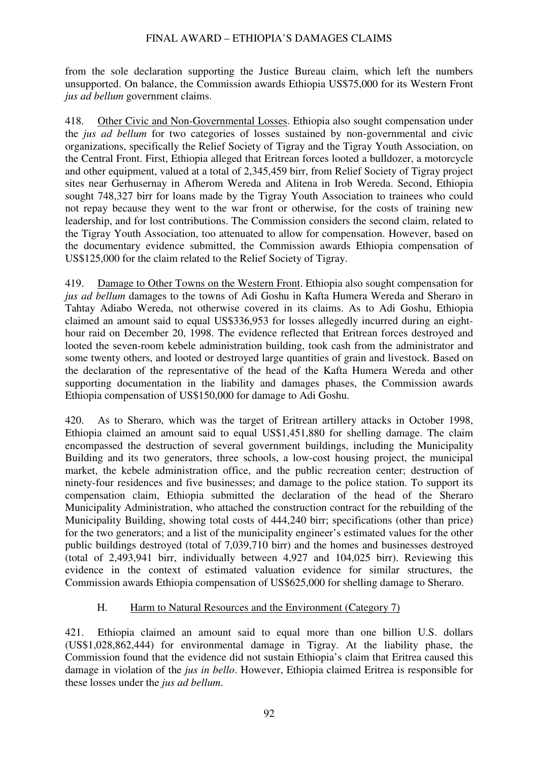from the sole declaration supporting the Justice Bureau claim, which left the numbers unsupported. On balance, the Commission awards Ethiopia US\$75,000 for its Western Front *jus ad bellum* government claims.

418. Other Civic and Non-Governmental Losses. Ethiopia also sought compensation under the *jus ad bellum* for two categories of losses sustained by non-governmental and civic organizations, specifically the Relief Society of Tigray and the Tigray Youth Association, on the Central Front. First, Ethiopia alleged that Eritrean forces looted a bulldozer, a motorcycle and other equipment, valued at a total of 2,345,459 birr, from Relief Society of Tigray project sites near Gerhusernay in Afherom Wereda and Alitena in Irob Wereda. Second, Ethiopia sought 748,327 birr for loans made by the Tigray Youth Association to trainees who could not repay because they went to the war front or otherwise, for the costs of training new leadership, and for lost contributions. The Commission considers the second claim, related to the Tigray Youth Association, too attenuated to allow for compensation. However, based on the documentary evidence submitted, the Commission awards Ethiopia compensation of US\$125,000 for the claim related to the Relief Society of Tigray.

419. Damage to Other Towns on the Western Front. Ethiopia also sought compensation for *jus ad bellum* damages to the towns of Adi Goshu in Kafta Humera Wereda and Sheraro in Tahtay Adiabo Wereda, not otherwise covered in its claims. As to Adi Goshu, Ethiopia claimed an amount said to equal US\$336,953 for losses allegedly incurred during an eighthour raid on December 20, 1998. The evidence reflected that Eritrean forces destroyed and looted the seven-room kebele administration building, took cash from the administrator and some twenty others, and looted or destroyed large quantities of grain and livestock. Based on the declaration of the representative of the head of the Kafta Humera Wereda and other supporting documentation in the liability and damages phases, the Commission awards Ethiopia compensation of US\$150,000 for damage to Adi Goshu.

420. As to Sheraro, which was the target of Eritrean artillery attacks in October 1998, Ethiopia claimed an amount said to equal US\$1,451,880 for shelling damage. The claim encompassed the destruction of several government buildings, including the Municipality Building and its two generators, three schools, a low-cost housing project, the municipal market, the kebele administration office, and the public recreation center; destruction of ninety-four residences and five businesses; and damage to the police station. To support its compensation claim, Ethiopia submitted the declaration of the head of the Sheraro Municipality Administration, who attached the construction contract for the rebuilding of the Municipality Building, showing total costs of 444,240 birr; specifications (other than price) for the two generators; and a list of the municipality engineer's estimated values for the other public buildings destroyed (total of 7,039,710 birr) and the homes and businesses destroyed (total of 2,493,941 birr, individually between 4,927 and 104,025 birr). Reviewing this evidence in the context of estimated valuation evidence for similar structures, the Commission awards Ethiopia compensation of US\$625,000 for shelling damage to Sheraro.

# H. Harm to Natural Resources and the Environment (Category 7)

421. Ethiopia claimed an amount said to equal more than one billion U.S. dollars (US\$1,028,862,444) for environmental damage in Tigray. At the liability phase, the Commission found that the evidence did not sustain Ethiopia's claim that Eritrea caused this damage in violation of the *jus in bello*. However, Ethiopia claimed Eritrea is responsible for these losses under the *jus ad bellum*.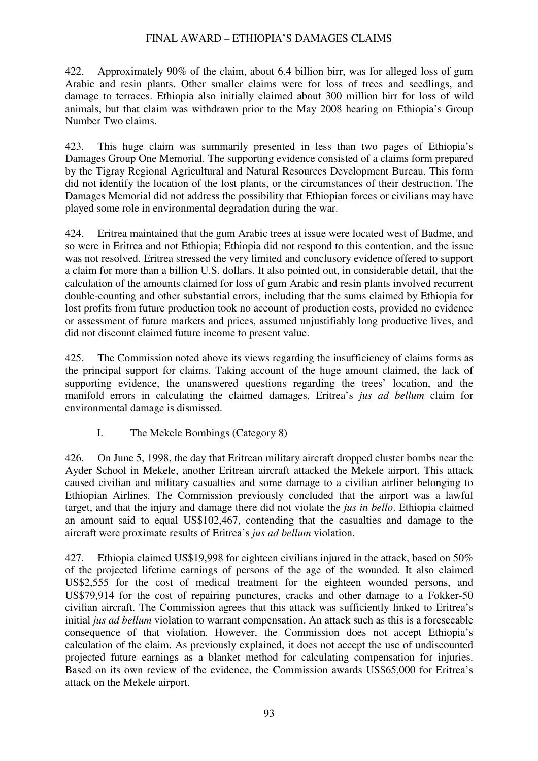422. Approximately 90% of the claim, about 6.4 billion birr, was for alleged loss of gum Arabic and resin plants. Other smaller claims were for loss of trees and seedlings, and damage to terraces. Ethiopia also initially claimed about 300 million birr for loss of wild animals, but that claim was withdrawn prior to the May 2008 hearing on Ethiopia's Group Number Two claims.

423. This huge claim was summarily presented in less than two pages of Ethiopia's Damages Group One Memorial. The supporting evidence consisted of a claims form prepared by the Tigray Regional Agricultural and Natural Resources Development Bureau. This form did not identify the location of the lost plants, or the circumstances of their destruction. The Damages Memorial did not address the possibility that Ethiopian forces or civilians may have played some role in environmental degradation during the war.

424. Eritrea maintained that the gum Arabic trees at issue were located west of Badme, and so were in Eritrea and not Ethiopia; Ethiopia did not respond to this contention, and the issue was not resolved. Eritrea stressed the very limited and conclusory evidence offered to support a claim for more than a billion U.S. dollars. It also pointed out, in considerable detail, that the calculation of the amounts claimed for loss of gum Arabic and resin plants involved recurrent double-counting and other substantial errors, including that the sums claimed by Ethiopia for lost profits from future production took no account of production costs, provided no evidence or assessment of future markets and prices, assumed unjustifiably long productive lives, and did not discount claimed future income to present value.

425. The Commission noted above its views regarding the insufficiency of claims forms as the principal support for claims. Taking account of the huge amount claimed, the lack of supporting evidence, the unanswered questions regarding the trees' location, and the manifold errors in calculating the claimed damages, Eritrea's *jus ad bellum* claim for environmental damage is dismissed.

# I. The Mekele Bombings (Category 8)

426. On June 5, 1998, the day that Eritrean military aircraft dropped cluster bombs near the Ayder School in Mekele, another Eritrean aircraft attacked the Mekele airport. This attack caused civilian and military casualties and some damage to a civilian airliner belonging to Ethiopian Airlines. The Commission previously concluded that the airport was a lawful target, and that the injury and damage there did not violate the *jus in bello*. Ethiopia claimed an amount said to equal US\$102,467, contending that the casualties and damage to the aircraft were proximate results of Eritrea's *jus ad bellum* violation.

427. Ethiopia claimed US\$19,998 for eighteen civilians injured in the attack, based on 50% of the projected lifetime earnings of persons of the age of the wounded. It also claimed US\$2,555 for the cost of medical treatment for the eighteen wounded persons, and US\$79,914 for the cost of repairing punctures, cracks and other damage to a Fokker-50 civilian aircraft. The Commission agrees that this attack was sufficiently linked to Eritrea's initial *jus ad bellum* violation to warrant compensation. An attack such as this is a foreseeable consequence of that violation. However, the Commission does not accept Ethiopia's calculation of the claim. As previously explained, it does not accept the use of undiscounted projected future earnings as a blanket method for calculating compensation for injuries. Based on its own review of the evidence, the Commission awards US\$65,000 for Eritrea's attack on the Mekele airport.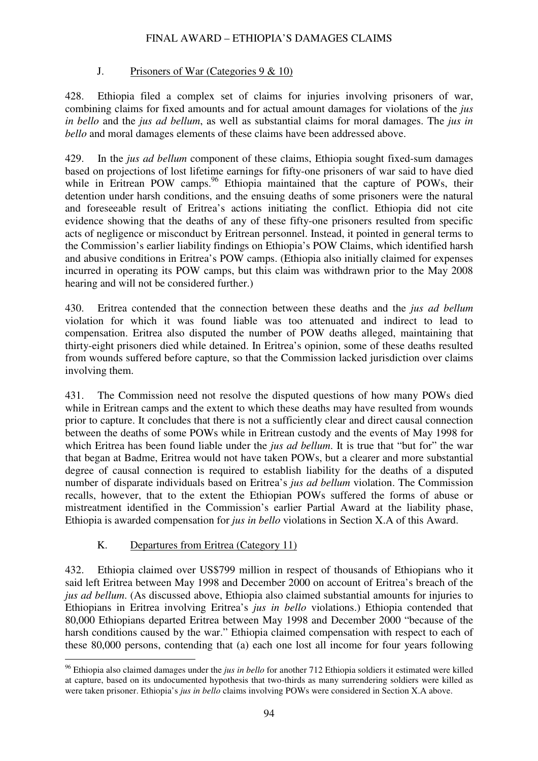### J. Prisoners of War (Categories 9 & 10)

428. Ethiopia filed a complex set of claims for injuries involving prisoners of war, combining claims for fixed amounts and for actual amount damages for violations of the *jus in bello* and the *jus ad bellum*, as well as substantial claims for moral damages. The *jus in bello* and moral damages elements of these claims have been addressed above.

429. In the *jus ad bellum* component of these claims, Ethiopia sought fixed-sum damages based on projections of lost lifetime earnings for fifty-one prisoners of war said to have died while in Eritrean POW camps.<sup>96</sup> Ethiopia maintained that the capture of POWs, their detention under harsh conditions, and the ensuing deaths of some prisoners were the natural and foreseeable result of Eritrea's actions initiating the conflict. Ethiopia did not cite evidence showing that the deaths of any of these fifty-one prisoners resulted from specific acts of negligence or misconduct by Eritrean personnel. Instead, it pointed in general terms to the Commission's earlier liability findings on Ethiopia's POW Claims, which identified harsh and abusive conditions in Eritrea's POW camps. (Ethiopia also initially claimed for expenses incurred in operating its POW camps, but this claim was withdrawn prior to the May 2008 hearing and will not be considered further.)

430. Eritrea contended that the connection between these deaths and the *jus ad bellum* violation for which it was found liable was too attenuated and indirect to lead to compensation. Eritrea also disputed the number of POW deaths alleged, maintaining that thirty-eight prisoners died while detained. In Eritrea's opinion, some of these deaths resulted from wounds suffered before capture, so that the Commission lacked jurisdiction over claims involving them.

431. The Commission need not resolve the disputed questions of how many POWs died while in Eritrean camps and the extent to which these deaths may have resulted from wounds prior to capture. It concludes that there is not a sufficiently clear and direct causal connection between the deaths of some POWs while in Eritrean custody and the events of May 1998 for which Eritrea has been found liable under the *jus ad bellum*. It is true that "but for" the war that began at Badme, Eritrea would not have taken POWs, but a clearer and more substantial degree of causal connection is required to establish liability for the deaths of a disputed number of disparate individuals based on Eritrea's *jus ad bellum* violation. The Commission recalls, however, that to the extent the Ethiopian POWs suffered the forms of abuse or mistreatment identified in the Commission's earlier Partial Award at the liability phase, Ethiopia is awarded compensation for *jus in bello* violations in Section X.A of this Award.

# K. Departures from Eritrea (Category 11)

432. Ethiopia claimed over US\$799 million in respect of thousands of Ethiopians who it said left Eritrea between May 1998 and December 2000 on account of Eritrea's breach of the *jus ad bellum*. (As discussed above, Ethiopia also claimed substantial amounts for injuries to Ethiopians in Eritrea involving Eritrea's *jus in bello* violations.) Ethiopia contended that 80,000 Ethiopians departed Eritrea between May 1998 and December 2000 "because of the harsh conditions caused by the war." Ethiopia claimed compensation with respect to each of these 80,000 persons, contending that (a) each one lost all income for four years following

<sup>96</sup> Ethiopia also claimed damages under the *jus in bello* for another 712 Ethiopia soldiers it estimated were killed at capture, based on its undocumented hypothesis that two-thirds as many surrendering soldiers were killed as were taken prisoner. Ethiopia's *jus in bello* claims involving POWs were considered in Section X.A above.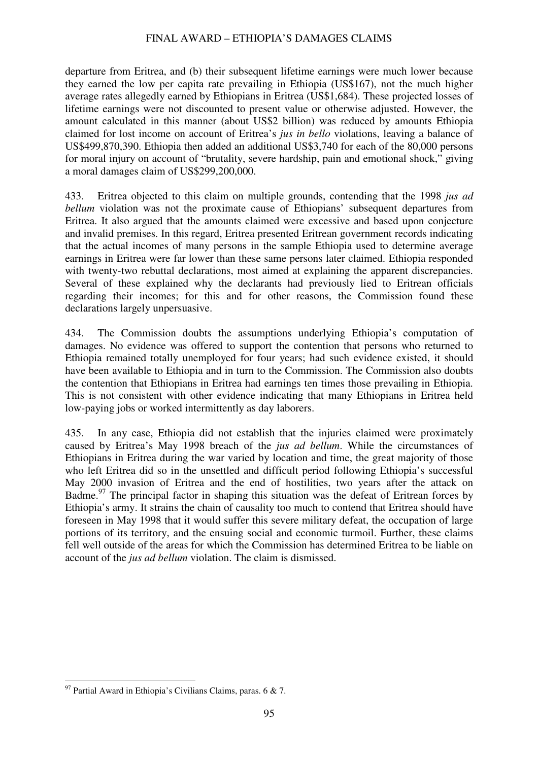departure from Eritrea, and (b) their subsequent lifetime earnings were much lower because they earned the low per capita rate prevailing in Ethiopia (US\$167), not the much higher average rates allegedly earned by Ethiopians in Eritrea (US\$1,684). These projected losses of lifetime earnings were not discounted to present value or otherwise adjusted. However, the amount calculated in this manner (about US\$2 billion) was reduced by amounts Ethiopia claimed for lost income on account of Eritrea's *jus in bello* violations, leaving a balance of US\$499,870,390. Ethiopia then added an additional US\$3,740 for each of the 80,000 persons for moral injury on account of "brutality, severe hardship, pain and emotional shock," giving a moral damages claim of US\$299,200,000.

433. Eritrea objected to this claim on multiple grounds, contending that the 1998 *jus ad bellum* violation was not the proximate cause of Ethiopians' subsequent departures from Eritrea. It also argued that the amounts claimed were excessive and based upon conjecture and invalid premises. In this regard, Eritrea presented Eritrean government records indicating that the actual incomes of many persons in the sample Ethiopia used to determine average earnings in Eritrea were far lower than these same persons later claimed. Ethiopia responded with twenty-two rebuttal declarations, most aimed at explaining the apparent discrepancies. Several of these explained why the declarants had previously lied to Eritrean officials regarding their incomes; for this and for other reasons, the Commission found these declarations largely unpersuasive.

434. The Commission doubts the assumptions underlying Ethiopia's computation of damages. No evidence was offered to support the contention that persons who returned to Ethiopia remained totally unemployed for four years; had such evidence existed, it should have been available to Ethiopia and in turn to the Commission. The Commission also doubts the contention that Ethiopians in Eritrea had earnings ten times those prevailing in Ethiopia. This is not consistent with other evidence indicating that many Ethiopians in Eritrea held low-paying jobs or worked intermittently as day laborers.

435. In any case, Ethiopia did not establish that the injuries claimed were proximately caused by Eritrea's May 1998 breach of the *jus ad bellum*. While the circumstances of Ethiopians in Eritrea during the war varied by location and time, the great majority of those who left Eritrea did so in the unsettled and difficult period following Ethiopia's successful May 2000 invasion of Eritrea and the end of hostilities, two years after the attack on Badme.<sup>97</sup> The principal factor in shaping this situation was the defeat of Eritrean forces by Ethiopia's army. It strains the chain of causality too much to contend that Eritrea should have foreseen in May 1998 that it would suffer this severe military defeat, the occupation of large portions of its territory, and the ensuing social and economic turmoil. Further, these claims fell well outside of the areas for which the Commission has determined Eritrea to be liable on account of the *jus ad bellum* violation. The claim is dismissed.

 $97$  Partial Award in Ethiopia's Civilians Claims, paras. 6 & 7.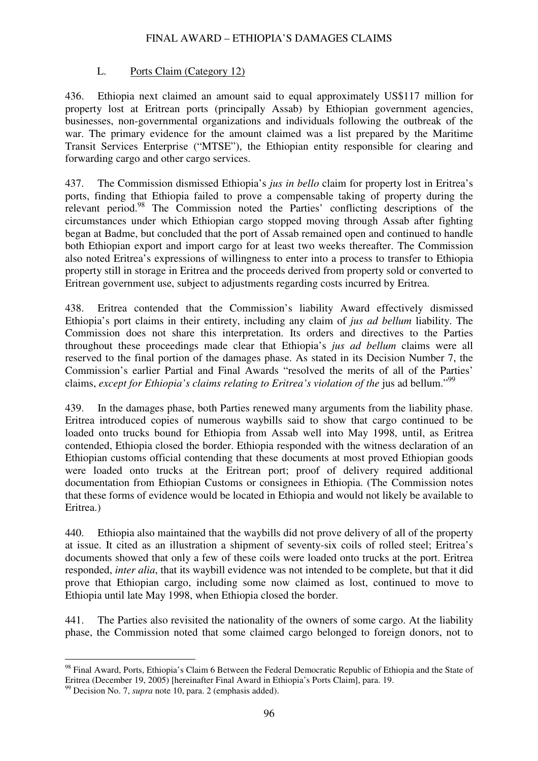### L. Ports Claim (Category 12)

436. Ethiopia next claimed an amount said to equal approximately US\$117 million for property lost at Eritrean ports (principally Assab) by Ethiopian government agencies, businesses, non-governmental organizations and individuals following the outbreak of the war. The primary evidence for the amount claimed was a list prepared by the Maritime Transit Services Enterprise ("MTSE"), the Ethiopian entity responsible for clearing and forwarding cargo and other cargo services.

437. The Commission dismissed Ethiopia's *jus in bello* claim for property lost in Eritrea's ports, finding that Ethiopia failed to prove a compensable taking of property during the relevant period.<sup>98</sup> The Commission noted the Parties' conflicting descriptions of the circumstances under which Ethiopian cargo stopped moving through Assab after fighting began at Badme, but concluded that the port of Assab remained open and continued to handle both Ethiopian export and import cargo for at least two weeks thereafter. The Commission also noted Eritrea's expressions of willingness to enter into a process to transfer to Ethiopia property still in storage in Eritrea and the proceeds derived from property sold or converted to Eritrean government use, subject to adjustments regarding costs incurred by Eritrea.

438. Eritrea contended that the Commission's liability Award effectively dismissed Ethiopia's port claims in their entirety, including any claim of *jus ad bellum* liability. The Commission does not share this interpretation. Its orders and directives to the Parties throughout these proceedings made clear that Ethiopia's *jus ad bellum* claims were all reserved to the final portion of the damages phase. As stated in its Decision Number 7, the Commission's earlier Partial and Final Awards "resolved the merits of all of the Parties' claims, *except for Ethiopia's claims relating to Eritrea's violation of the* jus ad bellum." 99

439. In the damages phase, both Parties renewed many arguments from the liability phase. Eritrea introduced copies of numerous waybills said to show that cargo continued to be loaded onto trucks bound for Ethiopia from Assab well into May 1998, until, as Eritrea contended, Ethiopia closed the border. Ethiopia responded with the witness declaration of an Ethiopian customs official contending that these documents at most proved Ethiopian goods were loaded onto trucks at the Eritrean port; proof of delivery required additional documentation from Ethiopian Customs or consignees in Ethiopia. (The Commission notes that these forms of evidence would be located in Ethiopia and would not likely be available to Eritrea.)

440. Ethiopia also maintained that the waybills did not prove delivery of all of the property at issue. It cited as an illustration a shipment of seventy-six coils of rolled steel; Eritrea's documents showed that only a few of these coils were loaded onto trucks at the port. Eritrea responded, *inter alia*, that its waybill evidence was not intended to be complete, but that it did prove that Ethiopian cargo, including some now claimed as lost, continued to move to Ethiopia until late May 1998, when Ethiopia closed the border.

441. The Parties also revisited the nationality of the owners of some cargo. At the liability phase, the Commission noted that some claimed cargo belonged to foreign donors, not to

<sup>&</sup>lt;sup>98</sup> Final Award, Ports, Ethiopia's Claim 6 Between the Federal Democratic Republic of Ethiopia and the State of Eritrea (December 19, 2005) [hereinafter Final Award in Ethiopia's Ports Claim], para. 19.

<sup>99</sup> Decision No. 7, *supra* note 10, para. 2 (emphasis added).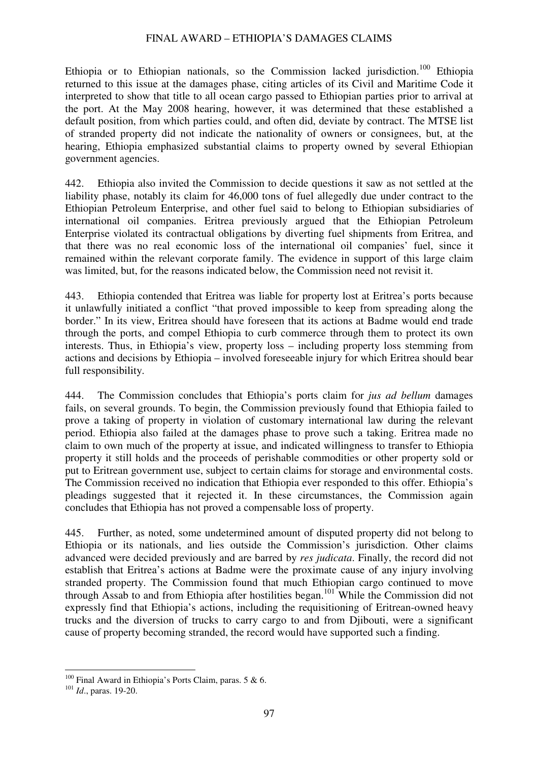Ethiopia or to Ethiopian nationals, so the Commission lacked jurisdiction.<sup>100</sup> Ethiopia returned to this issue at the damages phase, citing articles of its Civil and Maritime Code it interpreted to show that title to all ocean cargo passed to Ethiopian parties prior to arrival at the port. At the May 2008 hearing, however, it was determined that these established a default position, from which parties could, and often did, deviate by contract. The MTSE list of stranded property did not indicate the nationality of owners or consignees, but, at the hearing, Ethiopia emphasized substantial claims to property owned by several Ethiopian government agencies.

442. Ethiopia also invited the Commission to decide questions it saw as not settled at the liability phase, notably its claim for 46,000 tons of fuel allegedly due under contract to the Ethiopian Petroleum Enterprise, and other fuel said to belong to Ethiopian subsidiaries of international oil companies. Eritrea previously argued that the Ethiopian Petroleum Enterprise violated its contractual obligations by diverting fuel shipments from Eritrea, and that there was no real economic loss of the international oil companies' fuel, since it remained within the relevant corporate family. The evidence in support of this large claim was limited, but, for the reasons indicated below, the Commission need not revisit it.

443. Ethiopia contended that Eritrea was liable for property lost at Eritrea's ports because it unlawfully initiated a conflict "that proved impossible to keep from spreading along the border." In its view, Eritrea should have foreseen that its actions at Badme would end trade through the ports, and compel Ethiopia to curb commerce through them to protect its own interests. Thus, in Ethiopia's view, property loss – including property loss stemming from actions and decisions by Ethiopia – involved foreseeable injury for which Eritrea should bear full responsibility.

444. The Commission concludes that Ethiopia's ports claim for *jus ad bellum* damages fails, on several grounds. To begin, the Commission previously found that Ethiopia failed to prove a taking of property in violation of customary international law during the relevant period. Ethiopia also failed at the damages phase to prove such a taking. Eritrea made no claim to own much of the property at issue, and indicated willingness to transfer to Ethiopia property it still holds and the proceeds of perishable commodities or other property sold or put to Eritrean government use, subject to certain claims for storage and environmental costs. The Commission received no indication that Ethiopia ever responded to this offer. Ethiopia's pleadings suggested that it rejected it. In these circumstances, the Commission again concludes that Ethiopia has not proved a compensable loss of property.

445. Further, as noted, some undetermined amount of disputed property did not belong to Ethiopia or its nationals, and lies outside the Commission's jurisdiction. Other claims advanced were decided previously and are barred by *res judicata*. Finally, the record did not establish that Eritrea's actions at Badme were the proximate cause of any injury involving stranded property. The Commission found that much Ethiopian cargo continued to move through Assab to and from Ethiopia after hostilities began.<sup>101</sup> While the Commission did not expressly find that Ethiopia's actions, including the requisitioning of Eritrean-owned heavy trucks and the diversion of trucks to carry cargo to and from Djibouti, were a significant cause of property becoming stranded, the record would have supported such a finding.

<sup>&</sup>lt;sup>100</sup> Final Award in Ethiopia's Ports Claim, paras. 5 & 6.

<sup>101</sup> *Id*., paras. 19-20.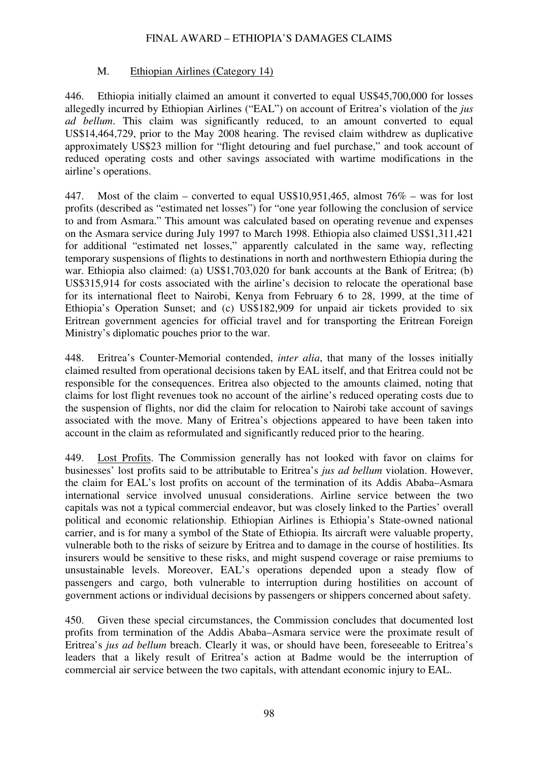#### M. Ethiopian Airlines (Category 14)

446. Ethiopia initially claimed an amount it converted to equal US\$45,700,000 for losses allegedly incurred by Ethiopian Airlines ("EAL") on account of Eritrea's violation of the *jus ad bellum*. This claim was significantly reduced, to an amount converted to equal US\$14,464,729, prior to the May 2008 hearing. The revised claim withdrew as duplicative approximately US\$23 million for "flight detouring and fuel purchase," and took account of reduced operating costs and other savings associated with wartime modifications in the airline's operations.

447. Most of the claim – converted to equal US\$10,951,465, almost 76% – was for lost profits (described as "estimated net losses") for "one year following the conclusion of service to and from Asmara." This amount was calculated based on operating revenue and expenses on the Asmara service during July 1997 to March 1998. Ethiopia also claimed US\$1,311,421 for additional "estimated net losses," apparently calculated in the same way, reflecting temporary suspensions of flights to destinations in north and northwestern Ethiopia during the war. Ethiopia also claimed: (a) US\$1,703,020 for bank accounts at the Bank of Eritrea; (b) US\$315,914 for costs associated with the airline's decision to relocate the operational base for its international fleet to Nairobi, Kenya from February 6 to 28, 1999, at the time of Ethiopia's Operation Sunset; and (c) US\$182,909 for unpaid air tickets provided to six Eritrean government agencies for official travel and for transporting the Eritrean Foreign Ministry's diplomatic pouches prior to the war.

448. Eritrea's Counter-Memorial contended, *inter alia*, that many of the losses initially claimed resulted from operational decisions taken by EAL itself, and that Eritrea could not be responsible for the consequences. Eritrea also objected to the amounts claimed, noting that claims for lost flight revenues took no account of the airline's reduced operating costs due to the suspension of flights, nor did the claim for relocation to Nairobi take account of savings associated with the move. Many of Eritrea's objections appeared to have been taken into account in the claim as reformulated and significantly reduced prior to the hearing.

449. Lost Profits. The Commission generally has not looked with favor on claims for businesses' lost profits said to be attributable to Eritrea's *jus ad bellum* violation. However, the claim for EAL's lost profits on account of the termination of its Addis Ababa–Asmara international service involved unusual considerations. Airline service between the two capitals was not a typical commercial endeavor, but was closely linked to the Parties' overall political and economic relationship. Ethiopian Airlines is Ethiopia's State-owned national carrier, and is for many a symbol of the State of Ethiopia. Its aircraft were valuable property, vulnerable both to the risks of seizure by Eritrea and to damage in the course of hostilities. Its insurers would be sensitive to these risks, and might suspend coverage or raise premiums to unsustainable levels. Moreover, EAL's operations depended upon a steady flow of passengers and cargo, both vulnerable to interruption during hostilities on account of government actions or individual decisions by passengers or shippers concerned about safety.

450. Given these special circumstances, the Commission concludes that documented lost profits from termination of the Addis Ababa–Asmara service were the proximate result of Eritrea's *jus ad bellum* breach. Clearly it was, or should have been, foreseeable to Eritrea's leaders that a likely result of Eritrea's action at Badme would be the interruption of commercial air service between the two capitals, with attendant economic injury to EAL.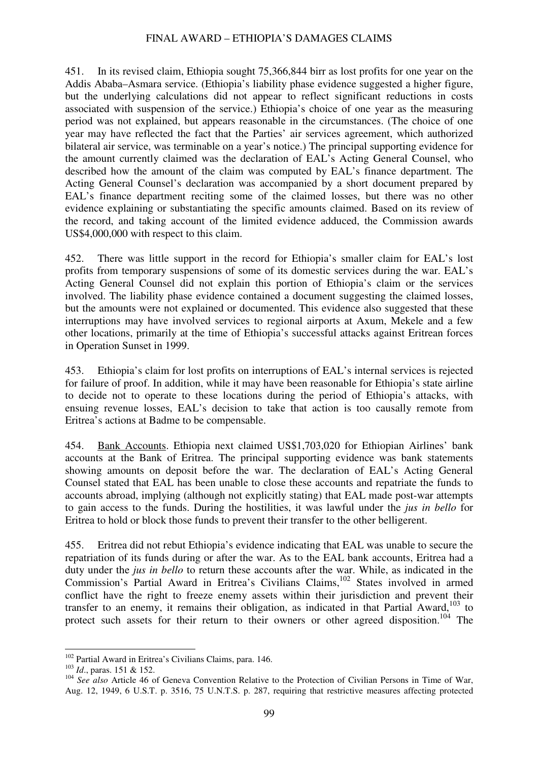451. In its revised claim, Ethiopia sought 75,366,844 birr as lost profits for one year on the Addis Ababa–Asmara service. (Ethiopia's liability phase evidence suggested a higher figure, but the underlying calculations did not appear to reflect significant reductions in costs associated with suspension of the service.) Ethiopia's choice of one year as the measuring period was not explained, but appears reasonable in the circumstances. (The choice of one year may have reflected the fact that the Parties' air services agreement, which authorized bilateral air service, was terminable on a year's notice.) The principal supporting evidence for the amount currently claimed was the declaration of EAL's Acting General Counsel, who described how the amount of the claim was computed by EAL's finance department. The Acting General Counsel's declaration was accompanied by a short document prepared by EAL's finance department reciting some of the claimed losses, but there was no other evidence explaining or substantiating the specific amounts claimed. Based on its review of the record, and taking account of the limited evidence adduced, the Commission awards US\$4,000,000 with respect to this claim.

452. There was little support in the record for Ethiopia's smaller claim for EAL's lost profits from temporary suspensions of some of its domestic services during the war. EAL's Acting General Counsel did not explain this portion of Ethiopia's claim or the services involved. The liability phase evidence contained a document suggesting the claimed losses, but the amounts were not explained or documented. This evidence also suggested that these interruptions may have involved services to regional airports at Axum, Mekele and a few other locations, primarily at the time of Ethiopia's successful attacks against Eritrean forces in Operation Sunset in 1999.

453. Ethiopia's claim for lost profits on interruptions of EAL's internal services is rejected for failure of proof. In addition, while it may have been reasonable for Ethiopia's state airline to decide not to operate to these locations during the period of Ethiopia's attacks, with ensuing revenue losses, EAL's decision to take that action is too causally remote from Eritrea's actions at Badme to be compensable.

454. Bank Accounts. Ethiopia next claimed US\$1,703,020 for Ethiopian Airlines' bank accounts at the Bank of Eritrea. The principal supporting evidence was bank statements showing amounts on deposit before the war. The declaration of EAL's Acting General Counsel stated that EAL has been unable to close these accounts and repatriate the funds to accounts abroad, implying (although not explicitly stating) that EAL made post-war attempts to gain access to the funds. During the hostilities, it was lawful under the *jus in bello* for Eritrea to hold or block those funds to prevent their transfer to the other belligerent.

455. Eritrea did not rebut Ethiopia's evidence indicating that EAL was unable to secure the repatriation of its funds during or after the war. As to the EAL bank accounts, Eritrea had a duty under the *jus in bello* to return these accounts after the war. While, as indicated in the Commission's Partial Award in Eritrea's Civilians Claims, 102 States involved in armed conflict have the right to freeze enemy assets within their jurisdiction and prevent their transfer to an enemy, it remains their obligation, as indicated in that Partial Award,<sup>103</sup> to protect such assets for their return to their owners or other agreed disposition.<sup>104</sup> The

<sup>&</sup>lt;sup>102</sup> Partial Award in Eritrea's Civilians Claims, para. 146.

<sup>103</sup> *Id*., paras. 151 & 152.

<sup>&</sup>lt;sup>104</sup> See also Article 46 of Geneva Convention Relative to the Protection of Civilian Persons in Time of War, Aug. 12, 1949, 6 U.S.T. p. 3516, 75 U.N.T.S. p. 287, requiring that restrictive measures affecting protected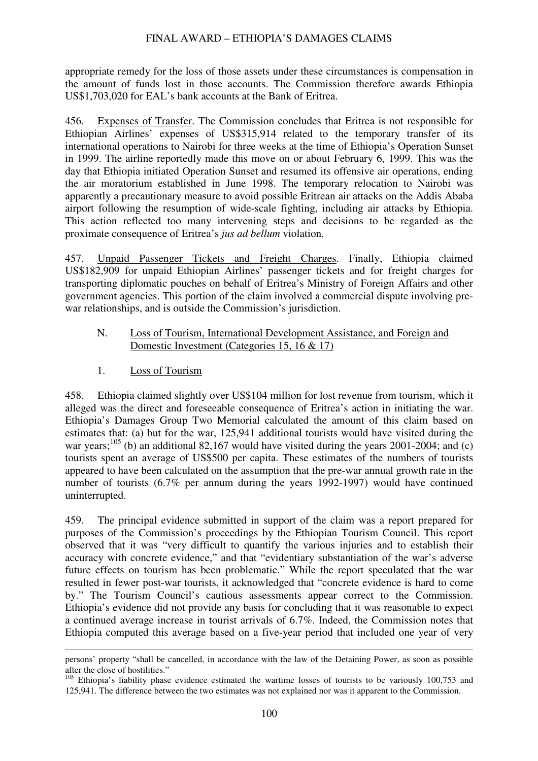appropriate remedy for the loss of those assets under these circumstances is compensation in the amount of funds lost in those accounts. The Commission therefore awards Ethiopia US\$1,703,020 for EAL's bank accounts at the Bank of Eritrea.

456. Expenses of Transfer. The Commission concludes that Eritrea is not responsible for Ethiopian Airlines' expenses of US\$315,914 related to the temporary transfer of its international operations to Nairobi for three weeks at the time of Ethiopia's Operation Sunset in 1999. The airline reportedly made this move on or about February 6, 1999. This was the day that Ethiopia initiated Operation Sunset and resumed its offensive air operations, ending the air moratorium established in June 1998. The temporary relocation to Nairobi was apparently a precautionary measure to avoid possible Eritrean air attacks on the Addis Ababa airport following the resumption of wide-scale fighting, including air attacks by Ethiopia. This action reflected too many intervening steps and decisions to be regarded as the proximate consequence of Eritrea's *jus ad bellum* violation.

457. Unpaid Passenger Tickets and Freight Charges. Finally, Ethiopia claimed US\$182,909 for unpaid Ethiopian Airlines' passenger tickets and for freight charges for transporting diplomatic pouches on behalf of Eritrea's Ministry of Foreign Affairs and other government agencies. This portion of the claim involved a commercial dispute involving prewar relationships, and is outside the Commission's jurisdiction.

- N. Loss of Tourism, International Development Assistance, and Foreign and Domestic Investment (Categories 15, 16 & 17)
- 1. Loss of Tourism

458. Ethiopia claimed slightly over US\$104 million for lost revenue from tourism, which it alleged was the direct and foreseeable consequence of Eritrea's action in initiating the war. Ethiopia's Damages Group Two Memorial calculated the amount of this claim based on estimates that: (a) but for the war, 125,941 additional tourists would have visited during the war years;  $^{105}$  (b) an additional 82,167 would have visited during the years 2001-2004; and (c) tourists spent an average of US\$500 per capita. These estimates of the numbers of tourists appeared to have been calculated on the assumption that the pre-war annual growth rate in the number of tourists (6.7% per annum during the years 1992-1997) would have continued uninterrupted.

459. The principal evidence submitted in support of the claim was a report prepared for purposes of the Commission's proceedings by the Ethiopian Tourism Council. This report observed that it was "very difficult to quantify the various injuries and to establish their accuracy with concrete evidence," and that "evidentiary substantiation of the war's adverse future effects on tourism has been problematic." While the report speculated that the war resulted in fewer post-war tourists, it acknowledged that "concrete evidence is hard to come by." The Tourism Council's cautious assessments appear correct to the Commission. Ethiopia's evidence did not provide any basis for concluding that it was reasonable to expect a continued average increase in tourist arrivals of 6.7%. Indeed, the Commission notes that Ethiopia computed this average based on a five-year period that included one year of very

persons' property "shall be cancelled, in accordance with the law of the Detaining Power, as soon as possible after the close of hostilities."

 $105$  Ethiopia's liability phase evidence estimated the wartime losses of tourists to be variously 100,753 and 125,941. The difference between the two estimates was not explained nor was it apparent to the Commission.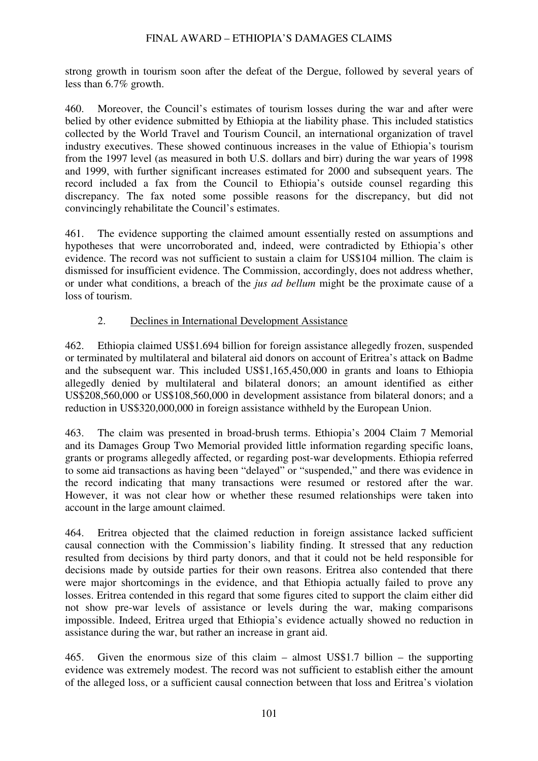strong growth in tourism soon after the defeat of the Dergue, followed by several years of less than 6.7% growth.

460. Moreover, the Council's estimates of tourism losses during the war and after were belied by other evidence submitted by Ethiopia at the liability phase. This included statistics collected by the World Travel and Tourism Council, an international organization of travel industry executives. These showed continuous increases in the value of Ethiopia's tourism from the 1997 level (as measured in both U.S. dollars and birr) during the war years of 1998 and 1999, with further significant increases estimated for 2000 and subsequent years. The record included a fax from the Council to Ethiopia's outside counsel regarding this discrepancy. The fax noted some possible reasons for the discrepancy, but did not convincingly rehabilitate the Council's estimates.

461. The evidence supporting the claimed amount essentially rested on assumptions and hypotheses that were uncorroborated and, indeed, were contradicted by Ethiopia's other evidence. The record was not sufficient to sustain a claim for US\$104 million. The claim is dismissed for insufficient evidence. The Commission, accordingly, does not address whether, or under what conditions, a breach of the *jus ad bellum* might be the proximate cause of a loss of tourism.

# 2. Declines in International Development Assistance

462. Ethiopia claimed US\$1.694 billion for foreign assistance allegedly frozen, suspended or terminated by multilateral and bilateral aid donors on account of Eritrea's attack on Badme and the subsequent war. This included US\$1,165,450,000 in grants and loans to Ethiopia allegedly denied by multilateral and bilateral donors; an amount identified as either US\$208,560,000 or US\$108,560,000 in development assistance from bilateral donors; and a reduction in US\$320,000,000 in foreign assistance withheld by the European Union.

463. The claim was presented in broad-brush terms. Ethiopia's 2004 Claim 7 Memorial and its Damages Group Two Memorial provided little information regarding specific loans, grants or programs allegedly affected, or regarding post-war developments. Ethiopia referred to some aid transactions as having been "delayed" or "suspended," and there was evidence in the record indicating that many transactions were resumed or restored after the war. However, it was not clear how or whether these resumed relationships were taken into account in the large amount claimed.

464. Eritrea objected that the claimed reduction in foreign assistance lacked sufficient causal connection with the Commission's liability finding. It stressed that any reduction resulted from decisions by third party donors, and that it could not be held responsible for decisions made by outside parties for their own reasons. Eritrea also contended that there were major shortcomings in the evidence, and that Ethiopia actually failed to prove any losses. Eritrea contended in this regard that some figures cited to support the claim either did not show pre-war levels of assistance or levels during the war, making comparisons impossible. Indeed, Eritrea urged that Ethiopia's evidence actually showed no reduction in assistance during the war, but rather an increase in grant aid.

465. Given the enormous size of this claim – almost US\$1.7 billion – the supporting evidence was extremely modest. The record was not sufficient to establish either the amount of the alleged loss, or a sufficient causal connection between that loss and Eritrea's violation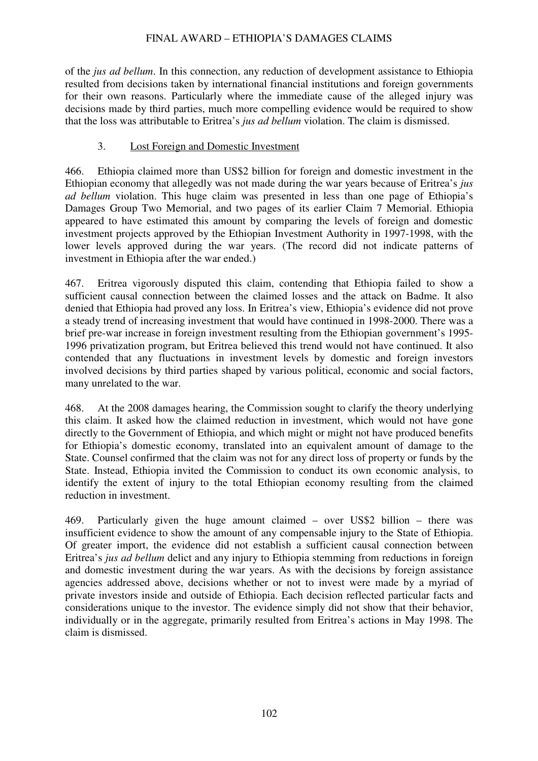of the *jus ad bellum*. In this connection, any reduction of development assistance to Ethiopia resulted from decisions taken by international financial institutions and foreign governments for their own reasons. Particularly where the immediate cause of the alleged injury was decisions made by third parties, much more compelling evidence would be required to show that the loss was attributable to Eritrea's *jus ad bellum* violation. The claim is dismissed.

# 3. Lost Foreign and Domestic Investment

466. Ethiopia claimed more than US\$2 billion for foreign and domestic investment in the Ethiopian economy that allegedly was not made during the war years because of Eritrea's *jus ad bellum* violation. This huge claim was presented in less than one page of Ethiopia's Damages Group Two Memorial, and two pages of its earlier Claim 7 Memorial. Ethiopia appeared to have estimated this amount by comparing the levels of foreign and domestic investment projects approved by the Ethiopian Investment Authority in 1997-1998, with the lower levels approved during the war years. (The record did not indicate patterns of investment in Ethiopia after the war ended.)

467. Eritrea vigorously disputed this claim, contending that Ethiopia failed to show a sufficient causal connection between the claimed losses and the attack on Badme. It also denied that Ethiopia had proved any loss. In Eritrea's view, Ethiopia's evidence did not prove a steady trend of increasing investment that would have continued in 1998-2000. There was a brief pre-war increase in foreign investment resulting from the Ethiopian government's 1995- 1996 privatization program, but Eritrea believed this trend would not have continued. It also contended that any fluctuations in investment levels by domestic and foreign investors involved decisions by third parties shaped by various political, economic and social factors, many unrelated to the war.

468. At the 2008 damages hearing, the Commission sought to clarify the theory underlying this claim. It asked how the claimed reduction in investment, which would not have gone directly to the Government of Ethiopia, and which might or might not have produced benefits for Ethiopia's domestic economy, translated into an equivalent amount of damage to the State. Counsel confirmed that the claim was not for any direct loss of property or funds by the State. Instead, Ethiopia invited the Commission to conduct its own economic analysis, to identify the extent of injury to the total Ethiopian economy resulting from the claimed reduction in investment.

469. Particularly given the huge amount claimed – over US\$2 billion – there was insufficient evidence to show the amount of any compensable injury to the State of Ethiopia. Of greater import, the evidence did not establish a sufficient causal connection between Eritrea's *jus ad bellum* delict and any injury to Ethiopia stemming from reductions in foreign and domestic investment during the war years. As with the decisions by foreign assistance agencies addressed above, decisions whether or not to invest were made by a myriad of private investors inside and outside of Ethiopia. Each decision reflected particular facts and considerations unique to the investor. The evidence simply did not show that their behavior, individually or in the aggregate, primarily resulted from Eritrea's actions in May 1998. The claim is dismissed.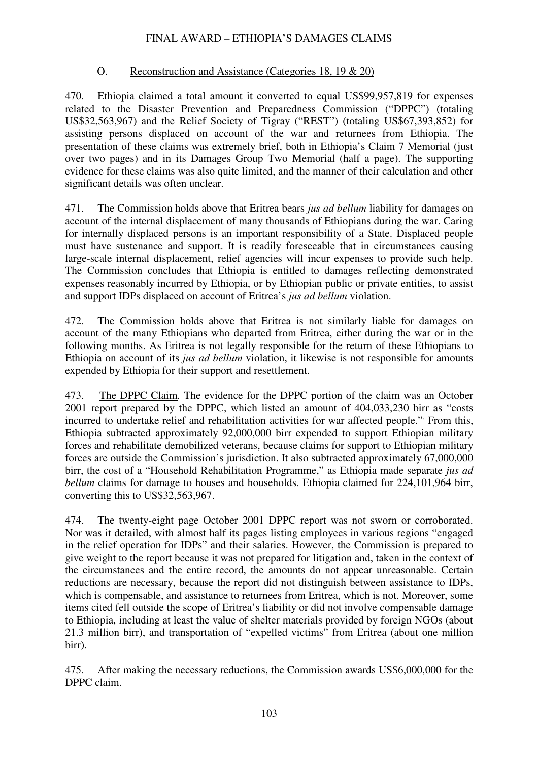## O. Reconstruction and Assistance (Categories 18, 19 & 20)

470. Ethiopia claimed a total amount it converted to equal US\$99,957,819 for expenses related to the Disaster Prevention and Preparedness Commission ("DPPC") (totaling US\$32,563,967) and the Relief Society of Tigray ("REST") (totaling US\$67,393,852) for assisting persons displaced on account of the war and returnees from Ethiopia. The presentation of these claims was extremely brief, both in Ethiopia's Claim 7 Memorial (just over two pages) and in its Damages Group Two Memorial (half a page). The supporting evidence for these claims was also quite limited, and the manner of their calculation and other significant details was often unclear.

471. The Commission holds above that Eritrea bears *jus ad bellum* liability for damages on account of the internal displacement of many thousands of Ethiopians during the war. Caring for internally displaced persons is an important responsibility of a State. Displaced people must have sustenance and support. It is readily foreseeable that in circumstances causing large-scale internal displacement, relief agencies will incur expenses to provide such help. The Commission concludes that Ethiopia is entitled to damages reflecting demonstrated expenses reasonably incurred by Ethiopia, or by Ethiopian public or private entities, to assist and support IDPs displaced on account of Eritrea's *jus ad bellum* violation.

472. The Commission holds above that Eritrea is not similarly liable for damages on account of the many Ethiopians who departed from Eritrea, either during the war or in the following months. As Eritrea is not legally responsible for the return of these Ethiopians to Ethiopia on account of its *jus ad bellum* violation, it likewise is not responsible for amounts expended by Ethiopia for their support and resettlement.

473. The DPPC Claim*.* The evidence for the DPPC portion of the claim was an October 2001 report prepared by the DPPC, which listed an amount of 404,033,230 birr as "costs incurred to undertake relief and rehabilitation activities for war affected people." . From this, Ethiopia subtracted approximately 92,000,000 birr expended to support Ethiopian military forces and rehabilitate demobilized veterans, because claims for support to Ethiopian military forces are outside the Commission's jurisdiction. It also subtracted approximately 67,000,000 birr, the cost of a "Household Rehabilitation Programme," as Ethiopia made separate *jus ad bellum* claims for damage to houses and households. Ethiopia claimed for 224,101,964 birr, converting this to US\$32,563,967.

474. The twenty-eight page October 2001 DPPC report was not sworn or corroborated. Nor was it detailed, with almost half its pages listing employees in various regions "engaged in the relief operation for IDPs" and their salaries. However, the Commission is prepared to give weight to the report because it was not prepared for litigation and, taken in the context of the circumstances and the entire record, the amounts do not appear unreasonable. Certain reductions are necessary, because the report did not distinguish between assistance to IDPs, which is compensable, and assistance to returnees from Eritrea, which is not. Moreover, some items cited fell outside the scope of Eritrea's liability or did not involve compensable damage to Ethiopia, including at least the value of shelter materials provided by foreign NGOs (about 21.3 million birr), and transportation of "expelled victims" from Eritrea (about one million birr).

475. After making the necessary reductions, the Commission awards US\$6,000,000 for the DPPC claim.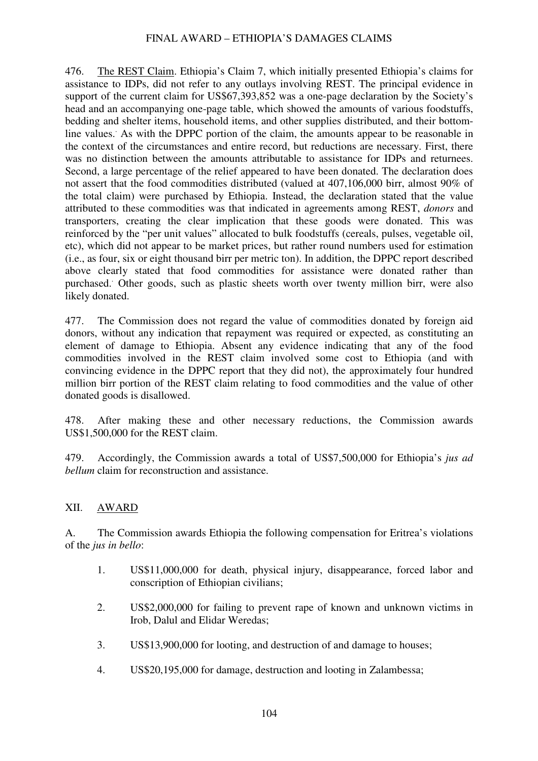476. The REST Claim. Ethiopia's Claim 7, which initially presented Ethiopia's claims for assistance to IDPs, did not refer to any outlays involving REST. The principal evidence in support of the current claim for US\$67,393,852 was a one-page declaration by the Society's head and an accompanying one-page table, which showed the amounts of various foodstuffs, bedding and shelter items, household items, and other supplies distributed, and their bottomline values. . As with the DPPC portion of the claim, the amounts appear to be reasonable in the context of the circumstances and entire record, but reductions are necessary. First, there was no distinction between the amounts attributable to assistance for IDPs and returnees. Second, a large percentage of the relief appeared to have been donated. The declaration does not assert that the food commodities distributed (valued at 407,106,000 birr, almost 90% of the total claim) were purchased by Ethiopia. Instead, the declaration stated that the value attributed to these commodities was that indicated in agreements among REST, *donors* and transporters, creating the clear implication that these goods were donated. This was reinforced by the "per unit values" allocated to bulk foodstuffs (cereals, pulses, vegetable oil, etc), which did not appear to be market prices, but rather round numbers used for estimation (i.e., as four, six or eight thousand birr per metric ton). In addition, the DPPC report described above clearly stated that food commodities for assistance were donated rather than purchased. . Other goods, such as plastic sheets worth over twenty million birr, were also likely donated.

477. The Commission does not regard the value of commodities donated by foreign aid donors, without any indication that repayment was required or expected, as constituting an element of damage to Ethiopia. Absent any evidence indicating that any of the food commodities involved in the REST claim involved some cost to Ethiopia (and with convincing evidence in the DPPC report that they did not), the approximately four hundred million birr portion of the REST claim relating to food commodities and the value of other donated goods is disallowed.

478. After making these and other necessary reductions, the Commission awards US\$1,500,000 for the REST claim.

479. Accordingly, the Commission awards a total of US\$7,500,000 for Ethiopia's *jus ad bellum* claim for reconstruction and assistance.

## XII. AWARD

A. The Commission awards Ethiopia the following compensation for Eritrea's violations of the *jus in bello*:

- 1. US\$11,000,000 for death, physical injury, disappearance, forced labor and conscription of Ethiopian civilians;
- 2. US\$2,000,000 for failing to prevent rape of known and unknown victims in Irob, Dalul and Elidar Weredas;
- 3. US\$13,900,000 for looting, and destruction of and damage to houses;
- 4. US\$20,195,000 for damage, destruction and looting in Zalambessa;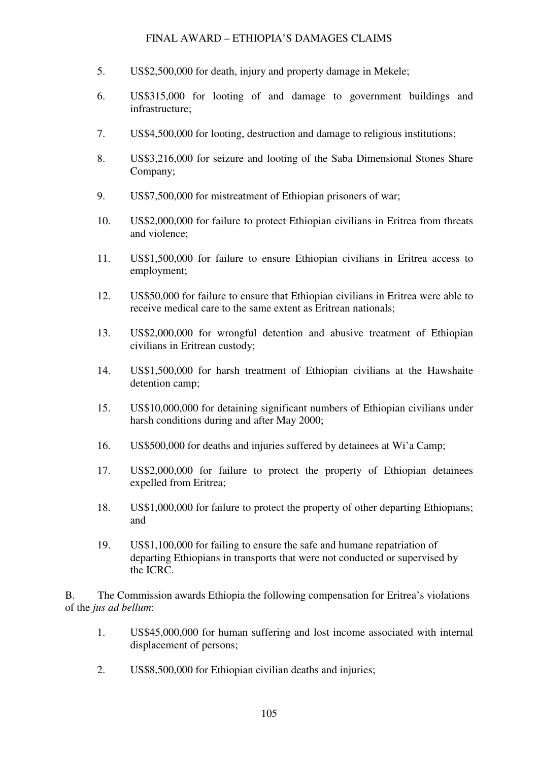- 5. US\$2,500,000 for death, injury and property damage in Mekele;
- 6. US\$315,000 for looting of and damage to government buildings and infrastructure;
- 7. US\$4,500,000 for looting, destruction and damage to religious institutions;
- 8. US\$3,216,000 for seizure and looting of the Saba Dimensional Stones Share Company;
- 9. US\$7,500,000 for mistreatment of Ethiopian prisoners of war;
- 10. US\$2,000,000 for failure to protect Ethiopian civilians in Eritrea from threats and violence;
- 11. US\$1,500,000 for failure to ensure Ethiopian civilians in Eritrea access to employment;
- 12. US\$50,000 for failure to ensure that Ethiopian civilians in Eritrea were able to receive medical care to the same extent as Eritrean nationals;
- 13. US\$2,000,000 for wrongful detention and abusive treatment of Ethiopian civilians in Eritrean custody;
- 14. US\$1,500,000 for harsh treatment of Ethiopian civilians at the Hawshaite detention camp;
- 15. US\$10,000,000 for detaining significant numbers of Ethiopian civilians under harsh conditions during and after May 2000;
- 16. US\$500,000 for deaths and injuries suffered by detainees at Wi'a Camp;
- 17. US\$2,000,000 for failure to protect the property of Ethiopian detainees expelled from Eritrea;
- 18. US\$1,000,000 for failure to protect the property of other departing Ethiopians; and
- 19. US\$1,100,000 for failing to ensure the safe and humane repatriation of departing Ethiopians in transports that were not conducted or supervised by the ICRC.

B. The Commission awards Ethiopia the following compensation for Eritrea's violations of the *jus ad bellum*:

- 1. US\$45,000,000 for human suffering and lost income associated with internal displacement of persons;
- 2. US\$8,500,000 for Ethiopian civilian deaths and injuries;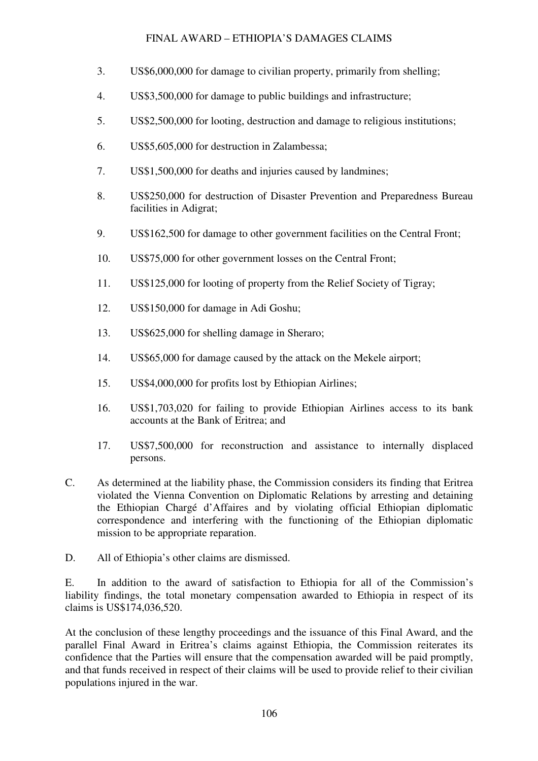- 3. US\$6,000,000 for damage to civilian property, primarily from shelling;
- 4. US\$3,500,000 for damage to public buildings and infrastructure;
- 5. US\$2,500,000 for looting, destruction and damage to religious institutions;
- 6. US\$5,605,000 for destruction in Zalambessa;
- 7. US\$1,500,000 for deaths and injuries caused by landmines;
- 8. US\$250,000 for destruction of Disaster Prevention and Preparedness Bureau facilities in Adigrat;
- 9. US\$162,500 for damage to other government facilities on the Central Front;
- 10. US\$75,000 for other government losses on the Central Front;
- 11. US\$125,000 for looting of property from the Relief Society of Tigray;
- 12. US\$150,000 for damage in Adi Goshu;
- 13. US\$625,000 for shelling damage in Sheraro;
- 14. US\$65,000 for damage caused by the attack on the Mekele airport;
- 15. US\$4,000,000 for profits lost by Ethiopian Airlines;
- 16. US\$1,703,020 for failing to provide Ethiopian Airlines access to its bank accounts at the Bank of Eritrea; and
- 17. US\$7,500,000 for reconstruction and assistance to internally displaced persons.
- C. As determined at the liability phase, the Commission considers its finding that Eritrea violated the Vienna Convention on Diplomatic Relations by arresting and detaining the Ethiopian Chargé d'Affaires and by violating official Ethiopian diplomatic correspondence and interfering with the functioning of the Ethiopian diplomatic mission to be appropriate reparation.
- D. All of Ethiopia's other claims are dismissed.

E. In addition to the award of satisfaction to Ethiopia for all of the Commission's liability findings, the total monetary compensation awarded to Ethiopia in respect of its claims is US\$174,036,520.

At the conclusion of these lengthy proceedings and the issuance of this Final Award, and the parallel Final Award in Eritrea's claims against Ethiopia, the Commission reiterates its confidence that the Parties will ensure that the compensation awarded will be paid promptly, and that funds received in respect of their claims will be used to provide relief to their civilian populations injured in the war.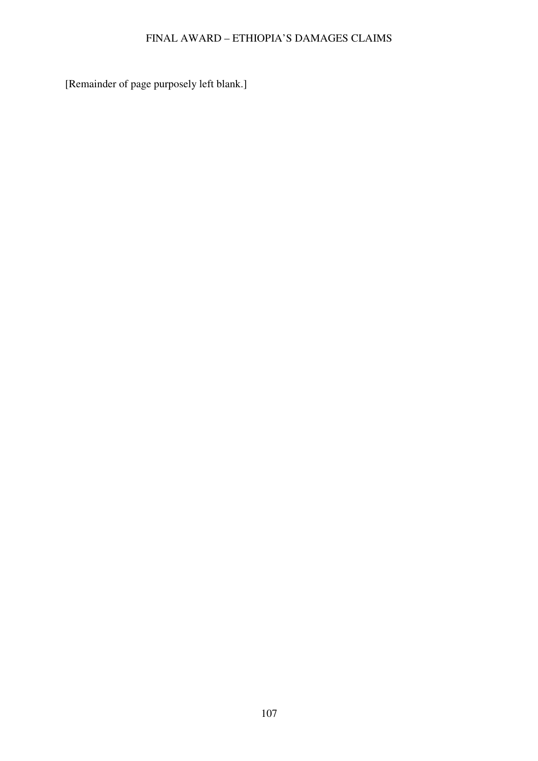[Remainder of page purposely left blank.]